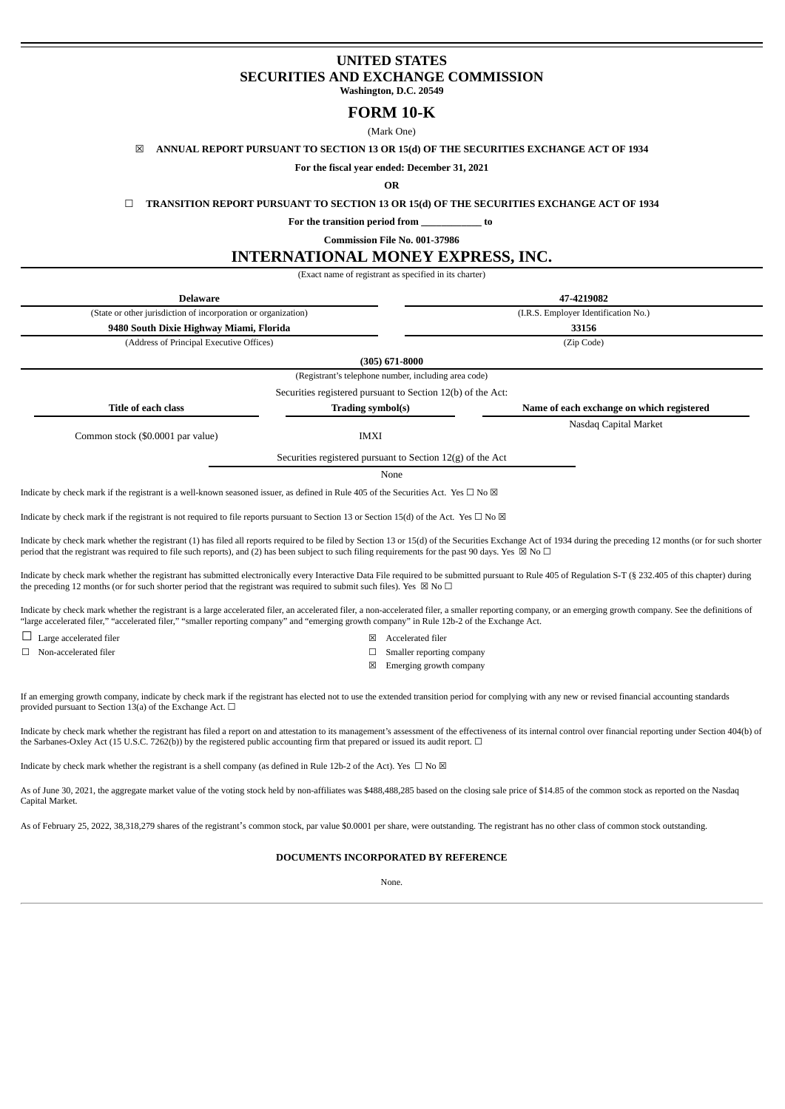# **UNITED STATES SECURITIES AND EXCHANGE COMMISSION**

**Washington, D.C. 20549**

# **FORM 10-K**

(Mark One)

☒ **ANNUAL REPORT PURSUANT TO SECTION 13 OR 15(d) OF THE SECURITIES EXCHANGE ACT OF 1934**

**For the fiscal year ended: December 31, 2021**

**OR**

☐ **TRANSITION REPORT PURSUANT TO SECTION 13 OR 15(d) OF THE SECURITIES EXCHANGE ACT OF 1934**

**For the transition period from \_\_\_\_\_\_\_\_\_\_\_\_ to**

**Commission File No. 001-37986**

# **INTERNATIONAL MONEY EXPRESS, INC.**

(Exact name of registrant as specified in its charter)

| <b>Delaware</b>                                                | 47-4219082                                                            |
|----------------------------------------------------------------|-----------------------------------------------------------------------|
| (State or other jurisdiction of incorporation or organization) | (I.R.S. Employer Identification No.)                                  |
| 9480 South Dixie Highway Miami, Florida                        | 33156                                                                 |
| (Address of Principal Executive Offices)                       | (Zip Code)                                                            |
|                                                                | $(305)$ 671-8000                                                      |
|                                                                | (Registrant's telephone number, including area code)                  |
|                                                                | Securities registered pursuant to Section 12(b) of the Act:           |
| Title of each class                                            | <b>Trading symbol(s)</b><br>Name of each exchange on which registered |
|                                                                | Nasdaq Capital Market                                                 |

Common stock (\$0.0001 par value) IMXI

Securities registered pursuant to Section 12(g) of the Act

None

Indicate by check mark if the registrant is a well-known seasoned issuer, as defined in Rule 405 of the Securities Act. Yes  $\Box$  No  $\boxtimes$ 

Indicate by check mark if the registrant is not required to file reports pursuant to Section 13 or Section 15(d) of the Act. Yes  $\Box$  No  $\boxtimes$ 

Indicate by check mark whether the registrant (1) has filed all reports required to be filed by Section 13 or 15(d) of the Securities Exchange Act of 1934 during the preceding 12 months (or for such shorter period that the registrant was required to file such reports), and (2) has been subject to such filing requirements for the past 90 days. Yes  $\boxtimes$  No  $\Box$ 

Indicate by check mark whether the registrant has submitted electronically every Interactive Data File required to be submitted pursuant to Rule 405 of Regulation S-T (§ 232.405 of this chapter) during the preceding 12 months (or for such shorter period that the registrant was required to submit such files). Yes  $\boxtimes$  No  $\Box$ 

Indicate by check mark whether the registrant is a large accelerated filer, an accelerated filer, a non-accelerated filer, a smaller reporting company, or an emerging growth company. See the definitions of "large accelerated filer," "accelerated filer," "smaller reporting company" and "emerging growth company" in Rule 12b-2 of the Exchange Act.

 $\hfill\Box$ <br> Large accelerated filer  $\hfill\Box$ <br> <br> Large accelerated filer

- 
- ☐ Non-accelerated filer ☐ Smaller reporting company
	- ☒ Emerging growth company

If an emerging growth company, indicate by check mark if the registrant has elected not to use the extended transition period for complying with any new or revised financial accounting standards provided pursuant to Section 13(a) of the Exchange Act.  $\Box$ 

Indicate by check mark whether the registrant has filed a report on and attestation to its management's assessment of the effectiveness of its internal control over financial reporting under Section 404(b) of the Sarbanes-Oxley Act (15 U.S.C. 7262(b)) by the registered public accounting firm that prepared or issued its audit report. ☐

Indicate by check mark whether the registrant is a shell company (as defined in Rule 12b-2 of the Act). Yes  $\Box$  No  $\boxtimes$ 

As of June 30, 2021, the aggregate market value of the voting stock held by non-affiliates was \$488,488,285 based on the closing sale price of \$14.85 of the common stock as reported on the Nasdaq Capital Market.

<span id="page-0-0"></span>As of February 25, 2022, 38,318,279 shares of the registrant's common stock, par value \$0.0001 per share, were outstanding. The registrant has no other class of common stock outstanding.

# **DOCUMENTS INCORPORATED BY REFERENCE**

None.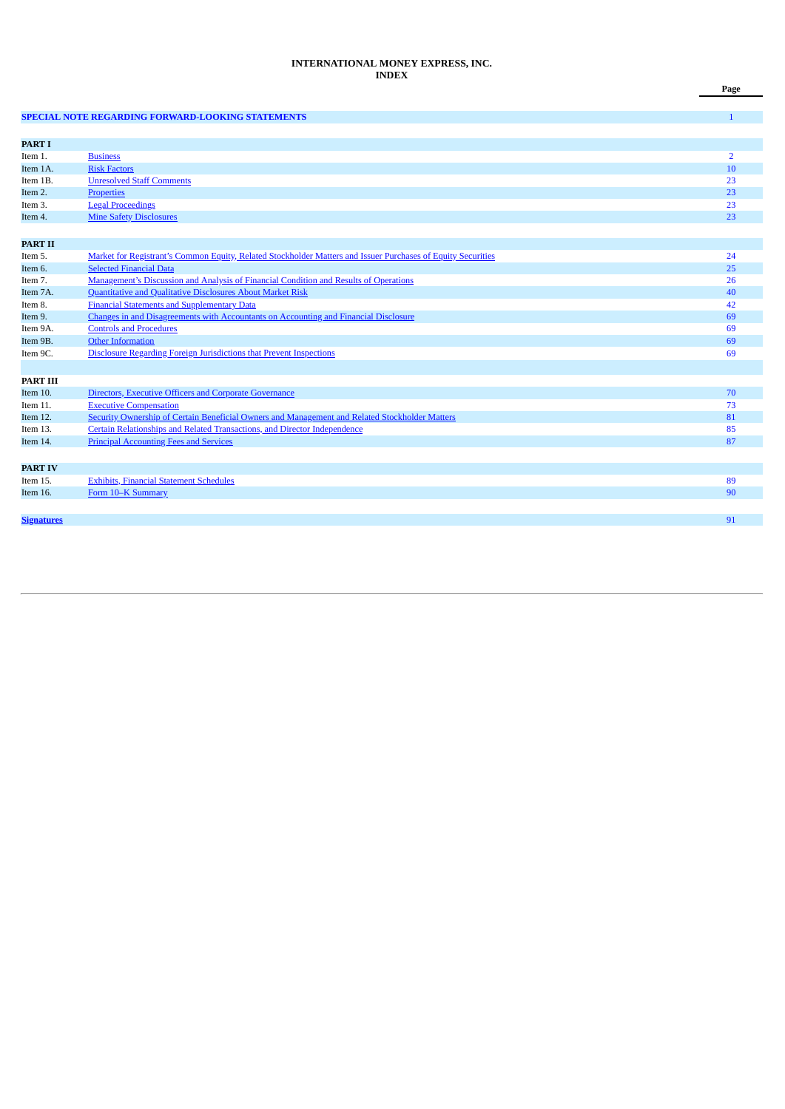# **INTERNATIONAL MONEY EXPRESS, INC. INDEX**

<span id="page-1-0"></span>

|                   |                                                                                                              | Page           |
|-------------------|--------------------------------------------------------------------------------------------------------------|----------------|
|                   |                                                                                                              |                |
|                   | <b>SPECIAL NOTE REGARDING FORWARD-LOOKING STATEMENTS</b>                                                     | $\mathbf{1}$   |
|                   |                                                                                                              |                |
| <b>PART I</b>     |                                                                                                              |                |
| Item 1.           | <b>Business</b>                                                                                              | $\overline{2}$ |
| Item 1A.          | <b>Risk Factors</b>                                                                                          | 10             |
| Item 1B.          | <b>Unresolved Staff Comments</b>                                                                             | 23             |
| Item 2.           | <b>Properties</b>                                                                                            | 23             |
| Item 3.           | <b>Legal Proceedings</b>                                                                                     | 23             |
| Item 4.           | <b>Mine Safety Disclosures</b>                                                                               | 23             |
|                   |                                                                                                              |                |
| <b>PART II</b>    |                                                                                                              |                |
| Item 5.           | Market for Registrant's Common Equity, Related Stockholder Matters and Issuer Purchases of Equity Securities | 24             |
| Item 6.           | <b>Selected Financial Data</b>                                                                               | 25             |
| Item 7.           | <b>Management's Discussion and Analysis of Financial Condition and Results of Operations</b>                 | 26             |
| Item 7A.          | Quantitative and Qualitative Disclosures About Market Risk                                                   | 40             |
| Item 8.           | <b>Financial Statements and Supplementary Data</b>                                                           | 42             |
| Item 9.           | Changes in and Disagreements with Accountants on Accounting and Financial Disclosure                         | 69             |
| Item 9A.          | <b>Controls and Procedures</b>                                                                               | 69             |
| Item 9B.          | <b>Other Information</b>                                                                                     | 69             |
| Item 9C.          | Disclosure Regarding Foreign Jurisdictions that Prevent Inspections                                          | 69             |
|                   |                                                                                                              |                |
| PART III          |                                                                                                              |                |
| Item 10.          | Directors, Executive Officers and Corporate Governance                                                       | 70             |
| Item 11.          | <b>Executive Compensation</b>                                                                                | 73             |
| Item 12.          | Security Ownership of Certain Beneficial Owners and Management and Related Stockholder Matters               | 81             |
| Item 13.          | Certain Relationships and Related Transactions, and Director Independence                                    | 85             |
| Item 14.          | <b>Principal Accounting Fees and Services</b>                                                                | 87             |
|                   |                                                                                                              |                |
| <b>PART IV</b>    |                                                                                                              |                |
| Item 15.          | <b>Exhibits, Financial Statement Schedules</b>                                                               | 89             |
| Item 16.          | Form 10-K Summary                                                                                            | 90             |
|                   |                                                                                                              |                |
| <b>Signatures</b> |                                                                                                              | 91             |
|                   |                                                                                                              |                |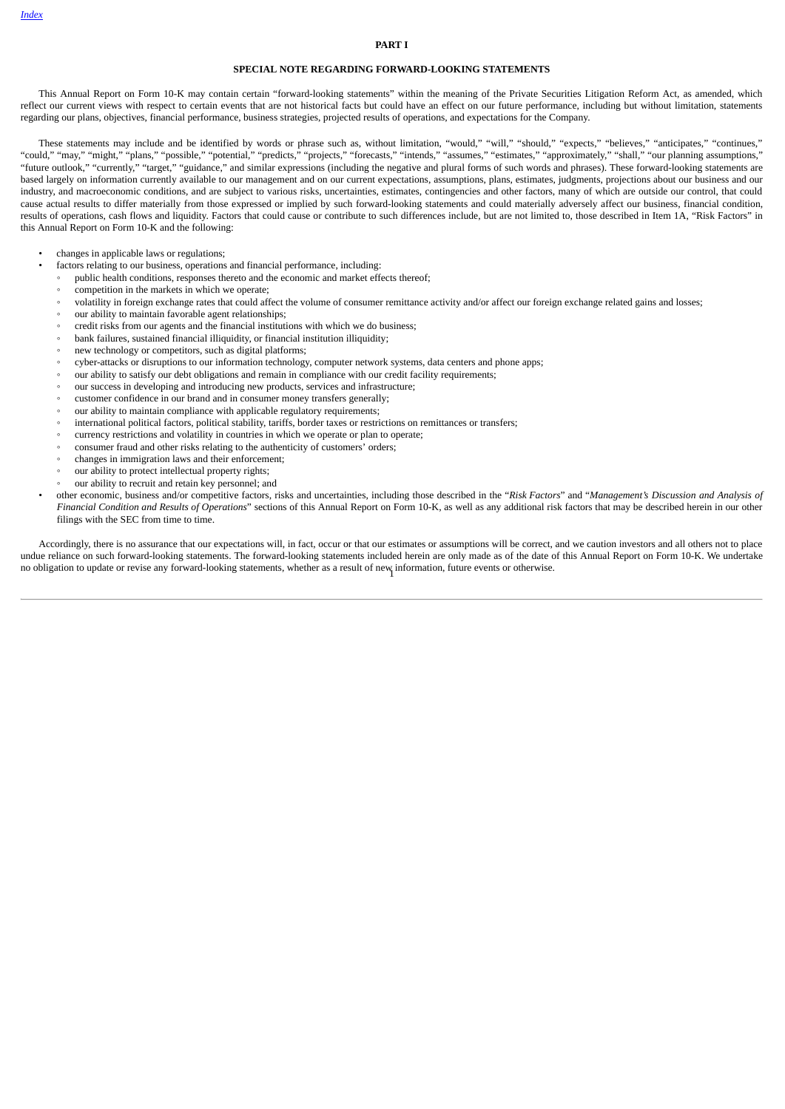## **PART I**

#### **SPECIAL NOTE REGARDING FORWARD-LOOKING STATEMENTS**

This Annual Report on Form 10-K may contain certain "forward-looking statements" within the meaning of the Private Securities Litigation Reform Act, as amended, which reflect our current views with respect to certain events that are not historical facts but could have an effect on our future performance, including but without limitation, statements regarding our plans, objectives, financial performance, business strategies, projected results of operations, and expectations for the Company.

These statements may include and be identified by words or phrase such as, without limitation, "would," "will," "should," "expects," "believes," "anticipates," "continues," "could," "may," "might," "plans," "possible," "potential," "predicts," "projects," "forecasts," "intends," "assumes," "estimates," "approximately," "shall," "our planning assumptions," "future outlook," "currently," "target," "guidance," and similar expressions (including the negative and plural forms of such words and phrases). These forward-looking statements are based largely on information currently available to our management and on our current expectations, assumptions, plans, estimates, judgments, projections about our business and our industry, and macroeconomic conditions, and are subject to various risks, uncertainties, estimates, contingencies and other factors, many of which are outside our control, that could cause actual results to differ materially from those expressed or implied by such forward-looking statements and could materially adversely affect our business, financial condition, results of operations, cash flows and liquidity. Factors that could cause or contribute to such differences include, but are not limited to, those described in Item 1A, "Risk Factors" in this Annual Report on Form 10-K and the following:

- changes in applicable laws or regulations;
	- factors relating to our business, operations and financial performance, including:
	- public health conditions, responses thereto and the economic and market effects thereof;
	- competition in the markets in which we operate;
	- volatility in foreign exchange rates that could affect the volume of consumer remittance activity and/or affect our foreign exchange related gains and losses;
	- our ability to maintain favorable agent relationships;
	- credit risks from our agents and the financial institutions with which we do business;
	- bank failures, sustained financial illiquidity, or financial institution illiquidity;
	- new technology or competitors, such as digital platforms;
	- cyber-attacks or disruptions to our information technology, computer network systems, data centers and phone apps;
	- our ability to satisfy our debt obligations and remain in compliance with our credit facility requirements;
	- our success in developing and introducing new products, services and infrastructure;
	- customer confidence in our brand and in consumer money transfers generally;
	- our ability to maintain compliance with applicable regulatory requirements;
	- international political factors, political stability, tariffs, border taxes or restrictions on remittances or transfers;
	- currency restrictions and volatility in countries in which we operate or plan to operate;
	- consumer fraud and other risks relating to the authenticity of customers' orders;
	- changes in immigration laws and their enforcement;
	- our ability to protect intellectual property rights;
	- our ability to recruit and retain key personnel; and
- other economic, business and/or competitive factors, risks and uncertainties, including those described in the "*Risk Factors*" and "*Management's Discussion and Analysis of Financial Condition and Results of Operations*" sections of this Annual Report on Form 10-K, as well as any additional risk factors that may be described herein in our other filings with the SEC from time to time.

<span id="page-2-0"></span>Accordingly, there is no assurance that our expectations will, in fact, occur or that our estimates or assumptions will be correct, and we caution investors and all others not to place undue reliance on such forward-looking statements. The forward-looking statements included herein are only made as of the date of this Annual Report on Form 10-K. We undertake no obligation to update or revise any forward-looking statements, whether as <sup>a</sup> result of new information, future events or otherwise. <sup>1</sup>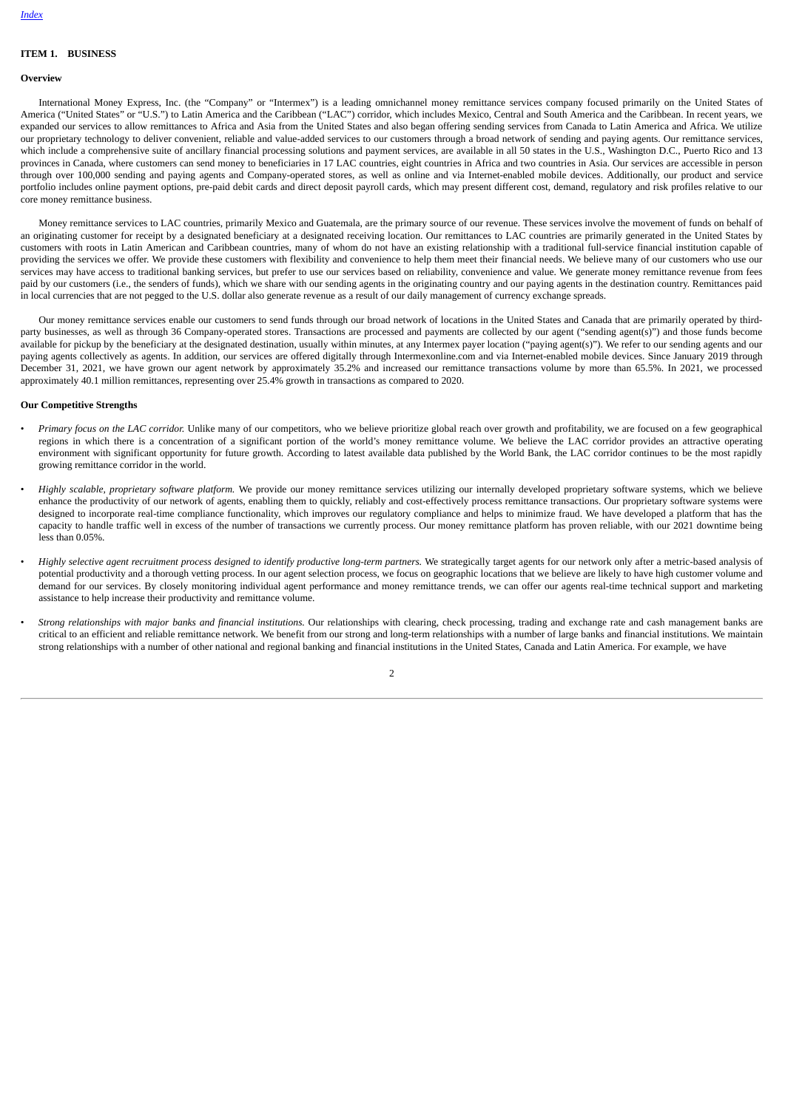# **ITEM 1. BUSINESS**

## **Overview**

International Money Express, Inc. (the "Company" or "Intermex") is a leading omnichannel money remittance services company focused primarily on the United States of America ("United States" or "U.S.") to Latin America and the Caribbean ("LAC") corridor, which includes Mexico, Central and South America and the Caribbean. In recent years, we expanded our services to allow remittances to Africa and Asia from the United States and also began offering sending services from Canada to Latin America and Africa. We utilize our proprietary technology to deliver convenient, reliable and value-added services to our customers through a broad network of sending and paying agents. Our remittance services, which include a comprehensive suite of ancillary financial processing solutions and payment services, are available in all 50 states in the U.S., Washington D.C., Puerto Rico and 13 provinces in Canada, where customers can send money to beneficiaries in 17 LAC countries, eight countries in Africa and two countries in Asia. Our services are accessible in person through over 100,000 sending and paying agents and Company-operated stores, as well as online and via Internet-enabled mobile devices. Additionally, our product and service portfolio includes online payment options, pre-paid debit cards and direct deposit payroll cards, which may present different cost, demand, regulatory and risk profiles relative to our core money remittance business.

Money remittance services to LAC countries, primarily Mexico and Guatemala, are the primary source of our revenue. These services involve the movement of funds on behalf of an originating customer for receipt by a designated beneficiary at a designated receiving location. Our remittances to LAC countries are primarily generated in the United States by customers with roots in Latin American and Caribbean countries, many of whom do not have an existing relationship with a traditional full-service financial institution capable of providing the services we offer. We provide these customers with flexibility and convenience to help them meet their financial needs. We believe many of our customers who use our services may have access to traditional banking services, but prefer to use our services based on reliability, convenience and value. We generate money remittance revenue from fees paid by our customers (i.e., the senders of funds), which we share with our sending agents in the originating country and our paying agents in the destination country. Remittances paid in local currencies that are not pegged to the U.S. dollar also generate revenue as a result of our daily management of currency exchange spreads.

Our money remittance services enable our customers to send funds through our broad network of locations in the United States and Canada that are primarily operated by thirdparty businesses, as well as through 36 Company-operated stores. Transactions are processed and payments are collected by our agent ("sending agent(s)") and those funds become available for pickup by the beneficiary at the designated destination, usually within minutes, at any Intermex payer location ("paying agent(s)"). We refer to our sending agents and our paying agents collectively as agents. In addition, our services are offered digitally through Intermexonline.com and via Internet-enabled mobile devices. Since January 2019 through December 31, 2021, we have grown our agent network by approximately 35.2% and increased our remittance transactions volume by more than 65.5%. In 2021, we processed approximately 40.1 million remittances, representing over 25.4% growth in transactions as compared to 2020.

#### **Our Competitive Strengths**

- *Primary focus on the LAC corridor.* Unlike many of our competitors, who we believe prioritize global reach over growth and profitability, we are focused on a few geographical regions in which there is a concentration of a significant portion of the world's money remittance volume. We believe the LAC corridor provides an attractive operating environment with significant opportunity for future growth. According to latest available data published by the World Bank, the LAC corridor continues to be the most rapidly growing remittance corridor in the world.
- *Highly scalable, proprietary software platform.* We provide our money remittance services utilizing our internally developed proprietary software systems, which we believe enhance the productivity of our network of agents, enabling them to quickly, reliably and cost-effectively process remittance transactions. Our proprietary software systems were designed to incorporate real-time compliance functionality, which improves our regulatory compliance and helps to minimize fraud. We have developed a platform that has the capacity to handle traffic well in excess of the number of transactions we currently process. Our money remittance platform has proven reliable, with our 2021 downtime being less than 0.05%.
- Highly selective agent recruitment process designed to identify productive long-term partners. We strategically target agents for our network only after a metric-based analysis of potential productivity and a thorough vetting process. In our agent selection process, we focus on geographic locations that we believe are likely to have high customer volume and demand for our services. By closely monitoring individual agent performance and money remittance trends, we can offer our agents real-time technical support and marketing assistance to help increase their productivity and remittance volume.
- Strong relationships with major banks and financial institutions. Our relationships with clearing, check processing, trading and exchange rate and cash management banks are critical to an efficient and reliable remittance network. We benefit from our strong and long-term relationships with a number of large banks and financial institutions. We maintain strong relationships with a number of other national and regional banking and financial institutions in the United States, Canada and Latin America. For example, we have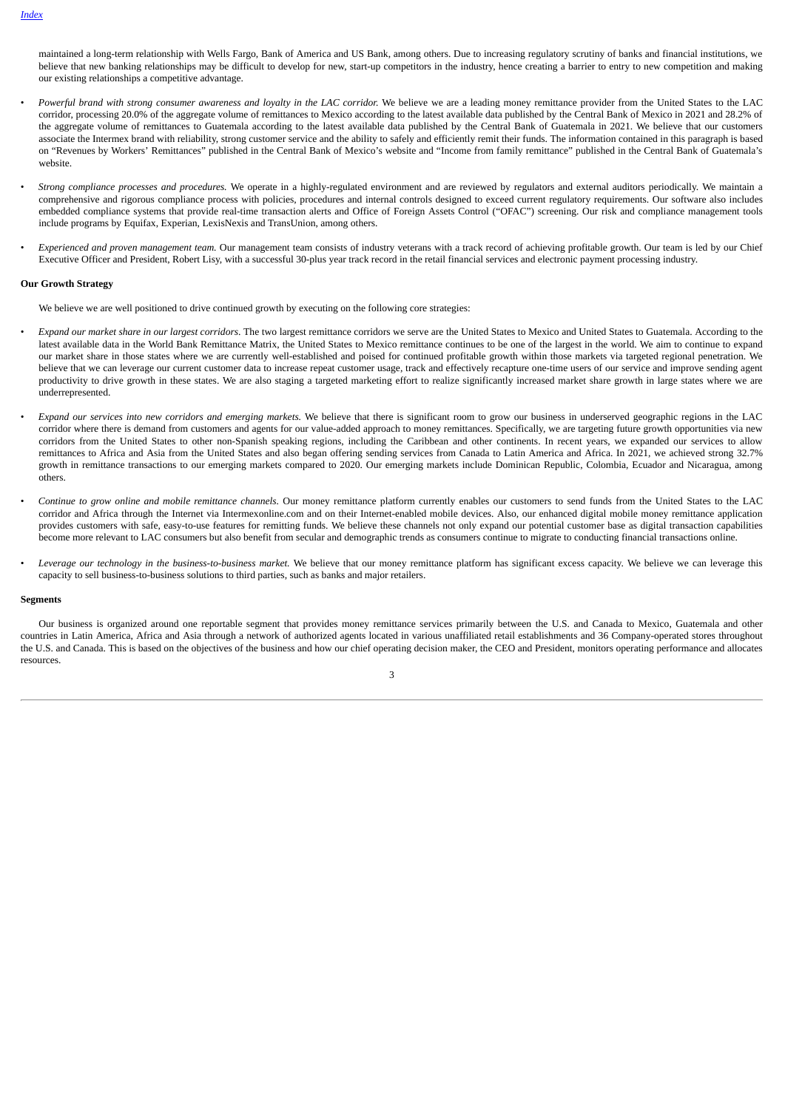maintained a long-term relationship with Wells Fargo, Bank of America and US Bank, among others. Due to increasing regulatory scrutiny of banks and financial institutions, we believe that new banking relationships may be difficult to develop for new, start-up competitors in the industry, hence creating a barrier to entry to new competition and making our existing relationships a competitive advantage.

- Powerful brand with strong consumer awareness and loyalty in the LAC corridor. We believe we are a leading money remittance provider from the United States to the LAC corridor, processing 20.0% of the aggregate volume of remittances to Mexico according to the latest available data published by the Central Bank of Mexico in 2021 and 28.2% of the aggregate volume of remittances to Guatemala according to the latest available data published by the Central Bank of Guatemala in 2021. We believe that our customers associate the Intermex brand with reliability, strong customer service and the ability to safely and efficiently remit their funds. The information contained in this paragraph is based on "Revenues by Workers' Remittances" published in the Central Bank of Mexico's website and "Income from family remittance" published in the Central Bank of Guatemala's website.
- *Strong compliance processes and procedures.* We operate in a highly-regulated environment and are reviewed by regulators and external auditors periodically. We maintain a comprehensive and rigorous compliance process with policies, procedures and internal controls designed to exceed current regulatory requirements. Our software also includes embedded compliance systems that provide real-time transaction alerts and Office of Foreign Assets Control ("OFAC") screening. Our risk and compliance management tools include programs by Equifax, Experian, LexisNexis and TransUnion, among others.
- *Experienced and proven management team.* Our management team consists of industry veterans with a track record of achieving profitable growth. Our team is led by our Chief Executive Officer and President, Robert Lisy, with a successful 30-plus year track record in the retail financial services and electronic payment processing industry.

## **Our Growth Strategy**

We believe we are well positioned to drive continued growth by executing on the following core strategies:

- Expand our market share in our largest corridors. The two largest remittance corridors we serve are the United States to Mexico and United States to Guatemala. According to the latest available data in the World Bank Remittance Matrix, the United States to Mexico remittance continues to be one of the largest in the world. We aim to continue to expand our market share in those states where we are currently well-established and poised for continued profitable growth within those markets via targeted regional penetration. We believe that we can leverage our current customer data to increase repeat customer usage, track and effectively recapture one-time users of our service and improve sending agent productivity to drive growth in these states. We are also staging a targeted marketing effort to realize significantly increased market share growth in large states where we are underrepresented.
- Expand our services into new corridors and emerging markets. We believe that there is significant room to grow our business in underserved geographic regions in the LAC corridor where there is demand from customers and agents for our value-added approach to money remittances. Specifically, we are targeting future growth opportunities via new corridors from the United States to other non-Spanish speaking regions, including the Caribbean and other continents. In recent years, we expanded our services to allow remittances to Africa and Asia from the United States and also began offering sending services from Canada to Latin America and Africa. In 2021, we achieved strong 32.7% growth in remittance transactions to our emerging markets compared to 2020. Our emerging markets include Dominican Republic, Colombia, Ecuador and Nicaragua, among others.
- *Continue to grow online and mobile remittance channels.* Our money remittance platform currently enables our customers to send funds from the United States to the LAC corridor and Africa through the Internet via Intermexonline.com and on their Internet-enabled mobile devices. Also, our enhanced digital mobile money remittance application provides customers with safe, easy-to-use features for remitting funds. We believe these channels not only expand our potential customer base as digital transaction capabilities become more relevant to LAC consumers but also benefit from secular and demographic trends as consumers continue to migrate to conducting financial transactions online.
- *Leverage our technology in the business-to-business market.* We believe that our money remittance platform has significant excess capacity. We believe we can leverage this capacity to sell business-to-business solutions to third parties, such as banks and major retailers.

## **Segments**

Our business is organized around one reportable segment that provides money remittance services primarily between the U.S. and Canada to Mexico, Guatemala and other countries in Latin America, Africa and Asia through a network of authorized agents located in various unaffiliated retail establishments and 36 Company-operated stores throughout the U.S. and Canada. This is based on the objectives of the business and how our chief operating decision maker, the CEO and President, monitors operating performance and allocates resources.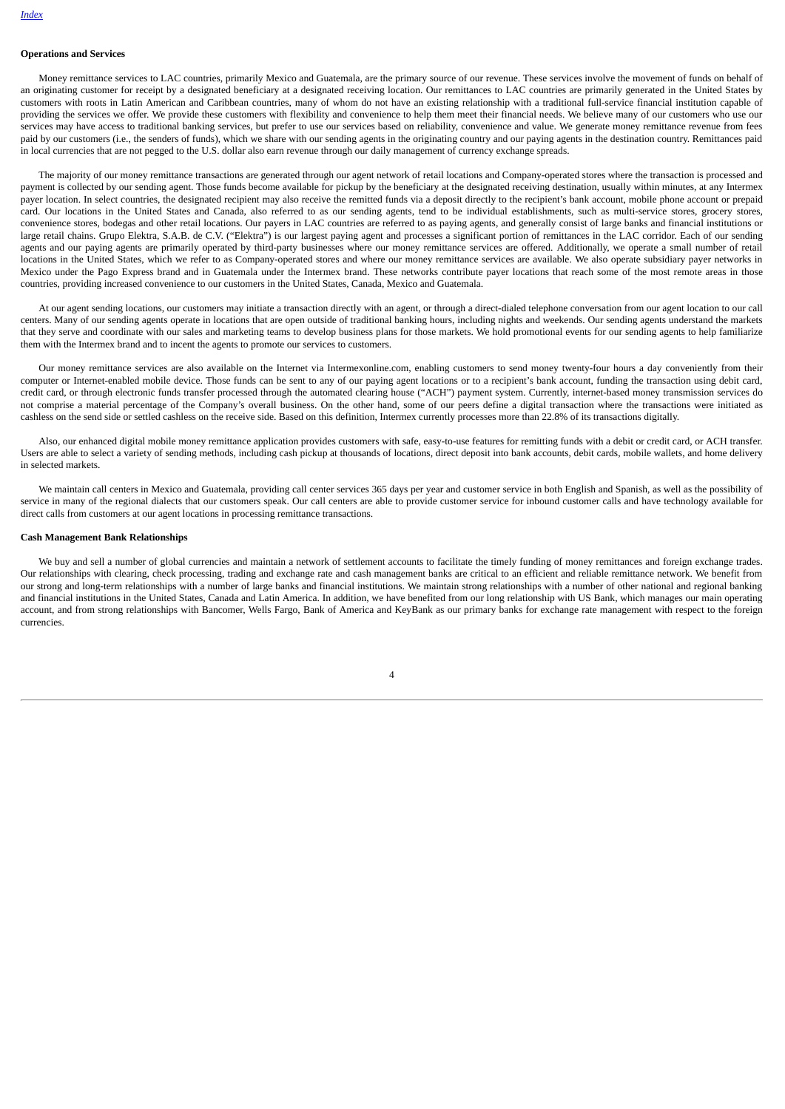#### **Operations and Services**

Money remittance services to LAC countries, primarily Mexico and Guatemala, are the primary source of our revenue. These services involve the movement of funds on behalf of an originating customer for receipt by a designated beneficiary at a designated receiving location. Our remittances to LAC countries are primarily generated in the United States by customers with roots in Latin American and Caribbean countries, many of whom do not have an existing relationship with a traditional full-service financial institution capable of providing the services we offer. We provide these customers with flexibility and convenience to help them meet their financial needs. We believe many of our customers who use our services may have access to traditional banking services, but prefer to use our services based on reliability, convenience and value. We generate money remittance revenue from fees paid by our customers (i.e., the senders of funds), which we share with our sending agents in the originating country and our paying agents in the destination country. Remittances paid in local currencies that are not pegged to the U.S. dollar also earn revenue through our daily management of currency exchange spreads.

The majority of our money remittance transactions are generated through our agent network of retail locations and Company-operated stores where the transaction is processed and payment is collected by our sending agent. Those funds become available for pickup by the beneficiary at the designated receiving destination, usually within minutes, at any Intermex payer location. In select countries, the designated recipient may also receive the remitted funds via a deposit directly to the recipient's bank account, mobile phone account or prepaid card. Our locations in the United States and Canada, also referred to as our sending agents, tend to be individual establishments, such as multi-service stores, grocery stores, convenience stores, bodegas and other retail locations. Our payers in LAC countries are referred to as paying agents, and generally consist of large banks and financial institutions or large retail chains. Grupo Elektra, S.A.B. de C.V. ("Elektra") is our largest paying agent and processes a significant portion of remittances in the LAC corridor. Each of our sending agents and our paying agents are primarily operated by third-party businesses where our money remittance services are offered. Additionally, we operate a small number of retail locations in the United States, which we refer to as Company-operated stores and where our money remittance services are available. We also operate subsidiary payer networks in Mexico under the Pago Express brand and in Guatemala under the Intermex brand. These networks contribute payer locations that reach some of the most remote areas in those countries, providing increased convenience to our customers in the United States, Canada, Mexico and Guatemala.

At our agent sending locations, our customers may initiate a transaction directly with an agent, or through a direct-dialed telephone conversation from our agent location to our call centers. Many of our sending agents operate in locations that are open outside of traditional banking hours, including nights and weekends. Our sending agents understand the markets that they serve and coordinate with our sales and marketing teams to develop business plans for those markets. We hold promotional events for our sending agents to help familiarize them with the Intermex brand and to incent the agents to promote our services to customers.

Our money remittance services are also available on the Internet via Intermexonline.com, enabling customers to send money twenty-four hours a day conveniently from their computer or Internet-enabled mobile device. Those funds can be sent to any of our paying agent locations or to a recipient's bank account, funding the transaction using debit card, credit card, or through electronic funds transfer processed through the automated clearing house ("ACH") payment system. Currently, internet-based money transmission services do not comprise a material percentage of the Company's overall business. On the other hand, some of our peers define a digital transaction where the transactions were initiated as cashless on the send side or settled cashless on the receive side. Based on this definition, Intermex currently processes more than 22.8% of its transactions digitally.

Also, our enhanced digital mobile money remittance application provides customers with safe, easy-to-use features for remitting funds with a debit or credit card, or ACH transfer. Users are able to select a variety of sending methods, including cash pickup at thousands of locations, direct deposit into bank accounts, debit cards, mobile wallets, and home delivery in selected markets.

We maintain call centers in Mexico and Guatemala, providing call center services 365 days per year and customer service in both English and Spanish, as well as the possibility of service in many of the regional dialects that our customers speak. Our call centers are able to provide customer service for inbound customer calls and have technology available for direct calls from customers at our agent locations in processing remittance transactions.

# **Cash Management Bank Relationships**

We buy and sell a number of global currencies and maintain a network of settlement accounts to facilitate the timely funding of money remittances and foreign exchange trades. Our relationships with clearing, check processing, trading and exchange rate and cash management banks are critical to an efficient and reliable remittance network. We benefit from our strong and long-term relationships with a number of large banks and financial institutions. We maintain strong relationships with a number of other national and regional banking and financial institutions in the United States, Canada and Latin America. In addition, we have benefited from our long relationship with US Bank, which manages our main operating account, and from strong relationships with Bancomer, Wells Fargo, Bank of America and KeyBank as our primary banks for exchange rate management with respect to the foreign currencies.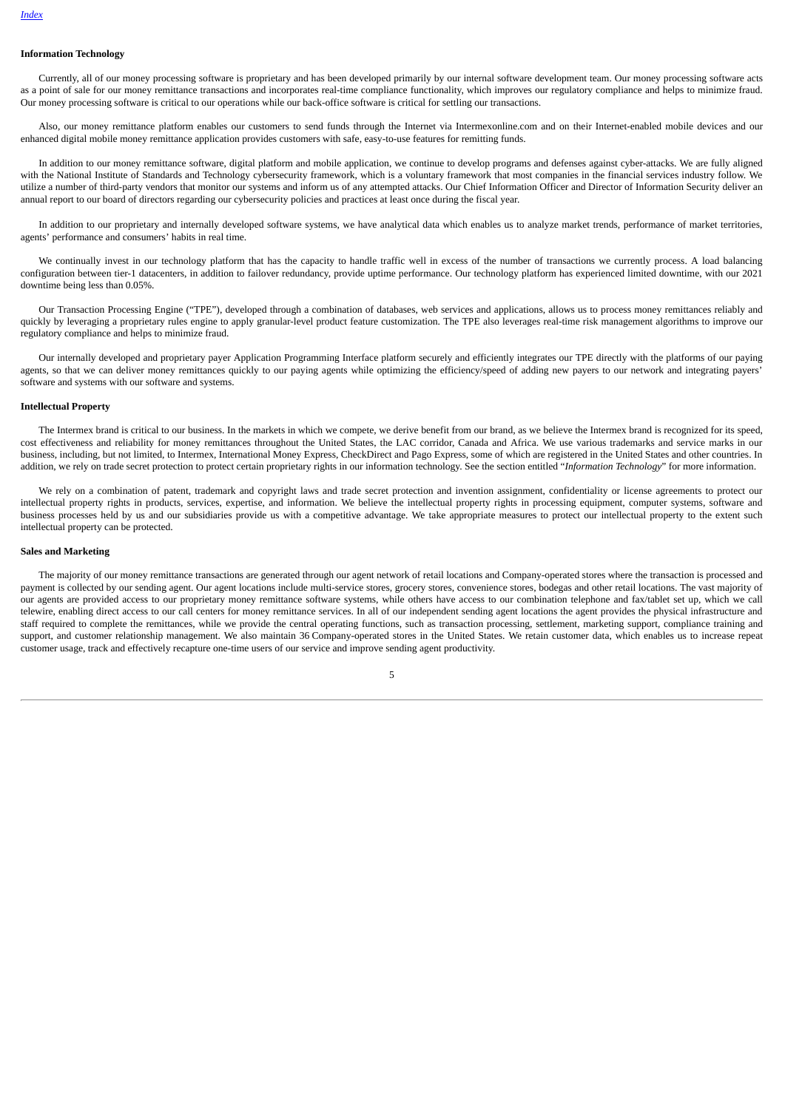# **Information Technology**

Currently, all of our money processing software is proprietary and has been developed primarily by our internal software development team. Our money processing software acts as a point of sale for our money remittance transactions and incorporates real-time compliance functionality, which improves our regulatory compliance and helps to minimize fraud. Our money processing software is critical to our operations while our back-office software is critical for settling our transactions.

Also, our money remittance platform enables our customers to send funds through the Internet via Intermexonline.com and on their Internet-enabled mobile devices and our enhanced digital mobile money remittance application provides customers with safe, easy-to-use features for remitting funds.

In addition to our money remittance software, digital platform and mobile application, we continue to develop programs and defenses against cyber-attacks. We are fully aligned with the National Institute of Standards and Technology cybersecurity framework, which is a voluntary framework that most companies in the financial services industry follow. We utilize a number of third-party vendors that monitor our systems and inform us of any attempted attacks. Our Chief Information Officer and Director of Information Security deliver an annual report to our board of directors regarding our cybersecurity policies and practices at least once during the fiscal year.

In addition to our proprietary and internally developed software systems, we have analytical data which enables us to analyze market trends, performance of market territories, agents' performance and consumers' habits in real time.

We continually invest in our technology platform that has the capacity to handle traffic well in excess of the number of transactions we currently process. A load balancing configuration between tier-1 datacenters, in addition to failover redundancy, provide uptime performance. Our technology platform has experienced limited downtime, with our 2021 downtime being less than 0.05%.

Our Transaction Processing Engine ("TPE"), developed through a combination of databases, web services and applications, allows us to process money remittances reliably and quickly by leveraging a proprietary rules engine to apply granular-level product feature customization. The TPE also leverages real-time risk management algorithms to improve our regulatory compliance and helps to minimize fraud.

Our internally developed and proprietary payer Application Programming Interface platform securely and efficiently integrates our TPE directly with the platforms of our paying agents, so that we can deliver money remittances quickly to our paying agents while optimizing the efficiency/speed of adding new payers to our network and integrating payers' software and systems with our software and systems.

#### **Intellectual Property**

The Intermex brand is critical to our business. In the markets in which we compete, we derive benefit from our brand, as we believe the Intermex brand is recognized for its speed, cost effectiveness and reliability for money remittances throughout the United States, the LAC corridor, Canada and Africa. We use various trademarks and service marks in our business, including, but not limited, to Intermex, International Money Express, CheckDirect and Pago Express, some of which are registered in the United States and other countries. In addition, we rely on trade secret protection to protect certain proprietary rights in our information technology. See the section entitled "*Information Technology*" for more information.

We rely on a combination of patent, trademark and copyright laws and trade secret protection and invention assignment, confidentiality or license agreements to protect our intellectual property rights in products, services, expertise, and information. We believe the intellectual property rights in processing equipment, computer systems, software and business processes held by us and our subsidiaries provide us with a competitive advantage. We take appropriate measures to protect our intellectual property to the extent such intellectual property can be protected.

#### **Sales and Marketing**

The majority of our money remittance transactions are generated through our agent network of retail locations and Company-operated stores where the transaction is processed and payment is collected by our sending agent. Our agent locations include multi-service stores, grocery stores, convenience stores, bodegas and other retail locations. The vast majority of our agents are provided access to our proprietary money remittance software systems, while others have access to our combination telephone and fax/tablet set up, which we call telewire, enabling direct access to our call centers for money remittance services. In all of our independent sending agent locations the agent provides the physical infrastructure and staff required to complete the remittances, while we provide the central operating functions, such as transaction processing, settlement, marketing support, compliance training and support, and customer relationship management. We also maintain 36 Company-operated stores in the United States. We retain customer data, which enables us to increase repeat customer usage, track and effectively recapture one-time users of our service and improve sending agent productivity.

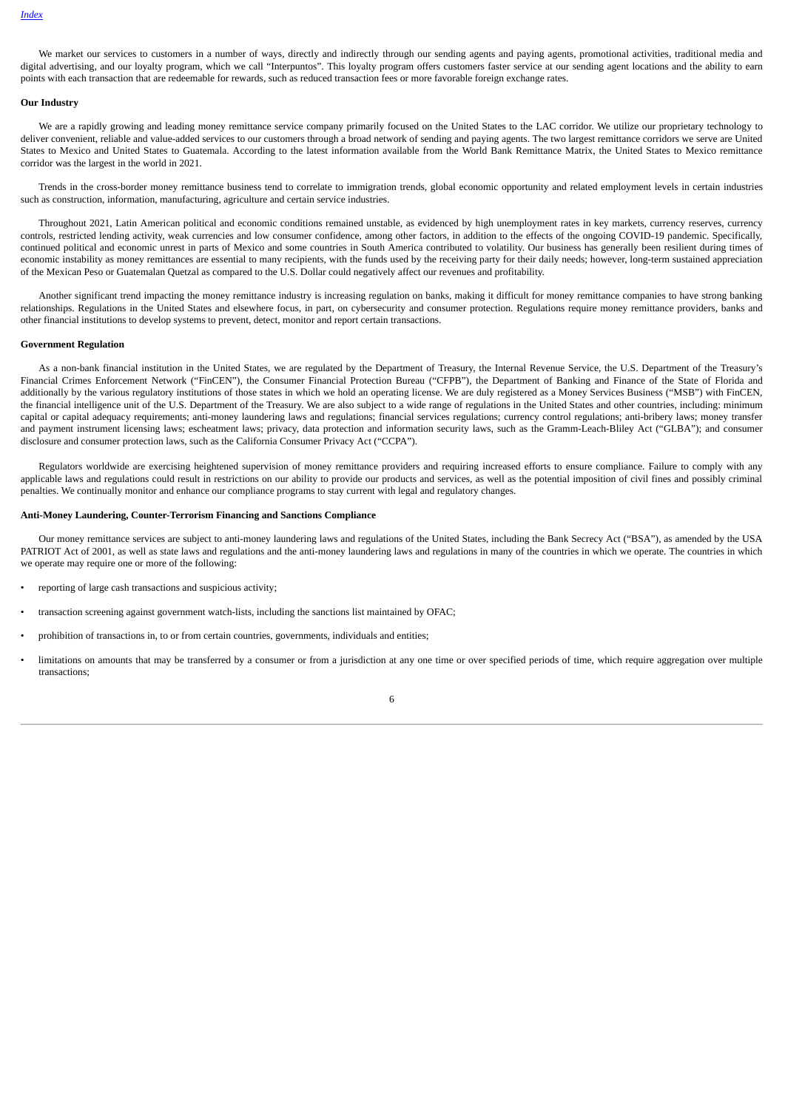We market our services to customers in a number of ways, directly and indirectly through our sending agents and paying agents, promotional activities, traditional media and digital advertising, and our loyalty program, which we call "Interpuntos". This loyalty program offers customers faster service at our sending agent locations and the ability to earn points with each transaction that are redeemable for rewards, such as reduced transaction fees or more favorable foreign exchange rates.

#### **Our Industry**

We are a rapidly growing and leading money remittance service company primarily focused on the United States to the LAC corridor. We utilize our proprietary technology to deliver convenient, reliable and value-added services to our customers through a broad network of sending and paying agents. The two largest remittance corridors we serve are United States to Mexico and United States to Guatemala. According to the latest information available from the World Bank Remittance Matrix, the United States to Mexico remittance corridor was the largest in the world in 2021.

Trends in the cross-border money remittance business tend to correlate to immigration trends, global economic opportunity and related employment levels in certain industries such as construction, information, manufacturing, agriculture and certain service industries.

Throughout 2021, Latin American political and economic conditions remained unstable, as evidenced by high unemployment rates in key markets, currency reserves, currency controls, restricted lending activity, weak currencies and low consumer confidence, among other factors, in addition to the effects of the ongoing COVID-19 pandemic. Specifically, continued political and economic unrest in parts of Mexico and some countries in South America contributed to volatility. Our business has generally been resilient during times of economic instability as money remittances are essential to many recipients, with the funds used by the receiving party for their daily needs; however, long-term sustained appreciation of the Mexican Peso or Guatemalan Quetzal as compared to the U.S. Dollar could negatively affect our revenues and profitability.

Another significant trend impacting the money remittance industry is increasing regulation on banks, making it difficult for money remittance companies to have strong banking relationships. Regulations in the United States and elsewhere focus, in part, on cybersecurity and consumer protection. Regulations require money remittance providers, banks and other financial institutions to develop systems to prevent, detect, monitor and report certain transactions.

### **Government Regulation**

As a non-bank financial institution in the United States, we are regulated by the Department of Treasury, the Internal Revenue Service, the U.S. Department of the Treasury's Financial Crimes Enforcement Network ("FinCEN"), the Consumer Financial Protection Bureau ("CFPB"), the Department of Banking and Finance of the State of Florida and additionally by the various regulatory institutions of those states in which we hold an operating license. We are duly registered as a Money Services Business ("MSB") with FinCEN, the financial intelligence unit of the U.S. Department of the Treasury. We are also subject to a wide range of regulations in the United States and other countries, including: minimum capital or capital adequacy requirements; anti-money laundering laws and regulations; financial services regulations; currency control regulations; anti-bribery laws; money transfer and payment instrument licensing laws; escheatment laws; privacy, data protection and information security laws, such as the Gramm-Leach-Bliley Act ("GLBA"); and consumer disclosure and consumer protection laws, such as the California Consumer Privacy Act ("CCPA").

Regulators worldwide are exercising heightened supervision of money remittance providers and requiring increased efforts to ensure compliance. Failure to comply with any applicable laws and regulations could result in restrictions on our ability to provide our products and services, as well as the potential imposition of civil fines and possibly criminal penalties. We continually monitor and enhance our compliance programs to stay current with legal and regulatory changes.

# **Anti-Money Laundering, Counter-Terrorism Financing and Sanctions Compliance**

Our money remittance services are subject to anti-money laundering laws and regulations of the United States, including the Bank Secrecy Act ("BSA"), as amended by the USA PATRIOT Act of 2001, as well as state laws and regulations and the anti-money laundering laws and regulations in many of the countries in which we operate. The countries in which we operate may require one or more of the following:

- reporting of large cash transactions and suspicious activity;
- transaction screening against government watch-lists, including the sanctions list maintained by OFAC;
- prohibition of transactions in, to or from certain countries, governments, individuals and entities;
- limitations on amounts that may be transferred by a consumer or from a jurisdiction at any one time or over specified periods of time, which require aggregation over multiple transactions;

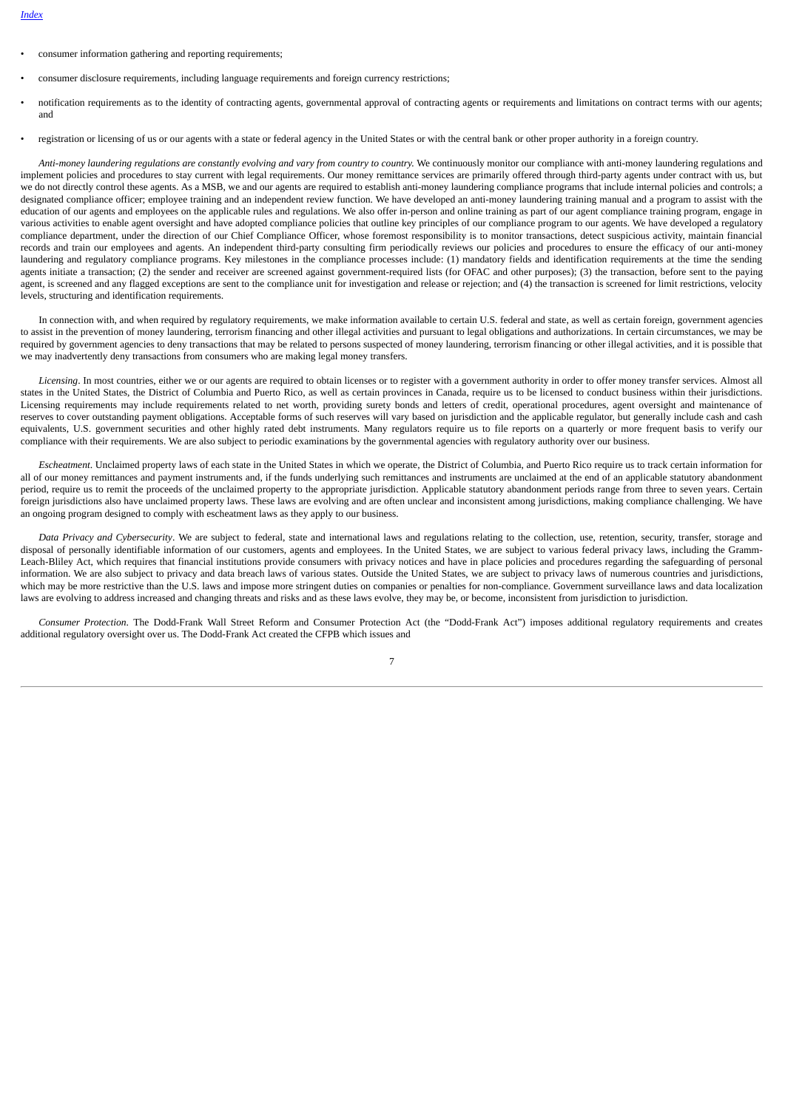- consumer information gathering and reporting requirements;
- consumer disclosure requirements, including language requirements and foreign currency restrictions;
- notification requirements as to the identity of contracting agents, governmental approval of contracting agents or requirements and limitations on contract terms with our agents; and
- registration or licensing of us or our agents with a state or federal agency in the United States or with the central bank or other proper authority in a foreign country.

Anti-money laundering regulations are constantly evolving and vary from country to country. We continuously monitor our compliance with anti-money laundering regulations and implement policies and procedures to stay current with legal requirements. Our money remittance services are primarily offered through third-party agents under contract with us, but we do not directly control these agents. As a MSB, we and our agents are required to establish anti-money laundering compliance programs that include internal policies and controls; a designated compliance officer; employee training and an independent review function. We have developed an anti-money laundering training manual and a program to assist with the education of our agents and employees on the applicable rules and regulations. We also offer in-person and online training as part of our agent compliance training program, engage in various activities to enable agent oversight and have adopted compliance policies that outline key principles of our compliance program to our agents. We have developed a regulatory compliance department, under the direction of our Chief Compliance Officer, whose foremost responsibility is to monitor transactions, detect suspicious activity, maintain financial records and train our employees and agents. An independent third-party consulting firm periodically reviews our policies and procedures to ensure the efficacy of our anti-money laundering and regulatory compliance programs. Key milestones in the compliance processes include: (1) mandatory fields and identification requirements at the time the sending agents initiate a transaction; (2) the sender and receiver are screened against government-required lists (for OFAC and other purposes); (3) the transaction, before sent to the paying agent, is screened and any flagged exceptions are sent to the compliance unit for investigation and release or rejection; and (4) the transaction is screened for limit restrictions, velocity levels, structuring and identification requirements.

In connection with, and when required by regulatory requirements, we make information available to certain U.S. federal and state, as well as certain foreign, government agencies to assist in the prevention of money laundering, terrorism financing and other illegal activities and pursuant to legal obligations and authorizations. In certain circumstances, we may be required by government agencies to deny transactions that may be related to persons suspected of money laundering, terrorism financing or other illegal activities, and it is possible that we may inadvertently deny transactions from consumers who are making legal money transfers.

*Licensing*. In most countries, either we or our agents are required to obtain licenses or to register with a government authority in order to offer money transfer services. Almost all states in the United States, the District of Columbia and Puerto Rico, as well as certain provinces in Canada, require us to be licensed to conduct business within their jurisdictions. Licensing requirements may include requirements related to net worth, providing surety bonds and letters of credit, operational procedures, agent oversight and maintenance of reserves to cover outstanding payment obligations. Acceptable forms of such reserves will vary based on jurisdiction and the applicable regulator, but generally include cash and cash equivalents, U.S. government securities and other highly rated debt instruments. Many regulators require us to file reports on a quarterly or more frequent basis to verify our compliance with their requirements. We are also subject to periodic examinations by the governmental agencies with regulatory authority over our business.

*Escheatment*. Unclaimed property laws of each state in the United States in which we operate, the District of Columbia, and Puerto Rico require us to track certain information for all of our money remittances and payment instruments and, if the funds underlying such remittances and instruments are unclaimed at the end of an applicable statutory abandonment period, require us to remit the proceeds of the unclaimed property to the appropriate jurisdiction. Applicable statutory abandonment periods range from three to seven years. Certain foreign jurisdictions also have unclaimed property laws. These laws are evolving and are often unclear and inconsistent among jurisdictions, making compliance challenging. We have an ongoing program designed to comply with escheatment laws as they apply to our business.

*Data Privacy and Cybersecurity*. We are subject to federal, state and international laws and regulations relating to the collection, use, retention, security, transfer, storage and disposal of personally identifiable information of our customers, agents and employees. In the United States, we are subject to various federal privacy laws, including the Gramm-Leach-Bliley Act, which requires that financial institutions provide consumers with privacy notices and have in place policies and procedures regarding the safeguarding of personal information. We are also subject to privacy and data breach laws of various states. Outside the United States, we are subject to privacy laws of numerous countries and jurisdictions, which may be more restrictive than the U.S. laws and impose more stringent duties on companies or penalties for non-compliance. Government surveillance laws and data localization laws are evolving to address increased and changing threats and risks and as these laws evolve, they may be, or become, inconsistent from jurisdiction to jurisdiction.

*Consumer Protection*. The Dodd-Frank Wall Street Reform and Consumer Protection Act (the "Dodd-Frank Act") imposes additional regulatory requirements and creates additional regulatory oversight over us. The Dodd-Frank Act created the CFPB which issues and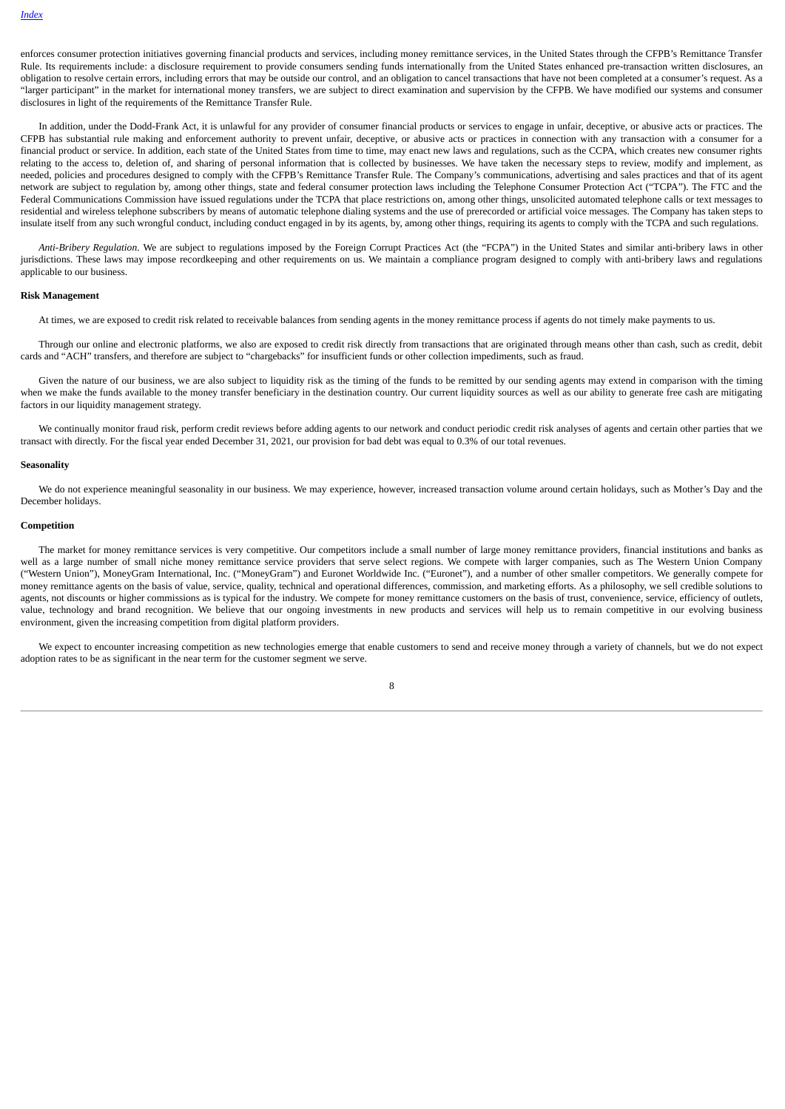enforces consumer protection initiatives governing financial products and services, including money remittance services, in the United States through the CFPB's Remittance Transfer Rule. Its requirements include: a disclosure requirement to provide consumers sending funds internationally from the United States enhanced pre-transaction written disclosures, an obligation to resolve certain errors, including errors that may be outside our control, and an obligation to cancel transactions that have not been completed at a consumer's request. As a "larger participant" in the market for international money transfers, we are subject to direct examination and supervision by the CFPB. We have modified our systems and consumer disclosures in light of the requirements of the Remittance Transfer Rule.

In addition, under the Dodd-Frank Act, it is unlawful for any provider of consumer financial products or services to engage in unfair, deceptive, or abusive acts or practices. The CFPB has substantial rule making and enforcement authority to prevent unfair, deceptive, or abusive acts or practices in connection with any transaction with a consumer for a financial product or service. In addition, each state of the United States from time to time, may enact new laws and regulations, such as the CCPA, which creates new consumer rights relating to the access to, deletion of, and sharing of personal information that is collected by businesses. We have taken the necessary steps to review, modify and implement, as needed, policies and procedures designed to comply with the CFPB's Remittance Transfer Rule. The Company's communications, advertising and sales practices and that of its agent network are subject to regulation by, among other things, state and federal consumer protection laws including the Telephone Consumer Protection Act ("TCPA"). The FTC and the Federal Communications Commission have issued regulations under the TCPA that place restrictions on, among other things, unsolicited automated telephone calls or text messages to residential and wireless telephone subscribers by means of automatic telephone dialing systems and the use of prerecorded or artificial voice messages. The Company has taken steps to insulate itself from any such wrongful conduct, including conduct engaged in by its agents, by, among other things, requiring its agents to comply with the TCPA and such regulations.

*Anti-Bribery Regulation*. We are subject to regulations imposed by the Foreign Corrupt Practices Act (the "FCPA") in the United States and similar anti-bribery laws in other jurisdictions. These laws may impose recordkeeping and other requirements on us. We maintain a compliance program designed to comply with anti-bribery laws and regulations applicable to our business.

## **Risk Management**

At times, we are exposed to credit risk related to receivable balances from sending agents in the money remittance process if agents do not timely make payments to us.

Through our online and electronic platforms, we also are exposed to credit risk directly from transactions that are originated through means other than cash, such as credit, debit cards and "ACH" transfers, and therefore are subject to "chargebacks" for insufficient funds or other collection impediments, such as fraud.

Given the nature of our business, we are also subject to liquidity risk as the timing of the funds to be remitted by our sending agents may extend in comparison with the timing when we make the funds available to the money transfer beneficiary in the destination country. Our current liquidity sources as well as our ability to generate free cash are mitigating factors in our liquidity management strategy.

We continually monitor fraud risk, perform credit reviews before adding agents to our network and conduct periodic credit risk analyses of agents and certain other parties that we transact with directly. For the fiscal year ended December 31, 2021, our provision for bad debt was equal to 0.3% of our total revenues.

#### **Seasonality**

We do not experience meaningful seasonality in our business. We may experience, however, increased transaction volume around certain holidays, such as Mother's Day and the December holidays.

## **Competition**

The market for money remittance services is very competitive. Our competitors include a small number of large money remittance providers, financial institutions and banks as well as a large number of small niche money remittance service providers that serve select regions. We compete with larger companies, such as The Western Union Company ("Western Union"), MoneyGram International, Inc. ("MoneyGram") and Euronet Worldwide Inc. ("Euronet"), and a number of other smaller competitors. We generally compete for money remittance agents on the basis of value, service, quality, technical and operational differences, commission, and marketing efforts. As a philosophy, we sell credible solutions to agents, not discounts or higher commissions as is typical for the industry. We compete for money remittance customers on the basis of trust, convenience, service, efficiency of outlets, value, technology and brand recognition. We believe that our ongoing investments in new products and services will help us to remain competitive in our evolving business environment, given the increasing competition from digital platform providers.

We expect to encounter increasing competition as new technologies emerge that enable customers to send and receive money through a variety of channels, but we do not expect adoption rates to be as significant in the near term for the customer segment we serve.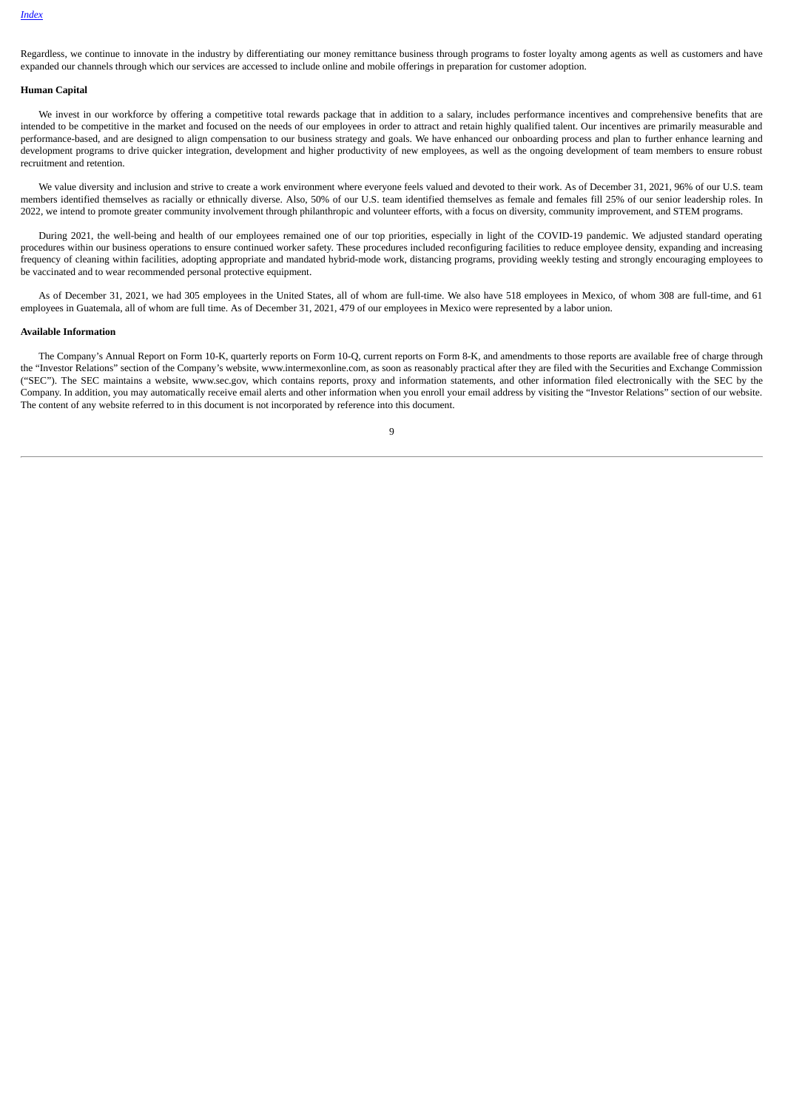Regardless, we continue to innovate in the industry by differentiating our money remittance business through programs to foster loyalty among agents as well as customers and have expanded our channels through which our services are accessed to include online and mobile offerings in preparation for customer adoption.

## **Human Capital**

We invest in our workforce by offering a competitive total rewards package that in addition to a salary, includes performance incentives and comprehensive benefits that are intended to be competitive in the market and focused on the needs of our employees in order to attract and retain highly qualified talent. Our incentives are primarily measurable and performance-based, and are designed to align compensation to our business strategy and goals. We have enhanced our onboarding process and plan to further enhance learning and development programs to drive quicker integration, development and higher productivity of new employees, as well as the ongoing development of team members to ensure robust recruitment and retention.

We value diversity and inclusion and strive to create a work environment where everyone feels valued and devoted to their work. As of December 31, 2021, 96% of our U.S. team members identified themselves as racially or ethnically diverse. Also, 50% of our U.S. team identified themselves as female and females fill 25% of our senior leadership roles. In 2022, we intend to promote greater community involvement through philanthropic and volunteer efforts, with a focus on diversity, community improvement, and STEM programs.

During 2021, the well-being and health of our employees remained one of our top priorities, especially in light of the COVID-19 pandemic. We adjusted standard operating procedures within our business operations to ensure continued worker safety. These procedures included reconfiguring facilities to reduce employee density, expanding and increasing frequency of cleaning within facilities, adopting appropriate and mandated hybrid-mode work, distancing programs, providing weekly testing and strongly encouraging employees to be vaccinated and to wear recommended personal protective equipment.

As of December 31, 2021, we had 305 employees in the United States, all of whom are full-time. We also have 518 employees in Mexico, of whom 308 are full-time, and 61 employees in Guatemala, all of whom are full time. As of December 31, 2021, 479 of our employees in Mexico were represented by a labor union.

## **Available Information**

<span id="page-10-0"></span>The Company's Annual Report on Form 10-K, quarterly reports on Form 10-Q, current reports on Form 8-K, and amendments to those reports are available free of charge through the "Investor Relations" section of the Company's website, www.intermexonline.com, as soon as reasonably practical after they are filed with the Securities and Exchange Commission ("SEC"). The SEC maintains a website, www.sec.gov, which contains reports, proxy and information statements, and other information filed electronically with the SEC by the Company. In addition, you may automatically receive email alerts and other information when you enroll your email address by visiting the "Investor Relations" section of our website. The content of any website referred to in this document is not incorporated by reference into this document.

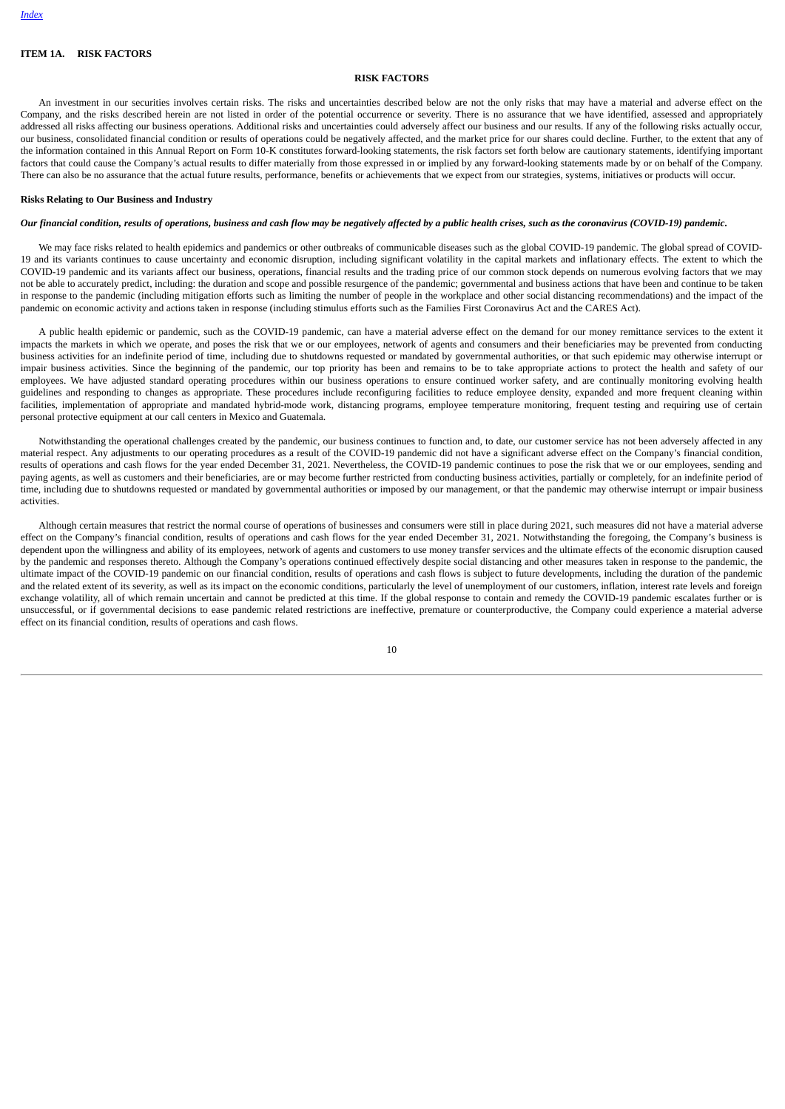# **ITEM 1A. RISK FACTORS**

# **RISK FACTORS**

An investment in our securities involves certain risks. The risks and uncertainties described below are not the only risks that may have a material and adverse effect on the Company, and the risks described herein are not listed in order of the potential occurrence or severity. There is no assurance that we have identified, assessed and appropriately addressed all risks affecting our business operations. Additional risks and uncertainties could adversely affect our business and our results. If any of the following risks actually occur, our business, consolidated financial condition or results of operations could be negatively affected, and the market price for our shares could decline. Further, to the extent that any of the information contained in this Annual Report on Form 10-K constitutes forward-looking statements, the risk factors set forth below are cautionary statements, identifying important factors that could cause the Company's actual results to differ materially from those expressed in or implied by any forward-looking statements made by or on behalf of the Company. There can also be no assurance that the actual future results, performance, benefits or achievements that we expect from our strategies, systems, initiatives or products will occur.

#### **Risks Relating to Our Business and Industry**

### Our financial condition, results of operations, business and cash flow may be negatively affected by a public health crises, such as the coronavirus (COVID-19) pandemic.

We may face risks related to health epidemics and pandemics or other outbreaks of communicable diseases such as the global COVID-19 pandemic. The global spread of COVID-19 and its variants continues to cause uncertainty and economic disruption, including significant volatility in the capital markets and inflationary effects. The extent to which the COVID-19 pandemic and its variants affect our business, operations, financial results and the trading price of our common stock depends on numerous evolving factors that we may not be able to accurately predict, including: the duration and scope and possible resurgence of the pandemic; governmental and business actions that have been and continue to be taken in response to the pandemic (including mitigation efforts such as limiting the number of people in the workplace and other social distancing recommendations) and the impact of the pandemic on economic activity and actions taken in response (including stimulus efforts such as the Families First Coronavirus Act and the CARES Act).

A public health epidemic or pandemic, such as the COVID-19 pandemic, can have a material adverse effect on the demand for our money remittance services to the extent it impacts the markets in which we operate, and poses the risk that we or our employees, network of agents and consumers and their beneficiaries may be prevented from conducting business activities for an indefinite period of time, including due to shutdowns requested or mandated by governmental authorities, or that such epidemic may otherwise interrupt or impair business activities. Since the beginning of the pandemic, our top priority has been and remains to be to take appropriate actions to protect the health and safety of our employees. We have adjusted standard operating procedures within our business operations to ensure continued worker safety, and are continually monitoring evolving health guidelines and responding to changes as appropriate. These procedures include reconfiguring facilities to reduce employee density, expanded and more frequent cleaning within facilities, implementation of appropriate and mandated hybrid-mode work, distancing programs, employee temperature monitoring, frequent testing and requiring use of certain personal protective equipment at our call centers in Mexico and Guatemala.

Notwithstanding the operational challenges created by the pandemic, our business continues to function and, to date, our customer service has not been adversely affected in any material respect. Any adjustments to our operating procedures as a result of the COVID-19 pandemic did not have a significant adverse effect on the Company's financial condition, results of operations and cash flows for the year ended December 31, 2021. Nevertheless, the COVID-19 pandemic continues to pose the risk that we or our employees, sending and paying agents, as well as customers and their beneficiaries, are or may become further restricted from conducting business activities, partially or completely, for an indefinite period of time, including due to shutdowns requested or mandated by governmental authorities or imposed by our management, or that the pandemic may otherwise interrupt or impair business activities.

Although certain measures that restrict the normal course of operations of businesses and consumers were still in place during 2021, such measures did not have a material adverse effect on the Company's financial condition, results of operations and cash flows for the year ended December 31, 2021. Notwithstanding the foregoing, the Company's business is dependent upon the willingness and ability of its employees, network of agents and customers to use money transfer services and the ultimate effects of the economic disruption caused by the pandemic and responses thereto. Although the Company's operations continued effectively despite social distancing and other measures taken in response to the pandemic, the ultimate impact of the COVID-19 pandemic on our financial condition, results of operations and cash flows is subject to future developments, including the duration of the pandemic and the related extent of its severity, as well as its impact on the economic conditions, particularly the level of unemployment of our customers, inflation, interest rate levels and foreign exchange volatility, all of which remain uncertain and cannot be predicted at this time. If the global response to contain and remedy the COVID-19 pandemic escalates further or is unsuccessful, or if governmental decisions to ease pandemic related restrictions are ineffective, premature or counterproductive, the Company could experience a material adverse effect on its financial condition, results of operations and cash flows.

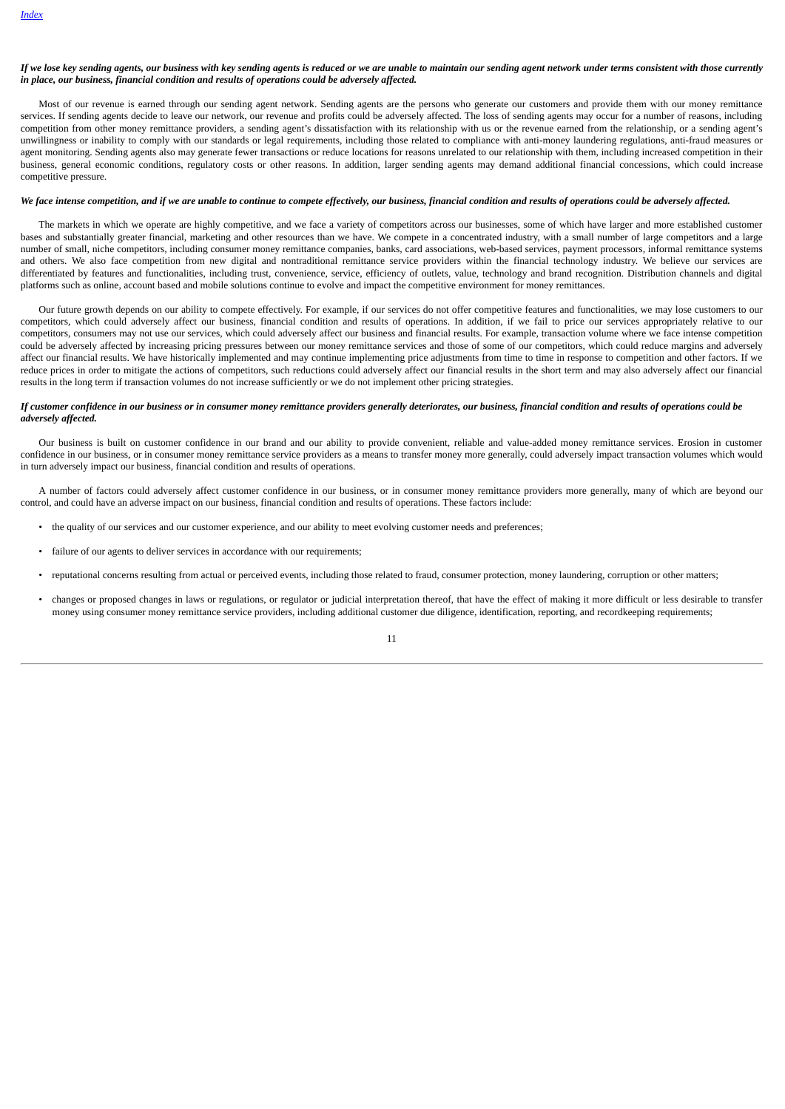# If we lose key sending agents, our business with key sending agents is reduced or we are unable to maintain our sending agent network under terms consistent with those currently *in place, our business, financial condition and results of operations could be adversely affected.*

Most of our revenue is earned through our sending agent network. Sending agents are the persons who generate our customers and provide them with our money remittance services. If sending agents decide to leave our network, our revenue and profits could be adversely affected. The loss of sending agents may occur for a number of reasons, including competition from other money remittance providers, a sending agent's dissatisfaction with its relationship with us or the revenue earned from the relationship, or a sending agent's unwillingness or inability to comply with our standards or legal requirements, including those related to compliance with anti-money laundering regulations, anti-fraud measures or agent monitoring. Sending agents also may generate fewer transactions or reduce locations for reasons unrelated to our relationship with them, including increased competition in their business, general economic conditions, regulatory costs or other reasons. In addition, larger sending agents may demand additional financial concessions, which could increase competitive pressure.

# We face intense competition, and if we are unable to continue to compete effectively, our business, financial condition and results of operations could be adversely affected.

The markets in which we operate are highly competitive, and we face a variety of competitors across our businesses, some of which have larger and more established customer bases and substantially greater financial, marketing and other resources than we have. We compete in a concentrated industry, with a small number of large competitors and a large number of small, niche competitors, including consumer money remittance companies, banks, card associations, web-based services, payment processors, informal remittance systems and others. We also face competition from new digital and nontraditional remittance service providers within the financial technology industry. We believe our services are differentiated by features and functionalities, including trust, convenience, service, efficiency of outlets, value, technology and brand recognition. Distribution channels and digital platforms such as online, account based and mobile solutions continue to evolve and impact the competitive environment for money remittances.

Our future growth depends on our ability to compete effectively. For example, if our services do not offer competitive features and functionalities, we may lose customers to our competitors, which could adversely affect our business, financial condition and results of operations. In addition, if we fail to price our services appropriately relative to our competitors, consumers may not use our services, which could adversely affect our business and financial results. For example, transaction volume where we face intense competition could be adversely affected by increasing pricing pressures between our money remittance services and those of some of our competitors, which could reduce margins and adversely affect our financial results. We have historically implemented and may continue implementing price adjustments from time to time in response to competition and other factors. If we reduce prices in order to mitigate the actions of competitors, such reductions could adversely affect our financial results in the short term and may also adversely affect our financial results in the long term if transaction volumes do not increase sufficiently or we do not implement other pricing strategies.

#### If customer confidence in our business or in consumer money remittance providers generally deteriorates, our business, financial condition and results of operations could be *adversely affected.*

Our business is built on customer confidence in our brand and our ability to provide convenient, reliable and value-added money remittance services. Erosion in customer confidence in our business, or in consumer money remittance service providers as a means to transfer money more generally, could adversely impact transaction volumes which would in turn adversely impact our business, financial condition and results of operations.

A number of factors could adversely affect customer confidence in our business, or in consumer money remittance providers more generally, many of which are beyond our control, and could have an adverse impact on our business, financial condition and results of operations. These factors include:

- the quality of our services and our customer experience, and our ability to meet evolving customer needs and preferences;
- failure of our agents to deliver services in accordance with our requirements:
- reputational concerns resulting from actual or perceived events, including those related to fraud, consumer protection, money laundering, corruption or other matters;
- changes or proposed changes in laws or regulations, or regulator or judicial interpretation thereof, that have the effect of making it more difficult or less desirable to transfer money using consumer money remittance service providers, including additional customer due diligence, identification, reporting, and recordkeeping requirements;

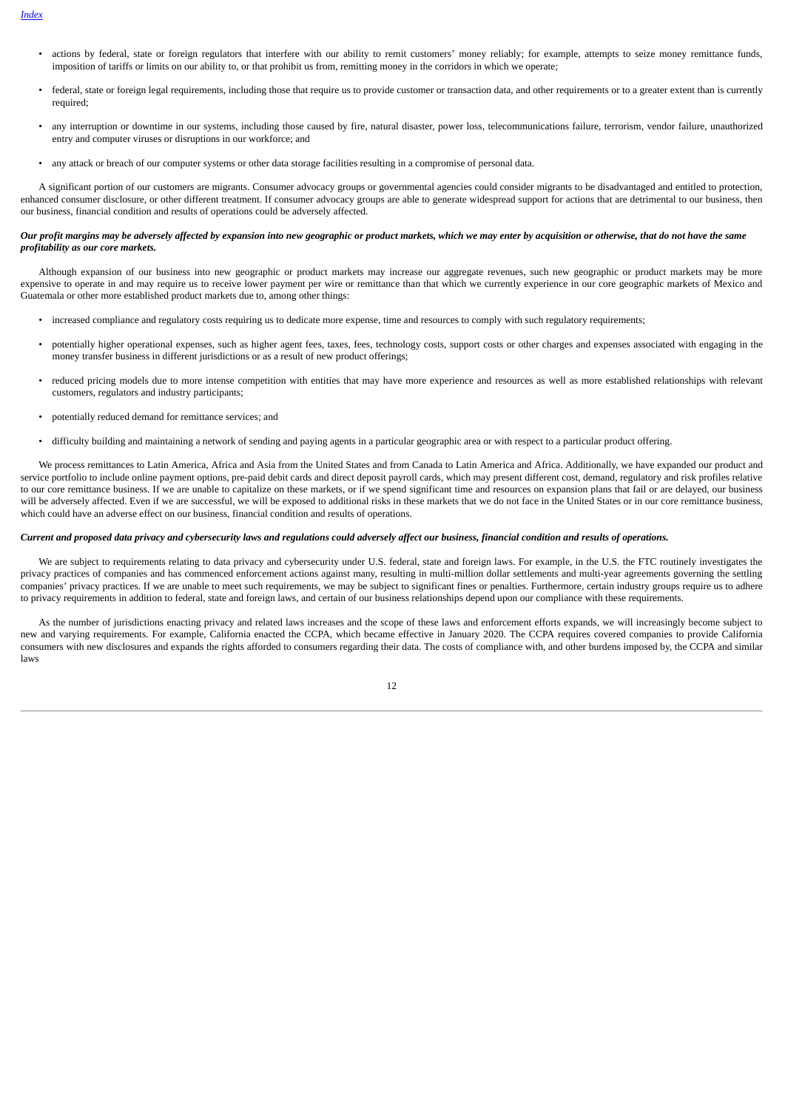- actions by federal, state or foreign regulators that interfere with our ability to remit customers' money reliably; for example, attempts to seize money remittance funds, imposition of tariffs or limits on our ability to, or that prohibit us from, remitting money in the corridors in which we operate;
- federal, state or foreign legal requirements, including those that require us to provide customer or transaction data, and other requirements or to a greater extent than is currently required;
- any interruption or downtime in our systems, including those caused by fire, natural disaster, power loss, telecommunications failure, terrorism, vendor failure, unauthorized entry and computer viruses or disruptions in our workforce; and
- any attack or breach of our computer systems or other data storage facilities resulting in a compromise of personal data.

A significant portion of our customers are migrants. Consumer advocacy groups or governmental agencies could consider migrants to be disadvantaged and entitled to protection, enhanced consumer disclosure, or other different treatment. If consumer advocacy groups are able to generate widespread support for actions that are detrimental to our business, then our business, financial condition and results of operations could be adversely affected.

## Our profit margins may be adversely affected by expansion into new geographic or product markets, which we may enter by acquisition or otherwise, that do not have the same *profitability as our core markets.*

Although expansion of our business into new geographic or product markets may increase our aggregate revenues, such new geographic or product markets may be more expensive to operate in and may require us to receive lower payment per wire or remittance than that which we currently experience in our core geographic markets of Mexico and Guatemala or other more established product markets due to, among other things:

- increased compliance and regulatory costs requiring us to dedicate more expense, time and resources to comply with such regulatory requirements;
- potentially higher operational expenses, such as higher agent fees, taxes, fees, technology costs, support costs or other charges and expenses associated with engaging in the money transfer business in different jurisdictions or as a result of new product offerings;
- reduced pricing models due to more intense competition with entities that may have more experience and resources as well as more established relationships with relevant customers, regulators and industry participants;
- potentially reduced demand for remittance services; and
- difficulty building and maintaining a network of sending and paying agents in a particular geographic area or with respect to a particular product offering.

We process remittances to Latin America, Africa and Asia from the United States and from Canada to Latin America and Africa. Additionally, we have expanded our product and service portfolio to include online payment options, pre-paid debit cards and direct deposit payroll cards, which may present different cost, demand, regulatory and risk profiles relative to our core remittance business. If we are unable to capitalize on these markets, or if we spend significant time and resources on expansion plans that fail or are delayed, our business will be adversely affected. Even if we are successful, we will be exposed to additional risks in these markets that we do not face in the United States or in our core remittance business, which could have an adverse effect on our business, financial condition and results of operations.

## Current and proposed data privacy and cybersecurity laws and regulations could adversely affect our business, financial condition and results of operations.

We are subject to requirements relating to data privacy and cybersecurity under U.S. federal, state and foreign laws. For example, in the U.S. the FTC routinely investigates the privacy practices of companies and has commenced enforcement actions against many, resulting in multi-million dollar settlements and multi-year agreements governing the settling companies' privacy practices. If we are unable to meet such requirements, we may be subject to significant fines or penalties. Furthermore, certain industry groups require us to adhere to privacy requirements in addition to federal, state and foreign laws, and certain of our business relationships depend upon our compliance with these requirements.

As the number of jurisdictions enacting privacy and related laws increases and the scope of these laws and enforcement efforts expands, we will increasingly become subject to new and varying requirements. For example, California enacted the CCPA, which became effective in January 2020. The CCPA requires covered companies to provide California consumers with new disclosures and expands the rights afforded to consumers regarding their data. The costs of compliance with, and other burdens imposed by, the CCPA and similar laws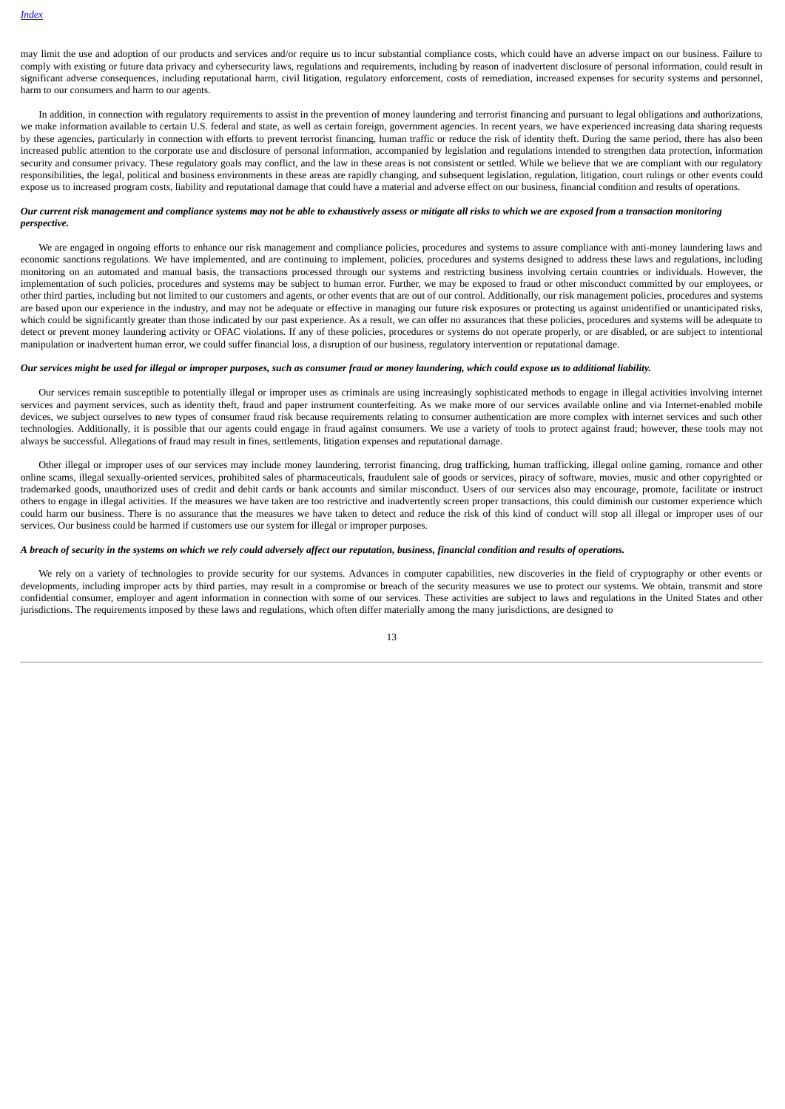may limit the use and adoption of our products and services and/or require us to incur substantial compliance costs, which could have an adverse impact on our business. Failure to comply with existing or future data privacy and cybersecurity laws, regulations and requirements, including by reason of inadvertent disclosure of personal information, could result in significant adverse consequences, including reputational harm, civil litigation, regulatory enforcement, costs of remediation, increased expenses for security systems and personnel, harm to our consumers and harm to our agents.

In addition, in connection with regulatory requirements to assist in the prevention of money laundering and terrorist financing and pursuant to legal obligations and authorizations, we make information available to certain U.S. federal and state, as well as certain foreign, government agencies. In recent years, we have experienced increasing data sharing requests by these agencies, particularly in connection with efforts to prevent terrorist financing, human traffic or reduce the risk of identity theft. During the same period, there has also been increased public attention to the corporate use and disclosure of personal information, accompanied by legislation and regulations intended to strengthen data protection, information security and consumer privacy. These regulatory goals may conflict, and the law in these areas is not consistent or settled. While we believe that we are compliant with our regulatory responsibilities, the legal, political and business environments in these areas are rapidly changing, and subsequent legislation, regulation, litigation, court rulings or other events could expose us to increased program costs, liability and reputational damage that could have a material and adverse effect on our business, financial condition and results of operations.

# Our current risk management and compliance systems may not be able to exhaustively assess or mitigate all risks to which we are exposed from a transaction monitoring *perspective.*

We are engaged in ongoing efforts to enhance our risk management and compliance policies, procedures and systems to assure compliance with anti-money laundering laws and economic sanctions regulations. We have implemented, and are continuing to implement, policies, procedures and systems designed to address these laws and regulations, including monitoring on an automated and manual basis, the transactions processed through our systems and restricting business involving certain countries or individuals. However, the implementation of such policies, procedures and systems may be subject to human error. Further, we may be exposed to fraud or other misconduct committed by our employees, or other third parties, including but not limited to our customers and agents, or other events that are out of our control. Additionally, our risk management policies, procedures and systems are based upon our experience in the industry, and may not be adequate or effective in managing our future risk exposures or protecting us against unidentified or unanticipated risks, which could be significantly greater than those indicated by our past experience. As a result, we can offer no assurances that these policies, procedures and systems will be adequate to detect or prevent money laundering activity or OFAC violations. If any of these policies, procedures or systems do not operate properly, or are disabled, or are subject to intentional manipulation or inadvertent human error, we could suffer financial loss, a disruption of our business, regulatory intervention or reputational damage.

### Our services might be used for illegal or improper purposes, such as consumer fraud or money laundering, which could expose us to additional liability.

Our services remain susceptible to potentially illegal or improper uses as criminals are using increasingly sophisticated methods to engage in illegal activities involving internet services and payment services, such as identity theft, fraud and paper instrument counterfeiting. As we make more of our services available online and via Internet-enabled mobile devices, we subject ourselves to new types of consumer fraud risk because requirements relating to consumer authentication are more complex with internet services and such other technologies. Additionally, it is possible that our agents could engage in fraud against consumers. We use a variety of tools to protect against fraud; however, these tools may not always be successful. Allegations of fraud may result in fines, settlements, litigation expenses and reputational damage.

Other illegal or improper uses of our services may include money laundering, terrorist financing, drug trafficking, human trafficking, illegal online gaming, romance and other online scams, illegal sexually-oriented services, prohibited sales of pharmaceuticals, fraudulent sale of goods or services, piracy of software, movies, music and other copyrighted or trademarked goods, unauthorized uses of credit and debit cards or bank accounts and similar misconduct. Users of our services also may encourage, promote, facilitate or instruct others to engage in illegal activities. If the measures we have taken are too restrictive and inadvertently screen proper transactions, this could diminish our customer experience which could harm our business. There is no assurance that the measures we have taken to detect and reduce the risk of this kind of conduct will stop all illegal or improper uses of our services. Our business could be harmed if customers use our system for illegal or improper purposes.

#### A breach of security in the systems on which we rely could adversely affect our reputation, business, financial condition and results of operations.

We rely on a variety of technologies to provide security for our systems. Advances in computer capabilities, new discoveries in the field of cryptography or other events or developments, including improper acts by third parties, may result in a compromise or breach of the security measures we use to protect our systems. We obtain, transmit and store confidential consumer, employer and agent information in connection with some of our services. These activities are subject to laws and regulations in the United States and other jurisdictions. The requirements imposed by these laws and regulations, which often differ materially among the many jurisdictions, are designed to

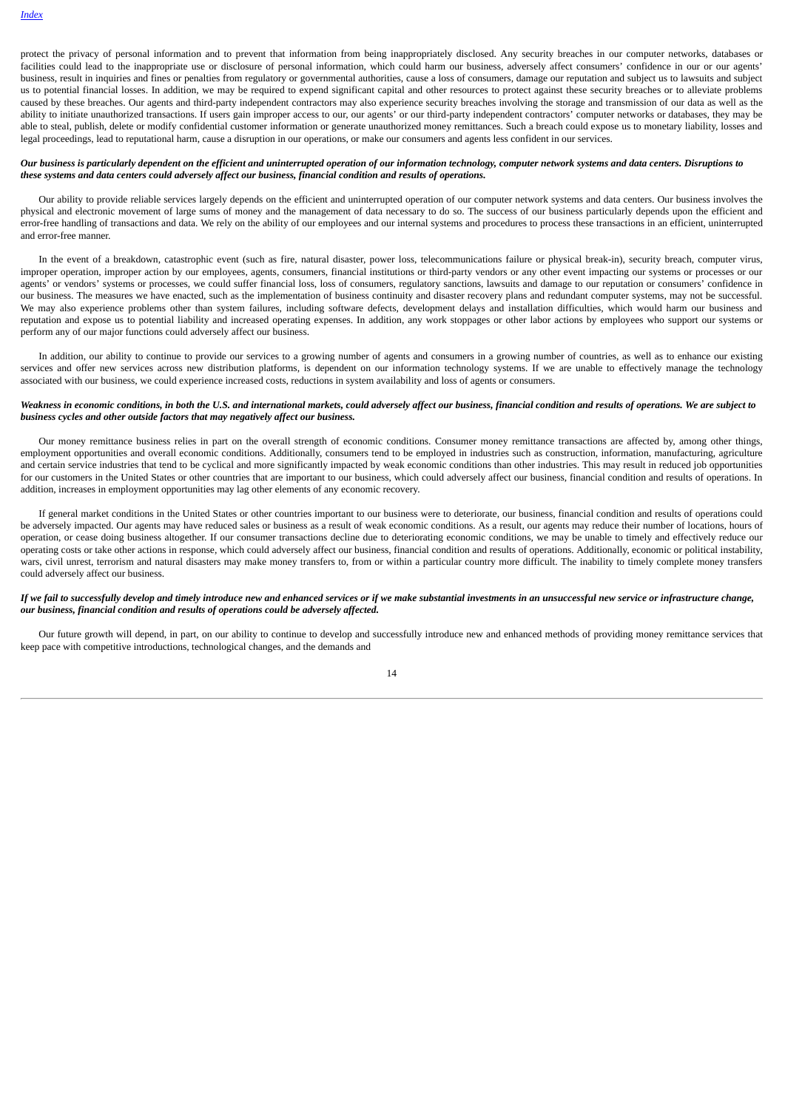protect the privacy of personal information and to prevent that information from being inappropriately disclosed. Any security breaches in our computer networks, databases or facilities could lead to the inappropriate use or disclosure of personal information, which could harm our business, adversely affect consumers' confidence in our or our agents' business, result in inquiries and fines or penalties from regulatory or governmental authorities, cause a loss of consumers, damage our reputation and subject us to lawsuits and subject us to potential financial losses. In addition, we may be required to expend significant capital and other resources to protect against these security breaches or to alleviate problems caused by these breaches. Our agents and third-party independent contractors may also experience security breaches involving the storage and transmission of our data as well as the ability to initiate unauthorized transactions. If users gain improper access to our, our agents' or our third-party independent contractors' computer networks or databases, they may be able to steal, publish, delete or modify confidential customer information or generate unauthorized money remittances. Such a breach could expose us to monetary liability, losses and legal proceedings, lead to reputational harm, cause a disruption in our operations, or make our consumers and agents less confident in our services.

#### Our business is particularly dependent on the efficient and uninterrupted operation of our information technology, computer network systems and data centers. Disruptions to these systems and data centers could adversely affect our business, financial condition and results of operations.

Our ability to provide reliable services largely depends on the efficient and uninterrupted operation of our computer network systems and data centers. Our business involves the physical and electronic movement of large sums of money and the management of data necessary to do so. The success of our business particularly depends upon the efficient and error-free handling of transactions and data. We rely on the ability of our employees and our internal systems and procedures to process these transactions in an efficient, uninterrupted and error-free manner.

In the event of a breakdown, catastrophic event (such as fire, natural disaster, power loss, telecommunications failure or physical break-in), security breach, computer virus, improper operation, improper action by our employees, agents, consumers, financial institutions or third-party vendors or any other event impacting our systems or processes or our agents' or vendors' systems or processes, we could suffer financial loss, loss of consumers, regulatory sanctions, lawsuits and damage to our reputation or consumers' confidence in our business. The measures we have enacted, such as the implementation of business continuity and disaster recovery plans and redundant computer systems, may not be successful. We may also experience problems other than system failures, including software defects, development delays and installation difficulties, which would harm our business and reputation and expose us to potential liability and increased operating expenses. In addition, any work stoppages or other labor actions by employees who support our systems or perform any of our major functions could adversely affect our business.

In addition, our ability to continue to provide our services to a growing number of agents and consumers in a growing number of countries, as well as to enhance our existing services and offer new services across new distribution platforms, is dependent on our information technology systems. If we are unable to effectively manage the technology associated with our business, we could experience increased costs, reductions in system availability and loss of agents or consumers.

## Weakness in economic conditions, in both the U.S. and international markets, could adversely affect our business, financial condition and results of operations. We are subject to *business cycles and other outside factors that may negatively affect our business.*

Our money remittance business relies in part on the overall strength of economic conditions. Consumer money remittance transactions are affected by, among other things, employment opportunities and overall economic conditions. Additionally, consumers tend to be employed in industries such as construction, information, manufacturing, agriculture and certain service industries that tend to be cyclical and more significantly impacted by weak economic conditions than other industries. This may result in reduced job opportunities for our customers in the United States or other countries that are important to our business, which could adversely affect our business, financial condition and results of operations. In addition, increases in employment opportunities may lag other elements of any economic recovery.

If general market conditions in the United States or other countries important to our business were to deteriorate, our business, financial condition and results of operations could be adversely impacted. Our agents may have reduced sales or business as a result of weak economic conditions. As a result, our agents may reduce their number of locations, hours of operation, or cease doing business altogether. If our consumer transactions decline due to deteriorating economic conditions, we may be unable to timely and effectively reduce our operating costs or take other actions in response, which could adversely affect our business, financial condition and results of operations. Additionally, economic or political instability, wars, civil unrest, terrorism and natural disasters may make money transfers to, from or within a particular country more difficult. The inability to timely complete money transfers could adversely affect our business.

# If we fail to successfully develop and timely introduce new and enhanced services or if we make substantial investments in an unsuccessful new service or infrastructure change, *our business, financial condition and results of operations could be adversely affected.*

Our future growth will depend, in part, on our ability to continue to develop and successfully introduce new and enhanced methods of providing money remittance services that keep pace with competitive introductions, technological changes, and the demands and

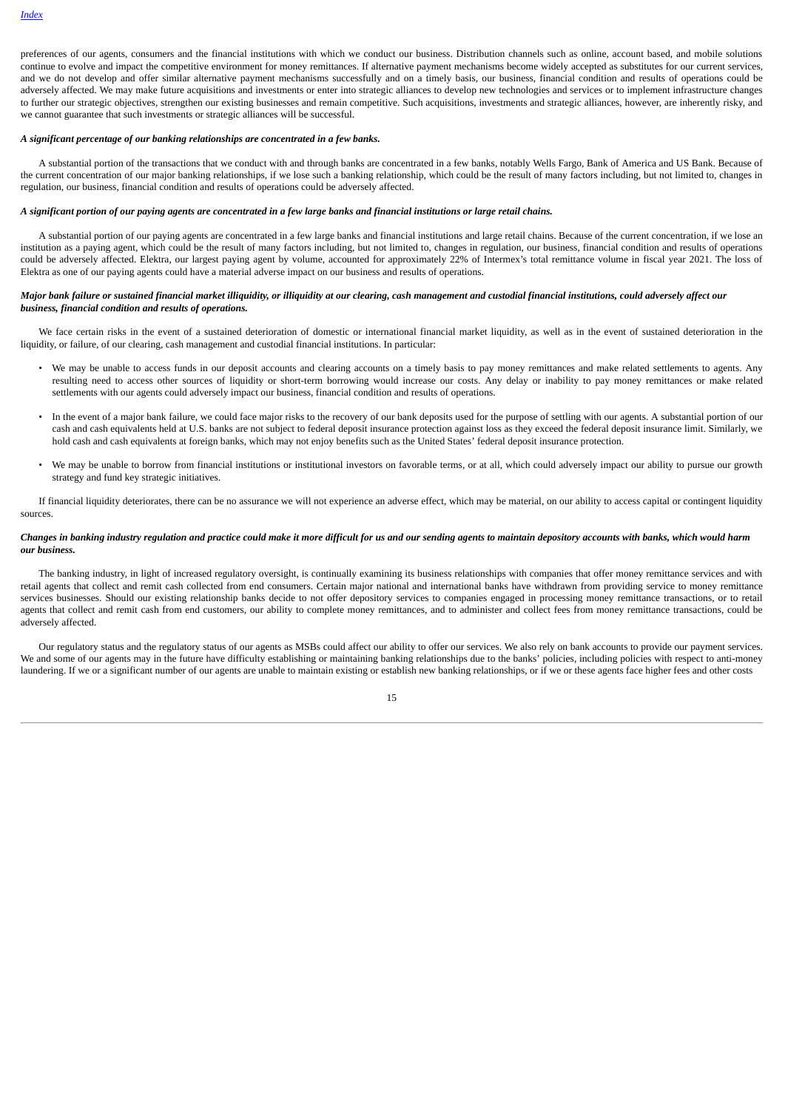preferences of our agents, consumers and the financial institutions with which we conduct our business. Distribution channels such as online, account based, and mobile solutions continue to evolve and impact the competitive environment for money remittances. If alternative payment mechanisms become widely accepted as substitutes for our current services, and we do not develop and offer similar alternative payment mechanisms successfully and on a timely basis, our business, financial condition and results of operations could be adversely affected. We may make future acquisitions and investments or enter into strategic alliances to develop new technologies and services or to implement infrastructure changes to further our strategic objectives, strengthen our existing businesses and remain competitive. Such acquisitions, investments and strategic alliances, however, are inherently risky, and we cannot guarantee that such investments or strategic alliances will be successful.

#### *A significant percentage of our banking relationships are concentrated in a few banks.*

A substantial portion of the transactions that we conduct with and through banks are concentrated in a few banks, notably Wells Fargo, Bank of America and US Bank. Because of the current concentration of our major banking relationships, if we lose such a banking relationship, which could be the result of many factors including, but not limited to, changes in regulation, our business, financial condition and results of operations could be adversely affected.

## A significant portion of our paying agents are concentrated in a few large banks and financial institutions or large retail chains.

A substantial portion of our paying agents are concentrated in a few large banks and financial institutions and large retail chains. Because of the current concentration, if we lose an institution as a paying agent, which could be the result of many factors including, but not limited to, changes in regulation, our business, financial condition and results of operations could be adversely affected. Elektra, our largest paying agent by volume, accounted for approximately 22% of Intermex's total remittance volume in fiscal year 2021. The loss of Elektra as one of our paying agents could have a material adverse impact on our business and results of operations.

### Major bank failure or sustained financial market illiquidity, or illiquidity at our clearing, cash management and custodial financial institutions, could adversely affect our *business, financial condition and results of operations.*

We face certain risks in the event of a sustained deterioration of domestic or international financial market liquidity, as well as in the event of sustained deterioration in the liquidity, or failure, of our clearing, cash management and custodial financial institutions. In particular:

- We may be unable to access funds in our deposit accounts and clearing accounts on a timely basis to pay money remittances and make related settlements to agents. Any resulting need to access other sources of liquidity or short-term borrowing would increase our costs. Any delay or inability to pay money remittances or make related settlements with our agents could adversely impact our business, financial condition and results of operations.
- In the event of a major bank failure, we could face major risks to the recovery of our bank deposits used for the purpose of settling with our agents. A substantial portion of our cash and cash equivalents held at U.S. banks are not subject to federal deposit insurance protection against loss as they exceed the federal deposit insurance limit. Similarly, we hold cash and cash equivalents at foreign banks, which may not enjoy benefits such as the United States' federal deposit insurance protection.
- We may be unable to borrow from financial institutions or institutional investors on favorable terms, or at all, which could adversely impact our ability to pursue our growth strategy and fund key strategic initiatives.

If financial liquidity deteriorates, there can be no assurance we will not experience an adverse effect, which may be material, on our ability to access capital or contingent liquidity sources.

## Changes in banking industry regulation and practice could make it more difficult for us and our sending agents to maintain depository accounts with banks, which would harm *our business.*

The banking industry, in light of increased regulatory oversight, is continually examining its business relationships with companies that offer money remittance services and with retail agents that collect and remit cash collected from end consumers. Certain major national and international banks have withdrawn from providing service to money remittance services businesses. Should our existing relationship banks decide to not offer depository services to companies engaged in processing money remittance transactions, or to retail agents that collect and remit cash from end customers, our ability to complete money remittances, and to administer and collect fees from money remittance transactions, could be adversely affected.

Our regulatory status and the regulatory status of our agents as MSBs could affect our ability to offer our services. We also rely on bank accounts to provide our payment services. We and some of our agents may in the future have difficulty establishing or maintaining banking relationships due to the banks' policies, including policies with respect to anti-money laundering. If we or a significant number of our agents are unable to maintain existing or establish new banking relationships, or if we or these agents face higher fees and other costs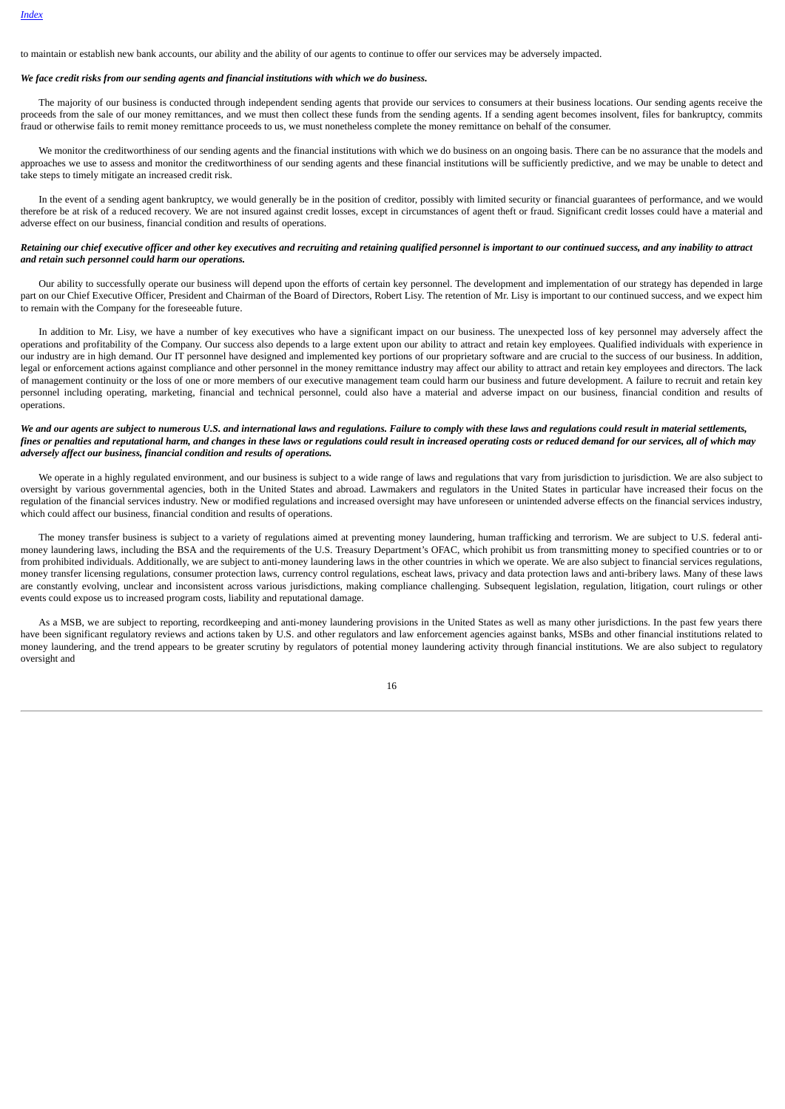to maintain or establish new bank accounts, our ability and the ability of our agents to continue to offer our services may be adversely impacted.

# *We face credit risks from our sending agents and financial institutions with which we do business.*

The majority of our business is conducted through independent sending agents that provide our services to consumers at their business locations. Our sending agents receive the proceeds from the sale of our money remittances, and we must then collect these funds from the sending agents. If a sending agent becomes insolvent, files for bankruptcy, commits fraud or otherwise fails to remit money remittance proceeds to us, we must nonetheless complete the money remittance on behalf of the consumer.

We monitor the creditworthiness of our sending agents and the financial institutions with which we do business on an ongoing basis. There can be no assurance that the models and approaches we use to assess and monitor the creditworthiness of our sending agents and these financial institutions will be sufficiently predictive, and we may be unable to detect and take steps to timely mitigate an increased credit risk.

In the event of a sending agent bankruptcy, we would generally be in the position of creditor, possibly with limited security or financial guarantees of performance, and we would therefore be at risk of a reduced recovery. We are not insured against credit losses, except in circumstances of agent theft or fraud. Significant credit losses could have a material and adverse effect on our business, financial condition and results of operations.

## Retaining our chief executive officer and other key executives and recruiting and retaining qualified personnel is important to our continued success, and any inability to attract *and retain such personnel could harm our operations.*

Our ability to successfully operate our business will depend upon the efforts of certain key personnel. The development and implementation of our strategy has depended in large part on our Chief Executive Officer, President and Chairman of the Board of Directors, Robert Lisy. The retention of Mr. Lisy is important to our continued success, and we expect him to remain with the Company for the foreseeable future.

In addition to Mr. Lisy, we have a number of key executives who have a significant impact on our business. The unexpected loss of key personnel may adversely affect the operations and profitability of the Company. Our success also depends to a large extent upon our ability to attract and retain key employees. Qualified individuals with experience in our industry are in high demand. Our IT personnel have designed and implemented key portions of our proprietary software and are crucial to the success of our business. In addition, legal or enforcement actions against compliance and other personnel in the money remittance industry may affect our ability to attract and retain key employees and directors. The lack of management continuity or the loss of one or more members of our executive management team could harm our business and future development. A failure to recruit and retain key personnel including operating, marketing, financial and technical personnel, could also have a material and adverse impact on our business, financial condition and results of operations.

## We and our agents are subject to numerous U.S. and international laws and regulations. Failure to comply with these laws and regulations could result in material settlements, fines or penalties and reputational harm, and changes in these laws or regulations could result in increased operating costs or reduced demand for our services, all of which may *adversely affect our business, financial condition and results of operations.*

We operate in a highly regulated environment, and our business is subject to a wide range of laws and regulations that vary from jurisdiction to jurisdiction. We are also subject to oversight by various governmental agencies, both in the United States and abroad. Lawmakers and regulators in the United States in particular have increased their focus on the regulation of the financial services industry. New or modified regulations and increased oversight may have unforeseen or unintended adverse effects on the financial services industry, which could affect our business, financial condition and results of operations.

The money transfer business is subject to a variety of regulations aimed at preventing money laundering, human trafficking and terrorism. We are subject to U.S. federal antimoney laundering laws, including the BSA and the requirements of the U.S. Treasury Department's OFAC, which prohibit us from transmitting money to specified countries or to or from prohibited individuals. Additionally, we are subject to anti-money laundering laws in the other countries in which we operate. We are also subject to financial services regulations, money transfer licensing regulations, consumer protection laws, currency control regulations, escheat laws, privacy and data protection laws and anti-bribery laws. Many of these laws are constantly evolving, unclear and inconsistent across various jurisdictions, making compliance challenging. Subsequent legislation, regulation, litigation, court rulings or other events could expose us to increased program costs, liability and reputational damage.

As a MSB, we are subject to reporting, recordkeeping and anti-money laundering provisions in the United States as well as many other jurisdictions. In the past few years there have been significant regulatory reviews and actions taken by U.S. and other regulators and law enforcement agencies against banks, MSBs and other financial institutions related to money laundering, and the trend appears to be greater scrutiny by regulators of potential money laundering activity through financial institutions. We are also subject to regulatory oversight and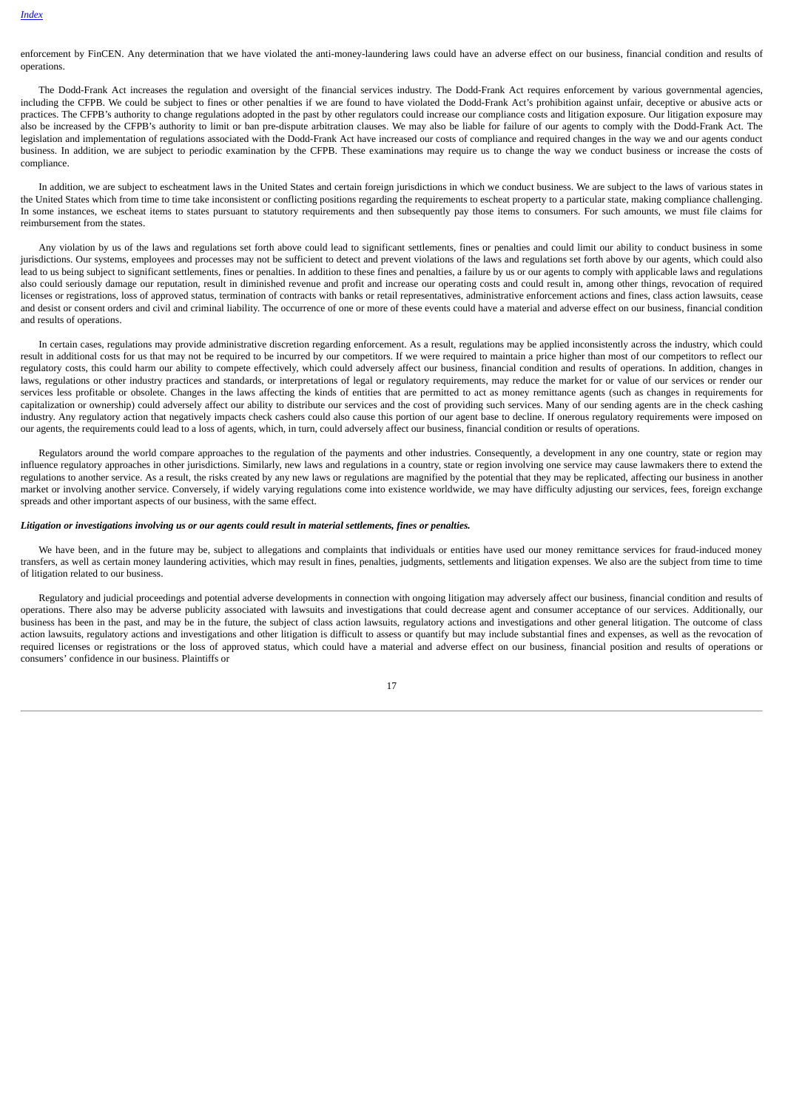enforcement by FinCEN. Any determination that we have violated the anti-money-laundering laws could have an adverse effect on our business, financial condition and results of operations.

The Dodd-Frank Act increases the regulation and oversight of the financial services industry. The Dodd-Frank Act requires enforcement by various governmental agencies, including the CFPB. We could be subject to fines or other penalties if we are found to have violated the Dodd-Frank Act's prohibition against unfair, deceptive or abusive acts or practices. The CFPB's authority to change regulations adopted in the past by other regulators could increase our compliance costs and litigation exposure. Our litigation exposure may also be increased by the CFPB's authority to limit or ban pre-dispute arbitration clauses. We may also be liable for failure of our agents to comply with the Dodd-Frank Act. The legislation and implementation of regulations associated with the Dodd-Frank Act have increased our costs of compliance and required changes in the way we and our agents conduct business. In addition, we are subject to periodic examination by the CFPB. These examinations may require us to change the way we conduct business or increase the costs of compliance.

In addition, we are subject to escheatment laws in the United States and certain foreign jurisdictions in which we conduct business. We are subject to the laws of various states in the United States which from time to time take inconsistent or conflicting positions regarding the requirements to escheat property to a particular state, making compliance challenging. In some instances, we escheat items to states pursuant to statutory requirements and then subsequently pay those items to consumers. For such amounts, we must file claims for reimbursement from the states.

Any violation by us of the laws and regulations set forth above could lead to significant settlements, fines or penalties and could limit our ability to conduct business in some jurisdictions. Our systems, employees and processes may not be sufficient to detect and prevent violations of the laws and regulations set forth above by our agents, which could also lead to us being subject to significant settlements, fines or penalties. In addition to these fines and penalties, a failure by us or our agents to comply with applicable laws and regulations also could seriously damage our reputation, result in diminished revenue and profit and increase our operating costs and could result in, among other things, revocation of required licenses or registrations, loss of approved status, termination of contracts with banks or retail representatives, administrative enforcement actions and fines, class action lawsuits, cease and desist or consent orders and civil and criminal liability. The occurrence of one or more of these events could have a material and adverse effect on our business, financial condition and results of operations.

In certain cases, regulations may provide administrative discretion regarding enforcement. As a result, regulations may be applied inconsistently across the industry, which could result in additional costs for us that may not be required to be incurred by our competitors. If we were required to maintain a price higher than most of our competitors to reflect our regulatory costs, this could harm our ability to compete effectively, which could adversely affect our business, financial condition and results of operations. In addition, changes in laws, regulations or other industry practices and standards, or interpretations of legal or regulatory requirements, may reduce the market for or value of our services or render our services less profitable or obsolete. Changes in the laws affecting the kinds of entities that are permitted to act as money remittance agents (such as changes in requirements for capitalization or ownership) could adversely affect our ability to distribute our services and the cost of providing such services. Many of our sending agents are in the check cashing industry. Any regulatory action that negatively impacts check cashers could also cause this portion of our agent base to decline. If onerous regulatory requirements were imposed on our agents, the requirements could lead to a loss of agents, which, in turn, could adversely affect our business, financial condition or results of operations.

Regulators around the world compare approaches to the regulation of the payments and other industries. Consequently, a development in any one country, state or region may influence regulatory approaches in other jurisdictions. Similarly, new laws and regulations in a country, state or region involving one service may cause lawmakers there to extend the regulations to another service. As a result, the risks created by any new laws or regulations are magnified by the potential that they may be replicated, affecting our business in another market or involving another service. Conversely, if widely varying regulations come into existence worldwide, we may have difficulty adjusting our services, fees, foreign exchange spreads and other important aspects of our business, with the same effect.

# Litiaation or investiaations involvina us or our agents could result in material settlements, fines or penalties,

We have been, and in the future may be, subject to allegations and complaints that individuals or entities have used our money remittance services for fraud-induced money transfers, as well as certain money laundering activities, which may result in fines, penalties, judgments, settlements and litigation expenses. We also are the subject from time to time of litigation related to our business.

Regulatory and judicial proceedings and potential adverse developments in connection with ongoing litigation may adversely affect our business, financial condition and results of operations. There also may be adverse publicity associated with lawsuits and investigations that could decrease agent and consumer acceptance of our services. Additionally, our business has been in the past, and may be in the future, the subject of class action lawsuits, regulatory actions and investigations and other general litigation. The outcome of class action lawsuits, regulatory actions and investigations and other litigation is difficult to assess or quantify but may include substantial fines and expenses, as well as the revocation of required licenses or registrations or the loss of approved status, which could have a material and adverse effect on our business, financial position and results of operations or consumers' confidence in our business. Plaintiffs or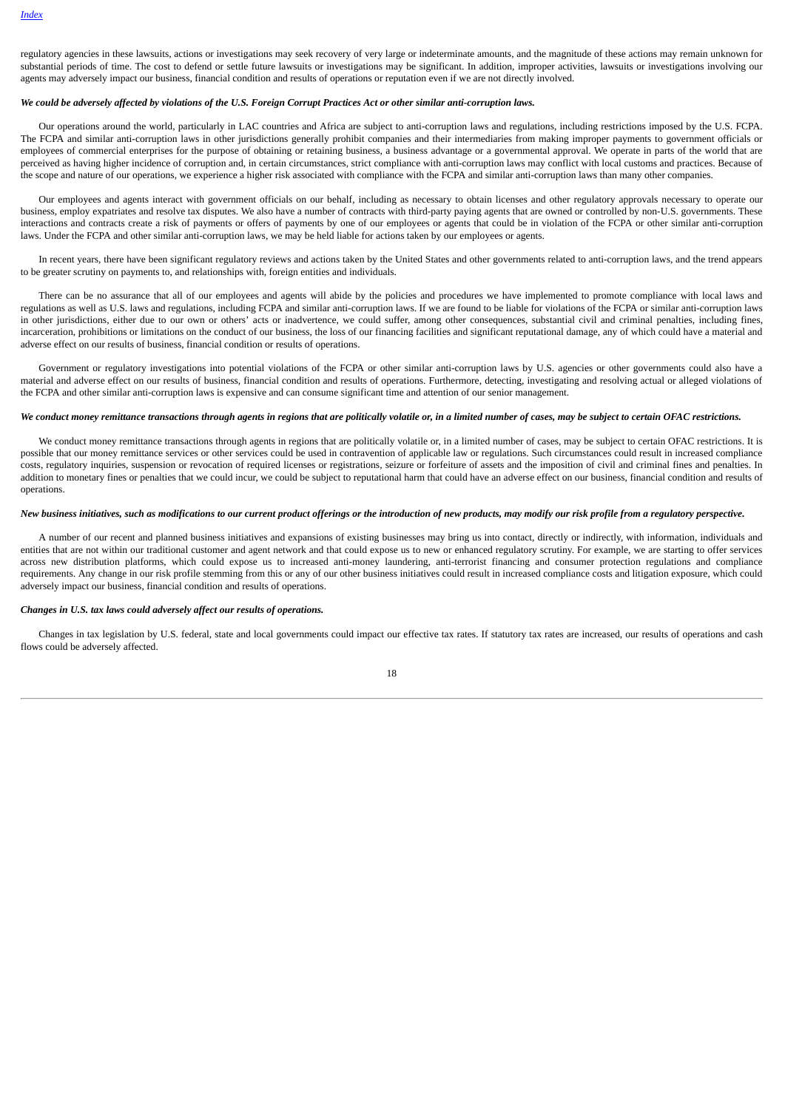regulatory agencies in these lawsuits, actions or investigations may seek recovery of very large or indeterminate amounts, and the magnitude of these actions may remain unknown for substantial periods of time. The cost to defend or settle future lawsuits or investigations may be significant. In addition, improper activities, lawsuits or investigations involving our agents may adversely impact our business, financial condition and results of operations or reputation even if we are not directly involved.

#### We could be adversely affected by violations of the U.S. Foreign Corrupt Practices Act or other similar anti-corruption laws.

Our operations around the world, particularly in LAC countries and Africa are subject to anti-corruption laws and regulations, including restrictions imposed by the U.S. FCPA. The FCPA and similar anti-corruption laws in other jurisdictions generally prohibit companies and their intermediaries from making improper payments to government officials or employees of commercial enterprises for the purpose of obtaining or retaining business, a business advantage or a governmental approval. We operate in parts of the world that are perceived as having higher incidence of corruption and, in certain circumstances, strict compliance with anti-corruption laws may conflict with local customs and practices. Because of the scope and nature of our operations, we experience a higher risk associated with compliance with the FCPA and similar anti-corruption laws than many other companies.

Our employees and agents interact with government officials on our behalf, including as necessary to obtain licenses and other regulatory approvals necessary to operate our business, employ expatriates and resolve tax disputes. We also have a number of contracts with third-party paying agents that are owned or controlled by non-U.S. governments. These interactions and contracts create a risk of payments or offers of payments by one of our employees or agents that could be in violation of the FCPA or other similar anti-corruption laws. Under the FCPA and other similar anti-corruption laws, we may be held liable for actions taken by our employees or agents.

In recent years, there have been significant regulatory reviews and actions taken by the United States and other governments related to anti-corruption laws, and the trend appears to be greater scrutiny on payments to, and relationships with, foreign entities and individuals.

There can be no assurance that all of our employees and agents will abide by the policies and procedures we have implemented to promote compliance with local laws and regulations as well as U.S. laws and regulations, including FCPA and similar anti-corruption laws. If we are found to be liable for violations of the FCPA or similar anti-corruption laws in other jurisdictions, either due to our own or others' acts or inadvertence, we could suffer, among other consequences, substantial civil and criminal penalties, including fines, incarceration, prohibitions or limitations on the conduct of our business, the loss of our financing facilities and significant reputational damage, any of which could have a material and adverse effect on our results of business, financial condition or results of operations.

Government or regulatory investigations into potential violations of the FCPA or other similar anti-corruption laws by U.S. agencies or other governments could also have a material and adverse effect on our results of business, financial condition and results of operations. Furthermore, detecting, investigating and resolving actual or alleged violations of the FCPA and other similar anti-corruption laws is expensive and can consume significant time and attention of our senior management.

# We conduct money remittance transactions through agents in regions that are politically volatile or, in a limited number of cases, may be subject to certain OFAC restrictions.

We conduct money remittance transactions through agents in regions that are politically volatile or, in a limited number of cases, may be subject to certain OFAC restrictions. It is possible that our money remittance services or other services could be used in contravention of applicable law or regulations. Such circumstances could result in increased compliance costs, regulatory inquiries, suspension or revocation of required licenses or registrations, seizure or forfeiture of assets and the imposition of civil and criminal fines and penalties. In addition to monetary fines or penalties that we could incur, we could be subject to reputational harm that could have an adverse effect on our business, financial condition and results of operations.

# New business initiatives, such as modifications to our current product offerings or the introduction of new products, may modify our risk profile from a requlatory perspective.

A number of our recent and planned business initiatives and expansions of existing businesses may bring us into contact, directly or indirectly, with information, individuals and entities that are not within our traditional customer and agent network and that could expose us to new or enhanced regulatory scrutiny. For example, we are starting to offer services across new distribution platforms, which could expose us to increased anti-money laundering, anti-terrorist financing and consumer protection regulations and compliance requirements. Any change in our risk profile stemming from this or any of our other business initiatives could result in increased compliance costs and litigation exposure, which could adversely impact our business, financial condition and results of operations.

### *Changes in U.S. tax laws could adversely affect our results of operations.*

Changes in tax legislation by U.S. federal, state and local governments could impact our effective tax rates. If statutory tax rates are increased, our results of operations and cash flows could be adversely affected.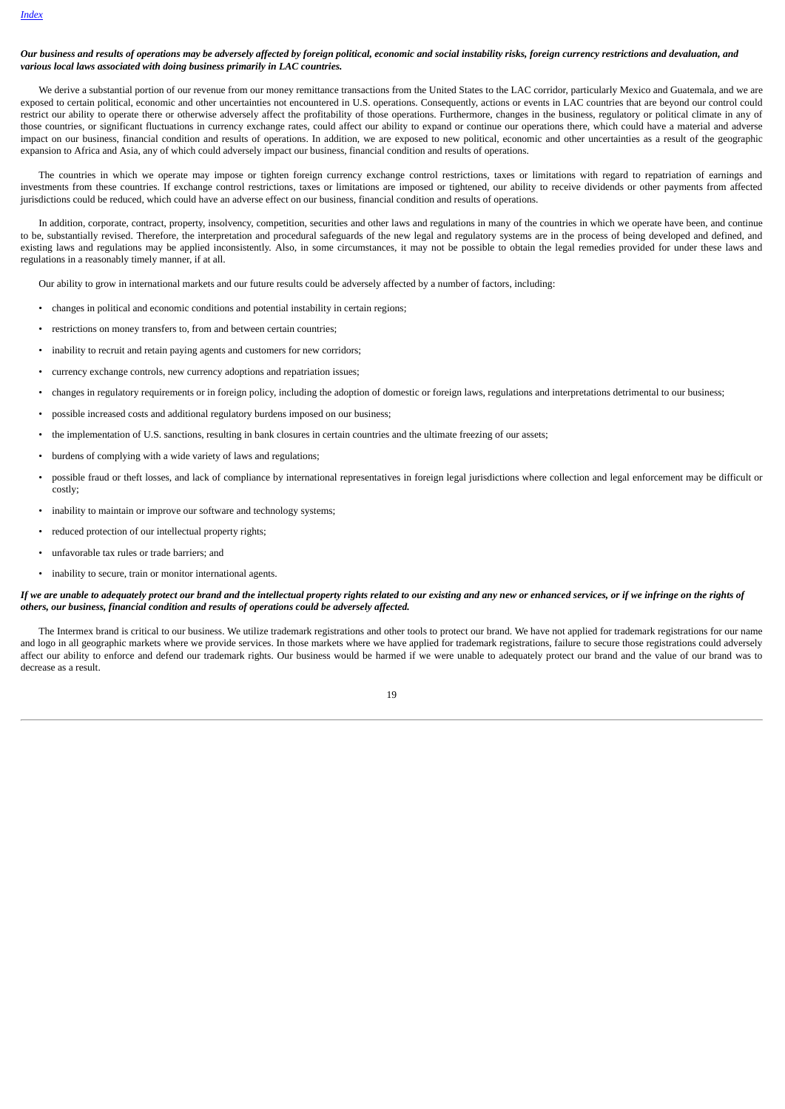# Our business and results of operations may be adversely affected by foreign political, economic and social instability risks, foreign currency restrictions and devaluation, and *various local laws associated with doing business primarily in LAC countries.*

We derive a substantial portion of our revenue from our money remittance transactions from the United States to the LAC corridor, particularly Mexico and Guatemala, and we are exposed to certain political, economic and other uncertainties not encountered in U.S. operations. Consequently, actions or events in LAC countries that are beyond our control could restrict our ability to operate there or otherwise adversely affect the profitability of those operations. Furthermore, changes in the business, regulatory or political climate in any of those countries, or significant fluctuations in currency exchange rates, could affect our ability to expand or continue our operations there, which could have a material and adverse impact on our business, financial condition and results of operations. In addition, we are exposed to new political, economic and other uncertainties as a result of the geographic expansion to Africa and Asia, any of which could adversely impact our business, financial condition and results of operations.

The countries in which we operate may impose or tighten foreign currency exchange control restrictions, taxes or limitations with regard to repatriation of earnings and investments from these countries. If exchange control restrictions, taxes or limitations are imposed or tightened, our ability to receive dividends or other payments from affected jurisdictions could be reduced, which could have an adverse effect on our business, financial condition and results of operations.

In addition, corporate, contract, property, insolvency, competition, securities and other laws and regulations in many of the countries in which we operate have been, and continue to be, substantially revised. Therefore, the interpretation and procedural safeguards of the new legal and regulatory systems are in the process of being developed and defined, and existing laws and regulations may be applied inconsistently. Also, in some circumstances, it may not be possible to obtain the legal remedies provided for under these laws and regulations in a reasonably timely manner, if at all.

Our ability to grow in international markets and our future results could be adversely affected by a number of factors, including:

- changes in political and economic conditions and potential instability in certain regions;
- restrictions on money transfers to, from and between certain countries;
- inability to recruit and retain paying agents and customers for new corridors;
- currency exchange controls, new currency adoptions and repatriation issues;
- changes in regulatory requirements or in foreign policy, including the adoption of domestic or foreign laws, regulations and interpretations detrimental to our business;
- possible increased costs and additional regulatory burdens imposed on our business;
- the implementation of U.S. sanctions, resulting in bank closures in certain countries and the ultimate freezing of our assets;
- burdens of complying with a wide variety of laws and regulations;
- possible fraud or theft losses, and lack of compliance by international representatives in foreign legal jurisdictions where collection and legal enforcement may be difficult or costly;
- inability to maintain or improve our software and technology systems;
- reduced protection of our intellectual property rights;
- unfavorable tax rules or trade barriers; and
- inability to secure, train or monitor international agents.

## If we are unable to adequately protect our brand and the intellectual property rights related to our existing and any new or enhanced services, or if we infringe on the rights of *others, our business, financial condition and results of operations could be adversely affected.*

The Intermex brand is critical to our business. We utilize trademark registrations and other tools to protect our brand. We have not applied for trademark registrations for our name and logo in all geographic markets where we provide services. In those markets where we have applied for trademark registrations, failure to secure those registrations could adversely affect our ability to enforce and defend our trademark rights. Our business would be harmed if we were unable to adequately protect our brand and the value of our brand was to decrease as a result.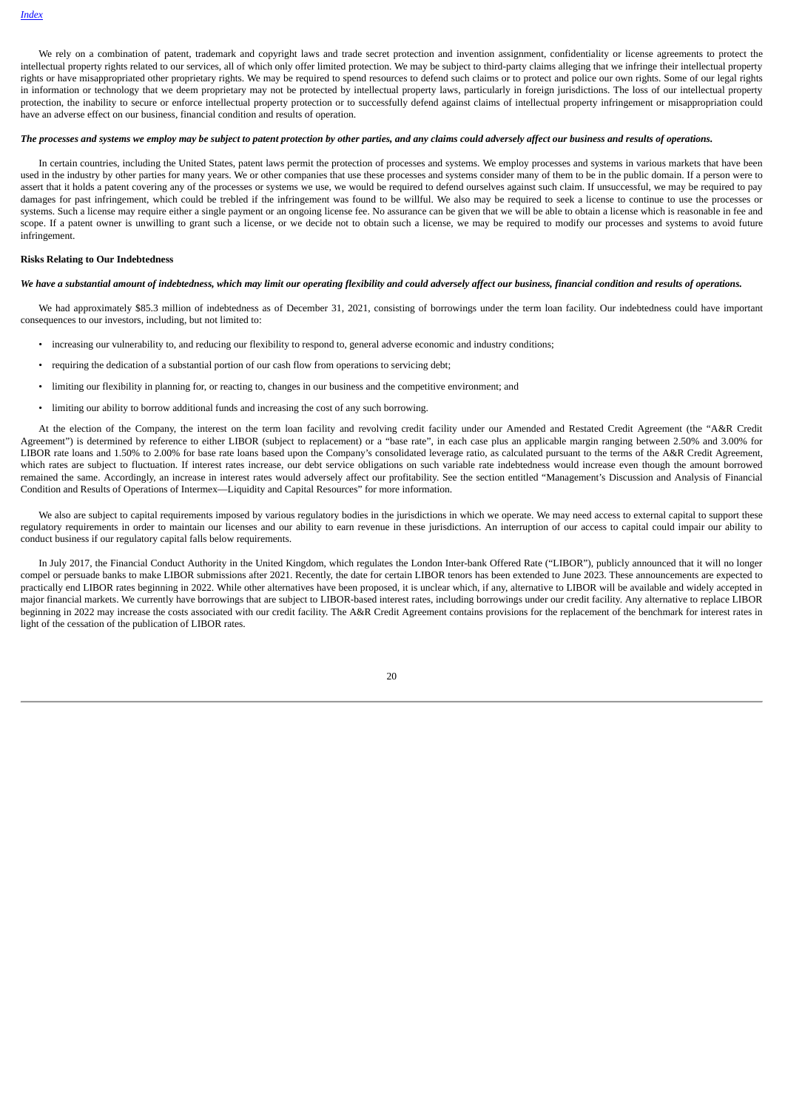We rely on a combination of patent, trademark and copyright laws and trade secret protection and invention assignment, confidentiality or license agreements to protect the intellectual property rights related to our services, all of which only offer limited protection. We may be subject to third-party claims alleging that we infringe their intellectual property rights or have misappropriated other proprietary rights. We may be required to spend resources to defend such claims or to protect and police our own rights. Some of our legal rights in information or technology that we deem proprietary may not be protected by intellectual property laws, particularly in foreign jurisdictions. The loss of our intellectual property protection, the inability to secure or enforce intellectual property protection or to successfully defend against claims of intellectual property infringement or misappropriation could have an adverse effect on our business, financial condition and results of operation.

#### The processes and systems we employ may be subject to patent protection by other parties, and any claims could adversely affect our business and results of operations.

In certain countries, including the United States, patent laws permit the protection of processes and systems. We employ processes and systems in various markets that have been used in the industry by other parties for many years. We or other companies that use these processes and systems consider many of them to be in the public domain. If a person were to assert that it holds a patent covering any of the processes or systems we use, we would be required to defend ourselves against such claim. If unsuccessful, we may be required to pay damages for past infringement, which could be trebled if the infringement was found to be willful. We also may be required to seek a license to continue to use the processes or systems. Such a license may require either a single payment or an ongoing license fee. No assurance can be given that we will be able to obtain a license which is reasonable in fee and scope. If a patent owner is unwilling to grant such a license, or we decide not to obtain such a license, we may be required to modify our processes and systems to avoid future infringement.

### **Risks Relating to Our Indebtedness**

## We have a substantial amount of indebtedness, which may limit our operating flexibility and could adversely affect our business, financial condition and results of operations.

We had approximately \$85.3 million of indebtedness as of December 31, 2021, consisting of borrowings under the term loan facility. Our indebtedness could have important consequences to our investors, including, but not limited to:

- increasing our vulnerability to, and reducing our flexibility to respond to, general adverse economic and industry conditions;
- requiring the dedication of a substantial portion of our cash flow from operations to servicing debt;
- limiting our flexibility in planning for, or reacting to, changes in our business and the competitive environment; and
- limiting our ability to borrow additional funds and increasing the cost of any such borrowing.

At the election of the Company, the interest on the term loan facility and revolving credit facility under our Amended and Restated Credit Agreement (the "A&R Credit Agreement") is determined by reference to either LIBOR (subject to replacement) or a "base rate", in each case plus an applicable margin ranging between 2.50% and 3.00% for LIBOR rate loans and 1.50% to 2.00% for base rate loans based upon the Company's consolidated leverage ratio, as calculated pursuant to the terms of the A&R Credit Agreement, which rates are subject to fluctuation. If interest rates increase, our debt service obligations on such variable rate indebtedness would increase even though the amount borrowed remained the same. Accordingly, an increase in interest rates would adversely affect our profitability. See the section entitled "Management's Discussion and Analysis of Financial Condition and Results of Operations of Intermex—Liquidity and Capital Resources" for more information.

We also are subject to capital requirements imposed by various regulatory bodies in the jurisdictions in which we operate. We may need access to external capital to support these regulatory requirements in order to maintain our licenses and our ability to earn revenue in these jurisdictions. An interruption of our access to capital could impair our ability to conduct business if our regulatory capital falls below requirements.

In July 2017, the Financial Conduct Authority in the United Kingdom, which regulates the London Inter-bank Offered Rate ("LIBOR"), publicly announced that it will no longer compel or persuade banks to make LIBOR submissions after 2021. Recently, the date for certain LIBOR tenors has been extended to June 2023. These announcements are expected to practically end LIBOR rates beginning in 2022. While other alternatives have been proposed, it is unclear which, if any, alternative to LIBOR will be available and widely accepted in major financial markets. We currently have borrowings that are subject to LIBOR-based interest rates, including borrowings under our credit facility. Any alternative to replace LIBOR beginning in 2022 may increase the costs associated with our credit facility. The A&R Credit Agreement contains provisions for the replacement of the benchmark for interest rates in light of the cessation of the publication of LIBOR rates.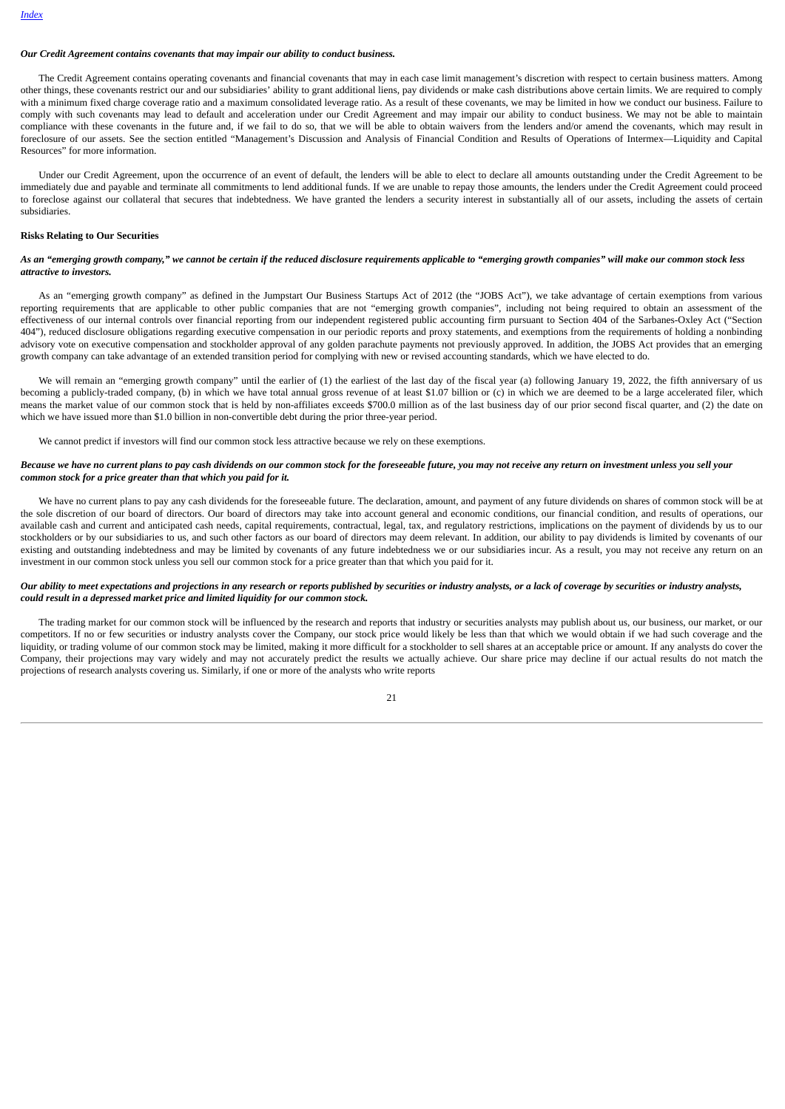#### *Our Credit Agreement contains covenants that may impair our ability to conduct business.*

The Credit Agreement contains operating covenants and financial covenants that may in each case limit management's discretion with respect to certain business matters. Among other things, these covenants restrict our and our subsidiaries' ability to grant additional liens, pay dividends or make cash distributions above certain limits. We are required to comply with a minimum fixed charge coverage ratio and a maximum consolidated leverage ratio. As a result of these covenants, we may be limited in how we conduct our business. Failure to comply with such covenants may lead to default and acceleration under our Credit Agreement and may impair our ability to conduct business. We may not be able to maintain compliance with these covenants in the future and, if we fail to do so, that we will be able to obtain waivers from the lenders and/or amend the covenants, which may result in foreclosure of our assets. See the section entitled "Management's Discussion and Analysis of Financial Condition and Results of Operations of Intermex—Liquidity and Capital Resources" for more information.

Under our Credit Agreement, upon the occurrence of an event of default, the lenders will be able to elect to declare all amounts outstanding under the Credit Agreement to be immediately due and payable and terminate all commitments to lend additional funds. If we are unable to repay those amounts, the lenders under the Credit Agreement could proceed to foreclose against our collateral that secures that indebtedness. We have granted the lenders a security interest in substantially all of our assets, including the assets of certain subsidiaries.

## **Risks Relating to Our Securities**

## As an "emerging growth company," we cannot be certain if the reduced disclosure requirements applicable to "emerging growth companies" will make our common stock less *attractive to investors.*

As an "emerging growth company" as defined in the Jumpstart Our Business Startups Act of 2012 (the "JOBS Act"), we take advantage of certain exemptions from various reporting requirements that are applicable to other public companies that are not "emerging growth companies", including not being required to obtain an assessment of the effectiveness of our internal controls over financial reporting from our independent registered public accounting firm pursuant to Section 404 of the Sarbanes-Oxley Act ("Section 404"), reduced disclosure obligations regarding executive compensation in our periodic reports and proxy statements, and exemptions from the requirements of holding a nonbinding advisory vote on executive compensation and stockholder approval of any golden parachute payments not previously approved. In addition, the JOBS Act provides that an emerging growth company can take advantage of an extended transition period for complying with new or revised accounting standards, which we have elected to do.

We will remain an "emerging growth company" until the earlier of (1) the earliest of the last day of the fiscal year (a) following January 19, 2022, the fifth anniversary of us becoming a publicly-traded company, (b) in which we have total annual gross revenue of at least \$1.07 billion or (c) in which we are deemed to be a large accelerated filer, which means the market value of our common stock that is held by non-affiliates exceeds \$700.0 million as of the last business day of our prior second fiscal quarter, and (2) the date on which we have issued more than \$1.0 billion in non-convertible debt during the prior three-year period.

We cannot predict if investors will find our common stock less attractive because we rely on these exemptions.

## Because we have no current plans to pay cash dividends on our common stock for the foreseeable future, you may not receive any return on investment unless you sell your *common stock for a price greater than that which you paid for it.*

We have no current plans to pay any cash dividends for the foreseeable future. The declaration, amount, and payment of any future dividends on shares of common stock will be at the sole discretion of our board of directors. Our board of directors may take into account general and economic conditions, our financial condition, and results of operations, our available cash and current and anticipated cash needs, capital requirements, contractual, legal, tax, and regulatory restrictions, implications on the payment of dividends by us to our stockholders or by our subsidiaries to us, and such other factors as our board of directors may deem relevant. In addition, our ability to pay dividends is limited by covenants of our existing and outstanding indebtedness and may be limited by covenants of any future indebtedness we or our subsidiaries incur. As a result, you may not receive any return on an investment in our common stock unless you sell our common stock for a price greater than that which you paid for it.

### Our ability to meet expectations and projections in any research or reports published by securities or industry analysts, or a lack of coverage by securities or industry analysts, *could result in a depressed market price and limited liquidity for our common stock.*

The trading market for our common stock will be influenced by the research and reports that industry or securities analysts may publish about us, our business, our market, or our competitors. If no or few securities or industry analysts cover the Company, our stock price would likely be less than that which we would obtain if we had such coverage and the liquidity, or trading volume of our common stock may be limited, making it more difficult for a stockholder to sell shares at an acceptable price or amount. If any analysts do cover the Company, their projections may vary widely and may not accurately predict the results we actually achieve. Our share price may decline if our actual results do not match the projections of research analysts covering us. Similarly, if one or more of the analysts who write reports

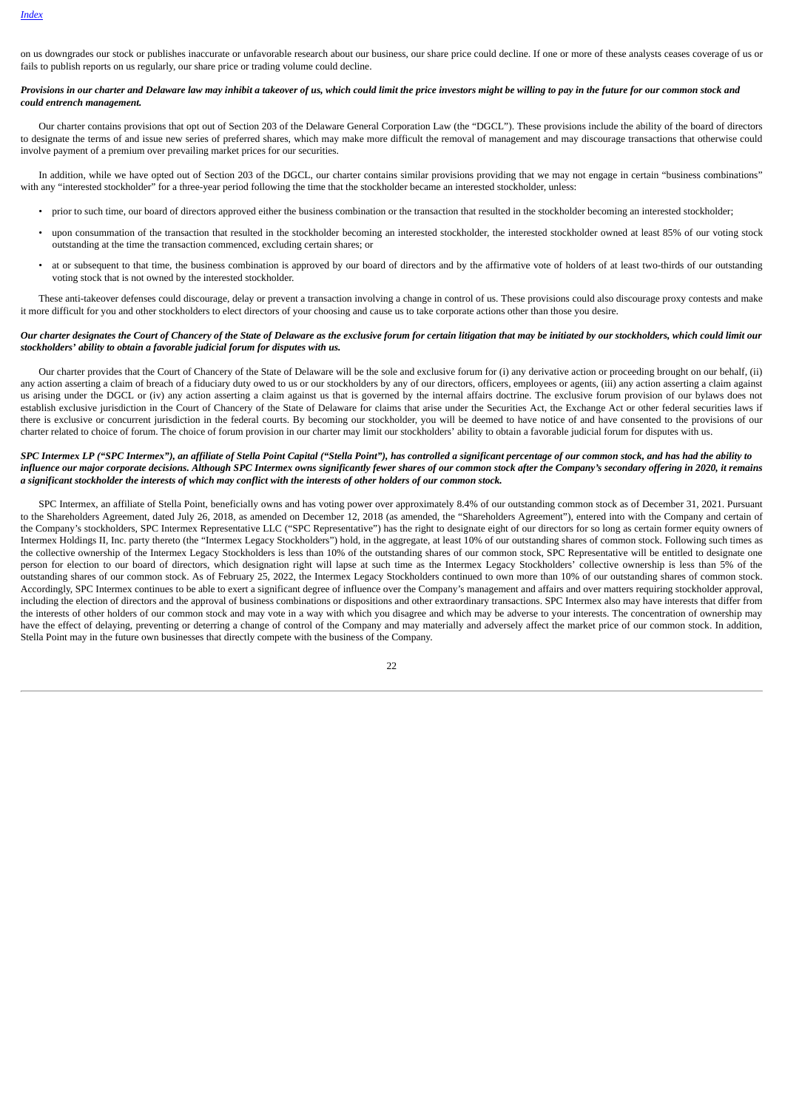on us downgrades our stock or publishes inaccurate or unfavorable research about our business, our share price could decline. If one or more of these analysts ceases coverage of us or fails to publish reports on us regularly, our share price or trading volume could decline.

### Provisions in our charter and Delaware law may inhibit a takeover of us, which could limit the price investors might be willing to pay in the future for our common stock and *could entrench management.*

Our charter contains provisions that opt out of Section 203 of the Delaware General Corporation Law (the "DGCL"). These provisions include the ability of the board of directors to designate the terms of and issue new series of preferred shares, which may make more difficult the removal of management and may discourage transactions that otherwise could involve payment of a premium over prevailing market prices for our securities.

In addition, while we have opted out of Section 203 of the DGCL, our charter contains similar provisions providing that we may not engage in certain "business combinations" with any "interested stockholder" for a three-year period following the time that the stockholder became an interested stockholder, unless:

- prior to such time, our board of directors approved either the business combination or the transaction that resulted in the stockholder becoming an interested stockholder;
- upon consummation of the transaction that resulted in the stockholder becoming an interested stockholder, the interested stockholder owned at least 85% of our voting stock outstanding at the time the transaction commenced, excluding certain shares; or
- at or subsequent to that time, the business combination is approved by our board of directors and by the affirmative vote of holders of at least two-thirds of our outstanding voting stock that is not owned by the interested stockholder.

These anti-takeover defenses could discourage, delay or prevent a transaction involving a change in control of us. These provisions could also discourage proxy contests and make it more difficult for you and other stockholders to elect directors of your choosing and cause us to take corporate actions other than those you desire.

#### Our charter designates the Court of Chancery of the State of Delaware as the exclusive forum for certain litigation that may be initiated by our stockholders, which could limit our *stockholders' ability to obtain a favorable judicial forum for disputes with us.*

Our charter provides that the Court of Chancery of the State of Delaware will be the sole and exclusive forum for (i) any derivative action or proceeding brought on our behalf, (ii) any action asserting a claim of breach of a fiduciary duty owed to us or our stockholders by any of our directors, officers, employees or agents, (iii) any action asserting a claim against us arising under the DGCL or (iv) any action asserting a claim against us that is governed by the internal affairs doctrine. The exclusive forum provision of our bylaws does not establish exclusive jurisdiction in the Court of Chancery of the State of Delaware for claims that arise under the Securities Act, the Exchange Act or other federal securities laws if there is exclusive or concurrent jurisdiction in the federal courts. By becoming our stockholder, you will be deemed to have notice of and have consented to the provisions of our charter related to choice of forum. The choice of forum provision in our charter may limit our stockholders' ability to obtain a favorable judicial forum for disputes with us.

# SPC Intermex LP ("SPC Intermex"), an affiliate of Stella Point Capital ("Stella Point"), has controlled a sianificant percentage of our common stock, and has had the ability to influence our major corporate decisions. Although SPC Intermex owns significantly fewer shares of our common stock after the Company's secondary offering in 2020, it remains a significant stockholder the interests of which may conflict with the interests of other holders of our common stock.

SPC Intermex, an affiliate of Stella Point, beneficially owns and has voting power over approximately 8.4% of our outstanding common stock as of December 31, 2021. Pursuant to the Shareholders Agreement, dated July 26, 2018, as amended on December 12, 2018 (as amended, the "Shareholders Agreement"), entered into with the Company and certain of the Company's stockholders, SPC Intermex Representative LLC ("SPC Representative") has the right to designate eight of our directors for so long as certain former equity owners of Intermex Holdings II, Inc. party thereto (the "Intermex Legacy Stockholders") hold, in the aggregate, at least 10% of our outstanding shares of common stock. Following such times as the collective ownership of the Intermex Legacy Stockholders is less than 10% of the outstanding shares of our common stock, SPC Representative will be entitled to designate one person for election to our board of directors, which designation right will lapse at such time as the Intermex Legacy Stockholders' collective ownership is less than 5% of the outstanding shares of our common stock. As of February 25, 2022, the Intermex Legacy Stockholders continued to own more than 10% of our outstanding shares of common stock. Accordingly, SPC Intermex continues to be able to exert a significant degree of influence over the Company's management and affairs and over matters requiring stockholder approval, including the election of directors and the approval of business combinations or dispositions and other extraordinary transactions. SPC Intermex also may have interests that differ from the interests of other holders of our common stock and may vote in a way with which you disagree and which may be adverse to your interests. The concentration of ownership may have the effect of delaying, preventing or deterring a change of control of the Company and may materially and adversely affect the market price of our common stock. In addition, Stella Point may in the future own businesses that directly compete with the business of the Company.

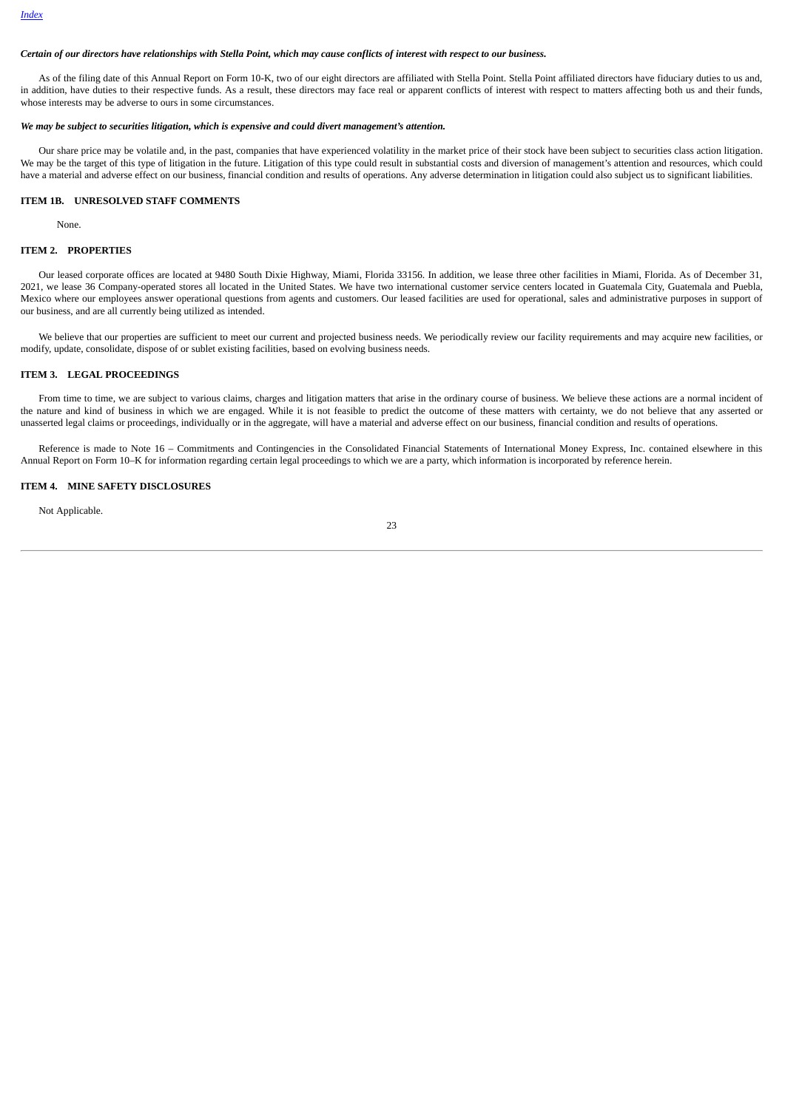#### Certain of our directors have relationships with Stella Point, which may cause conflicts of interest with respect to our business.

As of the filing date of this Annual Report on Form 10-K, two of our eight directors are affiliated with Stella Point. Stella Point affiliated directors have fiduciary duties to us and, in addition, have duties to their respective funds. As a result, these directors may face real or apparent conflicts of interest with respect to matters affecting both us and their funds, whose interests may be adverse to ours in some circumstances.

## *We may be subject to securities litigation, which is expensive and could divert management's attention.*

Our share price may be volatile and, in the past, companies that have experienced volatility in the market price of their stock have been subject to securities class action litigation. We may be the target of this type of litigation in the future. Litigation of this type could result in substantial costs and diversion of management's attention and resources, which could have a material and adverse effect on our business, financial condition and results of operations. Any adverse determination in litigation could also subject us to significant liabilities.

# <span id="page-24-0"></span>**ITEM 1B. UNRESOLVED STAFF COMMENTS**

None.

#### <span id="page-24-1"></span>**ITEM 2. PROPERTIES**

Our leased corporate offices are located at 9480 South Dixie Highway, Miami, Florida 33156. In addition, we lease three other facilities in Miami, Florida. As of December 31, 2021, we lease 36 Company-operated stores all located in the United States. We have two international customer service centers located in Guatemala City, Guatemala and Puebla, Mexico where our employees answer operational questions from agents and customers. Our leased facilities are used for operational, sales and administrative purposes in support of our business, and are all currently being utilized as intended.

We believe that our properties are sufficient to meet our current and projected business needs. We periodically review our facility requirements and may acquire new facilities, or modify, update, consolidate, dispose of or sublet existing facilities, based on evolving business needs.

## <span id="page-24-2"></span>**ITEM 3. LEGAL PROCEEDINGS**

From time to time, we are subject to various claims, charges and litigation matters that arise in the ordinary course of business. We believe these actions are a normal incident of the nature and kind of business in which we are engaged. While it is not feasible to predict the outcome of these matters with certainty, we do not believe that any asserted or unasserted legal claims or proceedings, individually or in the aggregate, will have a material and adverse effect on our business, financial condition and results of operations.

Reference is made to Note 16 – Commitments and Contingencies in the Consolidated Financial Statements of International Money Express, Inc. contained elsewhere in this Annual Report on Form 10–K for information regarding certain legal proceedings to which we are a party, which information is incorporated by reference herein.

#### <span id="page-24-3"></span>**ITEM 4. MINE SAFETY DISCLOSURES**

Not Applicable.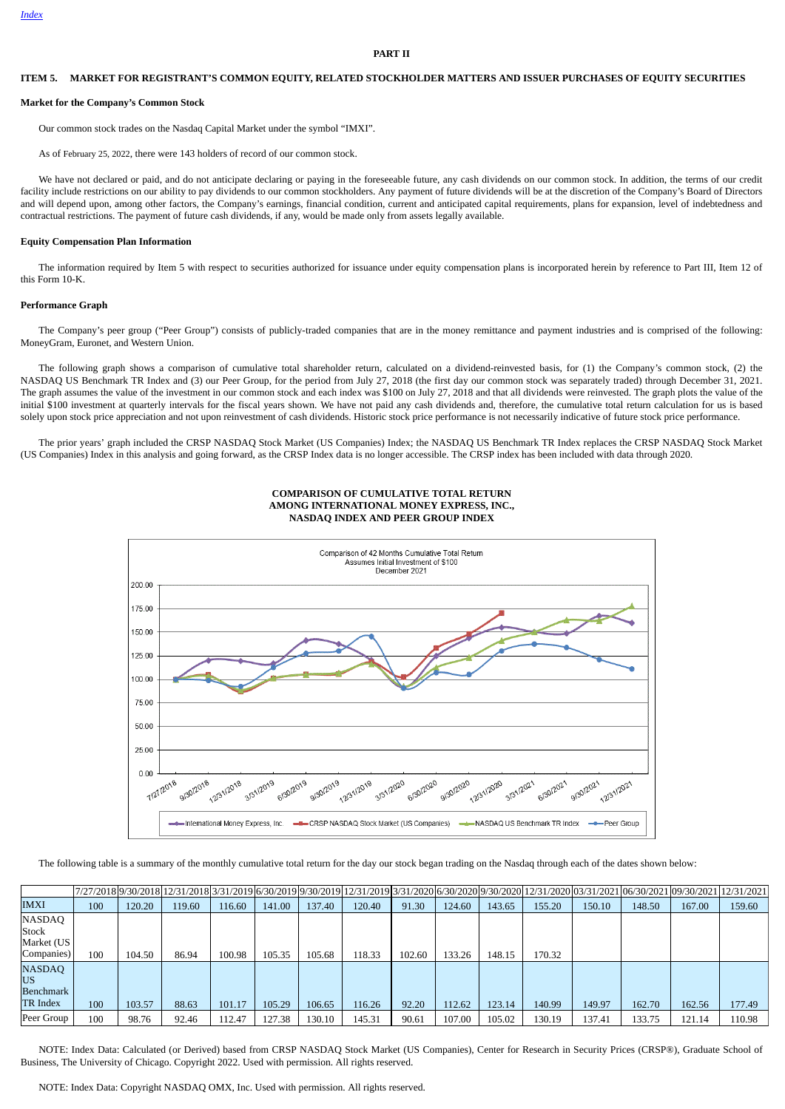## **PART II**

# <span id="page-25-0"></span>ITEM 5. MARKET FOR REGISTRANT'S COMMON EQUITY, RELATED STOCKHOLDER MATTERS AND ISSUER PURCHASES OF EQUITY SECURITIES

#### **Market for the Company's Common Stock**

Our common stock trades on the Nasdaq Capital Market under the symbol "IMXI".

As of February 25, 2022, there were 143 holders of record of our common stock.

We have not declared or paid, and do not anticipate declaring or paying in the foreseeable future, any cash dividends on our common stock. In addition, the terms of our credit facility include restrictions on our ability to pay dividends to our common stockholders. Any payment of future dividends will be at the discretion of the Company's Board of Directors and will depend upon, among other factors, the Company's earnings, financial condition, current and anticipated capital requirements, plans for expansion, level of indebtedness and contractual restrictions. The payment of future cash dividends, if any, would be made only from assets legally available.

#### **Equity Compensation Plan Information**

The information required by Item 5 with respect to securities authorized for issuance under equity compensation plans is incorporated herein by reference to Part III, Item 12 of this Form 10-K.

#### **Performance Graph**

The Company's peer group ("Peer Group") consists of publicly-traded companies that are in the money remittance and payment industries and is comprised of the following: MoneyGram, Euronet, and Western Union.

The following graph shows a comparison of cumulative total shareholder return, calculated on a dividend-reinvested basis, for (1) the Company's common stock, (2) the NASDAQ US Benchmark TR Index and (3) our Peer Group, for the period from July 27, 2018 (the first day our common stock was separately traded) through December 31, 2021. The graph assumes the value of the investment in our common stock and each index was \$100 on July 27, 2018 and that all dividends were reinvested. The graph plots the value of the initial \$100 investment at quarterly intervals for the fiscal years shown. We have not paid any cash dividends and, therefore, the cumulative total return calculation for us is based solely upon stock price appreciation and not upon reinvestment of cash dividends. Historic stock price performance is not necessarily indicative of future stock price performance.

The prior years' graph included the CRSP NASDAQ Stock Market (US Companies) Index; the NASDAQ US Benchmark TR Index replaces the CRSP NASDAQ Stock Market (US Companies) Index in this analysis and going forward, as the CRSP Index data is no longer accessible. The CRSP index has been included with data through 2020.



#### **COMPARISON OF CUMULATIVE TOTAL RETURN AMONG INTERNATIONAL MONEY EXPRESS, INC., NASDAQ INDEX AND PEER GROUP INDEX**

The following table is a summary of the monthly cumulative total return for the day our stock began trading on the Nasdaq through each of the dates shown below:

|                                                            |     |        |        |        |        |        |        |        |        |        |        |        | 7/27/2018 9/30/2018 12/31/2018 3/31/2019 6/30/2019 9/30/2019 12/31/2019 3/31/2020 6/30/2020 9/30/2020 12/31/2020 03/31/2021 06/30/2021 06/30/2021 09/30/2021 12/31/2021 |        |        |
|------------------------------------------------------------|-----|--------|--------|--------|--------|--------|--------|--------|--------|--------|--------|--------|-------------------------------------------------------------------------------------------------------------------------------------------------------------------------|--------|--------|
| <b>IMXI</b>                                                | 100 | 120.20 | 119.60 | 116.60 | 141.00 | 137.40 | 120.40 | 91.30  | 124.60 | 143.65 | 155.20 | 150.10 | 148.50                                                                                                                                                                  | 167.00 | 159.60 |
| NASDAQ<br><b>Stock</b><br>Market (US<br>Companies)         | 100 | 104.50 | 86.94  | 100.98 | 105.35 | 105.68 | 118.33 | 102.60 | 133.26 | 148.15 | 170.32 |        |                                                                                                                                                                         |        |        |
| <b>NASDAQ</b><br><b>US</b><br><b>Benchmark</b><br>TR Index | 100 | 103.57 | 88.63  | 101.17 | 105.29 | 106.65 | 116.26 | 92.20  | 112.62 | 123.14 | 140.99 | 149.97 | 162.70                                                                                                                                                                  | 162.56 | 177.49 |
| Peer Group                                                 | 100 | 98.76  | 92.46  | 112.47 | 127.38 | 130.10 | 145.31 | 90.61  | 107.00 | 105.02 | 130.19 | 137.41 | 133.75                                                                                                                                                                  | 121.14 | 110.98 |

NOTE: Index Data: Calculated (or Derived) based from CRSP NASDAQ Stock Market (US Companies), Center for Research in Security Prices (CRSP®), Graduate School of Business, The University of Chicago. Copyright 2022. Used with permission. All rights reserved.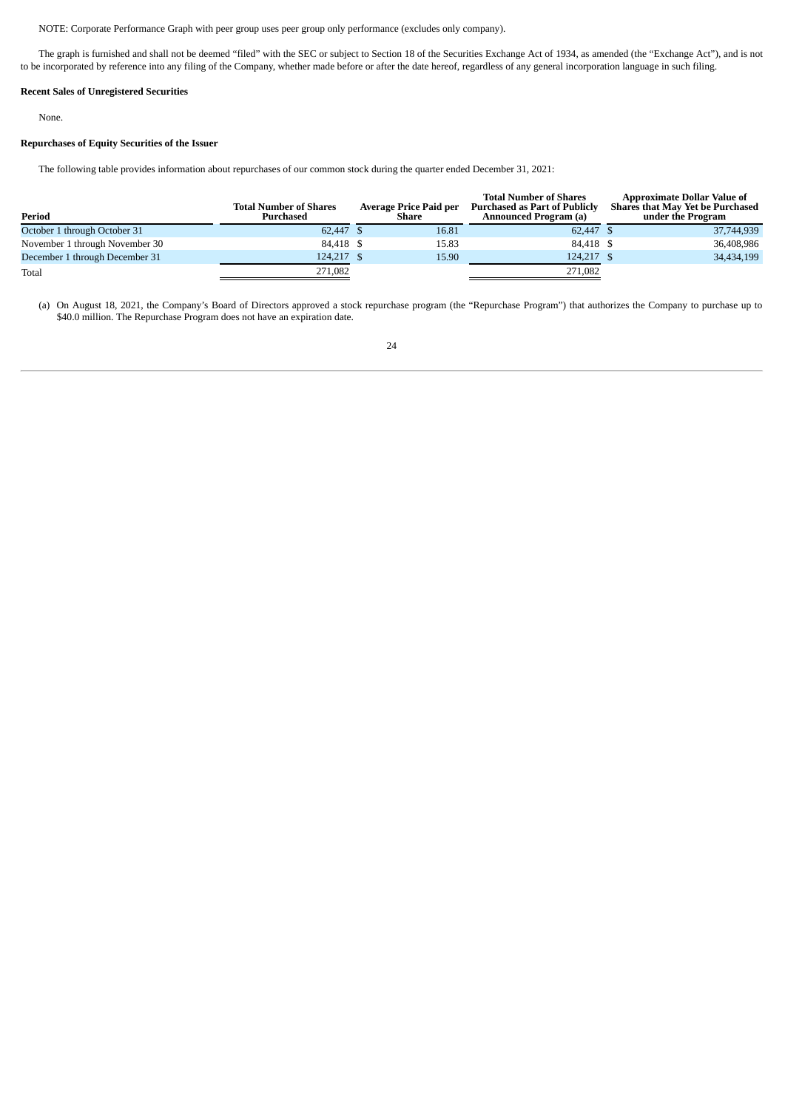NOTE: Corporate Performance Graph with peer group uses peer group only performance (excludes only company).

The graph is furnished and shall not be deemed "filed" with the SEC or subject to Section 18 of the Securities Exchange Act of 1934, as amended (the "Exchange Act"), and is not to be incorporated by reference into any filing of the Company, whether made before or after the date hereof, regardless of any general incorporation language in such filing.

# **Recent Sales of Unregistered Securities**

None.

## **Repurchases of Equity Securities of the Issuer**

The following table provides information about repurchases of our common stock during the quarter ended December 31, 2021:

| Period                         | <b>Total Number of Shares</b><br>Purchased | <b>Average Price Paid per</b><br>Share | <b>Total Number of Shares</b><br><b>Purchased as Part of Publicly</b><br><b>Announced Program (a)</b> | <b>Approximate Dollar Value of</b><br><b>Shares that May Yet be Purchased</b><br>under the Program |
|--------------------------------|--------------------------------------------|----------------------------------------|-------------------------------------------------------------------------------------------------------|----------------------------------------------------------------------------------------------------|
| October 1 through October 31   | 62,447 \$                                  | 16.81                                  | 62,447 \$                                                                                             | 37,744,939                                                                                         |
| November 1 through November 30 | 84,418 \$                                  | 15.83                                  | 84,418 \$                                                                                             | 36,408,986                                                                                         |
| December 1 through December 31 | 124,217 \$                                 | 15.90                                  | 124,217 \$                                                                                            | 34,434,199                                                                                         |
| Total                          | 271,082                                    |                                        | 271,082                                                                                               |                                                                                                    |

<span id="page-26-0"></span>(a) On August 18, 2021, the Company's Board of Directors approved a stock repurchase program (the "Repurchase Program") that authorizes the Company to purchase up to \$40.0 million. The Repurchase Program does not have an expiration date.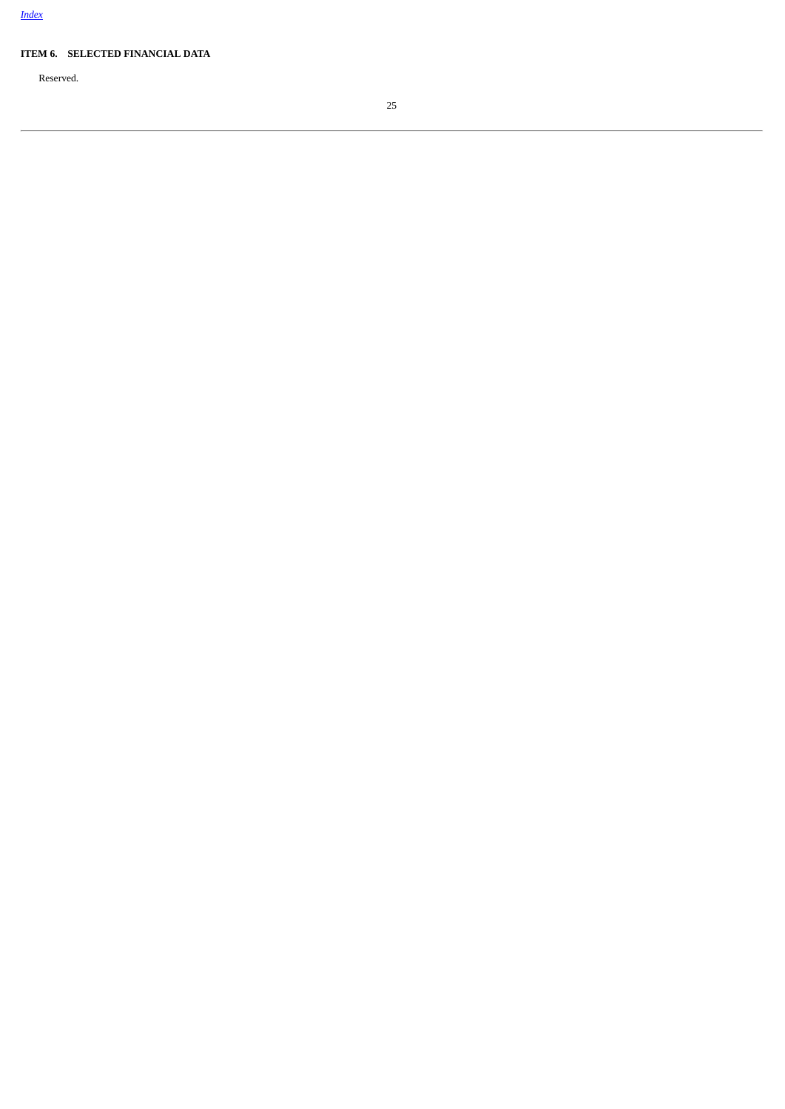# **ITEM 6. SELECTED FINANCIAL DATA**

<span id="page-27-0"></span>Reserved.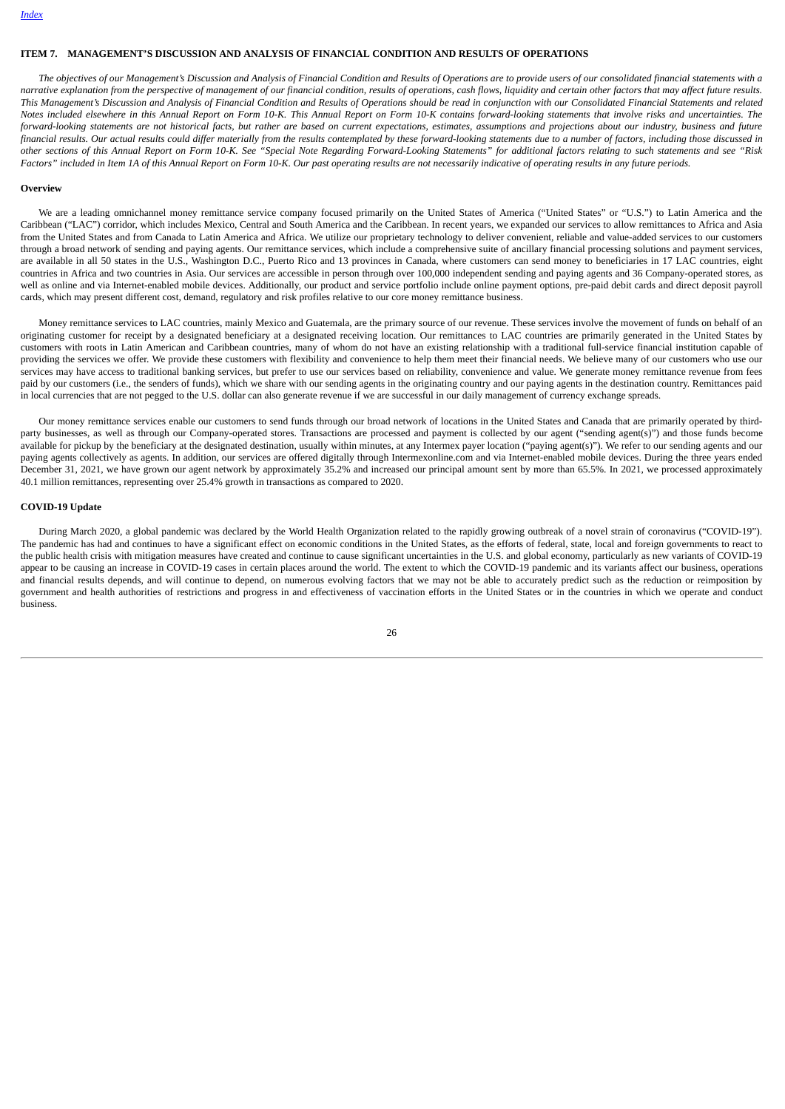# **ITEM 7. MANAGEMENT'S DISCUSSION AND ANALYSIS OF FINANCIAL CONDITION AND RESULTS OF OPERATIONS**

The objectives of our Management's Discussion and Analysis of Financial Condition and Results of Operations are to provide users of our consolidated financial statements with a narrative explanation from the perspective of management of our financial condition, results of operations, cash flows, liquidity and certain other factors that may affect future results. This Management's Discussion and Analysis of Financial Condition and Results of Operations should be read in conjunction with our Consolidated Financial Statements and related Notes included elsewhere in this Annual Report on Form 10-K. This Annual Report on Form 10-K contains forward-looking statements that involve risks and uncertainties. The forward-looking statements are not historical facts, but rather are based on current expectations, estimates, assumptions and projections about our industry, business and future financial results. Our actual results could differ materially from the results contemplated by these forward-looking statements due to a number of factors, including those discussed in other sections of this Annual Report on Form 10-K. See "Special Note Regarding Forward-Looking Statements" for additional factors relating to such statements and see "Risk Factors" included in Item 1A of this Annual Report on Form 10-K. Our past operating results are not necessarily indicative of operating results in any future periods.

#### **Overview**

We are a leading omnichannel money remittance service company focused primarily on the United States of America ("United States" or "U.S.") to Latin America and the Caribbean ("LAC") corridor, which includes Mexico, Central and South America and the Caribbean. In recent years, we expanded our services to allow remittances to Africa and Asia from the United States and from Canada to Latin America and Africa. We utilize our proprietary technology to deliver convenient, reliable and value-added services to our customers through a broad network of sending and paying agents. Our remittance services, which include a comprehensive suite of ancillary financial processing solutions and payment services, are available in all 50 states in the U.S., Washington D.C., Puerto Rico and 13 provinces in Canada, where customers can send money to beneficiaries in 17 LAC countries, eight countries in Africa and two countries in Asia. Our services are accessible in person through over 100,000 independent sending and paying agents and 36 Company-operated stores, as well as online and via Internet-enabled mobile devices. Additionally, our product and service portfolio include online payment options, pre-paid debit cards and direct deposit payroll cards, which may present different cost, demand, regulatory and risk profiles relative to our core money remittance business.

Money remittance services to LAC countries, mainly Mexico and Guatemala, are the primary source of our revenue. These services involve the movement of funds on behalf of an originating customer for receipt by a designated beneficiary at a designated receiving location. Our remittances to LAC countries are primarily generated in the United States by customers with roots in Latin American and Caribbean countries, many of whom do not have an existing relationship with a traditional full-service financial institution capable of providing the services we offer. We provide these customers with flexibility and convenience to help them meet their financial needs. We believe many of our customers who use our services may have access to traditional banking services, but prefer to use our services based on reliability, convenience and value. We generate money remittance revenue from fees paid by our customers (i.e., the senders of funds), which we share with our sending agents in the originating country and our paying agents in the destination country. Remittances paid in local currencies that are not pegged to the U.S. dollar can also generate revenue if we are successful in our daily management of currency exchange spreads.

Our money remittance services enable our customers to send funds through our broad network of locations in the United States and Canada that are primarily operated by thirdparty businesses, as well as through our Company-operated stores. Transactions are processed and payment is collected by our agent ("sending agent(s)") and those funds become available for pickup by the beneficiary at the designated destination, usually within minutes, at any Intermex payer location ("paying agent(s)"). We refer to our sending agents and our paying agents collectively as agents. In addition, our services are offered digitally through Intermexonline.com and via Internet-enabled mobile devices. During the three years ended December 31, 2021, we have grown our agent network by approximately 35.2% and increased our principal amount sent by more than 65.5%. In 2021, we processed approximately 40.1 million remittances, representing over 25.4% growth in transactions as compared to 2020.

### **COVID-19 Update**

During March 2020, a global pandemic was declared by the World Health Organization related to the rapidly growing outbreak of a novel strain of coronavirus ("COVID-19"). The pandemic has had and continues to have a significant effect on economic conditions in the United States, as the efforts of federal, state, local and foreign governments to react to the public health crisis with mitigation measures have created and continue to cause significant uncertainties in the U.S. and global economy, particularly as new variants of COVID-19 appear to be causing an increase in COVID-19 cases in certain places around the world. The extent to which the COVID-19 pandemic and its variants affect our business, operations and financial results depends, and will continue to depend, on numerous evolving factors that we may not be able to accurately predict such as the reduction or reimposition by government and health authorities of restrictions and progress in and effectiveness of vaccination efforts in the United States or in the countries in which we operate and conduct business.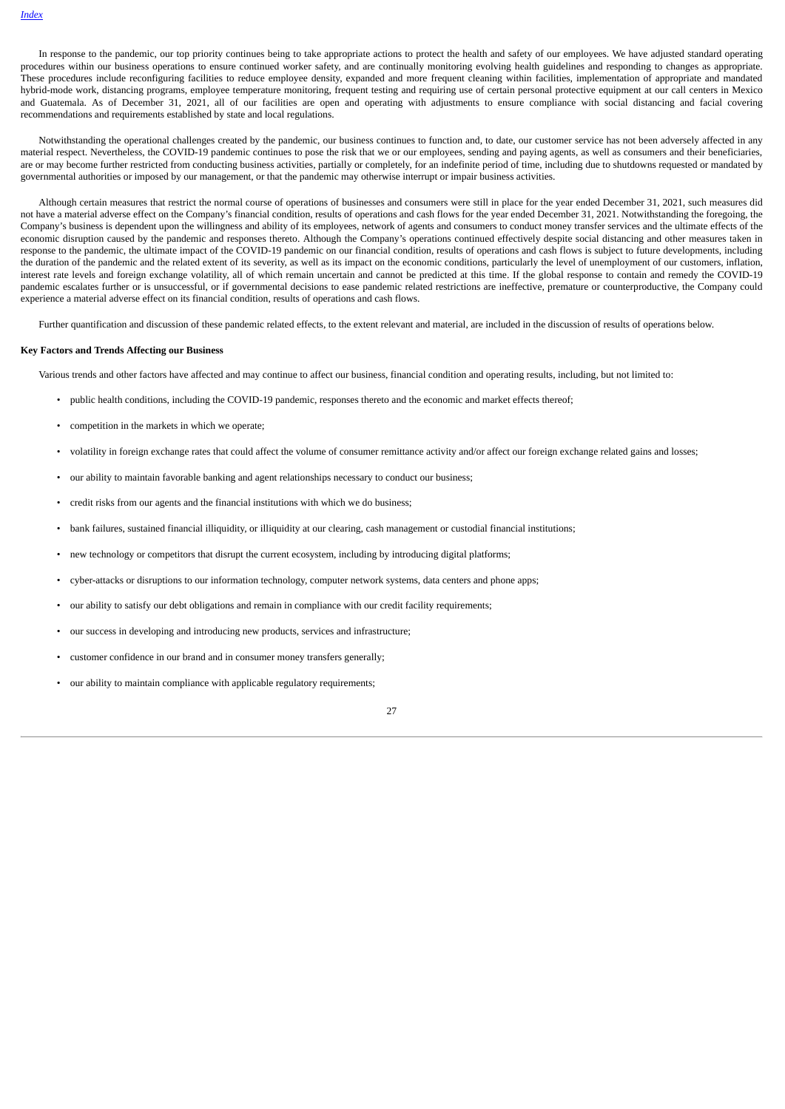In response to the pandemic, our top priority continues being to take appropriate actions to protect the health and safety of our employees. We have adjusted standard operating procedures within our business operations to ensure continued worker safety, and are continually monitoring evolving health guidelines and responding to changes as appropriate. These procedures include reconfiguring facilities to reduce employee density, expanded and more frequent cleaning within facilities, implementation of appropriate and mandated hybrid-mode work, distancing programs, employee temperature monitoring, frequent testing and requiring use of certain personal protective equipment at our call centers in Mexico and Guatemala. As of December 31, 2021, all of our facilities are open and operating with adjustments to ensure compliance with social distancing and facial covering recommendations and requirements established by state and local regulations.

Notwithstanding the operational challenges created by the pandemic, our business continues to function and, to date, our customer service has not been adversely affected in any material respect. Nevertheless, the COVID-19 pandemic continues to pose the risk that we or our employees, sending and paying agents, as well as consumers and their beneficiaries, are or may become further restricted from conducting business activities, partially or completely, for an indefinite period of time, including due to shutdowns requested or mandated by governmental authorities or imposed by our management, or that the pandemic may otherwise interrupt or impair business activities.

Although certain measures that restrict the normal course of operations of businesses and consumers were still in place for the year ended December 31, 2021, such measures did not have a material adverse effect on the Company's financial condition, results of operations and cash flows for the year ended December 31, 2021. Notwithstanding the foregoing, the Company's business is dependent upon the willingness and ability of its employees, network of agents and consumers to conduct money transfer services and the ultimate effects of the economic disruption caused by the pandemic and responses thereto. Although the Company's operations continued effectively despite social distancing and other measures taken in response to the pandemic, the ultimate impact of the COVID-19 pandemic on our financial condition, results of operations and cash flows is subject to future developments, including the duration of the pandemic and the related extent of its severity, as well as its impact on the economic conditions, particularly the level of unemployment of our customers, inflation, interest rate levels and foreign exchange volatility, all of which remain uncertain and cannot be predicted at this time. If the global response to contain and remedy the COVID-19 pandemic escalates further or is unsuccessful, or if governmental decisions to ease pandemic related restrictions are ineffective, premature or counterproductive, the Company could experience a material adverse effect on its financial condition, results of operations and cash flows.

Further quantification and discussion of these pandemic related effects, to the extent relevant and material, are included in the discussion of results of operations below.

#### **Key Factors and Trends Affecting our Business**

Various trends and other factors have affected and may continue to affect our business, financial condition and operating results, including, but not limited to:

- public health conditions, including the COVID-19 pandemic, responses thereto and the economic and market effects thereof;
- competition in the markets in which we operate;
- volatility in foreign exchange rates that could affect the volume of consumer remittance activity and/or affect our foreign exchange related gains and losses;
- our ability to maintain favorable banking and agent relationships necessary to conduct our business;
- credit risks from our agents and the financial institutions with which we do business;
- bank failures, sustained financial illiquidity, or illiquidity at our clearing, cash management or custodial financial institutions;
- new technology or competitors that disrupt the current ecosystem, including by introducing digital platforms;
- cyber-attacks or disruptions to our information technology, computer network systems, data centers and phone apps;
- our ability to satisfy our debt obligations and remain in compliance with our credit facility requirements;
- our success in developing and introducing new products, services and infrastructure;
- customer confidence in our brand and in consumer money transfers generally;
- our ability to maintain compliance with applicable regulatory requirements;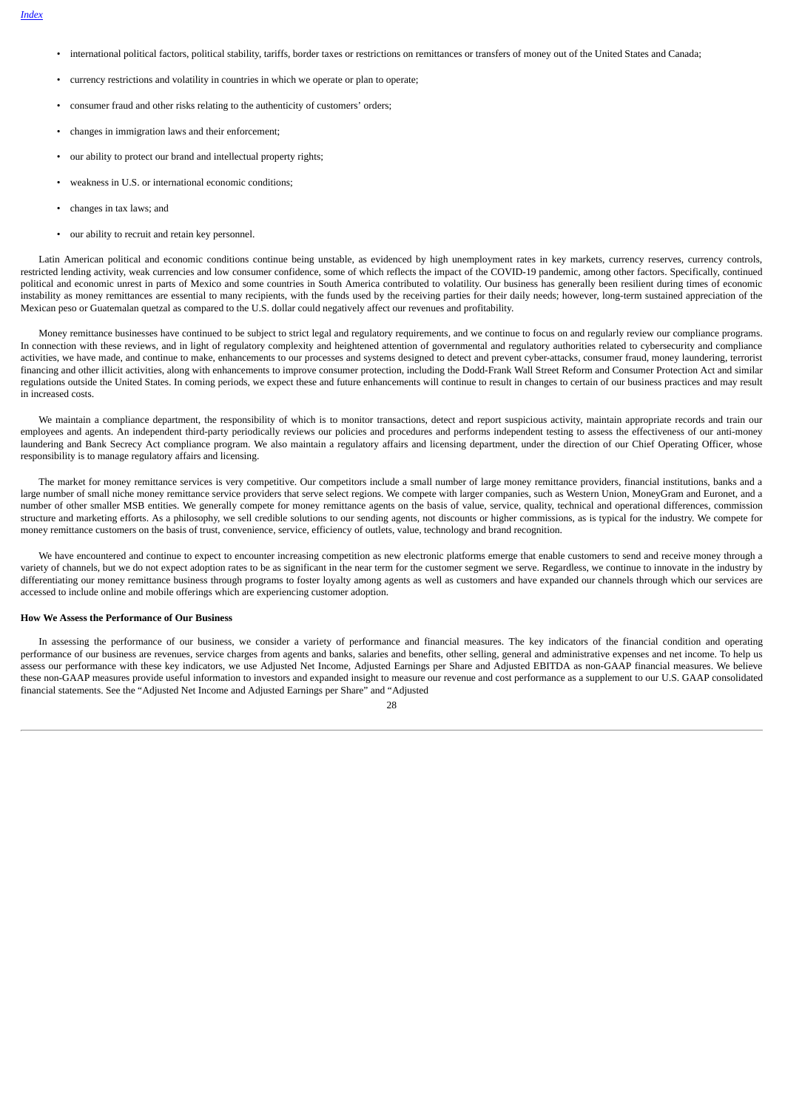- international political factors, political stability, tariffs, border taxes or restrictions on remittances or transfers of money out of the United States and Canada;
- currency restrictions and volatility in countries in which we operate or plan to operate;
- consumer fraud and other risks relating to the authenticity of customers' orders;
- changes in immigration laws and their enforcement;
- our ability to protect our brand and intellectual property rights;
- weakness in U.S. or international economic conditions;
- changes in tax laws; and
- our ability to recruit and retain key personnel.

Latin American political and economic conditions continue being unstable, as evidenced by high unemployment rates in key markets, currency reserves, currency controls, restricted lending activity, weak currencies and low consumer confidence, some of which reflects the impact of the COVID-19 pandemic, among other factors. Specifically, continued political and economic unrest in parts of Mexico and some countries in South America contributed to volatility. Our business has generally been resilient during times of economic instability as money remittances are essential to many recipients, with the funds used by the receiving parties for their daily needs; however, long-term sustained appreciation of the Mexican peso or Guatemalan quetzal as compared to the U.S. dollar could negatively affect our revenues and profitability.

Money remittance businesses have continued to be subject to strict legal and regulatory requirements, and we continue to focus on and regularly review our compliance programs. In connection with these reviews, and in light of regulatory complexity and heightened attention of governmental and regulatory authorities related to cybersecurity and compliance activities, we have made, and continue to make, enhancements to our processes and systems designed to detect and prevent cyber-attacks, consumer fraud, money laundering, terrorist financing and other illicit activities, along with enhancements to improve consumer protection, including the Dodd-Frank Wall Street Reform and Consumer Protection Act and similar regulations outside the United States. In coming periods, we expect these and future enhancements will continue to result in changes to certain of our business practices and may result in increased costs.

We maintain a compliance department, the responsibility of which is to monitor transactions, detect and report suspicious activity, maintain appropriate records and train our employees and agents. An independent third-party periodically reviews our policies and procedures and performs independent testing to assess the effectiveness of our anti-money laundering and Bank Secrecy Act compliance program. We also maintain a regulatory affairs and licensing department, under the direction of our Chief Operating Officer, whose responsibility is to manage regulatory affairs and licensing.

The market for money remittance services is very competitive. Our competitors include a small number of large money remittance providers, financial institutions, banks and a large number of small niche money remittance service providers that serve select regions. We compete with larger companies, such as Western Union, MoneyGram and Euronet, and a number of other smaller MSB entities. We generally compete for money remittance agents on the basis of value, service, quality, technical and operational differences, commission structure and marketing efforts. As a philosophy, we sell credible solutions to our sending agents, not discounts or higher commissions, as is typical for the industry. We compete for money remittance customers on the basis of trust, convenience, service, efficiency of outlets, value, technology and brand recognition.

We have encountered and continue to expect to encounter increasing competition as new electronic platforms emerge that enable customers to send and receive money through a variety of channels, but we do not expect adoption rates to be as significant in the near term for the customer segment we serve. Regardless, we continue to innovate in the industry by differentiating our money remittance business through programs to foster loyalty among agents as well as customers and have expanded our channels through which our services are accessed to include online and mobile offerings which are experiencing customer adoption.

## **How We Assess the Performance of Our Business**

In assessing the performance of our business, we consider a variety of performance and financial measures. The key indicators of the financial condition and operating performance of our business are revenues, service charges from agents and banks, salaries and benefits, other selling, general and administrative expenses and net income. To help us assess our performance with these key indicators, we use Adjusted Net Income, Adjusted Earnings per Share and Adjusted EBITDA as non-GAAP financial measures. We believe these non-GAAP measures provide useful information to investors and expanded insight to measure our revenue and cost performance as a supplement to our U.S. GAAP consolidated financial statements. See the "Adjusted Net Income and Adjusted Earnings per Share" and "Adjusted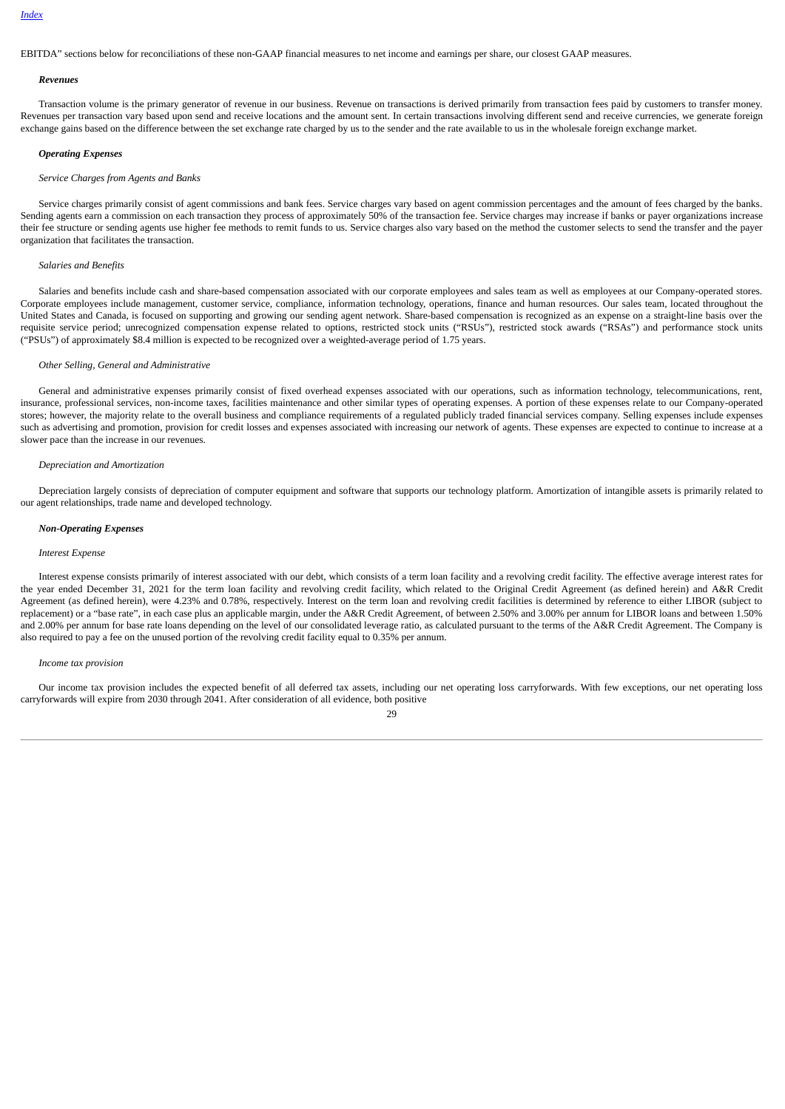EBITDA" sections below for reconciliations of these non-GAAP financial measures to net income and earnings per share, our closest GAAP measures.

#### *Revenues*

Transaction volume is the primary generator of revenue in our business. Revenue on transactions is derived primarily from transaction fees paid by customers to transfer money. Revenues per transaction vary based upon send and receive locations and the amount sent. In certain transactions involving different send and receive currencies, we generate foreign exchange gains based on the difference between the set exchange rate charged by us to the sender and the rate available to us in the wholesale foreign exchange market.

#### *Operating Expenses*

## *Service Charges from Agents and Banks*

Service charges primarily consist of agent commissions and bank fees. Service charges vary based on agent commission percentages and the amount of fees charged by the banks. Sending agents earn a commission on each transaction they process of approximately 50% of the transaction fee. Service charges may increase if banks or payer organizations increase their fee structure or sending agents use higher fee methods to remit funds to us. Service charges also vary based on the method the customer selects to send the transfer and the payer organization that facilitates the transaction.

## *Salaries and Benefits*

Salaries and benefits include cash and share-based compensation associated with our corporate employees and sales team as well as employees at our Company-operated stores. Corporate employees include management, customer service, compliance, information technology, operations, finance and human resources. Our sales team, located throughout the United States and Canada, is focused on supporting and growing our sending agent network. Share-based compensation is recognized as an expense on a straight-line basis over the requisite service period; unrecognized compensation expense related to options, restricted stock units ("RSUs"), restricted stock awards ("RSAs") and performance stock units ("PSUs") of approximately \$8.4 million is expected to be recognized over a weighted-average period of 1.75 years.

## *Other Selling, General and Administrative*

General and administrative expenses primarily consist of fixed overhead expenses associated with our operations, such as information technology, telecommunications, rent, insurance, professional services, non-income taxes, facilities maintenance and other similar types of operating expenses. A portion of these expenses relate to our Company-operated stores; however, the majority relate to the overall business and compliance requirements of a regulated publicly traded financial services company. Selling expenses include expenses such as advertising and promotion, provision for credit losses and expenses associated with increasing our network of agents. These expenses are expected to continue to increase at a slower pace than the increase in our revenues.

#### *Depreciation and Amortization*

Depreciation largely consists of depreciation of computer equipment and software that supports our technology platform. Amortization of intangible assets is primarily related to our agent relationships, trade name and developed technology.

### *Non-Operating Expenses*

#### *Interest Expense*

Interest expense consists primarily of interest associated with our debt, which consists of a term loan facility and a revolving credit facility. The effective average interest rates for the year ended December 31, 2021 for the term loan facility and revolving credit facility, which related to the Original Credit Agreement (as defined herein) and A&R Credit Agreement (as defined herein), were 4.23% and 0.78%, respectively. Interest on the term loan and revolving credit facilities is determined by reference to either LIBOR (subject to replacement) or a "base rate", in each case plus an applicable margin, under the A&R Credit Agreement, of between 2.50% and 3.00% per annum for LIBOR loans and between 1.50% and 2.00% per annum for base rate loans depending on the level of our consolidated leverage ratio, as calculated pursuant to the terms of the A&R Credit Agreement. The Company is also required to pay a fee on the unused portion of the revolving credit facility equal to 0.35% per annum.

#### *Income tax provision*

Our income tax provision includes the expected benefit of all deferred tax assets, including our net operating loss carryforwards. With few exceptions, our net operating loss carryforwards will expire from 2030 through 2041. After consideration of all evidence, both positive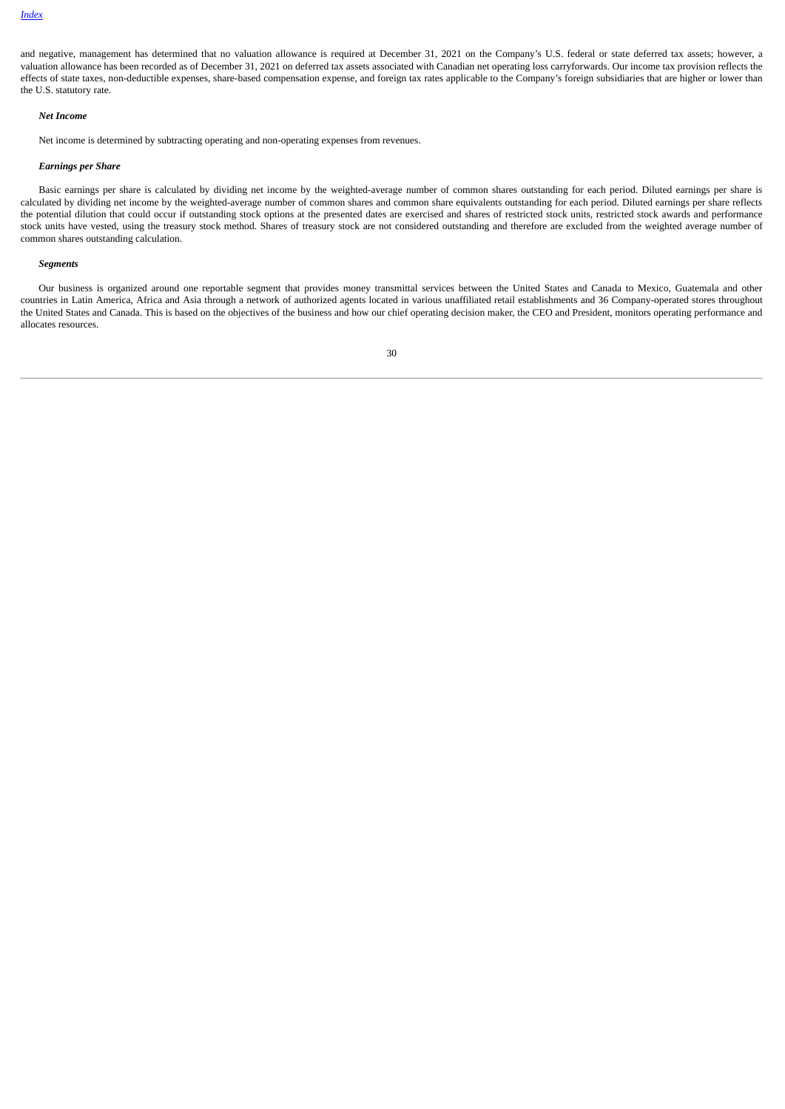and negative, management has determined that no valuation allowance is required at December 31, 2021 on the Company's U.S. federal or state deferred tax assets; however, a valuation allowance has been recorded as of December 31, 2021 on deferred tax assets associated with Canadian net operating loss carryforwards. Our income tax provision reflects the effects of state taxes, non-deductible expenses, share-based compensation expense, and foreign tax rates applicable to the Company's foreign subsidiaries that are higher or lower than the U.S. statutory rate.

#### *Net Income*

Net income is determined by subtracting operating and non-operating expenses from revenues.

# *Earnings per Share*

Basic earnings per share is calculated by dividing net income by the weighted-average number of common shares outstanding for each period. Diluted earnings per share is calculated by dividing net income by the weighted-average number of common shares and common share equivalents outstanding for each period. Diluted earnings per share reflects the potential dilution that could occur if outstanding stock options at the presented dates are exercised and shares of restricted stock units, restricted stock awards and performance stock units have vested, using the treasury stock method. Shares of treasury stock are not considered outstanding and therefore are excluded from the weighted average number of common shares outstanding calculation.

#### *Segments*

Our business is organized around one reportable segment that provides money transmittal services between the United States and Canada to Mexico, Guatemala and other countries in Latin America, Africa and Asia through a network of authorized agents located in various unaffiliated retail establishments and 36 Company-operated stores throughout the United States and Canada. This is based on the objectives of the business and how our chief operating decision maker, the CEO and President, monitors operating performance and allocates resources.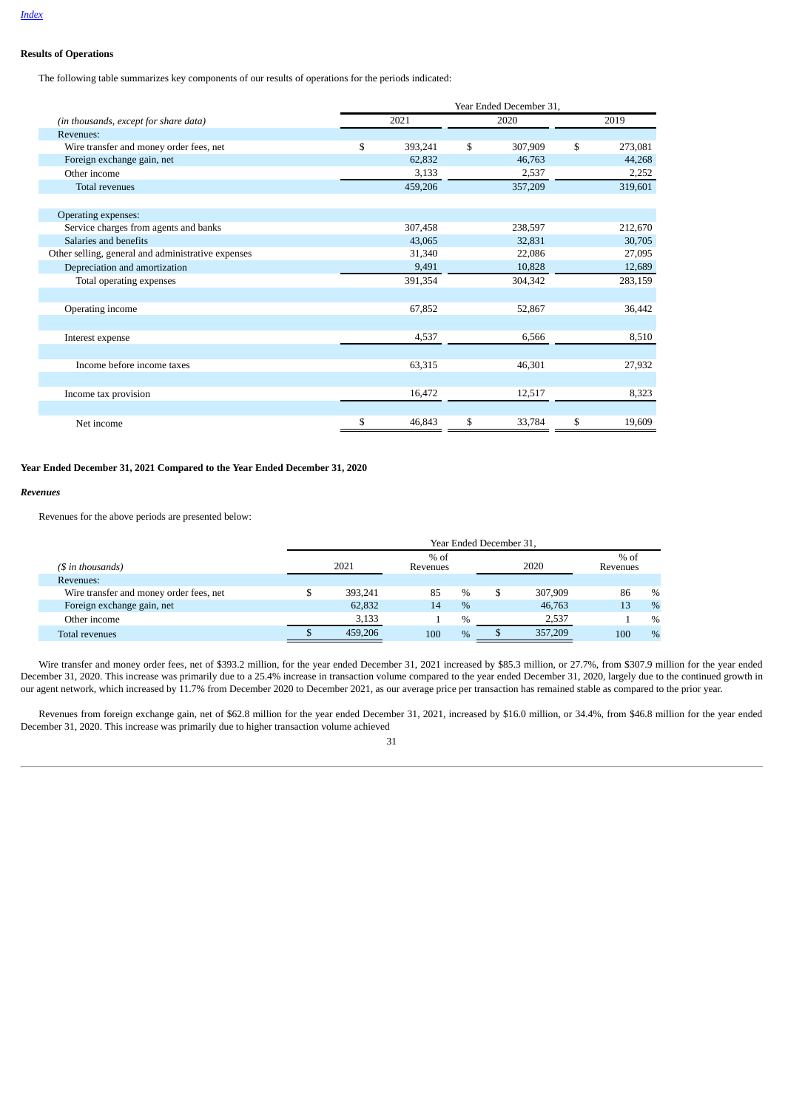# **Results of Operations**

The following table summarizes key components of our results of operations for the periods indicated:

|                                                    | Year Ended December 31, |    |         |    |         |  |  |  |
|----------------------------------------------------|-------------------------|----|---------|----|---------|--|--|--|
| (in thousands, except for share data)              | 2021                    |    | 2020    |    | 2019    |  |  |  |
| Revenues:                                          |                         |    |         |    |         |  |  |  |
| Wire transfer and money order fees, net            | \$<br>393,241           | \$ | 307,909 | \$ | 273,081 |  |  |  |
| Foreign exchange gain, net                         | 62,832                  |    | 46,763  |    | 44,268  |  |  |  |
| Other income                                       | 3,133                   |    | 2,537   |    | 2,252   |  |  |  |
| <b>Total revenues</b>                              | 459,206                 |    | 357,209 |    | 319,601 |  |  |  |
|                                                    |                         |    |         |    |         |  |  |  |
| Operating expenses:                                |                         |    |         |    |         |  |  |  |
| Service charges from agents and banks              | 307,458                 |    | 238,597 |    | 212,670 |  |  |  |
| Salaries and benefits                              | 43,065                  |    | 32,831  |    | 30,705  |  |  |  |
| Other selling, general and administrative expenses | 31,340                  |    | 22,086  |    | 27,095  |  |  |  |
| Depreciation and amortization                      | 9,491                   |    | 10,828  |    | 12,689  |  |  |  |
| Total operating expenses                           | 391,354                 |    | 304,342 |    | 283,159 |  |  |  |
|                                                    |                         |    |         |    |         |  |  |  |
| Operating income                                   | 67,852                  |    | 52,867  |    | 36,442  |  |  |  |
|                                                    |                         |    |         |    |         |  |  |  |
| Interest expense                                   | 4,537                   |    | 6,566   |    | 8,510   |  |  |  |
|                                                    |                         |    |         |    |         |  |  |  |
| Income before income taxes                         | 63,315                  |    | 46,301  |    | 27,932  |  |  |  |
|                                                    |                         |    |         |    |         |  |  |  |
| Income tax provision                               | 16,472                  |    | 12,517  |    | 8,323   |  |  |  |
|                                                    |                         |    |         |    |         |  |  |  |
|                                                    | \$<br>46,843            | \$ | 33,784  | \$ | 19,609  |  |  |  |
| Net income                                         |                         |    |         |    |         |  |  |  |

# **Year Ended December 31, 2021 Compared to the Year Ended December 31, 2020**

## *Revenues*

Revenues for the above periods are presented below:

|                                         | Year Ended December 31. |         |      |                    |  |         |     |      |  |  |  |
|-----------------------------------------|-------------------------|---------|------|--------------------|--|---------|-----|------|--|--|--|
| (\$ in thousands)                       |                         | 2021    | 2020 | $%$ of<br>Revenues |  |         |     |      |  |  |  |
| Revenues:                               |                         |         |      |                    |  |         |     |      |  |  |  |
| Wire transfer and money order fees, net |                         | 393.241 | 85   | $\frac{0}{0}$      |  | 307,909 | 86  | $\%$ |  |  |  |
| Foreign exchange gain, net              |                         | 62,832  | 14   | $\%$               |  | 46,763  | 13  | $\%$ |  |  |  |
| Other income                            |                         | 3.133   |      | $\frac{0}{0}$      |  | 2.537   |     | $\%$ |  |  |  |
| Total revenues                          |                         | 459,206 | 100  | $\%$               |  | 357,209 | 100 | $\%$ |  |  |  |

Wire transfer and money order fees, net of \$393.2 million, for the year ended December 31, 2021 increased by \$85.3 million, or 27.7%, from \$307.9 million for the year ended December 31, 2020. This increase was primarily due to a 25.4% increase in transaction volume compared to the year ended December 31, 2020, largely due to the continued growth in our agent network, which increased by 11.7% from December 2020 to December 2021, as our average price per transaction has remained stable as compared to the prior year.

Revenues from foreign exchange gain, net of \$62.8 million for the year ended December 31, 2021, increased by \$16.0 million, or 34.4%, from \$46.8 million for the year ended December 31, 2020. This increase was primarily due to higher transaction volume achieved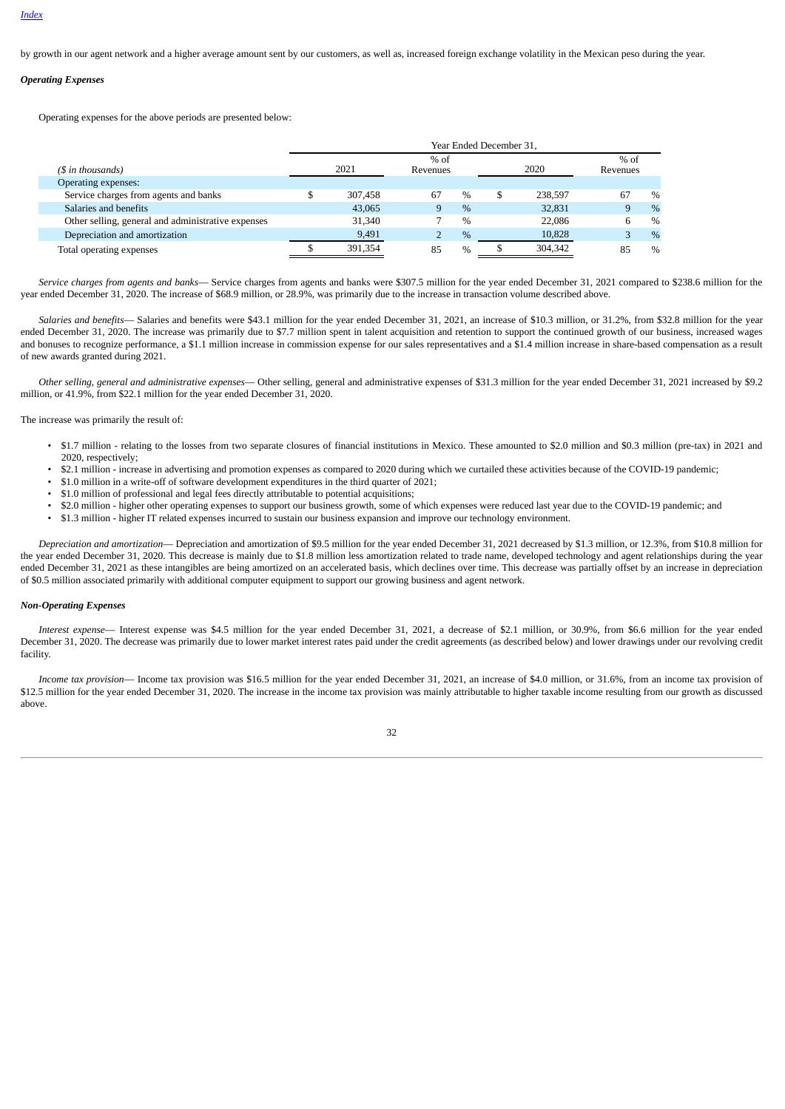by growth in our agent network and a higher average amount sent by our customers, as well as, increased foreign exchange volatility in the Mexican peso during the year.

#### *Operating Expenses*

Operating expenses for the above periods are presented below:

|                                                    | Year Ended December 31. |         |                    |               |  |         |                    |               |  |  |  |  |
|----------------------------------------------------|-------------------------|---------|--------------------|---------------|--|---------|--------------------|---------------|--|--|--|--|
| (\$ in thousands)                                  |                         | 2021    | $%$ of<br>Revenues |               |  | 2020    | $%$ of<br>Revenues |               |  |  |  |  |
| Operating expenses:                                |                         |         |                    |               |  |         |                    |               |  |  |  |  |
| Service charges from agents and banks              |                         | 307,458 | 67                 | $\%$          |  | 238,597 | 67                 | $\%$          |  |  |  |  |
| Salaries and benefits                              |                         | 43,065  |                    | $\frac{0}{0}$ |  | 32,831  | 9                  | $\%$          |  |  |  |  |
| Other selling, general and administrative expenses |                         | 31.340  |                    | $\frac{0}{0}$ |  | 22,086  | 6                  | $\%$          |  |  |  |  |
| Depreciation and amortization                      |                         | 9,491   |                    | $\frac{0}{0}$ |  | 10,828  | c                  | %             |  |  |  |  |
| Total operating expenses                           |                         | 391,354 | 85                 | $\%$          |  | 304,342 | 85                 | $\frac{0}{6}$ |  |  |  |  |

*Service charges from agents and banks*— Service charges from agents and banks were \$307.5 million for the year ended December 31, 2021 compared to \$238.6 million for the year ended December 31, 2020. The increase of \$68.9 million, or 28.9%, was primarily due to the increase in transaction volume described above.

*Salaries and benefits*— Salaries and benefits were \$43.1 million for the year ended December 31, 2021, an increase of \$10.3 million, or 31.2%, from \$32.8 million for the year ended December 31, 2020. The increase was primarily due to \$7.7 million spent in talent acquisition and retention to support the continued growth of our business, increased wages and bonuses to recognize performance, a \$1.1 million increase in commission expense for our sales representatives and a \$1.4 million increase in share-based compensation as a result of new awards granted during 2021.

*Other selling, general and administrative expenses*— Other selling, general and administrative expenses of \$31.3 million for the year ended December 31, 2021 increased by \$9.2 million, or 41.9%, from \$22.1 million for the year ended December 31, 2020.

The increase was primarily the result of:

- \$1.7 million relating to the losses from two separate closures of financial institutions in Mexico. These amounted to \$2.0 million and \$0.3 million (pre-tax) in 2021 and 2020, respectively;
- \$2.1 million increase in advertising and promotion expenses as compared to 2020 during which we curtailed these activities because of the COVID-19 pandemic;
- \$1.0 million in a write-off of software development expenditures in the third quarter of 2021;
- \$1.0 million of professional and legal fees directly attributable to potential acquisitions;
- \$2.0 million higher other operating expenses to support our business growth, some of which expenses were reduced last year due to the COVID-19 pandemic; and
- \$1.3 million higher IT related expenses incurred to sustain our business expansion and improve our technology environment.

*Depreciation and amortization*— Depreciation and amortization of \$9.5 million for the year ended December 31, 2021 decreased by \$1.3 million, or 12.3%, from \$10.8 million for the year ended December 31, 2020. This decrease is mainly due to \$1.8 million less amortization related to trade name, developed technology and agent relationships during the year ended December 31, 2021 as these intangibles are being amortized on an accelerated basis, which declines over time. This decrease was partially offset by an increase in depreciation of \$0.5 million associated primarily with additional computer equipment to support our growing business and agent network.

#### *Non-Operating Expenses*

*Interest expense*— Interest expense was \$4.5 million for the year ended December 31, 2021, a decrease of \$2.1 million, or 30.9%, from \$6.6 million for the year ended December 31, 2020. The decrease was primarily due to lower market interest rates paid under the credit agreements (as described below) and lower drawings under our revolving credit facility.

*Income tax provision*— Income tax provision was \$16.5 million for the year ended December 31, 2021, an increase of \$4.0 million, or 31.6%, from an income tax provision of \$12.5 million for the year ended December 31, 2020. The increase in the income tax provision was mainly attributable to higher taxable income resulting from our growth as discussed above.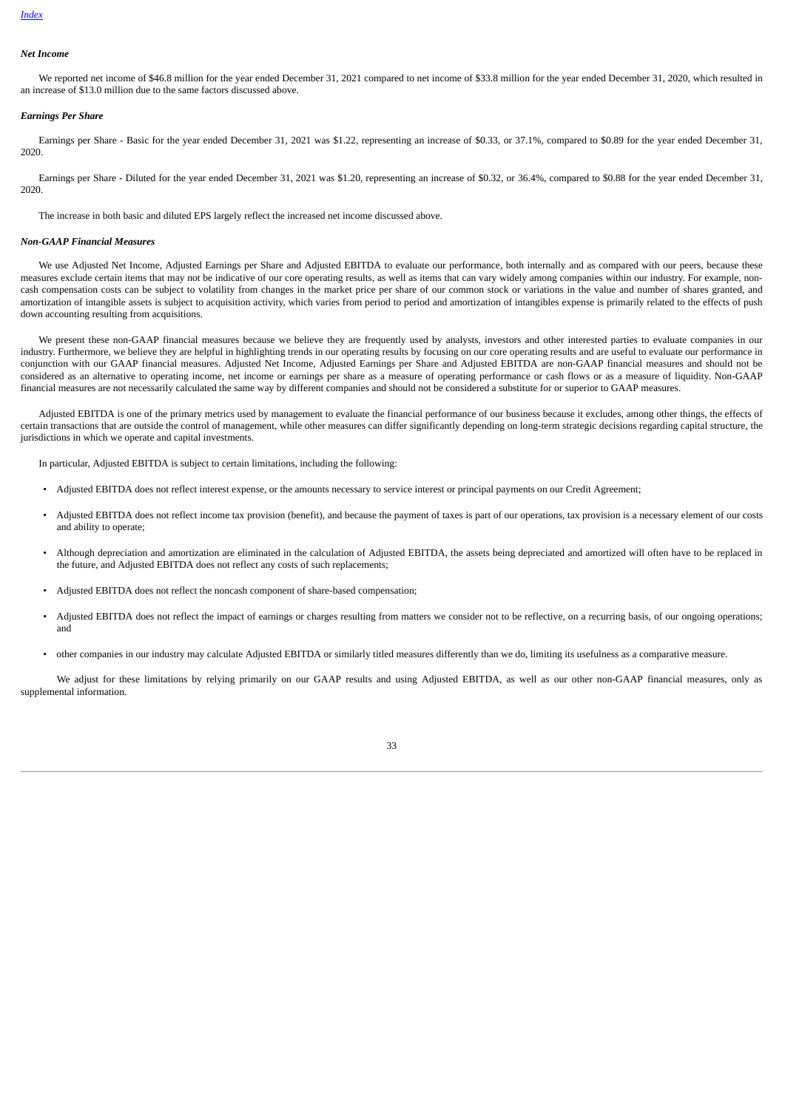#### *Net Income*

We reported net income of \$46.8 million for the year ended December 31, 2021 compared to net income of \$33.8 million for the year ended December 31, 2020, which resulted in an increase of \$13.0 million due to the same factors discussed above.

#### *Earnings Per Share*

Earnings per Share - Basic for the year ended December 31, 2021 was \$1.22, representing an increase of \$0.33, or 37.1%, compared to \$0.89 for the year ended December 31, 2020.

Earnings per Share - Diluted for the year ended December 31, 2021 was \$1.20, representing an increase of \$0.32, or 36.4%, compared to \$0.88 for the year ended December 31, 2020.

The increase in both basic and diluted EPS largely reflect the increased net income discussed above.

#### *Non-GAAP Financial Measures*

We use Adjusted Net Income, Adjusted Earnings per Share and Adjusted EBITDA to evaluate our performance, both internally and as compared with our peers, because these measures exclude certain items that may not be indicative of our core operating results, as well as items that can vary widely among companies within our industry. For example, noncash compensation costs can be subject to volatility from changes in the market price per share of our common stock or variations in the value and number of shares granted, and amortization of intangible assets is subject to acquisition activity, which varies from period to period and amortization of intangibles expense is primarily related to the effects of push down accounting resulting from acquisitions.

We present these non-GAAP financial measures because we believe they are frequently used by analysts, investors and other interested parties to evaluate companies in our industry. Furthermore, we believe they are helpful in highlighting trends in our operating results by focusing on our core operating results and are useful to evaluate our performance in conjunction with our GAAP financial measures. Adjusted Net Income, Adjusted Earnings per Share and Adjusted EBITDA are non-GAAP financial measures and should not be considered as an alternative to operating income, net income or earnings per share as a measure of operating performance or cash flows or as a measure of liquidity. Non-GAAP financial measures are not necessarily calculated the same way by different companies and should not be considered a substitute for or superior to GAAP measures.

Adjusted EBITDA is one of the primary metrics used by management to evaluate the financial performance of our business because it excludes, among other things, the effects of certain transactions that are outside the control of management, while other measures can differ significantly depending on long-term strategic decisions regarding capital structure, the jurisdictions in which we operate and capital investments.

In particular, Adjusted EBITDA is subject to certain limitations, including the following:

- Adjusted EBITDA does not reflect interest expense, or the amounts necessary to service interest or principal payments on our Credit Agreement;
- Adjusted EBITDA does not reflect income tax provision (benefit), and because the payment of taxes is part of our operations, tax provision is a necessary element of our costs and ability to operate;
- Although depreciation and amortization are eliminated in the calculation of Adjusted EBITDA, the assets being depreciated and amortized will often have to be replaced in the future, and Adjusted EBITDA does not reflect any costs of such replacements;
- Adjusted EBITDA does not reflect the noncash component of share-based compensation;
- Adjusted EBITDA does not reflect the impact of earnings or charges resulting from matters we consider not to be reflective, on a recurring basis, of our ongoing operations; and
- other companies in our industry may calculate Adjusted EBITDA or similarly titled measures differently than we do, limiting its usefulness as a comparative measure.

We adjust for these limitations by relying primarily on our GAAP results and using Adjusted EBITDA, as well as our other non-GAAP financial measures, only as supplemental information.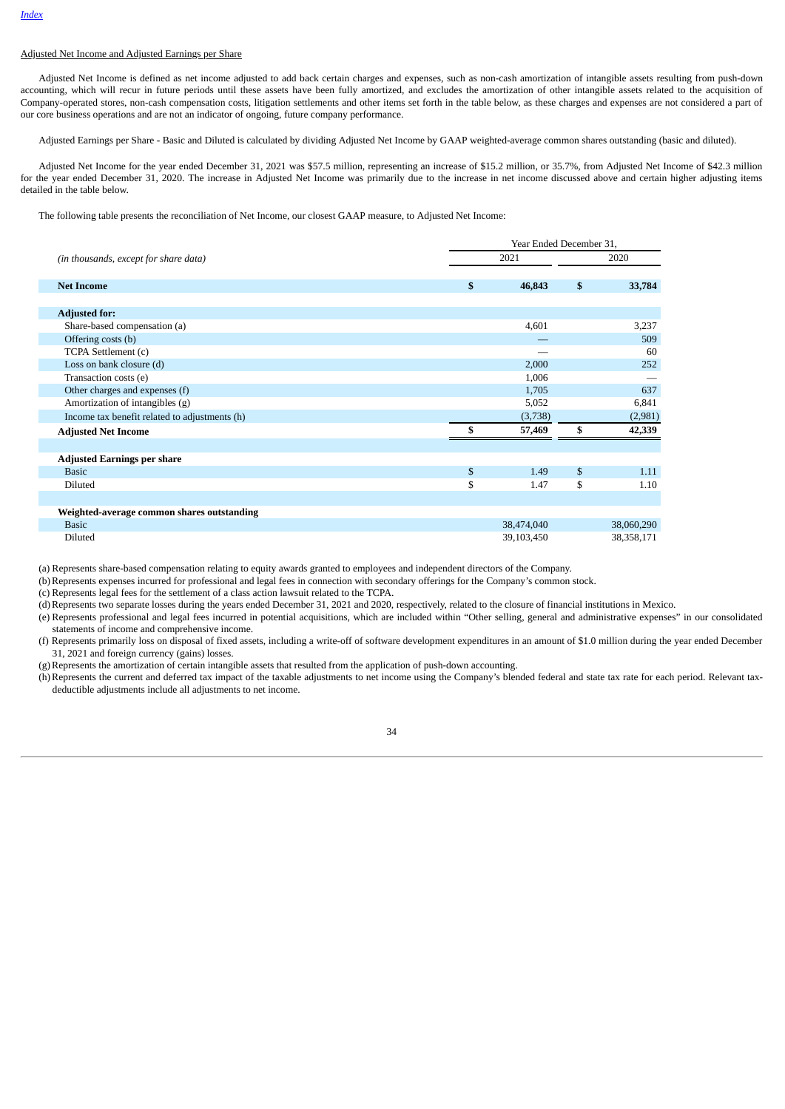### Adjusted Net Income and Adjusted Earnings per Share

Adjusted Net Income is defined as net income adjusted to add back certain charges and expenses, such as non-cash amortization of intangible assets resulting from push-down accounting, which will recur in future periods until these assets have been fully amortized, and excludes the amortization of other intangible assets related to the acquisition of Company-operated stores, non-cash compensation costs, litigation settlements and other items set forth in the table below, as these charges and expenses are not considered a part of our core business operations and are not an indicator of ongoing, future company performance.

Adjusted Earnings per Share - Basic and Diluted is calculated by dividing Adjusted Net Income by GAAP weighted-average common shares outstanding (basic and diluted).

Adjusted Net Income for the year ended December 31, 2021 was \$57.5 million, representing an increase of \$15.2 million, or 35.7%, from Adjusted Net Income of \$42.3 million for the year ended December 31, 2020. The increase in Adjusted Net Income was primarily due to the increase in net income discussed above and certain higher adjusting items detailed in the table below.

The following table presents the reconciliation of Net Income, our closest GAAP measure, to Adjusted Net Income:

|                                               | Year Ended December 31. |      |            |  |  |  |  |  |
|-----------------------------------------------|-------------------------|------|------------|--|--|--|--|--|
| (in thousands, except for share data)         | 2021                    | 2020 |            |  |  |  |  |  |
| <b>Net Income</b>                             | \$<br>46,843            | \$   | 33,784     |  |  |  |  |  |
|                                               |                         |      |            |  |  |  |  |  |
| <b>Adjusted for:</b>                          |                         |      |            |  |  |  |  |  |
| Share-based compensation (a)                  | 4,601                   |      | 3,237      |  |  |  |  |  |
| Offering costs (b)                            |                         |      | 509        |  |  |  |  |  |
| TCPA Settlement (c)                           |                         |      | 60         |  |  |  |  |  |
| Loss on bank closure (d)                      | 2,000                   |      | 252        |  |  |  |  |  |
| Transaction costs (e)                         | 1,006                   |      |            |  |  |  |  |  |
| Other charges and expenses (f)                | 1,705                   |      | 637        |  |  |  |  |  |
| Amortization of intangibles (g)               | 5,052                   |      | 6,841      |  |  |  |  |  |
| Income tax benefit related to adjustments (h) | (3,738)                 |      | (2,981)    |  |  |  |  |  |
| <b>Adjusted Net Income</b>                    | 57,469                  | \$   | 42,339     |  |  |  |  |  |
|                                               |                         |      |            |  |  |  |  |  |
| <b>Adjusted Earnings per share</b>            |                         |      |            |  |  |  |  |  |
| <b>Basic</b>                                  | \$<br>1.49              | \$   | 1.11       |  |  |  |  |  |
| Diluted                                       | \$<br>1.47              | \$   | 1.10       |  |  |  |  |  |
|                                               |                         |      |            |  |  |  |  |  |
| Weighted-average common shares outstanding    |                         |      |            |  |  |  |  |  |
| <b>Basic</b>                                  | 38,474,040              |      | 38,060,290 |  |  |  |  |  |
| Diluted                                       | 39,103,450              |      | 38,358,171 |  |  |  |  |  |

(a) Represents share-based compensation relating to equity awards granted to employees and independent directors of the Company.

(b)Represents expenses incurred for professional and legal fees in connection with secondary offerings for the Company's common stock.

(c) Represents legal fees for the settlement of a class action lawsuit related to the TCPA.

(d)Represents two separate losses during the years ended December 31, 2021 and 2020, respectively, related to the closure of financial institutions in Mexico.

(e) Represents professional and legal fees incurred in potential acquisitions, which are included within "Other selling, general and administrative expenses" in our consolidated statements of income and comprehensive income.

(f) Represents primarily loss on disposal of fixed assets, including a write-off of software development expenditures in an amount of \$1.0 million during the year ended December 31, 2021 and foreign currency (gains) losses.

(g)Represents the amortization of certain intangible assets that resulted from the application of push-down accounting.

(h)Represents the current and deferred tax impact of the taxable adjustments to net income using the Company's blended federal and state tax rate for each period. Relevant taxdeductible adjustments include all adjustments to net income.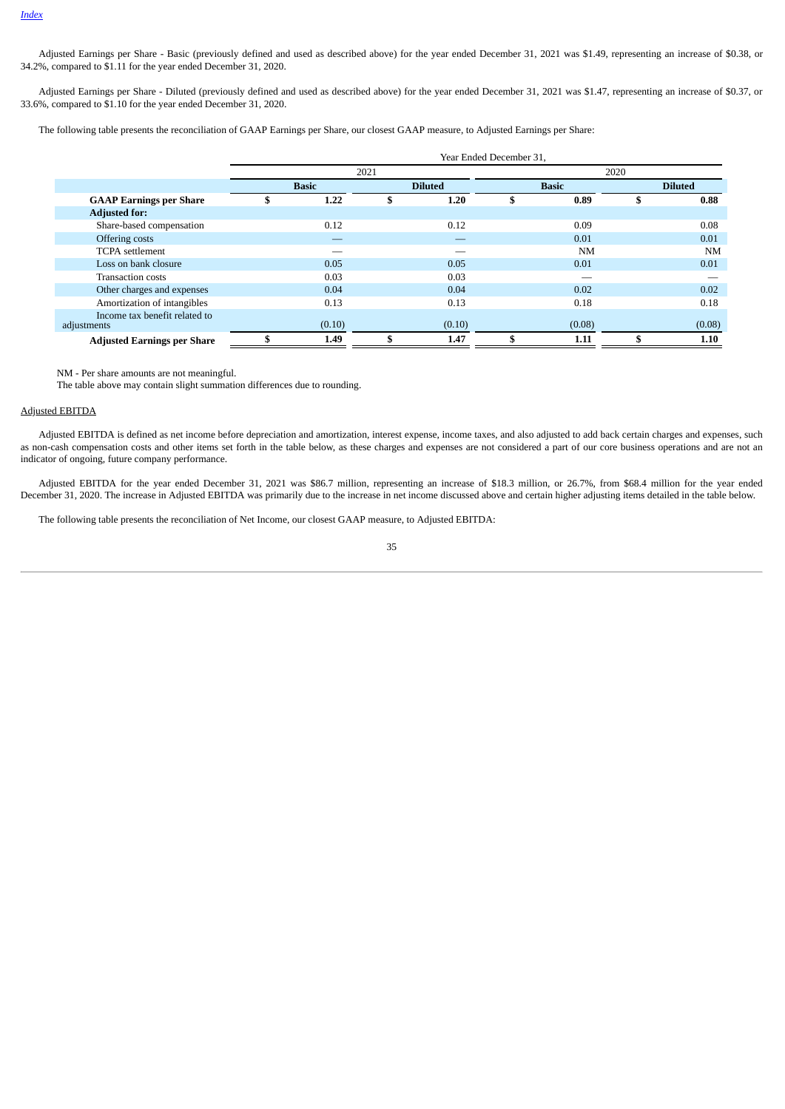Adjusted Earnings per Share - Basic (previously defined and used as described above) for the year ended December 31, 2021 was \$1.49, representing an increase of \$0.38, or 34.2%, compared to \$1.11 for the year ended December 31, 2020.

Adjusted Earnings per Share - Diluted (previously defined and used as described above) for the year ended December 31, 2021 was \$1.47, representing an increase of \$0.37, or 33.6%, compared to \$1.10 for the year ended December 31, 2020.

The following table presents the reconciliation of GAAP Earnings per Share, our closest GAAP measure, to Adjusted Earnings per Share:

|                                              | Year Ended December 31, |              |      |                |  |              |                |        |  |  |  |
|----------------------------------------------|-------------------------|--------------|------|----------------|--|--------------|----------------|--------|--|--|--|
|                                              |                         |              | 2021 |                |  | 2020         |                |        |  |  |  |
|                                              |                         | <b>Basic</b> |      | <b>Diluted</b> |  | <b>Basic</b> | <b>Diluted</b> |        |  |  |  |
| <b>GAAP Earnings per Share</b>               |                         | 1.22         |      | 1.20           |  | 0.89         |                | 0.88   |  |  |  |
| <b>Adjusted for:</b>                         |                         |              |      |                |  |              |                |        |  |  |  |
| Share-based compensation                     |                         | 0.12         |      | 0.12           |  | 0.09         |                | 0.08   |  |  |  |
| Offering costs                               |                         |              |      | _              |  | 0.01         |                | 0.01   |  |  |  |
| <b>TCPA</b> settlement                       |                         | _            |      |                |  | NM           |                | NM     |  |  |  |
| Loss on bank closure                         |                         | 0.05         |      | 0.05           |  | 0.01         |                | 0.01   |  |  |  |
| <b>Transaction costs</b>                     |                         | 0.03         |      | 0.03           |  |              |                |        |  |  |  |
| Other charges and expenses                   |                         | 0.04         |      | 0.04           |  | 0.02         |                | 0.02   |  |  |  |
| Amortization of intangibles                  |                         | 0.13         |      | 0.13           |  | 0.18         |                | 0.18   |  |  |  |
| Income tax benefit related to<br>adjustments |                         | (0.10)       |      | (0.10)         |  | (0.08)       |                | (0.08) |  |  |  |
| <b>Adjusted Earnings per Share</b>           |                         | 1.49         |      | 1.47           |  | 1.11         |                | 1.10   |  |  |  |

NM - Per share amounts are not meaningful.

The table above may contain slight summation differences due to rounding.

### Adjusted EBITDA

Adjusted EBITDA is defined as net income before depreciation and amortization, interest expense, income taxes, and also adjusted to add back certain charges and expenses, such as non-cash compensation costs and other items set forth in the table below, as these charges and expenses are not considered a part of our core business operations and are not an indicator of ongoing, future company performance.

Adjusted EBITDA for the year ended December 31, 2021 was \$86.7 million, representing an increase of \$18.3 million, or 26.7%, from \$68.4 million for the year ended December 31, 2020. The increase in Adjusted EBITDA was primarily due to the increase in net income discussed above and certain higher adjusting items detailed in the table below.

The following table presents the reconciliation of Net Income, our closest GAAP measure, to Adjusted EBITDA: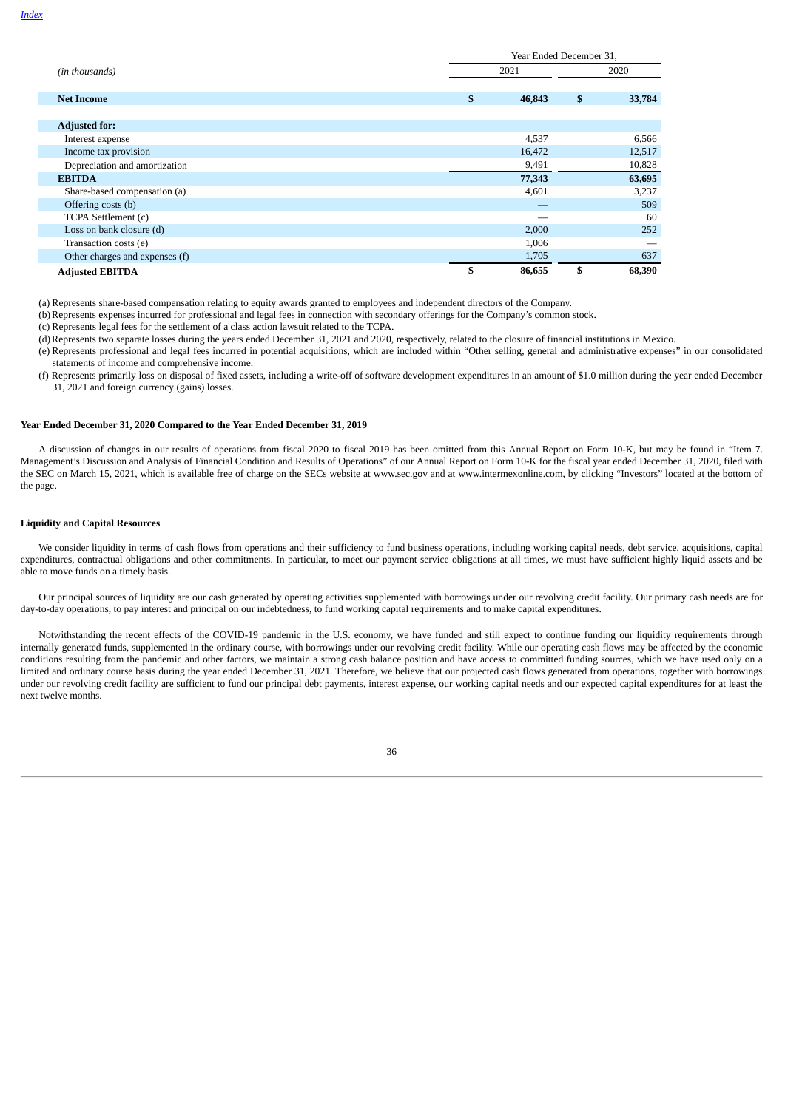|                                |      | Year Ended December 31, |      |        |  |  |  |  |  |
|--------------------------------|------|-------------------------|------|--------|--|--|--|--|--|
| (in thousands)                 | 2021 |                         | 2020 |        |  |  |  |  |  |
|                                |      |                         |      |        |  |  |  |  |  |
| <b>Net Income</b>              | \$   | 46,843                  | \$   | 33,784 |  |  |  |  |  |
|                                |      |                         |      |        |  |  |  |  |  |
| <b>Adjusted for:</b>           |      |                         |      |        |  |  |  |  |  |
| Interest expense               |      | 4,537                   |      | 6,566  |  |  |  |  |  |
| Income tax provision           |      | 16,472                  |      | 12,517 |  |  |  |  |  |
| Depreciation and amortization  |      | 9,491                   |      | 10,828 |  |  |  |  |  |
| <b>EBITDA</b>                  |      | 77,343                  |      | 63,695 |  |  |  |  |  |
| Share-based compensation (a)   |      | 4,601                   |      | 3,237  |  |  |  |  |  |
| Offering costs (b)             |      |                         |      | 509    |  |  |  |  |  |
| TCPA Settlement (c)            |      |                         |      | 60     |  |  |  |  |  |
| Loss on bank closure (d)       |      | 2,000                   |      | 252    |  |  |  |  |  |
| Transaction costs (e)          |      | 1,006                   |      |        |  |  |  |  |  |
| Other charges and expenses (f) |      | 1,705                   |      | 637    |  |  |  |  |  |
| <b>Adjusted EBITDA</b>         |      | 86,655                  | \$   | 68,390 |  |  |  |  |  |

(a) Represents share-based compensation relating to equity awards granted to employees and independent directors of the Company.

(b)Represents expenses incurred for professional and legal fees in connection with secondary offerings for the Company's common stock.

(c) Represents legal fees for the settlement of a class action lawsuit related to the TCPA.

(d)Represents two separate losses during the years ended December 31, 2021 and 2020, respectively, related to the closure of financial institutions in Mexico.

(e) Represents professional and legal fees incurred in potential acquisitions, which are included within "Other selling, general and administrative expenses" in our consolidated statements of income and comprehensive income.

(f) Represents primarily loss on disposal of fixed assets, including a write-off of software development expenditures in an amount of \$1.0 million during the year ended December 31, 2021 and foreign currency (gains) losses.

## **Year Ended December 31, 2020 Compared to the Year Ended December 31, 2019**

A discussion of changes in our results of operations from fiscal 2020 to fiscal 2019 has been omitted from this Annual Report on Form 10-K, but may be found in "Item 7. Management's Discussion and Analysis of Financial Condition and Results of Operations" of our Annual Report on Form 10-K for the fiscal year ended December 31, 2020, filed with the SEC on March 15, 2021, which is available free of charge on the SECs website at www.sec.gov and at www.intermexonline.com, by clicking "Investors" located at the bottom of the page.

#### **Liquidity and Capital Resources**

We consider liquidity in terms of cash flows from operations and their sufficiency to fund business operations, including working capital needs, debt service, acquisitions, capital expenditures, contractual obligations and other commitments. In particular, to meet our payment service obligations at all times, we must have sufficient highly liquid assets and be able to move funds on a timely basis.

Our principal sources of liquidity are our cash generated by operating activities supplemented with borrowings under our revolving credit facility. Our primary cash needs are for day-to-day operations, to pay interest and principal on our indebtedness, to fund working capital requirements and to make capital expenditures.

Notwithstanding the recent effects of the COVID-19 pandemic in the U.S. economy, we have funded and still expect to continue funding our liquidity requirements through internally generated funds, supplemented in the ordinary course, with borrowings under our revolving credit facility. While our operating cash flows may be affected by the economic conditions resulting from the pandemic and other factors, we maintain a strong cash balance position and have access to committed funding sources, which we have used only on a limited and ordinary course basis during the year ended December 31, 2021. Therefore, we believe that our projected cash flows generated from operations, together with borrowings under our revolving credit facility are sufficient to fund our principal debt payments, interest expense, our working capital needs and our expected capital expenditures for at least the next twelve months.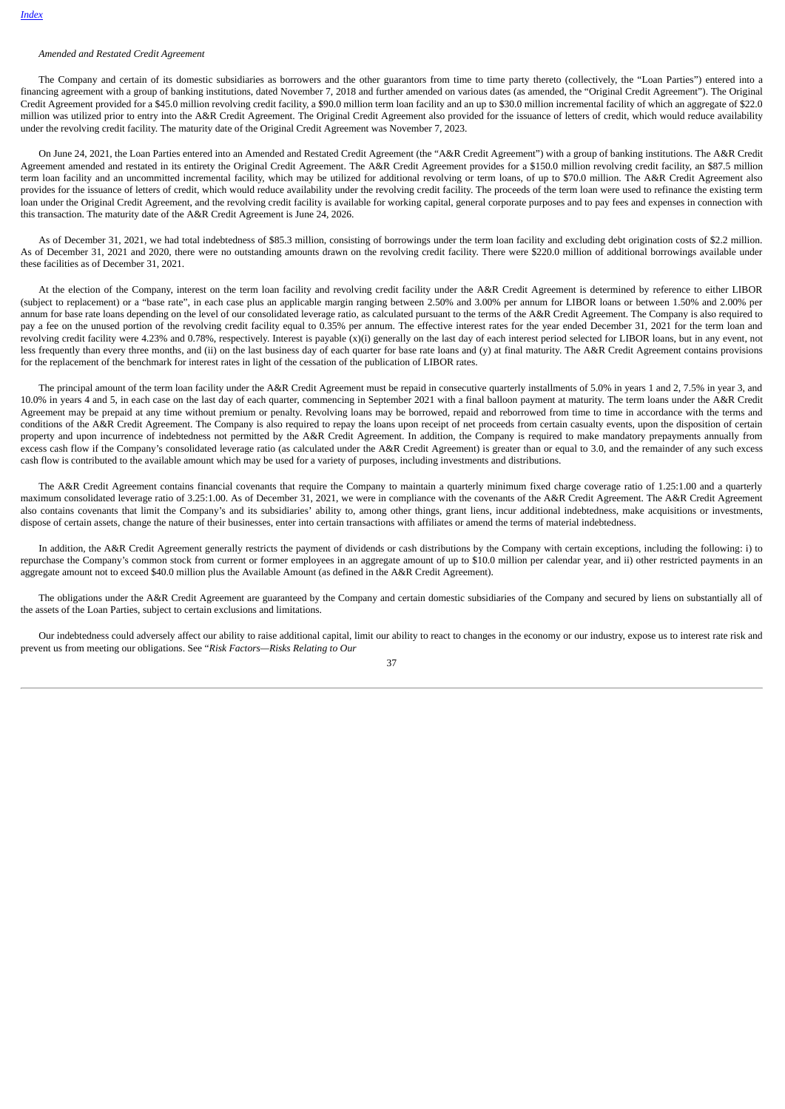#### *Amended and Restated Credit Agreement*

The Company and certain of its domestic subsidiaries as borrowers and the other guarantors from time to time party thereto (collectively, the "Loan Parties") entered into a financing agreement with a group of banking institutions, dated November 7, 2018 and further amended on various dates (as amended, the "Original Credit Agreement"). The Original Credit Agreement provided for a \$45.0 million revolving credit facility, a \$90.0 million term loan facility and an up to \$30.0 million incremental facility of which an aggregate of \$22.0 million was utilized prior to entry into the A&R Credit Agreement. The Original Credit Agreement also provided for the issuance of letters of credit, which would reduce availability under the revolving credit facility. The maturity date of the Original Credit Agreement was November 7, 2023.

On June 24, 2021, the Loan Parties entered into an Amended and Restated Credit Agreement (the "A&R Credit Agreement") with a group of banking institutions. The A&R Credit Agreement amended and restated in its entirety the Original Credit Agreement. The A&R Credit Agreement provides for a \$150.0 million revolving credit facility, an \$87.5 million term loan facility and an uncommitted incremental facility, which may be utilized for additional revolving or term loans, of up to \$70.0 million. The A&R Credit Agreement also provides for the issuance of letters of credit, which would reduce availability under the revolving credit facility. The proceeds of the term loan were used to refinance the existing term loan under the Original Credit Agreement, and the revolving credit facility is available for working capital, general corporate purposes and to pay fees and expenses in connection with this transaction. The maturity date of the A&R Credit Agreement is June 24, 2026.

As of December 31, 2021, we had total indebtedness of \$85.3 million, consisting of borrowings under the term loan facility and excluding debt origination costs of \$2.2 million. As of December 31, 2021 and 2020, there were no outstanding amounts drawn on the revolving credit facility. There were \$220.0 million of additional borrowings available under these facilities as of December 31, 2021.

At the election of the Company, interest on the term loan facility and revolving credit facility under the A&R Credit Agreement is determined by reference to either LIBOR (subject to replacement) or a "base rate", in each case plus an applicable margin ranging between 2.50% and 3.00% per annum for LIBOR loans or between 1.50% and 2.00% per annum for base rate loans depending on the level of our consolidated leverage ratio, as calculated pursuant to the terms of the A&R Credit Agreement. The Company is also required to pay a fee on the unused portion of the revolving credit facility equal to 0.35% per annum. The effective interest rates for the year ended December 31, 2021 for the term loan and revolving credit facility were 4.23% and 0.78%, respectively. Interest is payable (x)(i) generally on the last day of each interest period selected for LIBOR loans, but in any event, not less frequently than every three months, and (ii) on the last business day of each quarter for base rate loans and (y) at final maturity. The A&R Credit Agreement contains provisions for the replacement of the benchmark for interest rates in light of the cessation of the publication of LIBOR rates.

The principal amount of the term loan facility under the A&R Credit Agreement must be repaid in consecutive quarterly installments of 5.0% in years 1 and 2, 7.5% in year 3, and 10.0% in years 4 and 5, in each case on the last day of each quarter, commencing in September 2021 with a final balloon payment at maturity. The term loans under the A&R Credit Agreement may be prepaid at any time without premium or penalty. Revolving loans may be borrowed, repaid and reborrowed from time to time in accordance with the terms and conditions of the A&R Credit Agreement. The Company is also required to repay the loans upon receipt of net proceeds from certain casualty events, upon the disposition of certain property and upon incurrence of indebtedness not permitted by the A&R Credit Agreement. In addition, the Company is required to make mandatory prepayments annually from excess cash flow if the Company's consolidated leverage ratio (as calculated under the A&R Credit Agreement) is greater than or equal to 3.0, and the remainder of any such excess cash flow is contributed to the available amount which may be used for a variety of purposes, including investments and distributions.

The A&R Credit Agreement contains financial covenants that require the Company to maintain a quarterly minimum fixed charge coverage ratio of 1.25:1.00 and a quarterly maximum consolidated leverage ratio of 3.25:1.00. As of December 31, 2021, we were in compliance with the covenants of the A&R Credit Agreement. The A&R Credit Agreement also contains covenants that limit the Company's and its subsidiaries' ability to, among other things, grant liens, incur additional indebtedness, make acquisitions or investments, dispose of certain assets, change the nature of their businesses, enter into certain transactions with affiliates or amend the terms of material indebtedness.

In addition, the A&R Credit Agreement generally restricts the payment of dividends or cash distributions by the Company with certain exceptions, including the following: i) to repurchase the Company's common stock from current or former employees in an aggregate amount of up to \$10.0 million per calendar year, and ii) other restricted payments in an aggregate amount not to exceed \$40.0 million plus the Available Amount (as defined in the A&R Credit Agreement).

The obligations under the A&R Credit Agreement are guaranteed by the Company and certain domestic subsidiaries of the Company and secured by liens on substantially all of the assets of the Loan Parties, subject to certain exclusions and limitations.

Our indebtedness could adversely affect our ability to raise additional capital, limit our ability to react to changes in the economy or our industry, expose us to interest rate risk and prevent us from meeting our obligations. See "*Risk Factors—Risks Relating to Our*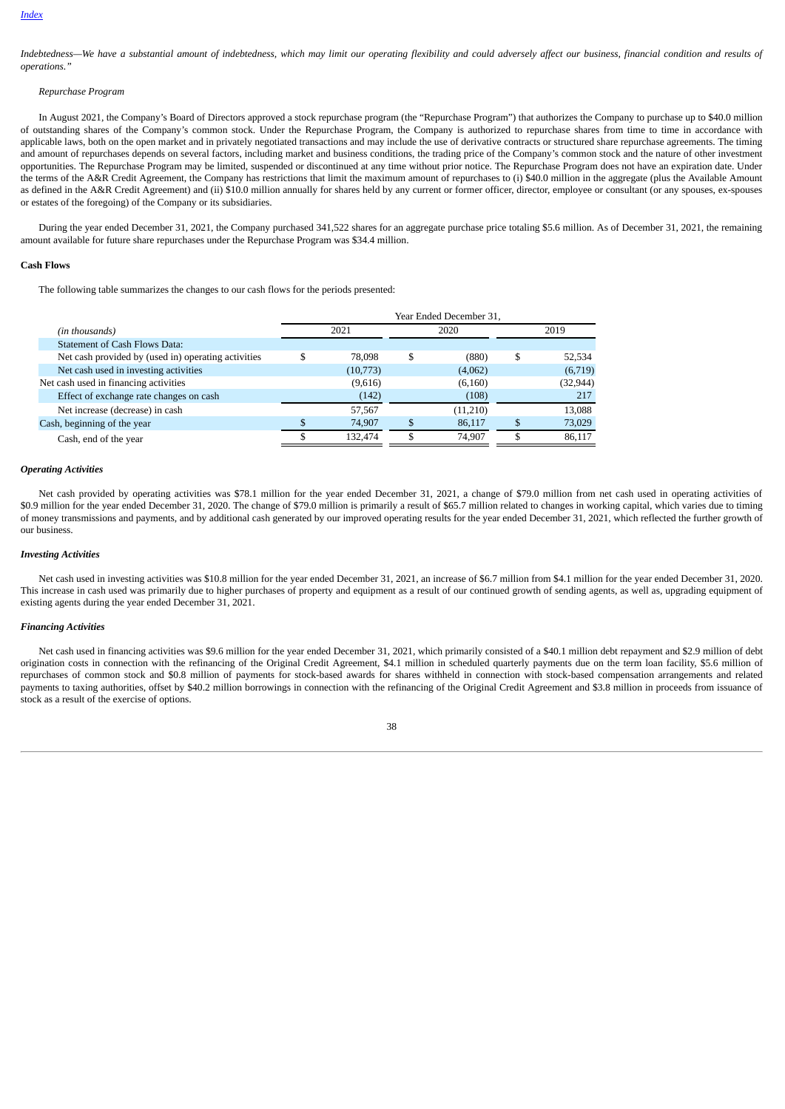Indebtedness—We have a substantial amount of indebtedness, which may limit our operating flexibility and could adversely affect our business, financial condition and results of *operations."*

### *Repurchase Program*

In August 2021, the Company's Board of Directors approved a stock repurchase program (the "Repurchase Program") that authorizes the Company to purchase up to \$40.0 million of outstanding shares of the Company's common stock. Under the Repurchase Program, the Company is authorized to repurchase shares from time to time in accordance with applicable laws, both on the open market and in privately negotiated transactions and may include the use of derivative contracts or structured share repurchase agreements. The timing and amount of repurchases depends on several factors, including market and business conditions, the trading price of the Company's common stock and the nature of other investment opportunities. The Repurchase Program may be limited, suspended or discontinued at any time without prior notice. The Repurchase Program does not have an expiration date. Under the terms of the A&R Credit Agreement, the Company has restrictions that limit the maximum amount of repurchases to (i) \$40.0 million in the aggregate (plus the Available Amount as defined in the A&R Credit Agreement) and (ii) \$10.0 million annually for shares held by any current or former officer, director, employee or consultant (or any spouses, ex-spouses or estates of the foregoing) of the Company or its subsidiaries.

During the year ended December 31, 2021, the Company purchased 341,522 shares for an aggregate purchase price totaling \$5.6 million. As of December 31, 2021, the remaining amount available for future share repurchases under the Repurchase Program was \$34.4 million.

#### **Cash Flows**

The following table summarizes the changes to our cash flows for the periods presented:

|                                                     | Year Ended December 31, |          |    |          |   |           |  |  |  |  |
|-----------------------------------------------------|-------------------------|----------|----|----------|---|-----------|--|--|--|--|
| (in thousands)                                      |                         | 2021     |    | 2020     |   | 2019      |  |  |  |  |
| <b>Statement of Cash Flows Data:</b>                |                         |          |    |          |   |           |  |  |  |  |
| Net cash provided by (used in) operating activities |                         | 78,098   | Jэ | (880)    | C | 52,534    |  |  |  |  |
| Net cash used in investing activities               |                         | (10,773) |    | (4,062)  |   | (6,719)   |  |  |  |  |
| Net cash used in financing activities               |                         | (9,616)  |    | (6,160)  |   | (32, 944) |  |  |  |  |
| Effect of exchange rate changes on cash             |                         | (142)    |    | (108)    |   | 217       |  |  |  |  |
| Net increase (decrease) in cash                     |                         | 57,567   |    | (11,210) |   | 13,088    |  |  |  |  |
| Cash, beginning of the year                         |                         | 74,907   |    | 86,117   |   | 73,029    |  |  |  |  |
| Cash, end of the year                               |                         | 132.474  |    | 74,907   |   | 86,117    |  |  |  |  |

### *Operating Activities*

Net cash provided by operating activities was \$78.1 million for the year ended December 31, 2021, a change of \$79.0 million from net cash used in operating activities of \$0.9 million for the year ended December 31, 2020. The change of \$79.0 million is primarily a result of \$65.7 million related to changes in working capital, which varies due to timing of money transmissions and payments, and by additional cash generated by our improved operating results for the year ended December 31, 2021, which reflected the further growth of our business.

#### *Investing Activities*

Net cash used in investing activities was \$10.8 million for the year ended December 31, 2021, an increase of \$6.7 million from \$4.1 million for the year ended December 31, 2020. This increase in cash used was primarily due to higher purchases of property and equipment as a result of our continued growth of sending agents, as well as, upgrading equipment of existing agents during the year ended December 31, 2021.

#### *Financing Activities*

Net cash used in financing activities was \$9.6 million for the year ended December 31, 2021, which primarily consisted of a \$40.1 million debt repayment and \$2.9 million of debt origination costs in connection with the refinancing of the Original Credit Agreement, \$4.1 million in scheduled quarterly payments due on the term loan facility, \$5.6 million of repurchases of common stock and \$0.8 million of payments for stock-based awards for shares withheld in connection with stock-based compensation arrangements and related payments to taxing authorities, offset by \$40.2 million borrowings in connection with the refinancing of the Original Credit Agreement and \$3.8 million in proceeds from issuance of stock as a result of the exercise of options.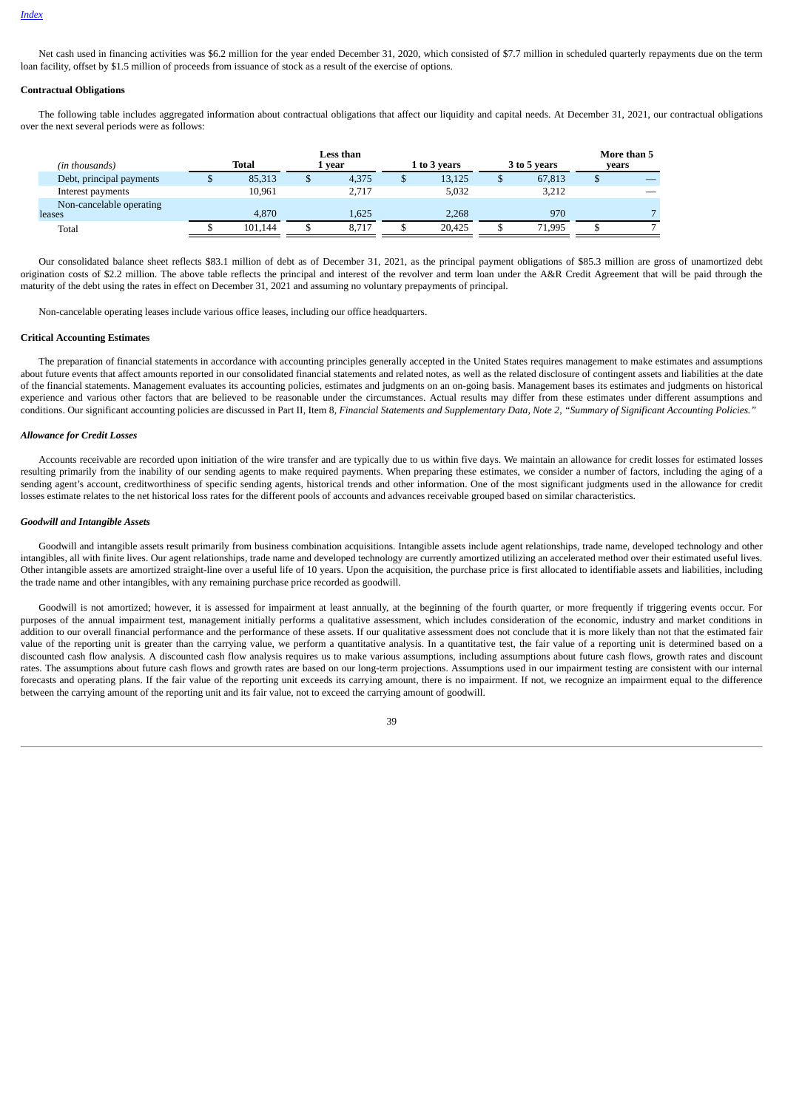Net cash used in financing activities was \$6.2 million for the year ended December 31, 2020, which consisted of \$7.7 million in scheduled quarterly repayments due on the term loan facility, offset by \$1.5 million of proceeds from issuance of stock as a result of the exercise of options.

#### **Contractual Obligations**

The following table includes aggregated information about contractual obligations that affect our liquidity and capital needs. At December 31, 2021, our contractual obligations over the next several periods were as follows:

| (in thousands)                     |  | <b>Total</b> |   | Less than<br>1 to 3 years<br>1 vear |    |        |  |        |  | 3 to 5 years | More than 5<br>vears |  |  |
|------------------------------------|--|--------------|---|-------------------------------------|----|--------|--|--------|--|--------------|----------------------|--|--|
| Debt, principal payments           |  | 85,313       | Φ | 4,375                               | ۰υ | 13,125 |  | 67,813 |  |              |                      |  |  |
| Interest payments                  |  | 10.961       |   | 2.717                               |    | 5.032  |  | 3.212  |  |              |                      |  |  |
| Non-cancelable operating<br>leases |  | 4.870        |   | 1.625                               |    | 2,268  |  | 970    |  |              |                      |  |  |
| Total                              |  | 101.144      |   | 8.717                               |    | 20.425 |  | 71.995 |  |              |                      |  |  |

Our consolidated balance sheet reflects \$83.1 million of debt as of December 31, 2021, as the principal payment obligations of \$85.3 million are gross of unamortized debt origination costs of \$2.2 million. The above table reflects the principal and interest of the revolver and term loan under the A&R Credit Agreement that will be paid through the maturity of the debt using the rates in effect on December 31, 2021 and assuming no voluntary prepayments of principal.

Non-cancelable operating leases include various office leases, including our office headquarters.

#### **Critical Accounting Estimates**

The preparation of financial statements in accordance with accounting principles generally accepted in the United States requires management to make estimates and assumptions about future events that affect amounts reported in our consolidated financial statements and related notes, as well as the related disclosure of contingent assets and liabilities at the date of the financial statements. Management evaluates its accounting policies, estimates and judgments on an on-going basis. Management bases its estimates and judgments on historical experience and various other factors that are believed to be reasonable under the circumstances. Actual results may differ from these estimates under different assumptions and conditions. Our significant accounting policies are discussed in Part II, Item 8, Financial Statements and Supplementary Data, Note 2, "Summary of Significant Accounting Policies."

#### *Allowance for Credit Losses*

Accounts receivable are recorded upon initiation of the wire transfer and are typically due to us within five days. We maintain an allowance for credit losses for estimated losses resulting primarily from the inability of our sending agents to make required payments. When preparing these estimates, we consider a number of factors, including the aging of a sending agent's account, creditworthiness of specific sending agents, historical trends and other information. One of the most significant judgments used in the allowance for credit losses estimate relates to the net historical loss rates for the different pools of accounts and advances receivable grouped based on similar characteristics.

#### *Goodwill and Intangible Assets*

Goodwill and intangible assets result primarily from business combination acquisitions. Intangible assets include agent relationships, trade name, developed technology and other intangibles, all with finite lives. Our agent relationships, trade name and developed technology are currently amortized utilizing an accelerated method over their estimated useful lives. Other intangible assets are amortized straight-line over a useful life of 10 years. Upon the acquisition, the purchase price is first allocated to identifiable assets and liabilities, including the trade name and other intangibles, with any remaining purchase price recorded as goodwill.

Goodwill is not amortized; however, it is assessed for impairment at least annually, at the beginning of the fourth quarter, or more frequently if triggering events occur. For purposes of the annual impairment test, management initially performs a qualitative assessment, which includes consideration of the economic, industry and market conditions in addition to our overall financial performance and the performance of these assets. If our qualitative assessment does not conclude that it is more likely than not that the estimated fair value of the reporting unit is greater than the carrying value, we perform a quantitative analysis. In a quantitative test, the fair value of a reporting unit is determined based on a discounted cash flow analysis. A discounted cash flow analysis requires us to make various assumptions, including assumptions about future cash flows, growth rates and discount rates. The assumptions about future cash flows and growth rates are based on our long-term projections. Assumptions used in our impairment testing are consistent with our internal forecasts and operating plans. If the fair value of the reporting unit exceeds its carrying amount, there is no impairment. If not, we recognize an impairment equal to the difference between the carrying amount of the reporting unit and its fair value, not to exceed the carrying amount of goodwill.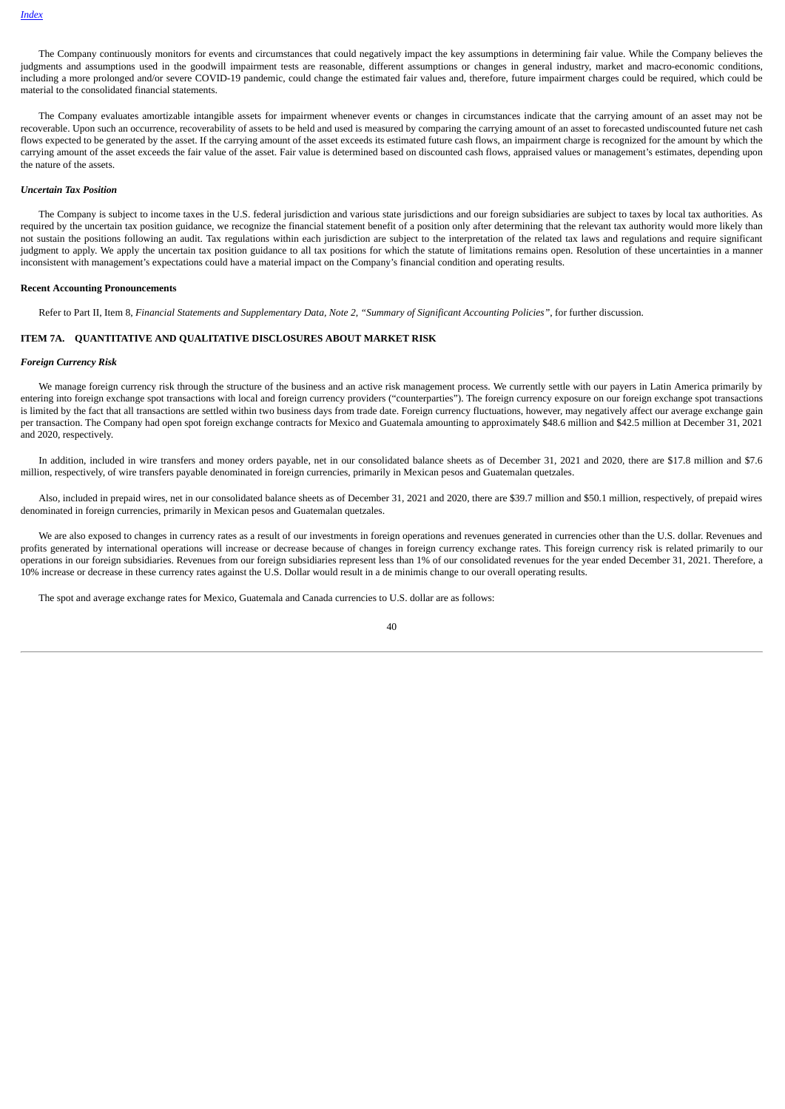The Company continuously monitors for events and circumstances that could negatively impact the key assumptions in determining fair value. While the Company believes the judgments and assumptions used in the goodwill impairment tests are reasonable, different assumptions or changes in general industry, market and macro-economic conditions, including a more prolonged and/or severe COVID-19 pandemic, could change the estimated fair values and, therefore, future impairment charges could be required, which could be material to the consolidated financial statements.

The Company evaluates amortizable intangible assets for impairment whenever events or changes in circumstances indicate that the carrying amount of an asset may not be recoverable. Upon such an occurrence, recoverability of assets to be held and used is measured by comparing the carrying amount of an asset to forecasted undiscounted future net cash flows expected to be generated by the asset. If the carrying amount of the asset exceeds its estimated future cash flows, an impairment charge is recognized for the amount by which the carrying amount of the asset exceeds the fair value of the asset. Fair value is determined based on discounted cash flows, appraised values or management's estimates, depending upon the nature of the assets.

#### *Uncertain Tax Position*

The Company is subject to income taxes in the U.S. federal jurisdiction and various state jurisdictions and our foreign subsidiaries are subject to taxes by local tax authorities. As required by the uncertain tax position guidance, we recognize the financial statement benefit of a position only after determining that the relevant tax authority would more likely than not sustain the positions following an audit. Tax regulations within each jurisdiction are subject to the interpretation of the related tax laws and regulations and require significant judgment to apply. We apply the uncertain tax position guidance to all tax positions for which the statute of limitations remains open. Resolution of these uncertainties in a manner inconsistent with management's expectations could have a material impact on the Company's financial condition and operating results.

#### **Recent Accounting Pronouncements**

Refer to Part II, Item 8, Financial Statements and Supplementary Data, Note 2, "Summary of Significant Accounting Policies", for further discussion.

## **ITEM 7A. QUANTITATIVE AND QUALITATIVE DISCLOSURES ABOUT MARKET RISK**

#### *Foreign Currency Risk*

We manage foreign currency risk through the structure of the business and an active risk management process. We currently settle with our payers in Latin America primarily by entering into foreign exchange spot transactions with local and foreign currency providers ("counterparties"). The foreign currency exposure on our foreign exchange spot transactions is limited by the fact that all transactions are settled within two business days from trade date. Foreign currency fluctuations, however, may negatively affect our average exchange gain per transaction. The Company had open spot foreign exchange contracts for Mexico and Guatemala amounting to approximately \$48.6 million and \$42.5 million at December 31, 2021 and 2020, respectively.

In addition, included in wire transfers and money orders payable, net in our consolidated balance sheets as of December 31, 2021 and 2020, there are \$17.8 million and \$7.6 million, respectively, of wire transfers payable denominated in foreign currencies, primarily in Mexican pesos and Guatemalan quetzales.

Also, included in prepaid wires, net in our consolidated balance sheets as of December 31, 2021 and 2020, there are \$39.7 million and \$50.1 million, respectively, of prepaid wires denominated in foreign currencies, primarily in Mexican pesos and Guatemalan quetzales.

We are also exposed to changes in currency rates as a result of our investments in foreign operations and revenues generated in currencies other than the U.S. dollar. Revenues and profits generated by international operations will increase or decrease because of changes in foreign currency exchange rates. This foreign currency risk is related primarily to our operations in our foreign subsidiaries. Revenues from our foreign subsidiaries represent less than 1% of our consolidated revenues for the year ended December 31, 2021. Therefore, a 10% increase or decrease in these currency rates against the U.S. Dollar would result in a de minimis change to our overall operating results.

The spot and average exchange rates for Mexico, Guatemala and Canada currencies to U.S. dollar are as follows: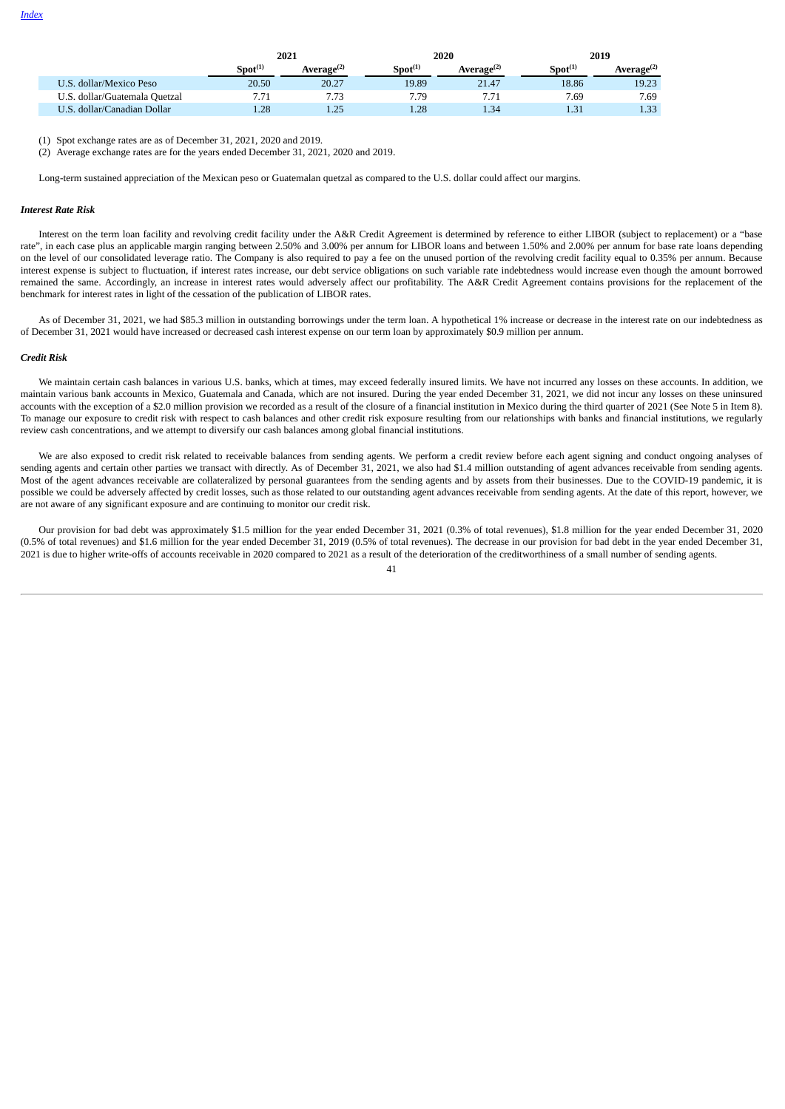|                               |                       | 2021                   |                       | 2020                   |                       | 2019             |  |  |
|-------------------------------|-----------------------|------------------------|-----------------------|------------------------|-----------------------|------------------|--|--|
|                               | $\textbf{Spot}^{(1)}$ | Average <sup>(2)</sup> | $\mathbf{Spot}^{(1)}$ | Average <sup>(2)</sup> | $\mathrm{Spot}^{(1)}$ | Average $^{(2)}$ |  |  |
| U.S. dollar/Mexico Peso       | 20.50                 | 20.27                  | 19.89                 | 21.47                  | 18.86                 | 19.23            |  |  |
| U.S. dollar/Guatemala Quetzal | 7.71                  | 7.73                   | 7.79                  | 7.71                   | 7.69                  | 7.69             |  |  |
| U.S. dollar/Canadian Dollar   | 4.28                  | 1.25                   | 1.28                  | 1.34                   | 1.31                  | 1.33             |  |  |

(1) Spot exchange rates are as of December 31, 2021, 2020 and 2019.

(2) Average exchange rates are for the years ended December 31, 2021, 2020 and 2019.

Long-term sustained appreciation of the Mexican peso or Guatemalan quetzal as compared to the U.S. dollar could affect our margins.

### *Interest Rate Risk*

Interest on the term loan facility and revolving credit facility under the A&R Credit Agreement is determined by reference to either LIBOR (subject to replacement) or a "base rate", in each case plus an applicable margin ranging between 2.50% and 3.00% per annum for LIBOR loans and between 1.50% and 2.00% per annum for base rate loans depending on the level of our consolidated leverage ratio. The Company is also required to pay a fee on the unused portion of the revolving credit facility equal to 0.35% per annum. Because interest expense is subject to fluctuation, if interest rates increase, our debt service obligations on such variable rate indebtedness would increase even though the amount borrowed remained the same. Accordingly, an increase in interest rates would adversely affect our profitability. The A&R Credit Agreement contains provisions for the replacement of the benchmark for interest rates in light of the cessation of the publication of LIBOR rates.

As of December 31, 2021, we had \$85.3 million in outstanding borrowings under the term loan. A hypothetical 1% increase or decrease in the interest rate on our indebtedness as of December 31, 2021 would have increased or decreased cash interest expense on our term loan by approximately \$0.9 million per annum.

### *Credit Risk*

We maintain certain cash balances in various U.S. banks, which at times, may exceed federally insured limits. We have not incurred any losses on these accounts. In addition, we maintain various bank accounts in Mexico, Guatemala and Canada, which are not insured. During the year ended December 31, 2021, we did not incur any losses on these uninsured accounts with the exception of a \$2.0 million provision we recorded as a result of the closure of a financial institution in Mexico during the third quarter of 2021 (See Note 5 in Item 8). To manage our exposure to credit risk with respect to cash balances and other credit risk exposure resulting from our relationships with banks and financial institutions, we regularly review cash concentrations, and we attempt to diversify our cash balances among global financial institutions.

We are also exposed to credit risk related to receivable balances from sending agents. We perform a credit review before each agent signing and conduct ongoing analyses of sending agents and certain other parties we transact with directly. As of December 31, 2021, we also had \$1.4 million outstanding of agent advances receivable from sending agents. Most of the agent advances receivable are collateralized by personal guarantees from the sending agents and by assets from their businesses. Due to the COVID-19 pandemic, it is possible we could be adversely affected by credit losses, such as those related to our outstanding agent advances receivable from sending agents. At the date of this report, however, we are not aware of any significant exposure and are continuing to monitor our credit risk.

Our provision for bad debt was approximately \$1.5 million for the year ended December 31, 2021 (0.3% of total revenues), \$1.8 million for the year ended December 31, 2020 (0.5% of total revenues) and \$1.6 million for the year ended December 31, 2019 (0.5% of total revenues). The decrease in our provision for bad debt in the year ended December 31, 2021 is due to higher write-offs of accounts receivable in 2020 compared to 2021 as a result of the deterioration of the creditworthiness of a small number of sending agents.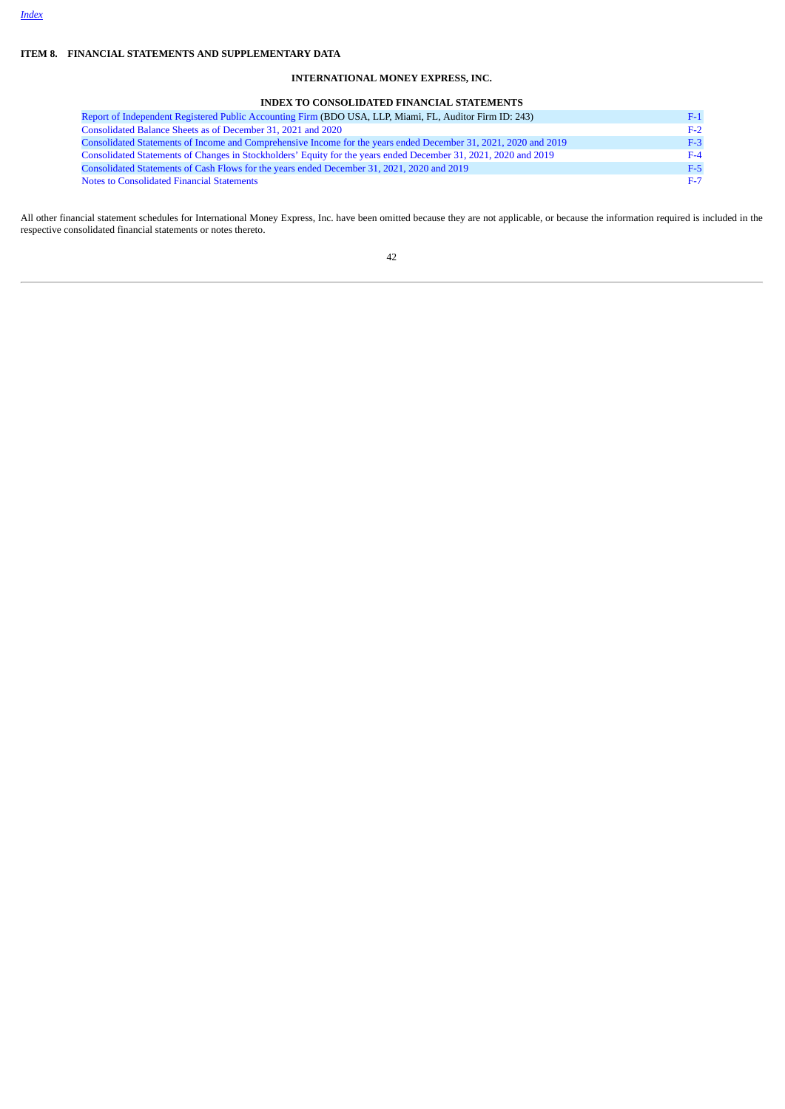# **ITEM 8. FINANCIAL STATEMENTS AND SUPPLEMENTARY DATA**

## **INTERNATIONAL MONEY EXPRESS, INC.**

# **INDEX TO CONSOLIDATED FINANCIAL STATEMENTS**

| Report of Independent Registered Public Accounting Firm (BDO USA, LLP, Miami, FL, Auditor Firm ID: 243)         | $F-1$ |
|-----------------------------------------------------------------------------------------------------------------|-------|
| Consolidated Balance Sheets as of December 31, 2021 and 2020                                                    | $F-2$ |
| Consolidated Statements of Income and Comprehensive Income for the years ended December 31, 2021, 2020 and 2019 | $F-3$ |
| Consolidated Statements of Changes in Stockholders' Equity for the years ended December 31, 2021, 2020 and 2019 | $F-4$ |
| Consolidated Statements of Cash Flows for the years ended December 31, 2021, 2020 and 2019                      | $F-5$ |
| <b>Notes to Consolidated Financial Statements</b>                                                               | $F-7$ |

<span id="page-44-0"></span>All other financial statement schedules for International Money Express, Inc. have been omitted because they are not applicable, or because the information required is included in the respective consolidated financial statements or notes thereto.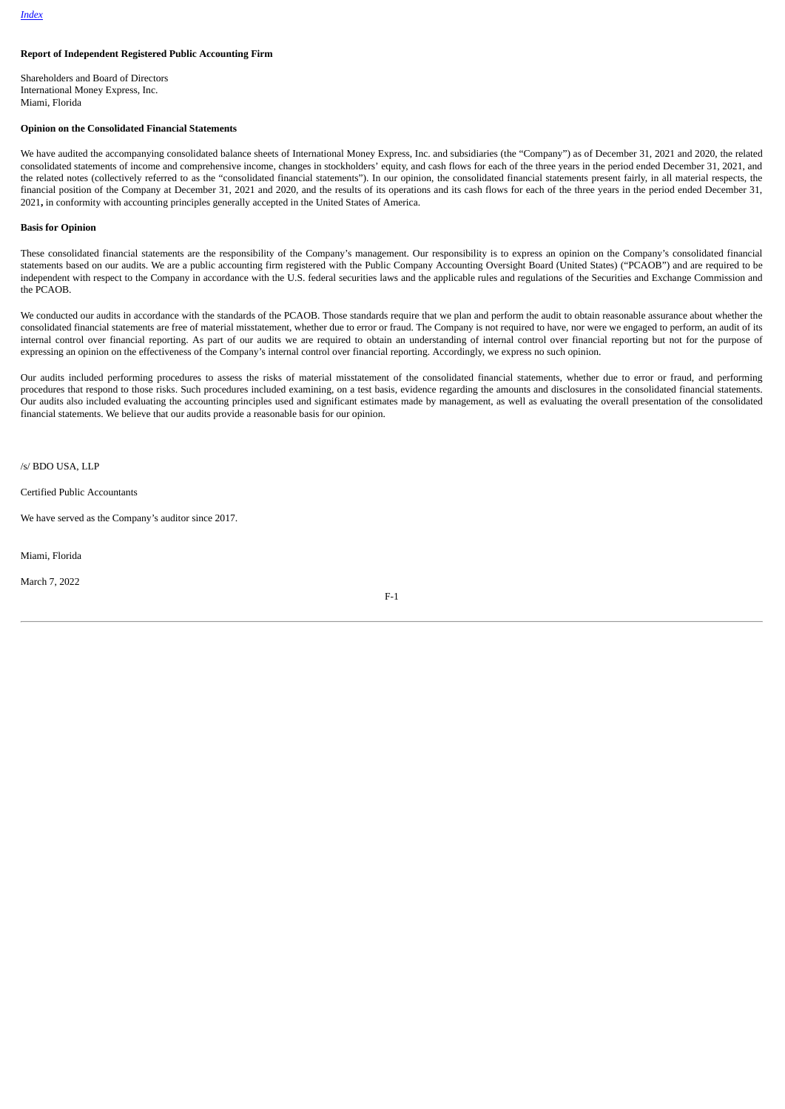## **Report of Independent Registered Public Accounting Firm**

Shareholders and Board of Directors International Money Express, Inc. Miami, Florida

### **Opinion on the Consolidated Financial Statements**

We have audited the accompanying consolidated balance sheets of International Money Express, Inc. and subsidiaries (the "Company") as of December 31, 2021 and 2020, the related consolidated statements of income and comprehensive income, changes in stockholders' equity, and cash flows for each of the three years in the period ended December 31, 2021, and the related notes (collectively referred to as the "consolidated financial statements"). In our opinion, the consolidated financial statements present fairly, in all material respects, the financial position of the Company at December 31, 2021 and 2020, and the results of its operations and its cash flows for each of the three years in the period ended December 31, 2021**,** in conformity with accounting principles generally accepted in the United States of America.

#### **Basis for Opinion**

These consolidated financial statements are the responsibility of the Company's management. Our responsibility is to express an opinion on the Company's consolidated financial statements based on our audits. We are a public accounting firm registered with the Public Company Accounting Oversight Board (United States) ("PCAOB") and are required to be independent with respect to the Company in accordance with the U.S. federal securities laws and the applicable rules and regulations of the Securities and Exchange Commission and the PCAOB.

We conducted our audits in accordance with the standards of the PCAOB. Those standards require that we plan and perform the audit to obtain reasonable assurance about whether the consolidated financial statements are free of material misstatement, whether due to error or fraud. The Company is not required to have, nor were we engaged to perform, an audit of its internal control over financial reporting. As part of our audits we are required to obtain an understanding of internal control over financial reporting but not for the purpose of expressing an opinion on the effectiveness of the Company's internal control over financial reporting. Accordingly, we express no such opinion.

Our audits included performing procedures to assess the risks of material misstatement of the consolidated financial statements, whether due to error or fraud, and performing procedures that respond to those risks. Such procedures included examining, on a test basis, evidence regarding the amounts and disclosures in the consolidated financial statements. Our audits also included evaluating the accounting principles used and significant estimates made by management, as well as evaluating the overall presentation of the consolidated financial statements. We believe that our audits provide a reasonable basis for our opinion.

/s/ BDO USA, LLP

Certified Public Accountants

We have served as the Company's auditor since 2017.

Miami, Florida

<span id="page-45-0"></span>March 7, 2022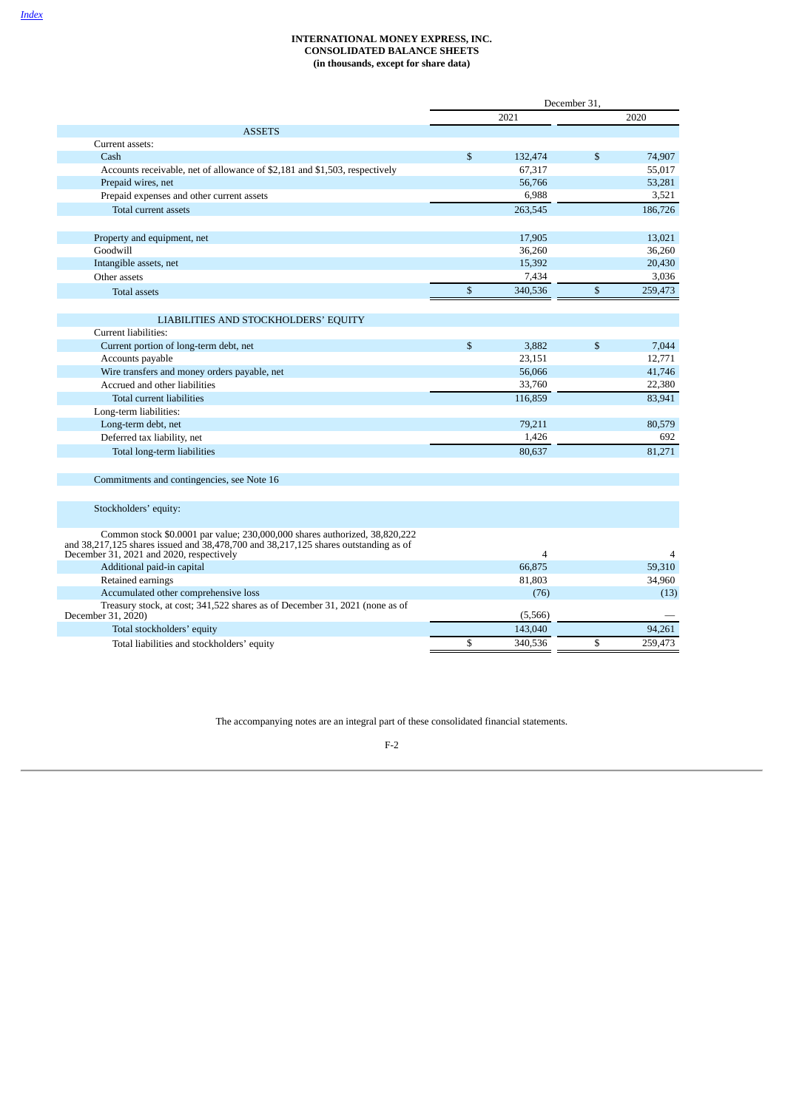### **INTERNATIONAL MONEY EXPRESS, INC. CONSOLIDATED BALANCE SHEETS (in thousands, except for share data)**

|                                                                                                                                                                         | December 31. |                |    |         |  |  |
|-------------------------------------------------------------------------------------------------------------------------------------------------------------------------|--------------|----------------|----|---------|--|--|
|                                                                                                                                                                         |              | 2021           |    | 2020    |  |  |
| <b>ASSETS</b>                                                                                                                                                           |              |                |    |         |  |  |
| Current assets:                                                                                                                                                         |              |                |    |         |  |  |
| Cash                                                                                                                                                                    | \$           | 132,474        | \$ | 74,907  |  |  |
| Accounts receivable, net of allowance of \$2,181 and \$1,503, respectively                                                                                              |              | 67,317         |    | 55,017  |  |  |
| Prepaid wires, net                                                                                                                                                      |              | 56,766         |    | 53,281  |  |  |
| Prepaid expenses and other current assets                                                                                                                               |              | 6,988          |    | 3.521   |  |  |
| Total current assets                                                                                                                                                    |              | 263,545        |    | 186,726 |  |  |
| Property and equipment, net                                                                                                                                             |              | 17,905         |    | 13,021  |  |  |
| Goodwill                                                                                                                                                                |              | 36,260         |    | 36,260  |  |  |
| Intangible assets, net                                                                                                                                                  |              | 15,392         |    | 20,430  |  |  |
| Other assets                                                                                                                                                            |              | 7,434          |    | 3,036   |  |  |
| <b>Total assets</b>                                                                                                                                                     | \$           | 340,536        | \$ | 259,473 |  |  |
|                                                                                                                                                                         |              |                |    |         |  |  |
| LIABILITIES AND STOCKHOLDERS' EQUITY<br>Current liabilities:                                                                                                            |              |                |    |         |  |  |
| Current portion of long-term debt, net                                                                                                                                  | \$           | 3,882          | \$ | 7,044   |  |  |
| Accounts payable                                                                                                                                                        |              | 23,151         |    | 12,771  |  |  |
| Wire transfers and money orders payable, net                                                                                                                            |              | 56,066         |    | 41,746  |  |  |
| Accrued and other liabilities                                                                                                                                           |              | 33,760         |    | 22,380  |  |  |
| Total current liabilities                                                                                                                                               |              | 116.859        |    | 83,941  |  |  |
| Long-term liabilities:                                                                                                                                                  |              |                |    |         |  |  |
| Long-term debt, net                                                                                                                                                     |              | 79,211         |    | 80,579  |  |  |
| Deferred tax liability, net                                                                                                                                             |              | 1,426          |    | 692     |  |  |
| Total long-term liabilities                                                                                                                                             |              | 80,637         |    | 81,271  |  |  |
|                                                                                                                                                                         |              |                |    |         |  |  |
| Commitments and contingencies, see Note 16                                                                                                                              |              |                |    |         |  |  |
|                                                                                                                                                                         |              |                |    |         |  |  |
| Stockholders' equity:                                                                                                                                                   |              |                |    |         |  |  |
| Common stock \$0.0001 par value; 230,000,000 shares authorized, 38,820,222<br>and $38,217,125$ shares issued and $38,478,700$ and $38,217,125$ shares outstanding as of |              |                |    |         |  |  |
| December 31, 2021 and 2020, respectively                                                                                                                                |              | $\overline{4}$ |    | 4       |  |  |
| Additional paid-in capital                                                                                                                                              |              | 66,875         |    | 59,310  |  |  |
| Retained earnings                                                                                                                                                       |              | 81,803         |    | 34,960  |  |  |
| Accumulated other comprehensive loss                                                                                                                                    |              | (76)           |    | (13)    |  |  |
| Treasury stock, at cost; 341,522 shares as of December 31, 2021 (none as of<br>December 31, 2020)                                                                       |              | (5, 566)       |    |         |  |  |
| Total stockholders' equity                                                                                                                                              |              | 143,040        |    | 94.261  |  |  |
| Total liabilities and stockholders' equity                                                                                                                              | \$           | 340,536        | \$ | 259,473 |  |  |

<span id="page-46-0"></span>The accompanying notes are an integral part of these consolidated financial statements.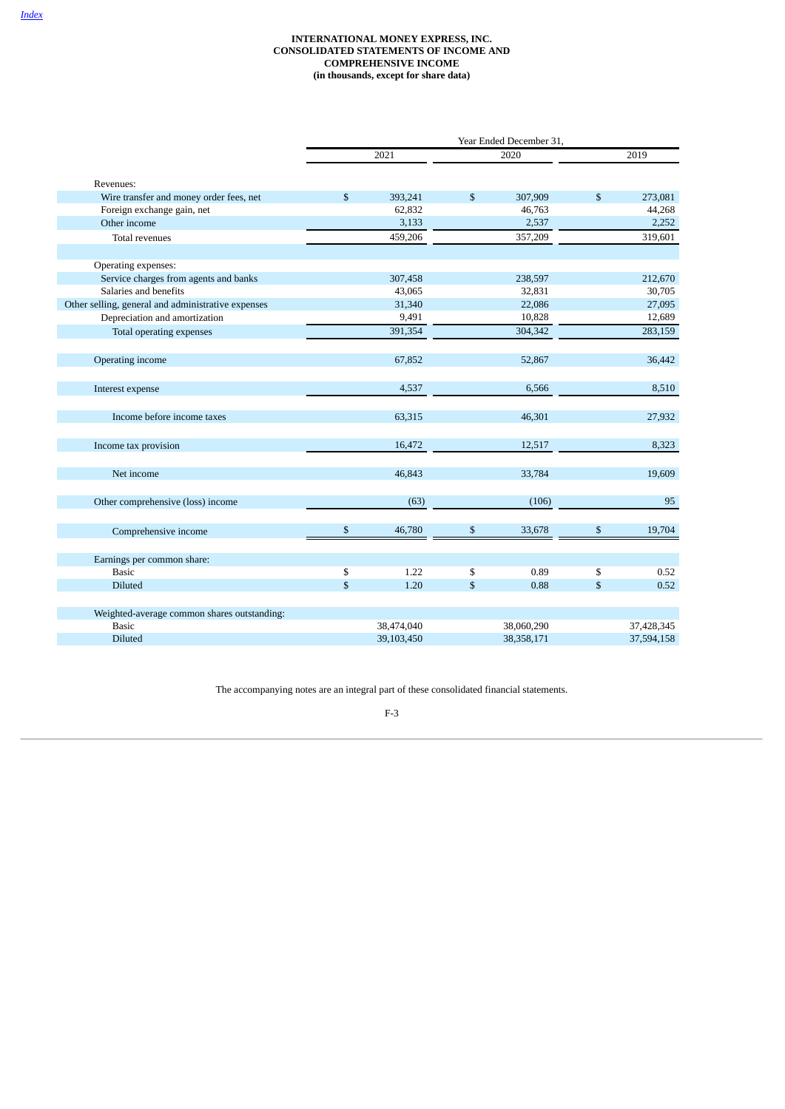## **INTERNATIONAL MONEY EXPRESS, INC. CONSOLIDATED STATEMENTS OF INCOME AND COMPREHENSIVE INCOME (in thousands, except for share data)**

|                                                    |              |            |              | Year Ended December 31, |              |            |
|----------------------------------------------------|--------------|------------|--------------|-------------------------|--------------|------------|
|                                                    |              | 2021       |              | 2020                    |              | 2019       |
| Revenues:                                          |              |            |              |                         |              |            |
| Wire transfer and money order fees, net            | $\mathbb{S}$ | 393,241    | $\mathbb{S}$ | 307,909                 | \$           | 273,081    |
| Foreign exchange gain, net                         |              | 62,832     |              | 46,763                  |              | 44,268     |
| Other income                                       |              | 3,133      |              | 2,537                   |              | 2,252      |
| <b>Total revenues</b>                              |              | 459,206    |              | 357,209                 |              | 319,601    |
|                                                    |              |            |              |                         |              |            |
| Operating expenses:                                |              |            |              |                         |              |            |
| Service charges from agents and banks              |              | 307,458    |              | 238,597                 |              | 212,670    |
| Salaries and benefits                              |              | 43,065     |              | 32,831                  |              | 30,705     |
| Other selling, general and administrative expenses |              | 31,340     |              | 22,086                  |              | 27,095     |
| Depreciation and amortization                      |              | 9,491      |              | 10,828                  |              | 12,689     |
| Total operating expenses                           |              | 391,354    |              | 304,342                 |              | 283,159    |
|                                                    |              |            |              |                         |              |            |
| Operating income                                   |              | 67,852     |              | 52,867                  |              | 36,442     |
|                                                    |              |            |              |                         |              |            |
| Interest expense                                   |              | 4,537      |              | 6,566                   |              | 8,510      |
|                                                    |              |            |              |                         |              |            |
| Income before income taxes                         |              | 63,315     |              | 46,301                  |              | 27,932     |
|                                                    |              |            |              |                         |              |            |
| Income tax provision                               |              | 16,472     |              | 12,517                  |              | 8,323      |
|                                                    |              |            |              |                         |              |            |
| Net income                                         |              | 46,843     |              | 33,784                  |              | 19,609     |
|                                                    |              |            |              |                         |              |            |
| Other comprehensive (loss) income                  |              | (63)       |              | (106)                   |              | 95         |
|                                                    |              |            |              |                         |              |            |
| Comprehensive income                               | \$           | 46,780     | \$           | 33,678                  | \$           | 19,704     |
|                                                    |              |            |              |                         |              |            |
| Earnings per common share:                         |              |            |              |                         |              |            |
| <b>Basic</b>                                       | \$           | 1.22       | \$           | 0.89                    | \$           | 0.52       |
| <b>Diluted</b>                                     | \$           | 1.20       | \$           | 0.88                    | $\mathbb{S}$ | 0.52       |
|                                                    |              |            |              |                         |              |            |
| Weighted-average common shares outstanding:        |              |            |              |                         |              |            |
| <b>Basic</b>                                       |              | 38,474,040 |              | 38,060,290              |              | 37,428,345 |
| <b>Diluted</b>                                     |              | 39,103,450 |              | 38,358,171              |              | 37,594,158 |
|                                                    |              |            |              |                         |              |            |

<span id="page-47-0"></span>The accompanying notes are an integral part of these consolidated financial statements.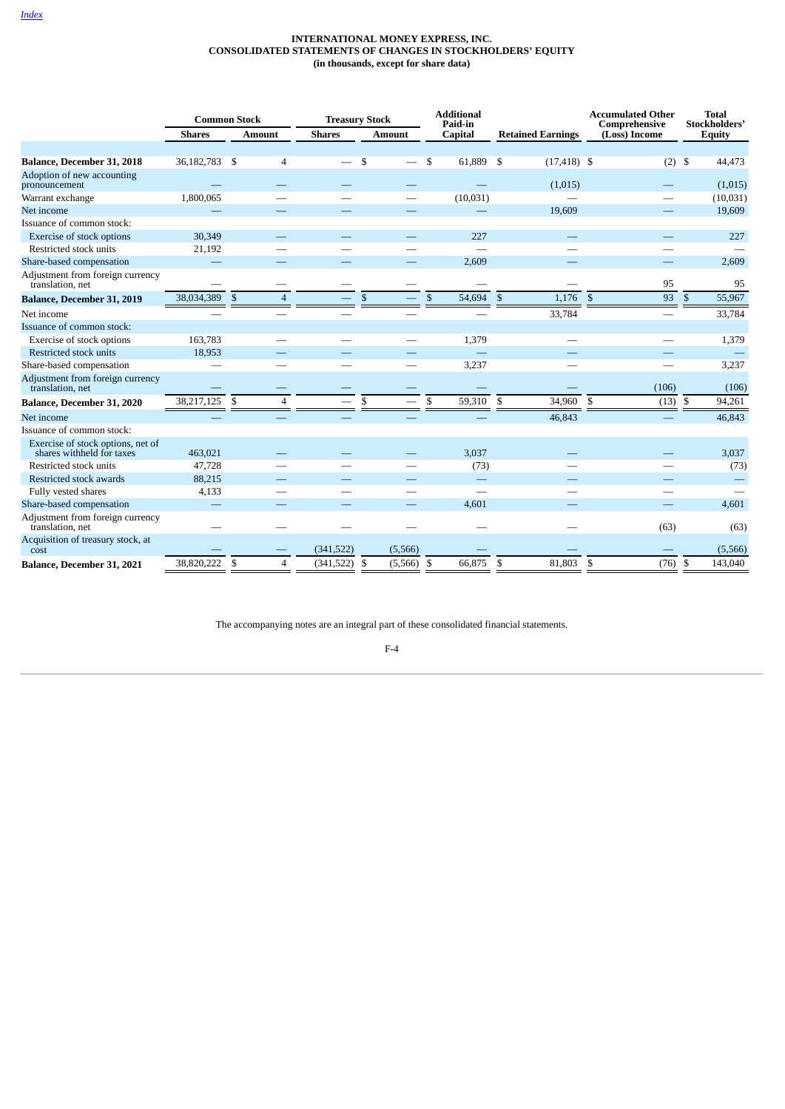### **INTERNATIONAL MONEY EXPRESS, INC. CONSOLIDATED STATEMENTS OF CHANGES IN STOCKHOLDERS' EQUITY (in thousands, except for share data)**

|                                                                | <b>Common Stock</b> |                |                          | <b>Treasury Stock</b> |              | <b>Additional</b><br>Paid-in |               |           |                          | <b>Accumulated Other</b><br>Comprehensive |                          | <b>Total</b><br>Stockholders' |          |  |
|----------------------------------------------------------------|---------------------|----------------|--------------------------|-----------------------|--------------|------------------------------|---------------|-----------|--------------------------|-------------------------------------------|--------------------------|-------------------------------|----------|--|
|                                                                | <b>Shares</b>       |                | Amount                   | <b>Shares</b>         |              | Amount                       |               | Capital   | <b>Retained Earnings</b> |                                           | (Loss) Income            |                               | Equity   |  |
| Balance, December 31, 2018                                     | 36,182,783 \$       |                | $\overline{4}$           |                       | $\mathbf{s}$ |                              | \$            | 61,889    | \$<br>$(17, 418)$ \$     |                                           | $(2)$ \$                 |                               | 44,473   |  |
| Adoption of new accounting                                     |                     |                |                          |                       |              |                              |               |           |                          |                                           |                          |                               |          |  |
| pronouncement                                                  |                     |                |                          |                       |              |                              |               |           | (1,015)                  |                                           |                          |                               | (1,015)  |  |
| Warrant exchange                                               | 1,800,065           |                |                          |                       |              |                              |               | (10, 031) |                          |                                           |                          |                               | (10,031) |  |
| Net income                                                     |                     |                |                          |                       |              |                              |               |           | 19,609                   |                                           |                          |                               | 19,609   |  |
| Issuance of common stock:                                      |                     |                |                          |                       |              |                              |               |           |                          |                                           |                          |                               |          |  |
| <b>Exercise of stock options</b>                               | 30,349              |                |                          |                       |              |                              |               | 227       |                          |                                           |                          |                               | 227      |  |
| Restricted stock units                                         | 21,192              |                |                          |                       |              |                              |               |           |                          |                                           |                          |                               |          |  |
| Share-based compensation                                       |                     |                |                          |                       |              |                              |               | 2,609     |                          |                                           |                          |                               | 2,609    |  |
| Adjustment from foreign currency<br>translation, net           |                     |                |                          |                       |              |                              |               |           |                          |                                           | 95                       |                               | 95       |  |
| Balance, December 31, 2019                                     | 38,034,389          | $\mathfrak{s}$ | $\overline{4}$           |                       | $\mathbb{S}$ |                              | $\mathcal{S}$ | 54,694    | $\mathbb{S}$<br>1,176    | $\mathfrak{S}$                            | 93                       | $\mathbb{S}$                  | 55,967   |  |
| Net income                                                     |                     |                |                          |                       |              |                              |               |           | 33,784                   |                                           | $\overline{\phantom{0}}$ |                               | 33,784   |  |
| Issuance of common stock:                                      |                     |                |                          |                       |              |                              |               |           |                          |                                           |                          |                               |          |  |
| Exercise of stock options                                      | 163,783             |                |                          |                       |              |                              |               | 1,379     |                          |                                           |                          |                               | 1,379    |  |
| Restricted stock units                                         | 18,953              |                |                          |                       |              |                              |               |           |                          |                                           |                          |                               |          |  |
| Share-based compensation                                       |                     |                |                          |                       |              |                              |               | 3,237     |                          |                                           |                          |                               | 3,237    |  |
| Adjustment from foreign currency<br>translation, net           |                     |                |                          |                       |              |                              |               |           |                          |                                           | (106)                    |                               | (106)    |  |
| Balance, December 31, 2020                                     | 38,217,125          | \$             | $\overline{\mathcal{A}}$ |                       | \$           | $\overline{\phantom{0}}$     | \$            | 59,310    | \$<br>34,960             | -S                                        | (13)                     | -\$                           | 94,261   |  |
| Net income                                                     |                     |                |                          |                       |              |                              |               |           | 46.843                   |                                           |                          |                               | 46,843   |  |
| Issuance of common stock:                                      |                     |                |                          |                       |              |                              |               |           |                          |                                           |                          |                               |          |  |
| Exercise of stock options, net of<br>shares withheld for taxes | 463,021             |                |                          |                       |              |                              |               | 3.037     |                          |                                           |                          |                               | 3,037    |  |
| Restricted stock units                                         | 47,728              |                |                          |                       |              |                              |               | (73)      |                          |                                           |                          |                               | (73)     |  |
| Restricted stock awards                                        | 88,215              |                |                          |                       |              |                              |               | —         |                          |                                           |                          |                               |          |  |
| Fully vested shares                                            | 4,133               |                |                          |                       |              |                              |               |           |                          |                                           |                          |                               |          |  |
| Share-based compensation                                       |                     |                |                          |                       |              |                              |               | 4,601     |                          |                                           |                          |                               | 4,601    |  |
| Adjustment from foreign currency<br>translation, net           |                     |                |                          |                       |              |                              |               |           |                          |                                           | (63)                     |                               | (63)     |  |
| Acquisition of treasury stock, at<br>cost                      |                     |                |                          | (341, 522)            |              | (5,566)                      |               |           |                          |                                           |                          |                               | (5,566)  |  |
| Balance, December 31, 2021                                     | 38,820,222          | <sup>\$</sup>  | $\overline{4}$           | (341,522)             | S            | (5, 566)                     | $\mathbf{s}$  | 66,875    | \$<br>81,803             | -S                                        | (76)                     | -S                            | 143,040  |  |

<span id="page-48-0"></span>The accompanying notes are an integral part of these consolidated financial statements.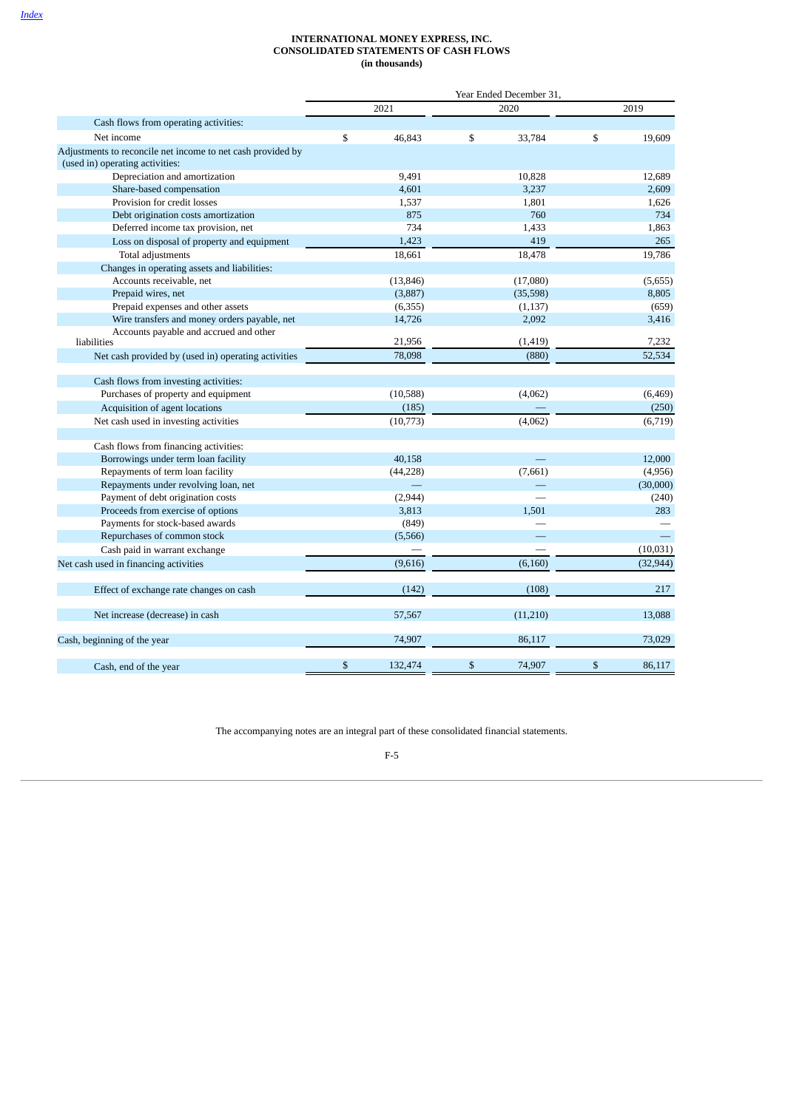### **INTERNATIONAL MONEY EXPRESS, INC. CONSOLIDATED STATEMENTS OF CASH FLOWS (in thousands)**

|                                                             |               | Year Ended December 31, |      |           |  |  |  |
|-------------------------------------------------------------|---------------|-------------------------|------|-----------|--|--|--|
|                                                             | 2021          | 2020                    | 2019 |           |  |  |  |
| Cash flows from operating activities:                       |               |                         |      |           |  |  |  |
| Net income                                                  | \$<br>46,843  | \$<br>33,784            | \$   | 19,609    |  |  |  |
| Adjustments to reconcile net income to net cash provided by |               |                         |      |           |  |  |  |
| (used in) operating activities:                             |               |                         |      |           |  |  |  |
| Depreciation and amortization                               | 9,491         | 10,828                  |      | 12,689    |  |  |  |
| Share-based compensation                                    | 4,601         | 3,237                   |      | 2,609     |  |  |  |
| Provision for credit losses                                 | 1,537         | 1,801                   |      | 1,626     |  |  |  |
| Debt origination costs amortization                         | 875           | 760                     |      | 734       |  |  |  |
| Deferred income tax provision, net                          | 734           | 1,433                   |      | 1,863     |  |  |  |
| Loss on disposal of property and equipment                  | 1,423         | 419                     |      | 265       |  |  |  |
| Total adjustments                                           | 18,661        | 18,478                  |      | 19,786    |  |  |  |
| Changes in operating assets and liabilities:                |               |                         |      |           |  |  |  |
| Accounts receivable, net                                    | (13, 846)     | (17,080)                |      | (5,655)   |  |  |  |
| Prepaid wires, net                                          | (3,887)       | (35,598)                |      | 8,805     |  |  |  |
| Prepaid expenses and other assets                           | (6,355)       | (1,137)                 |      | (659)     |  |  |  |
| Wire transfers and money orders payable, net                | 14,726        | 2,092                   |      | 3,416     |  |  |  |
| Accounts payable and accrued and other                      |               |                         |      |           |  |  |  |
| liabilities                                                 | 21,956        | (1, 419)                |      | 7,232     |  |  |  |
| Net cash provided by (used in) operating activities         | 78,098        | (880)                   |      | 52,534    |  |  |  |
|                                                             |               |                         |      |           |  |  |  |
| Cash flows from investing activities:                       |               |                         |      |           |  |  |  |
| Purchases of property and equipment                         | (10, 588)     | (4,062)                 |      | (6, 469)  |  |  |  |
| Acquisition of agent locations                              | (185)         |                         |      | (250)     |  |  |  |
| Net cash used in investing activities                       | (10,773)      | (4,062)                 |      | (6,719)   |  |  |  |
|                                                             |               |                         |      |           |  |  |  |
| Cash flows from financing activities:                       |               |                         |      |           |  |  |  |
| Borrowings under term loan facility                         | 40.158        |                         |      | 12,000    |  |  |  |
| Repayments of term loan facility                            | (44, 228)     | (7,661)                 |      | (4,956)   |  |  |  |
| Repayments under revolving loan, net                        |               |                         |      | (30,000)  |  |  |  |
| Payment of debt origination costs                           | (2,944)       |                         |      | (240)     |  |  |  |
| Proceeds from exercise of options                           | 3,813         | 1,501                   |      | 283       |  |  |  |
| Payments for stock-based awards                             | (849)         |                         |      |           |  |  |  |
| Repurchases of common stock                                 | (5,566)       |                         |      |           |  |  |  |
| Cash paid in warrant exchange                               |               |                         |      | (10, 031) |  |  |  |
| Net cash used in financing activities                       | (9,616)       | (6, 160)                |      | (32, 944) |  |  |  |
| Effect of exchange rate changes on cash                     | (142)         | (108)                   |      | 217       |  |  |  |
| Net increase (decrease) in cash                             | 57,567        | (11, 210)               |      | 13,088    |  |  |  |
| Cash, beginning of the year                                 | 74,907        | 86,117                  |      | 73,029    |  |  |  |
| Cash, end of the year                                       | \$<br>132,474 | \$<br>74,907            | \$   | 86,117    |  |  |  |

The accompanying notes are an integral part of these consolidated financial statements.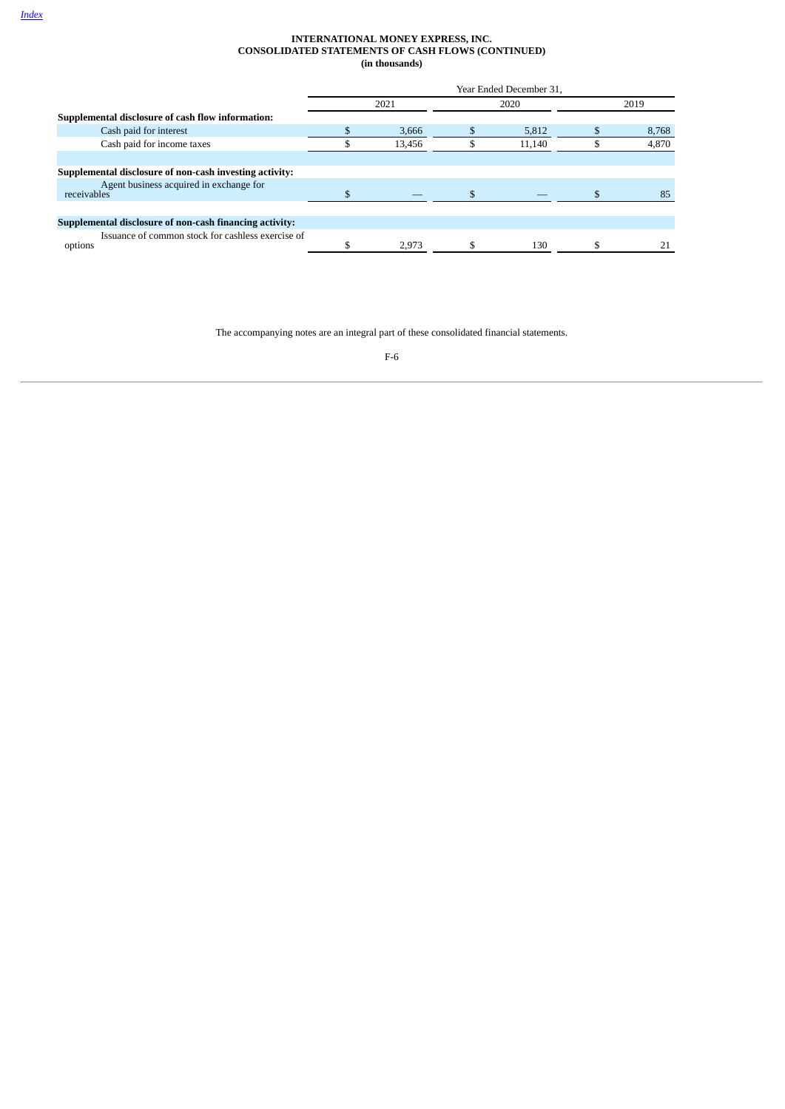#### **INTERNATIONAL MONEY EXPRESS, INC. CONSOLIDATED STATEMENTS OF CASH FLOWS (CONTINUED) (in thousands)**

|                                                              | Year Ended December 31, |        |  |        |  |       |  |
|--------------------------------------------------------------|-------------------------|--------|--|--------|--|-------|--|
|                                                              |                         | 2021   |  | 2020   |  | 2019  |  |
| Supplemental disclosure of cash flow information:            |                         |        |  |        |  |       |  |
| Cash paid for interest                                       |                         | 3,666  |  | 5,812  |  | 8,768 |  |
| Cash paid for income taxes                                   |                         | 13,456 |  | 11,140 |  | 4,870 |  |
|                                                              |                         |        |  |        |  |       |  |
| Supplemental disclosure of non-cash investing activity:      |                         |        |  |        |  |       |  |
| Agent business acquired in exchange for<br>receivables       |                         |        |  |        |  | 85    |  |
|                                                              |                         |        |  |        |  |       |  |
| Supplemental disclosure of non-cash financing activity:      |                         |        |  |        |  |       |  |
| Issuance of common stock for cashless exercise of<br>options |                         | 2,973  |  | 130    |  |       |  |

<span id="page-50-0"></span>The accompanying notes are an integral part of these consolidated financial statements.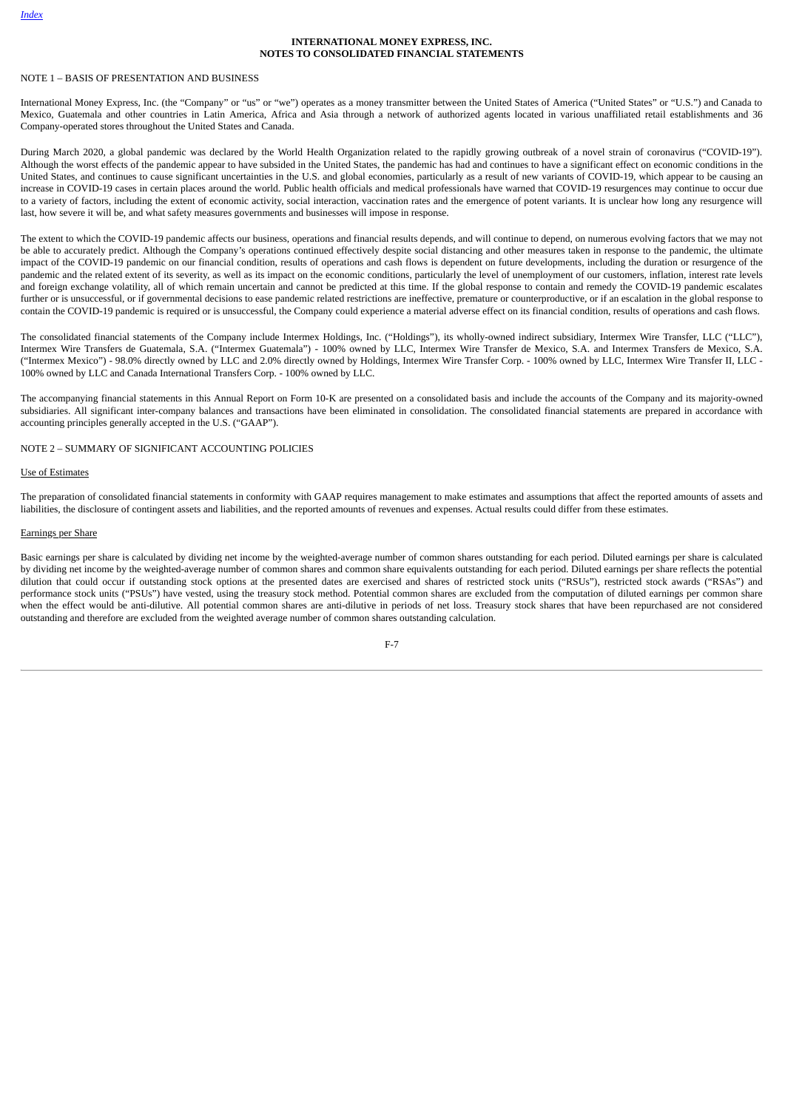### **INTERNATIONAL MONEY EXPRESS, INC. NOTES TO CONSOLIDATED FINANCIAL STATEMENTS**

## NOTE 1 – BASIS OF PRESENTATION AND BUSINESS

International Money Express, Inc. (the "Company" or "us" or "we") operates as a money transmitter between the United States of America ("United States" or "U.S.") and Canada to Mexico, Guatemala and other countries in Latin America, Africa and Asia through a network of authorized agents located in various unaffiliated retail establishments and 36 Company-operated stores throughout the United States and Canada.

During March 2020, a global pandemic was declared by the World Health Organization related to the rapidly growing outbreak of a novel strain of coronavirus ("COVID-19"). Although the worst effects of the pandemic appear to have subsided in the United States, the pandemic has had and continues to have a significant effect on economic conditions in the United States, and continues to cause significant uncertainties in the U.S. and global economies, particularly as a result of new variants of COVID-19, which appear to be causing an increase in COVID-19 cases in certain places around the world. Public health officials and medical professionals have warned that COVID-19 resurgences may continue to occur due to a variety of factors, including the extent of economic activity, social interaction, vaccination rates and the emergence of potent variants. It is unclear how long any resurgence will last, how severe it will be, and what safety measures governments and businesses will impose in response.

The extent to which the COVID-19 pandemic affects our business, operations and financial results depends, and will continue to depend, on numerous evolving factors that we may not be able to accurately predict. Although the Company's operations continued effectively despite social distancing and other measures taken in response to the pandemic, the ultimate impact of the COVID-19 pandemic on our financial condition, results of operations and cash flows is dependent on future developments, including the duration or resurgence of the pandemic and the related extent of its severity, as well as its impact on the economic conditions, particularly the level of unemployment of our customers, inflation, interest rate levels and foreign exchange volatility, all of which remain uncertain and cannot be predicted at this time. If the global response to contain and remedy the COVID-19 pandemic escalates further or is unsuccessful, or if governmental decisions to ease pandemic related restrictions are ineffective, premature or counterproductive, or if an escalation in the global response to contain the COVID-19 pandemic is required or is unsuccessful, the Company could experience a material adverse effect on its financial condition, results of operations and cash flows.

The consolidated financial statements of the Company include Intermex Holdings, Inc. ("Holdings"), its wholly-owned indirect subsidiary, Intermex Wire Transfer, LLC ("LLC"), Intermex Wire Transfers de Guatemala, S.A. ("Intermex Guatemala") - 100% owned by LLC, Intermex Wire Transfer de Mexico, S.A. and Intermex Transfers de Mexico, S.A. ("Intermex Mexico") - 98.0% directly owned by LLC and 2.0% directly owned by Holdings, Intermex Wire Transfer Corp. - 100% owned by LLC, Intermex Wire Transfer II, LLC - 100% owned by LLC and Canada International Transfers Corp. - 100% owned by LLC.

The accompanying financial statements in this Annual Report on Form 10-K are presented on a consolidated basis and include the accounts of the Company and its majority-owned subsidiaries. All significant inter-company balances and transactions have been eliminated in consolidation. The consolidated financial statements are prepared in accordance with accounting principles generally accepted in the U.S. ("GAAP").

### NOTE 2 – SUMMARY OF SIGNIFICANT ACCOUNTING POLICIES

#### Use of Estimates

The preparation of consolidated financial statements in conformity with GAAP requires management to make estimates and assumptions that affect the reported amounts of assets and liabilities, the disclosure of contingent assets and liabilities, and the reported amounts of revenues and expenses. Actual results could differ from these estimates.

#### Earnings per Share

Basic earnings per share is calculated by dividing net income by the weighted-average number of common shares outstanding for each period. Diluted earnings per share is calculated by dividing net income by the weighted-average number of common shares and common share equivalents outstanding for each period. Diluted earnings per share reflects the potential dilution that could occur if outstanding stock options at the presented dates are exercised and shares of restricted stock units ("RSUs"), restricted stock awards ("RSAs") and performance stock units ("PSUs") have vested, using the treasury stock method. Potential common shares are excluded from the computation of diluted earnings per common share when the effect would be anti-dilutive. All potential common shares are anti-dilutive in periods of net loss. Treasury stock shares that have been repurchased are not considered outstanding and therefore are excluded from the weighted average number of common shares outstanding calculation.

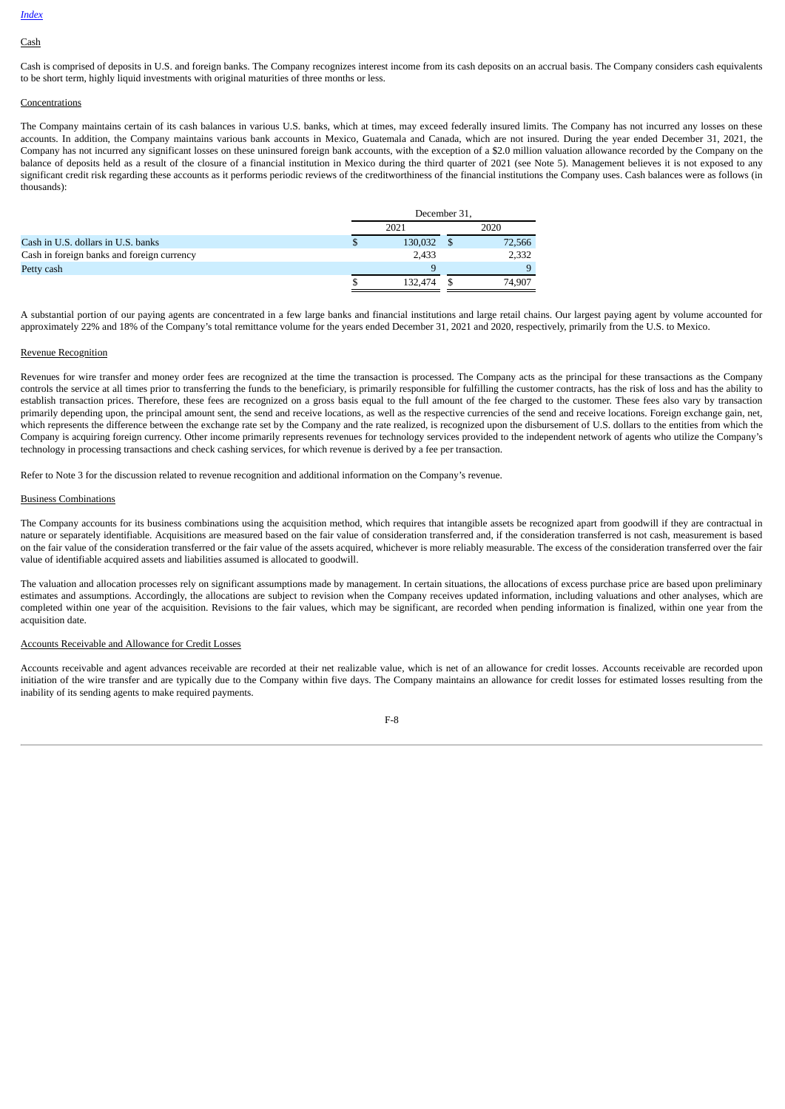# Cash

Cash is comprised of deposits in U.S. and foreign banks. The Company recognizes interest income from its cash deposits on an accrual basis. The Company considers cash equivalents to be short term, highly liquid investments with original maturities of three months or less.

#### Concentrations

The Company maintains certain of its cash balances in various U.S. banks, which at times, may exceed federally insured limits. The Company has not incurred any losses on these accounts. In addition, the Company maintains various bank accounts in Mexico, Guatemala and Canada, which are not insured. During the year ended December 31, 2021, the Company has not incurred any significant losses on these uninsured foreign bank accounts, with the exception of a \$2.0 million valuation allowance recorded by the Company on the balance of deposits held as a result of the closure of a financial institution in Mexico during the third quarter of 2021 (see Note 5). Management believes it is not exposed to any significant credit risk regarding these accounts as it performs periodic reviews of the creditworthiness of the financial institutions the Company uses. Cash balances were as follows (in thousands):

|                                            |      | December 31, |  |        |  |
|--------------------------------------------|------|--------------|--|--------|--|
|                                            | 2021 |              |  | 2020   |  |
| Cash in U.S. dollars in U.S. banks         | S    | 130,032      |  | 72,566 |  |
| Cash in foreign banks and foreign currency |      | 2,433        |  | 2,332  |  |
| Petty cash                                 |      |              |  |        |  |
|                                            |      | 132,474      |  | 74.907 |  |

A substantial portion of our paying agents are concentrated in a few large banks and financial institutions and large retail chains. Our largest paying agent by volume accounted for approximately 22% and 18% of the Company's total remittance volume for the years ended December 31, 2021 and 2020, respectively, primarily from the U.S. to Mexico.

#### Revenue Recognition

Revenues for wire transfer and money order fees are recognized at the time the transaction is processed. The Company acts as the principal for these transactions as the Company controls the service at all times prior to transferring the funds to the beneficiary, is primarily responsible for fulfilling the customer contracts, has the risk of loss and has the ability to establish transaction prices. Therefore, these fees are recognized on a gross basis equal to the full amount of the fee charged to the customer. These fees also vary by transaction primarily depending upon, the principal amount sent, the send and receive locations, as well as the respective currencies of the send and receive locations. Foreign exchange gain, net, which represents the difference between the exchange rate set by the Company and the rate realized, is recognized upon the disbursement of U.S. dollars to the entities from which the Company is acquiring foreign currency. Other income primarily represents revenues for technology services provided to the independent network of agents who utilize the Company's technology in processing transactions and check cashing services, for which revenue is derived by a fee per transaction.

Refer to Note 3 for the discussion related to revenue recognition and additional information on the Company's revenue.

#### Business Combinations

The Company accounts for its business combinations using the acquisition method, which requires that intangible assets be recognized apart from goodwill if they are contractual in nature or separately identifiable. Acquisitions are measured based on the fair value of consideration transferred and, if the consideration transferred is not cash, measurement is based on the fair value of the consideration transferred or the fair value of the assets acquired, whichever is more reliably measurable. The excess of the consideration transferred over the fair value of identifiable acquired assets and liabilities assumed is allocated to goodwill.

The valuation and allocation processes rely on significant assumptions made by management. In certain situations, the allocations of excess purchase price are based upon preliminary estimates and assumptions. Accordingly, the allocations are subject to revision when the Company receives updated information, including valuations and other analyses, which are completed within one year of the acquisition. Revisions to the fair values, which may be significant, are recorded when pending information is finalized, within one year from the acquisition date.

### Accounts Receivable and Allowance for Credit Losses

Accounts receivable and agent advances receivable are recorded at their net realizable value, which is net of an allowance for credit losses. Accounts receivable are recorded upon initiation of the wire transfer and are typically due to the Company within five days. The Company maintains an allowance for credit losses for estimated losses resulting from the inability of its sending agents to make required payments.

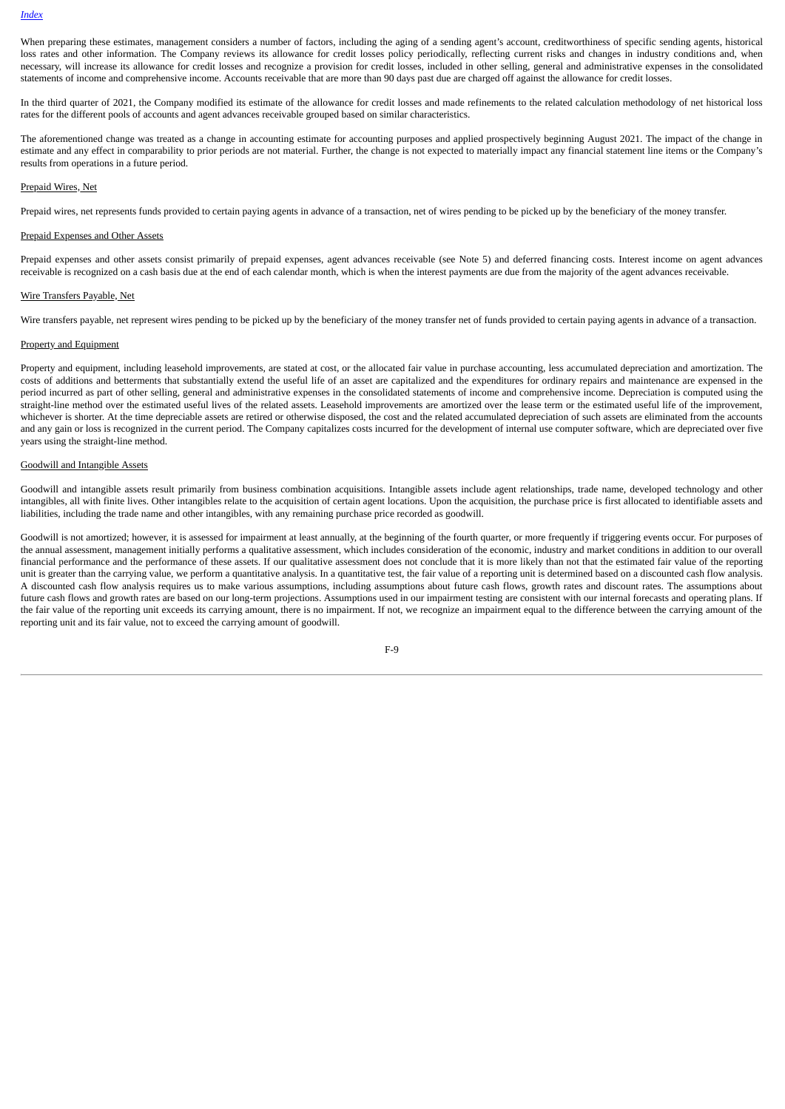When preparing these estimates, management considers a number of factors, including the aging of a sending agent's account, creditworthiness of specific sending agents, historical loss rates and other information. The Company reviews its allowance for credit losses policy periodically, reflecting current risks and changes in industry conditions and, when necessary, will increase its allowance for credit losses and recognize a provision for credit losses, included in other selling, general and administrative expenses in the consolidated statements of income and comprehensive income. Accounts receivable that are more than 90 days past due are charged off against the allowance for credit losses.

In the third quarter of 2021, the Company modified its estimate of the allowance for credit losses and made refinements to the related calculation methodology of net historical loss rates for the different pools of accounts and agent advances receivable grouped based on similar characteristics.

The aforementioned change was treated as a change in accounting estimate for accounting purposes and applied prospectively beginning August 2021. The impact of the change in estimate and any effect in comparability to prior periods are not material. Further, the change is not expected to materially impact any financial statement line items or the Company's results from operations in a future period.

#### Prepaid Wires, Net

Prepaid wires, net represents funds provided to certain paying agents in advance of a transaction, net of wires pending to be picked up by the beneficiary of the money transfer.

#### Prepaid Expenses and Other Assets

Prepaid expenses and other assets consist primarily of prepaid expenses, agent advances receivable (see Note 5) and deferred financing costs. Interest income on agent advances receivable is recognized on a cash basis due at the end of each calendar month, which is when the interest payments are due from the majority of the agent advances receivable.

#### Wire Transfers Payable, Net

Wire transfers payable, net represent wires pending to be picked up by the beneficiary of the money transfer net of funds provided to certain paying agents in advance of a transaction.

#### Property and Equipment

Property and equipment, including leasehold improvements, are stated at cost, or the allocated fair value in purchase accounting, less accumulated depreciation and amortization. The costs of additions and betterments that substantially extend the useful life of an asset are capitalized and the expenditures for ordinary repairs and maintenance are expensed in the period incurred as part of other selling, general and administrative expenses in the consolidated statements of income and comprehensive income. Depreciation is computed using the straight-line method over the estimated useful lives of the related assets. Leasehold improvements are amortized over the lease term or the estimated useful life of the improvement, whichever is shorter. At the time depreciable assets are retired or otherwise disposed, the cost and the related accumulated depreciation of such assets are eliminated from the accounts and any gain or loss is recognized in the current period. The Company capitalizes costs incurred for the development of internal use computer software, which are depreciated over five years using the straight-line method.

#### Goodwill and Intangible Assets

Goodwill and intangible assets result primarily from business combination acquisitions. Intangible assets include agent relationships, trade name, developed technology and other intangibles, all with finite lives. Other intangibles relate to the acquisition of certain agent locations. Upon the acquisition, the purchase price is first allocated to identifiable assets and liabilities, including the trade name and other intangibles, with any remaining purchase price recorded as goodwill.

Goodwill is not amortized; however, it is assessed for impairment at least annually, at the beginning of the fourth quarter, or more frequently if triggering events occur. For purposes of the annual assessment, management initially performs a qualitative assessment, which includes consideration of the economic, industry and market conditions in addition to our overall financial performance and the performance of these assets. If our qualitative assessment does not conclude that it is more likely than not that the estimated fair value of the reporting unit is greater than the carrying value, we perform a quantitative analysis. In a quantitative test, the fair value of a reporting unit is determined based on a discounted cash flow analysis. A discounted cash flow analysis requires us to make various assumptions, including assumptions about future cash flows, growth rates and discount rates. The assumptions about future cash flows and growth rates are based on our long-term projections. Assumptions used in our impairment testing are consistent with our internal forecasts and operating plans. If the fair value of the reporting unit exceeds its carrying amount, there is no impairment. If not, we recognize an impairment equal to the difference between the carrying amount of the reporting unit and its fair value, not to exceed the carrying amount of goodwill.

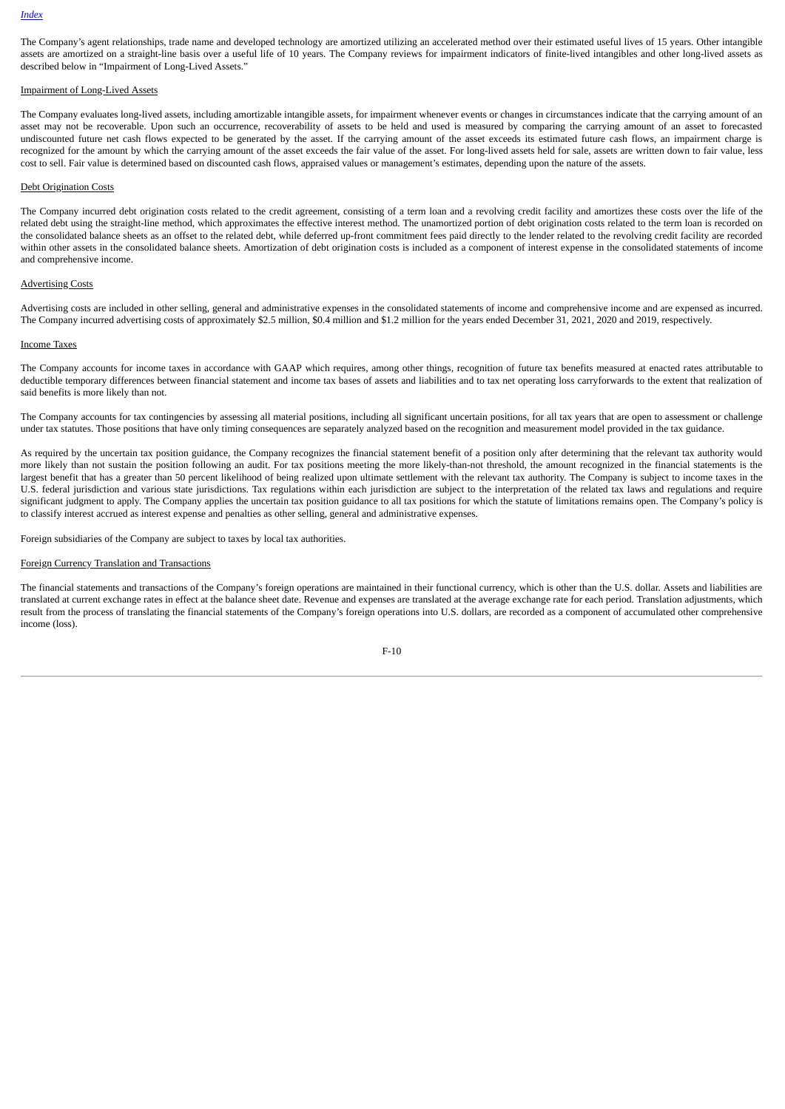The Company's agent relationships, trade name and developed technology are amortized utilizing an accelerated method over their estimated useful lives of 15 years. Other intangible assets are amortized on a straight-line basis over a useful life of 10 years. The Company reviews for impairment indicators of finite-lived intangibles and other long-lived assets as described below in "Impairment of Long-Lived Assets."

### Impairment of Long-Lived Assets

The Company evaluates long-lived assets, including amortizable intangible assets, for impairment whenever events or changes in circumstances indicate that the carrying amount of an asset may not be recoverable. Upon such an occurrence, recoverability of assets to be held and used is measured by comparing the carrying amount of an asset to forecasted undiscounted future net cash flows expected to be generated by the asset. If the carrying amount of the asset exceeds its estimated future cash flows, an impairment charge is recognized for the amount by which the carrying amount of the asset exceeds the fair value of the asset. For long-lived assets held for sale, assets are written down to fair value, less cost to sell. Fair value is determined based on discounted cash flows, appraised values or management's estimates, depending upon the nature of the assets.

#### Debt Origination Costs

The Company incurred debt origination costs related to the credit agreement, consisting of a term loan and a revolving credit facility and amortizes these costs over the life of the related debt using the straight-line method, which approximates the effective interest method. The unamortized portion of debt origination costs related to the term loan is recorded on the consolidated balance sheets as an offset to the related debt, while deferred up-front commitment fees paid directly to the lender related to the revolving credit facility are recorded within other assets in the consolidated balance sheets. Amortization of debt origination costs is included as a component of interest expense in the consolidated statements of income and comprehensive income.

### Advertising Costs

Advertising costs are included in other selling, general and administrative expenses in the consolidated statements of income and comprehensive income and are expensed as incurred. The Company incurred advertising costs of approximately \$2.5 million, \$0.4 million and \$1.2 million for the years ended December 31, 2021, 2020 and 2019, respectively.

#### Income Taxes

The Company accounts for income taxes in accordance with GAAP which requires, among other things, recognition of future tax benefits measured at enacted rates attributable to deductible temporary differences between financial statement and income tax bases of assets and liabilities and to tax net operating loss carryforwards to the extent that realization of said benefits is more likely than not.

The Company accounts for tax contingencies by assessing all material positions, including all significant uncertain positions, for all tax years that are open to assessment or challenge under tax statutes. Those positions that have only timing consequences are separately analyzed based on the recognition and measurement model provided in the tax guidance.

As required by the uncertain tax position guidance, the Company recognizes the financial statement benefit of a position only after determining that the relevant tax authority would more likely than not sustain the position following an audit. For tax positions meeting the more likely-than-not threshold, the amount recognized in the financial statements is the largest benefit that has a greater than 50 percent likelihood of being realized upon ultimate settlement with the relevant tax authority. The Company is subject to income taxes in the U.S. federal jurisdiction and various state jurisdictions. Tax regulations within each jurisdiction are subject to the interpretation of the related tax laws and regulations and require significant judgment to apply. The Company applies the uncertain tax position guidance to all tax positions for which the statute of limitations remains open. The Company's policy is to classify interest accrued as interest expense and penalties as other selling, general and administrative expenses.

Foreign subsidiaries of the Company are subject to taxes by local tax authorities.

#### Foreign Currency Translation and Transactions

The financial statements and transactions of the Company's foreign operations are maintained in their functional currency, which is other than the U.S. dollar. Assets and liabilities are translated at current exchange rates in effect at the balance sheet date. Revenue and expenses are translated at the average exchange rate for each period. Translation adjustments, which result from the process of translating the financial statements of the Company's foreign operations into U.S. dollars, are recorded as a component of accumulated other comprehensive income (loss).

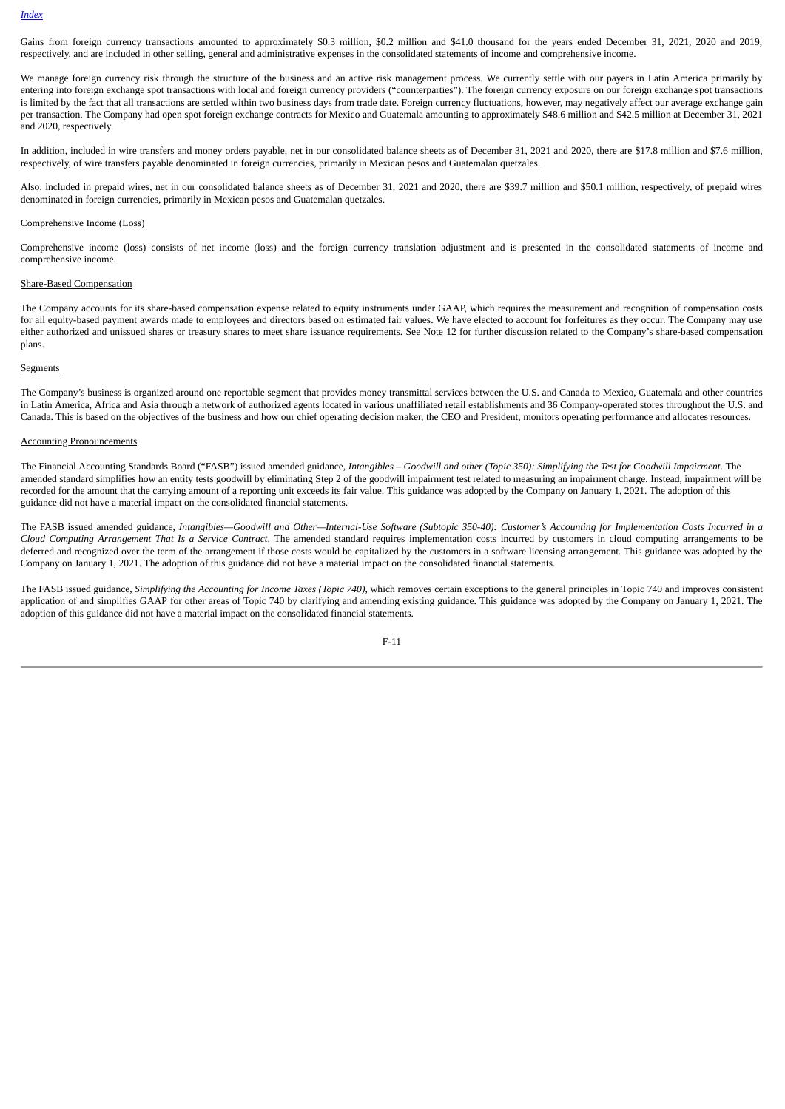Gains from foreign currency transactions amounted to approximately \$0.3 million, \$0.2 million and \$41.0 thousand for the years ended December 31, 2021, 2020 and 2019, respectively, and are included in other selling, general and administrative expenses in the consolidated statements of income and comprehensive income.

We manage foreign currency risk through the structure of the business and an active risk management process. We currently settle with our payers in Latin America primarily by entering into foreign exchange spot transactions with local and foreign currency providers ("counterparties"). The foreign currency exposure on our foreign exchange spot transactions is limited by the fact that all transactions are settled within two business days from trade date. Foreign currency fluctuations, however, may negatively affect our average exchange gain per transaction. The Company had open spot foreign exchange contracts for Mexico and Guatemala amounting to approximately \$48.6 million and \$42.5 million at December 31, 2021 and 2020, respectively.

In addition, included in wire transfers and money orders payable, net in our consolidated balance sheets as of December 31, 2021 and 2020, there are \$17.8 million and \$7.6 million, respectively, of wire transfers payable denominated in foreign currencies, primarily in Mexican pesos and Guatemalan quetzales.

Also, included in prepaid wires, net in our consolidated balance sheets as of December 31, 2021 and 2020, there are \$39.7 million and \$50.1 million, respectively, of prepaid wires denominated in foreign currencies, primarily in Mexican pesos and Guatemalan quetzales.

#### Comprehensive Income (Loss)

Comprehensive income (loss) consists of net income (loss) and the foreign currency translation adjustment and is presented in the consolidated statements of income and comprehensive income.

#### Share-Based Compensation

The Company accounts for its share-based compensation expense related to equity instruments under GAAP, which requires the measurement and recognition of compensation costs for all equity-based payment awards made to employees and directors based on estimated fair values. We have elected to account for forfeitures as they occur. The Company may use either authorized and unissued shares or treasury shares to meet share issuance requirements. See Note 12 for further discussion related to the Company's share-based compensation plans.

### **Segments**

The Company's business is organized around one reportable segment that provides money transmittal services between the U.S. and Canada to Mexico, Guatemala and other countries in Latin America, Africa and Asia through a network of authorized agents located in various unaffiliated retail establishments and 36 Company-operated stores throughout the U.S. and Canada. This is based on the objectives of the business and how our chief operating decision maker, the CEO and President, monitors operating performance and allocates resources.

#### Accounting Pronouncements

The Financial Accounting Standards Board ("FASB") issued amended guidance, Intangibles - Goodwill and other (Topic 350): Simplifying the Test for Goodwill Impairment. The amended standard simplifies how an entity tests goodwill by eliminating Step 2 of the goodwill impairment test related to measuring an impairment charge. Instead, impairment will be recorded for the amount that the carrying amount of a reporting unit exceeds its fair value. This guidance was adopted by the Company on January 1, 2021. The adoption of this guidance did not have a material impact on the consolidated financial statements.

The FASB issued amended guidance, Intangibles-Goodwill and Other-Internal-Use Software (Subtopic 350-40): Customer's Accounting for Implementation Costs Incurred in a *Cloud Computing Arrangement That Is a Service Contract*. The amended standard requires implementation costs incurred by customers in cloud computing arrangements to be deferred and recognized over the term of the arrangement if those costs would be capitalized by the customers in a software licensing arrangement. This guidance was adopted by the Company on January 1, 2021. The adoption of this guidance did not have a material impact on the consolidated financial statements.

The FASB issued guidance, Simplifying the Accounting for Income Taxes (Topic 740), which removes certain exceptions to the general principles in Topic 740 and improves consistent application of and simplifies GAAP for other areas of Topic 740 by clarifying and amending existing guidance. This guidance was adopted by the Company on January 1, 2021. The adoption of this guidance did not have a material impact on the consolidated financial statements.

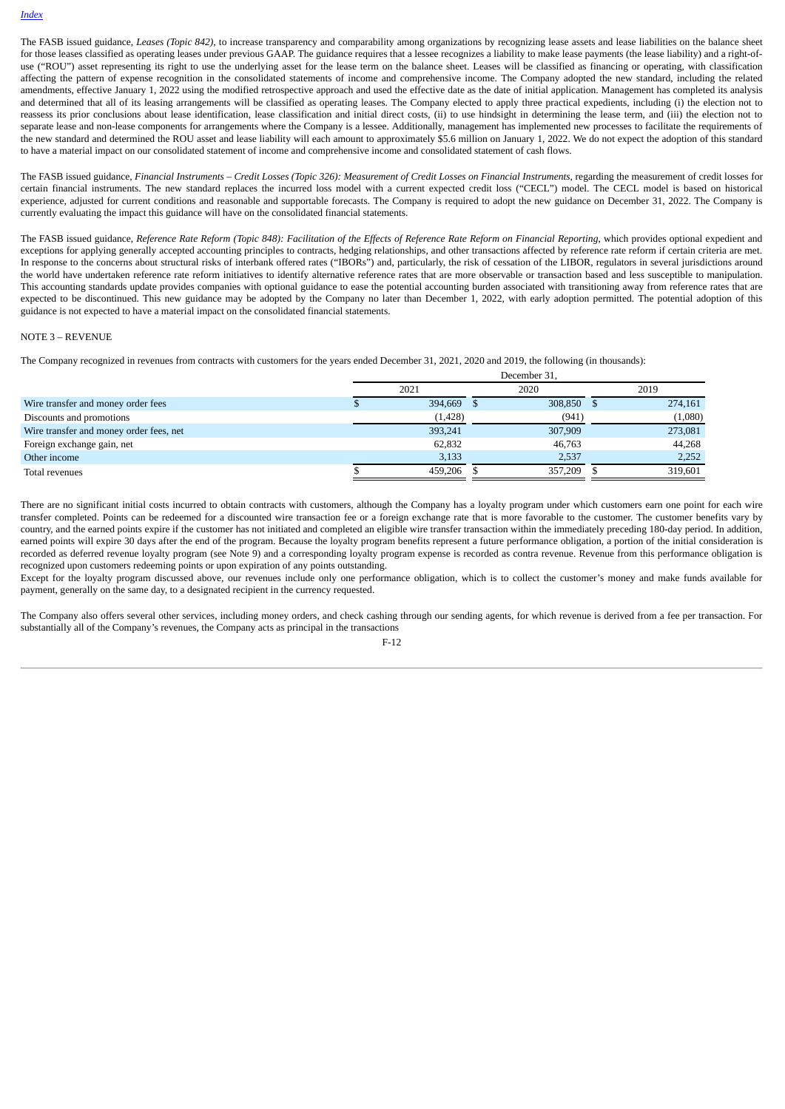The FASB issued guidance, *Leases (Topic 842)*, to increase transparency and comparability among organizations by recognizing lease assets and lease liabilities on the balance sheet for those leases classified as operating leases under previous GAAP. The guidance requires that a lessee recognizes a liability to make lease payments (the lease liability) and a right-ofuse ("ROU") asset representing its right to use the underlying asset for the lease term on the balance sheet. Leases will be classified as financing or operating, with classification affecting the pattern of expense recognition in the consolidated statements of income and comprehensive income. The Company adopted the new standard, including the related amendments, effective January 1, 2022 using the modified retrospective approach and used the effective date as the date of initial application. Management has completed its analysis and determined that all of its leasing arrangements will be classified as operating leases. The Company elected to apply three practical expedients, including (i) the election not to reassess its prior conclusions about lease identification, lease classification and initial direct costs, (ii) to use hindsight in determining the lease term, and (iii) the election not to separate lease and non-lease components for arrangements where the Company is a lessee. Additionally, management has implemented new processes to facilitate the requirements of the new standard and determined the ROU asset and lease liability will each amount to approximately \$5.6 million on January 1, 2022. We do not expect the adoption of this standard to have a material impact on our consolidated statement of income and comprehensive income and consolidated statement of cash flows.

The FASB issued guidance, Financial Instruments - Credit Losses (Topic 326): Measurement of Credit Losses on Financial Instruments, regarding the measurement of credit losses for certain financial instruments. The new standard replaces the incurred loss model with a current expected credit loss ("CECL") model. The CECL model is based on historical experience, adjusted for current conditions and reasonable and supportable forecasts. The Company is required to adopt the new guidance on December 31, 2022. The Company is currently evaluating the impact this guidance will have on the consolidated financial statements.

The FASB issued guidance, Reference Rate Reform (Topic 848): Facilitation of the Effects of Reference Rate Reform on Financial Reporting, which provides optional expedient and exceptions for applying generally accepted accounting principles to contracts, hedging relationships, and other transactions affected by reference rate reform if certain criteria are met. In response to the concerns about structural risks of interbank offered rates ("IBORs") and, particularly, the risk of cessation of the LIBOR, regulators in several jurisdictions around the world have undertaken reference rate reform initiatives to identify alternative reference rates that are more observable or transaction based and less susceptible to manipulation. This accounting standards update provides companies with optional guidance to ease the potential accounting burden associated with transitioning away from reference rates that are expected to be discontinued. This new guidance may be adopted by the Company no later than December 1, 2022, with early adoption permitted. The potential adoption of this guidance is not expected to have a material impact on the consolidated financial statements.

#### NOTE 3 – REVENUE

The Company recognized in revenues from contracts with customers for the years ended December 31, 2021, 2020 and 2019, the following (in thousands):

|                                         | December 31. |         |      |            |  |         |
|-----------------------------------------|--------------|---------|------|------------|--|---------|
|                                         | 2021         |         | 2020 |            |  | 2019    |
| Wire transfer and money order fees      |              | 394,669 | - S  | 308,850 \$ |  | 274,161 |
| Discounts and promotions                |              | (1,428) |      | (941)      |  | (1,080) |
| Wire transfer and money order fees, net |              | 393,241 |      | 307,909    |  | 273,081 |
| Foreign exchange gain, net              |              | 62,832  |      | 46,763     |  | 44,268  |
| Other income                            |              | 3,133   |      | 2,537      |  | 2,252   |
| Total revenues                          |              | 459,206 |      | 357,209    |  | 319,601 |

There are no significant initial costs incurred to obtain contracts with customers, although the Company has a loyalty program under which customers earn one point for each wire transfer completed. Points can be redeemed for a discounted wire transaction fee or a foreign exchange rate that is more favorable to the customer. The customer benefits vary by country, and the earned points expire if the customer has not initiated and completed an eligible wire transfer transaction within the immediately preceding 180-day period. In addition, earned points will expire 30 days after the end of the program. Because the loyalty program benefits represent a future performance obligation, a portion of the initial consideration is recorded as deferred revenue loyalty program (see Note 9) and a corresponding loyalty program expense is recorded as contra revenue. Revenue from this performance obligation is recognized upon customers redeeming points or upon expiration of any points outstanding.

Except for the loyalty program discussed above, our revenues include only one performance obligation, which is to collect the customer's money and make funds available for payment, generally on the same day, to a designated recipient in the currency requested.

The Company also offers several other services, including money orders, and check cashing through our sending agents, for which revenue is derived from a fee per transaction. For substantially all of the Company's revenues, the Company acts as principal in the transactions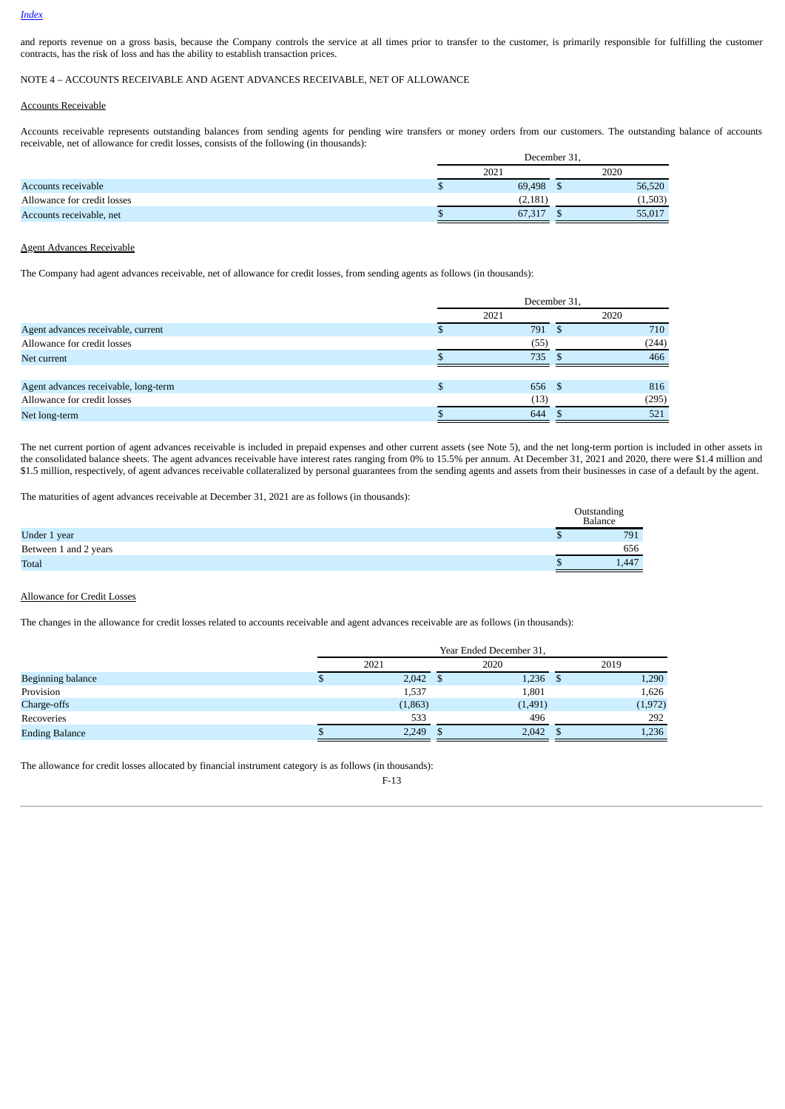and reports revenue on a gross basis, because the Company controls the service at all times prior to transfer to the customer, is primarily responsible for fulfilling the customer contracts, has the risk of loss and has the ability to establish transaction prices.

NOTE 4 – ACCOUNTS RECEIVABLE AND AGENT ADVANCES RECEIVABLE, NET OF ALLOWANCE

### Accounts Receivable

Accounts receivable represents outstanding balances from sending agents for pending wire transfers or money orders from our customers. The outstanding balance of accounts receivable, net of allowance for credit losses, consists of the following (in thousands):

|                             |   | December 31, |          |  |         |
|-----------------------------|---|--------------|----------|--|---------|
|                             |   | 2021         |          |  | 2020    |
| Accounts receivable         | Φ |              | 69,498   |  | 56,520  |
| Allowance for credit losses |   |              | (2, 181) |  | (1,503) |
| Accounts receivable, net    |   | 67,317       |          |  | 55,017  |

### Agent Advances Receivable

The Company had agent advances receivable, net of allowance for credit losses, from sending agents as follows (in thousands):

|                                      | December 31, |  |       |  |  |
|--------------------------------------|--------------|--|-------|--|--|
|                                      | 2021         |  | 2020  |  |  |
| Agent advances receivable, current   | 791 \$       |  | 710   |  |  |
| Allowance for credit losses          | (55)         |  | (244) |  |  |
| Net current                          | 735          |  | 466   |  |  |
|                                      |              |  |       |  |  |
| Agent advances receivable, long-term | 656 \$       |  | 816   |  |  |
| Allowance for credit losses          | (13)         |  | (295) |  |  |
| Net long-term                        | 644          |  | 521   |  |  |

The net current portion of agent advances receivable is included in prepaid expenses and other current assets (see Note 5), and the net long-term portion is included in other assets in the consolidated balance sheets. The agent advances receivable have interest rates ranging from 0% to 15.5% per annum. At December 31, 2021 and 2020, there were \$1.4 million and \$1.5 million, respectively, of agent advances receivable collateralized by personal guarantees from the sending agents and assets from their businesses in case of a default by the agent.

The maturities of agent advances receivable at December 31, 2021 are as follows (in thousands):

|                       | Outstanding<br>Balance |
|-----------------------|------------------------|
| Under 1 year          | 791                    |
| Between 1 and 2 years | 656                    |
| <b>Total</b>          | 1,447                  |

## Allowance for Credit Losses

The changes in the allowance for credit losses related to accounts receivable and agent advances receivable are as follows (in thousands):

|                       | Year Ended December 31, |  |         |  |          |  |
|-----------------------|-------------------------|--|---------|--|----------|--|
|                       | 2021                    |  | 2020    |  | 2019     |  |
| Beginning balance     | 2,042                   |  | 1,236   |  | 1,290    |  |
| Provision             | 1,537                   |  | 1,801   |  | 1,626    |  |
| Charge-offs           | (1,863)                 |  | (1,491) |  | (1, 972) |  |
| Recoveries            | 533                     |  | 496     |  | 292      |  |
| <b>Ending Balance</b> | 2,249                   |  | 2,042   |  | 1,236    |  |

The allowance for credit losses allocated by financial instrument category is as follows (in thousands):

F-13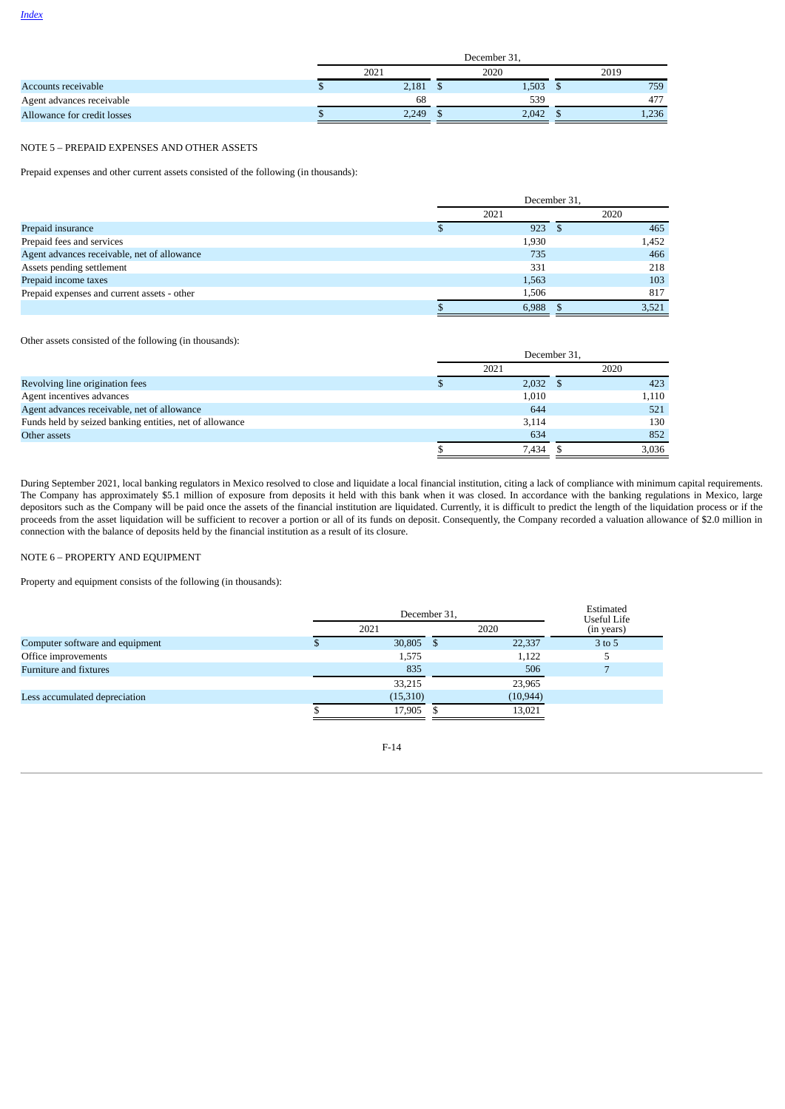|                             | December 31. |       |  |       |  |       |
|-----------------------------|--------------|-------|--|-------|--|-------|
|                             |              | 2021  |  | 2020  |  | 2019  |
| Accounts receivable         |              | 2,181 |  | 1,503 |  | 759   |
| Agent advances receivable   |              | 68    |  | 539   |  | 477   |
| Allowance for credit losses |              | 2,249 |  | 2,042 |  | 1,236 |
|                             |              |       |  |       |  |       |

### NOTE 5 – PREPAID EXPENSES AND OTHER ASSETS

Prepaid expenses and other current assets consisted of the following (in thousands):

|                                             | December 31, |      |       |  |
|---------------------------------------------|--------------|------|-------|--|
|                                             | 2021         | 2020 |       |  |
| Prepaid insurance                           | 923          |      | 465   |  |
| Prepaid fees and services                   | 1,930        |      | 1,452 |  |
| Agent advances receivable, net of allowance | 735          |      | 466   |  |
| Assets pending settlement                   | 331          |      | 218   |  |
| Prepaid income taxes                        | 1,563        |      | 103   |  |
| Prepaid expenses and current assets - other | 1,506        |      | 817   |  |
|                                             | 6,988        |      | 3,521 |  |

Other assets consisted of the following (in thousands):

|                                                         |      | December 31. |  |       |  |  |
|---------------------------------------------------------|------|--------------|--|-------|--|--|
|                                                         | 2021 |              |  | 2020  |  |  |
| Revolving line origination fees                         |      | $2,032$ \$   |  | 423   |  |  |
| Agent incentives advances                               |      | 1,010        |  | 1,110 |  |  |
| Agent advances receivable, net of allowance             |      | 644          |  | 521   |  |  |
| Funds held by seized banking entities, net of allowance |      | 3,114        |  | 130   |  |  |
| Other assets                                            |      | 634          |  | 852   |  |  |
|                                                         |      | 7.434        |  | 3.036 |  |  |

During September 2021, local banking regulators in Mexico resolved to close and liquidate a local financial institution, citing a lack of compliance with minimum capital requirements. The Company has approximately \$5.1 million of exposure from deposits it held with this bank when it was closed. In accordance with the banking regulations in Mexico, large depositors such as the Company will be paid once the assets of the financial institution are liquidated. Currently, it is difficult to predict the length of the liquidation process or if the proceeds from the asset liquidation will be sufficient to recover a portion or all of its funds on deposit. Consequently, the Company recorded a valuation allowance of \$2.0 million in connection with the balance of deposits held by the financial institution as a result of its closure.

## NOTE 6 – PROPERTY AND EQUIPMENT

Property and equipment consists of the following (in thousands):

|                                 | December 31, |     | Estimated<br>Useful Life |            |  |
|---------------------------------|--------------|-----|--------------------------|------------|--|
|                                 | 2021         |     | 2020                     | (in years) |  |
| Computer software and equipment | 30,805       | - 5 | 22,337                   | 3 to 5     |  |
| Office improvements             | 1,575        |     | 1,122                    |            |  |
| Furniture and fixtures          | 835          |     | 506                      | Ð          |  |
|                                 | 33,215       |     | 23,965                   |            |  |
| Less accumulated depreciation   | (15,310)     |     | (10, 944)                |            |  |
|                                 | 17,905       |     | 13,021                   |            |  |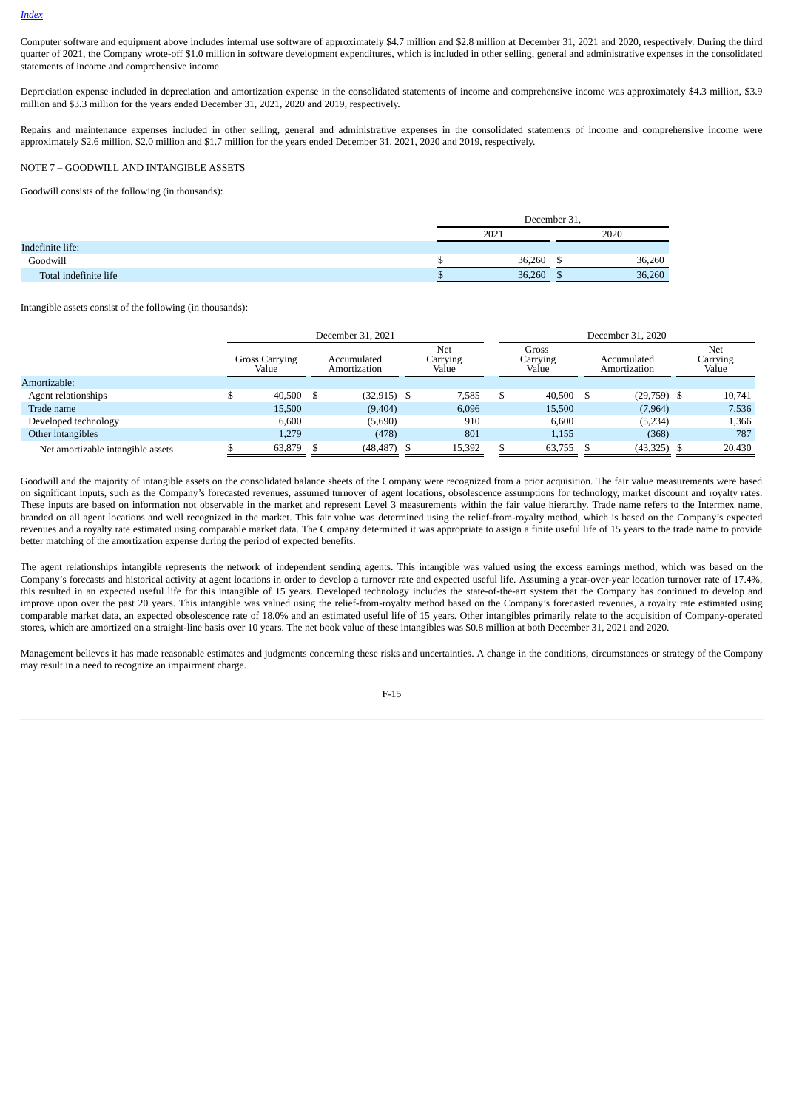Computer software and equipment above includes internal use software of approximately \$4.7 million and \$2.8 million at December 31, 2021 and 2020, respectively. During the third quarter of 2021, the Company wrote-off \$1.0 million in software development expenditures, which is included in other selling, general and administrative expenses in the consolidated statements of income and comprehensive income.

Depreciation expense included in depreciation and amortization expense in the consolidated statements of income and comprehensive income was approximately \$4.3 million, \$3.9 million and \$3.3 million for the years ended December 31, 2021, 2020 and 2019, respectively.

Repairs and maintenance expenses included in other selling, general and administrative expenses in the consolidated statements of income and comprehensive income were approximately \$2.6 million, \$2.0 million and \$1.7 million for the years ended December 31, 2021, 2020 and 2019, respectively.

## NOTE 7 – GOODWILL AND INTANGIBLE ASSETS

Goodwill consists of the following (in thousands):

|                       | December 31 |        |  |        |  |
|-----------------------|-------------|--------|--|--------|--|
|                       | 2021        |        |  | 2020   |  |
| Indefinite life:      |             |        |  |        |  |
| Goodwill              |             | 36,260 |  | 36,260 |  |
| Total indefinite life |             | 36,260 |  | 36,260 |  |

Intangible assets consist of the following (in thousands):

|                                   | December 31, 2021              |  |                             |  |                          |                                                           | December 31, 2020 |                          |  |        |
|-----------------------------------|--------------------------------|--|-----------------------------|--|--------------------------|-----------------------------------------------------------|-------------------|--------------------------|--|--------|
|                                   | <b>Gross Carrying</b><br>Value |  | Accumulated<br>Amortization |  | Net<br>Carrying<br>Value | Gross<br>Carrying<br>Accumulated<br>Value<br>Amortization |                   | Net<br>Carrying<br>Value |  |        |
| Amortizable:                      |                                |  |                             |  |                          |                                                           |                   |                          |  |        |
| Agent relationships               | 40,500                         |  | $(32,915)$ \$               |  | 7,585                    | 40,500 \$                                                 |                   | $(29,759)$ \$            |  | 10,741 |
| Trade name                        | 15,500                         |  | (9,404)                     |  | 6,096                    | 15,500                                                    |                   | (7,964)                  |  | 7,536  |
| Developed technology              | 6,600                          |  | (5,690)                     |  | 910                      | 6,600                                                     |                   | (5,234)                  |  | 1,366  |
| Other intangibles                 | 1,279                          |  | (478)                       |  | 801                      | 1,155                                                     |                   | (368)                    |  | 787    |
| Net amortizable intangible assets | 63,879                         |  | (48, 487)                   |  | 15,392                   | 63.755                                                    |                   | $(43,325)$ \$            |  | 20,430 |

Goodwill and the majority of intangible assets on the consolidated balance sheets of the Company were recognized from a prior acquisition. The fair value measurements were based on significant inputs, such as the Company's forecasted revenues, assumed turnover of agent locations, obsolescence assumptions for technology, market discount and royalty rates. These inputs are based on information not observable in the market and represent Level 3 measurements within the fair value hierarchy. Trade name refers to the Intermex name, branded on all agent locations and well recognized in the market. This fair value was determined using the relief-from-royalty method, which is based on the Company's expected revenues and a royalty rate estimated using comparable market data. The Company determined it was appropriate to assign a finite useful life of 15 years to the trade name to provide better matching of the amortization expense during the period of expected benefits.

The agent relationships intangible represents the network of independent sending agents. This intangible was valued using the excess earnings method, which was based on the Company's forecasts and historical activity at agent locations in order to develop a turnover rate and expected useful life. Assuming a year-over-year location turnover rate of 17.4%, this resulted in an expected useful life for this intangible of 15 years. Developed technology includes the state-of-the-art system that the Company has continued to develop and improve upon over the past 20 years. This intangible was valued using the relief-from-royalty method based on the Company's forecasted revenues, a royalty rate estimated using comparable market data, an expected obsolescence rate of 18.0% and an estimated useful life of 15 years. Other intangibles primarily relate to the acquisition of Company-operated stores, which are amortized on a straight-line basis over 10 years. The net book value of these intangibles was \$0.8 million at both December 31, 2021 and 2020.

Management believes it has made reasonable estimates and judgments concerning these risks and uncertainties. A change in the conditions, circumstances or strategy of the Company may result in a need to recognize an impairment charge.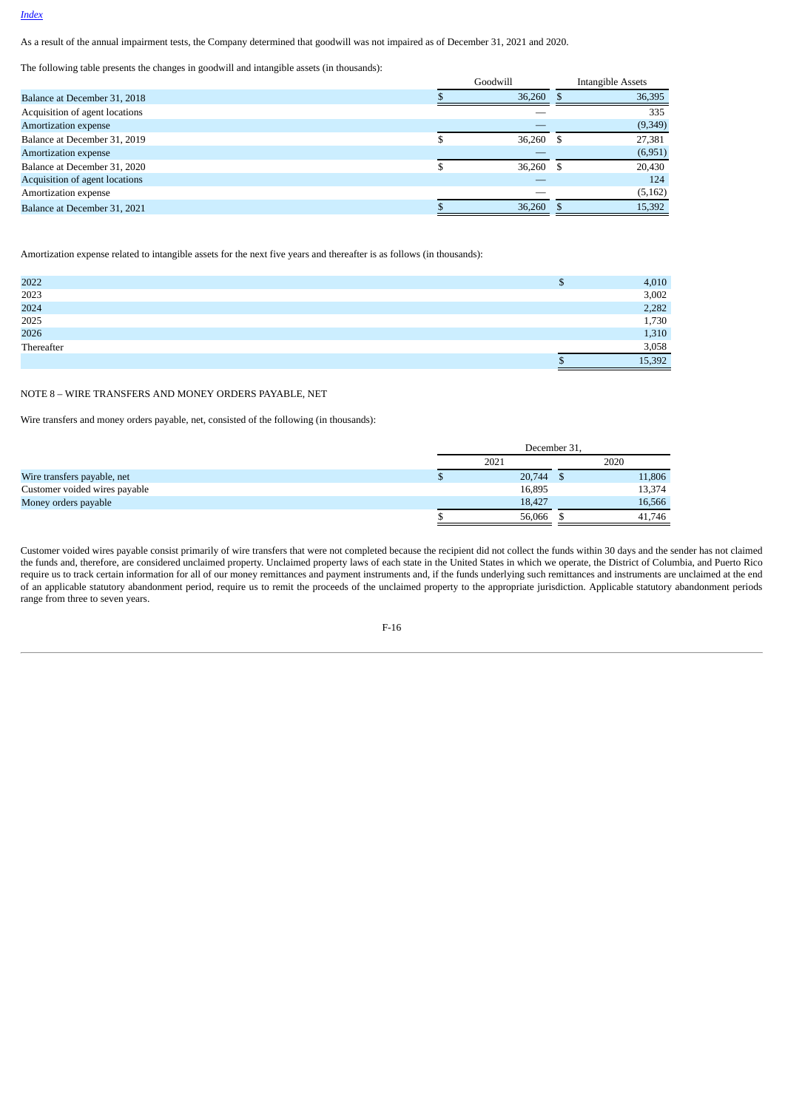As a result of the annual impairment tests, the Company determined that goodwill was not impaired as of December 31, 2021 and 2020.

The following table presents the changes in goodwill and intangible assets (in thousands):

|                                | Goodwill |        |    | <b>Intangible Assets</b> |  |
|--------------------------------|----------|--------|----|--------------------------|--|
| Balance at December 31, 2018   |          | 36,260 |    | 36,395                   |  |
| Acquisition of agent locations |          |        |    | 335                      |  |
| Amortization expense           |          |        |    | (9,349)                  |  |
| Balance at December 31, 2019   |          | 36,260 | .S | 27,381                   |  |
| Amortization expense           |          |        |    | (6,951)                  |  |
| Balance at December 31, 2020   |          | 36,260 |    | 20,430                   |  |
| Acquisition of agent locations |          |        |    | 124                      |  |
| Amortization expense           |          |        |    | (5, 162)                 |  |
| Balance at December 31, 2021   |          | 36,260 |    | 15,392                   |  |

Amortization expense related to intangible assets for the next five years and thereafter is as follows (in thousands):

| 2022       | 4,010  |
|------------|--------|
| 2023       | 3,002  |
| 2024       | 2,282  |
| 2025       | 1,730  |
| 2026       | 1,310  |
| Thereafter | 3,058  |
|            | 15,392 |

## NOTE 8 – WIRE TRANSFERS AND MONEY ORDERS PAYABLE, NET

Wire transfers and money orders payable, net, consisted of the following (in thousands):

|                               |   | December 31. |  |        |  |
|-------------------------------|---|--------------|--|--------|--|
|                               |   | 2021         |  | 2020   |  |
| Wire transfers payable, net   | Œ | 20,744       |  | 11,806 |  |
| Customer voided wires payable |   | 16,895       |  | 13,374 |  |
| Money orders payable          |   | 18,427       |  | 16,566 |  |
|                               |   | 56,066       |  | 41,746 |  |

Customer voided wires payable consist primarily of wire transfers that were not completed because the recipient did not collect the funds within 30 days and the sender has not claimed the funds and, therefore, are considered unclaimed property. Unclaimed property laws of each state in the United States in which we operate, the District of Columbia, and Puerto Rico require us to track certain information for all of our money remittances and payment instruments and, if the funds underlying such remittances and instruments are unclaimed at the end of an applicable statutory abandonment period, require us to remit the proceeds of the unclaimed property to the appropriate jurisdiction. Applicable statutory abandonment periods range from three to seven years.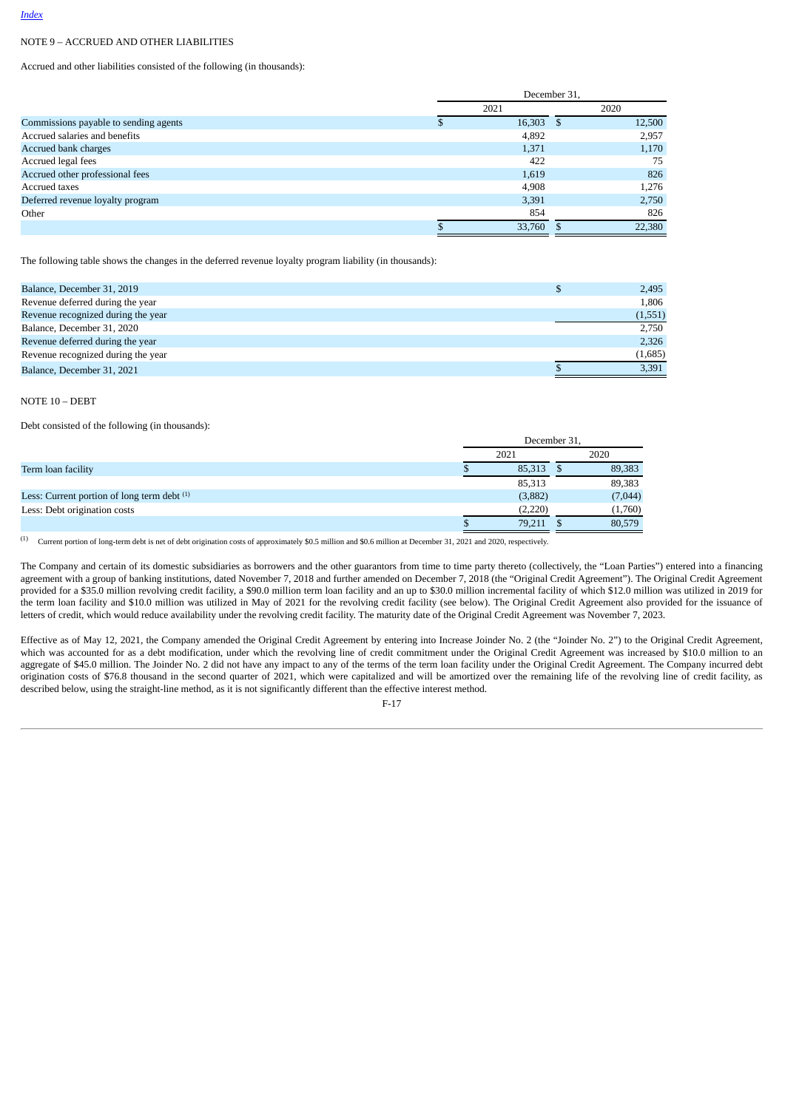### NOTE 9 – ACCRUED AND OTHER LIABILITIES

Accrued and other liabilities consisted of the following (in thousands):

|                                       | December 31, |     |        |
|---------------------------------------|--------------|-----|--------|
|                                       | 2021         |     | 2020   |
| Commissions payable to sending agents | 16,303       | - S | 12,500 |
| Accrued salaries and benefits         | 4,892        |     | 2,957  |
| Accrued bank charges                  | 1,371        |     | 1,170  |
| Accrued legal fees                    | 422          |     | 75     |
| Accrued other professional fees       | 1,619        |     | 826    |
| Accrued taxes                         | 4,908        |     | 1,276  |
| Deferred revenue loyalty program      | 3,391        |     | 2,750  |
| Other                                 | 854          |     | 826    |
|                                       | 33,760       |     | 22,380 |

The following table shows the changes in the deferred revenue loyalty program liability (in thousands):

| Balance, December 31, 2019         | 2,495   |
|------------------------------------|---------|
| Revenue deferred during the year   | 1,806   |
| Revenue recognized during the year | (1,551) |
| Balance, December 31, 2020         | 2,750   |
| Revenue deferred during the year   | 2,326   |
| Revenue recognized during the year | (1,685) |
| Balance, December 31, 2021         | 3,391   |

### NOTE 10 – DEBT

## Debt consisted of the following (in thousands):

|                                               |    | December 31, |  |         |  |
|-----------------------------------------------|----|--------------|--|---------|--|
|                                               |    | 2021         |  | 2020    |  |
| Term loan facility                            |    | 85,313       |  | 89,383  |  |
|                                               |    | 85,313       |  | 89,383  |  |
| Less: Current portion of long term debt $(1)$ |    | (3,882)      |  | (7,044) |  |
| Less: Debt origination costs                  |    | (2,220)      |  | (1,760) |  |
|                                               | ۰υ | 79,211       |  | 80,579  |  |

<sup>(1)</sup> Current portion of long-term debt is net of debt origination costs of approximately \$0.5 million and \$0.6 million at December 31, 2021 and 2020, respectively.

The Company and certain of its domestic subsidiaries as borrowers and the other guarantors from time to time party thereto (collectively, the "Loan Parties") entered into a financing agreement with a group of banking institutions, dated November 7, 2018 and further amended on December 7, 2018 (the "Original Credit Agreement"). The Original Credit Agreement provided for a \$35.0 million revolving credit facility, a \$90.0 million term loan facility and an up to \$30.0 million incremental facility of which \$12.0 million was utilized in 2019 for the term loan facility and \$10.0 million was utilized in May of 2021 for the revolving credit facility (see below). The Original Credit Agreement also provided for the issuance of letters of credit, which would reduce availability under the revolving credit facility. The maturity date of the Original Credit Agreement was November 7, 2023.

Effective as of May 12, 2021, the Company amended the Original Credit Agreement by entering into Increase Joinder No. 2 (the "Joinder No. 2") to the Original Credit Agreement, which was accounted for as a debt modification, under which the revolving line of credit commitment under the Original Credit Agreement was increased by \$10.0 million to an aggregate of \$45.0 million. The Joinder No. 2 did not have any impact to any of the terms of the term loan facility under the Original Credit Agreement. The Company incurred debt origination costs of \$76.8 thousand in the second quarter of 2021, which were capitalized and will be amortized over the remaining life of the revolving line of credit facility, as described below, using the straight-line method, as it is not significantly different than the effective interest method.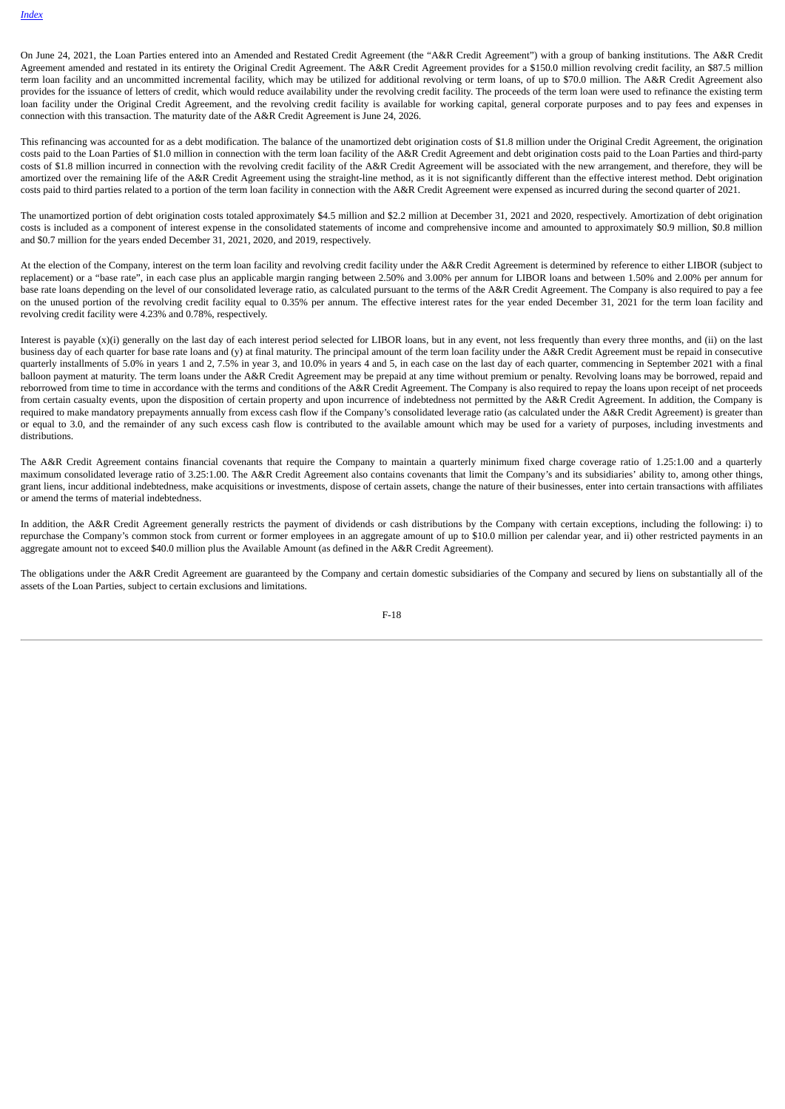On June 24, 2021, the Loan Parties entered into an Amended and Restated Credit Agreement (the "A&R Credit Agreement") with a group of banking institutions. The A&R Credit Agreement amended and restated in its entirety the Original Credit Agreement. The A&R Credit Agreement provides for a \$150.0 million revolving credit facility, an \$87.5 million term loan facility and an uncommitted incremental facility, which may be utilized for additional revolving or term loans, of up to \$70.0 million. The A&R Credit Agreement also provides for the issuance of letters of credit, which would reduce availability under the revolving credit facility. The proceeds of the term loan were used to refinance the existing term loan facility under the Original Credit Agreement, and the revolving credit facility is available for working capital, general corporate purposes and to pay fees and expenses in connection with this transaction. The maturity date of the A&R Credit Agreement is June 24, 2026.

This refinancing was accounted for as a debt modification. The balance of the unamortized debt origination costs of \$1.8 million under the Original Credit Agreement, the origination costs paid to the Loan Parties of \$1.0 million in connection with the term loan facility of the A&R Credit Agreement and debt origination costs paid to the Loan Parties and third-party costs of \$1.8 million incurred in connection with the revolving credit facility of the A&R Credit Agreement will be associated with the new arrangement, and therefore, they will be amortized over the remaining life of the A&R Credit Agreement using the straight-line method, as it is not significantly different than the effective interest method. Debt origination costs paid to third parties related to a portion of the term loan facility in connection with the A&R Credit Agreement were expensed as incurred during the second quarter of 2021.

The unamortized portion of debt origination costs totaled approximately \$4.5 million and \$2.2 million at December 31, 2021 and 2020, respectively. Amortization of debt origination costs is included as a component of interest expense in the consolidated statements of income and comprehensive income and amounted to approximately \$0.9 million, \$0.8 million and \$0.7 million for the years ended December 31, 2021, 2020, and 2019, respectively.

At the election of the Company, interest on the term loan facility and revolving credit facility under the A&R Credit Agreement is determined by reference to either LIBOR (subject to replacement) or a "base rate", in each case plus an applicable margin ranging between 2.50% and 3.00% per annum for LIBOR loans and between 1.50% and 2.00% per annum for base rate loans depending on the level of our consolidated leverage ratio, as calculated pursuant to the terms of the A&R Credit Agreement. The Company is also required to pay a fee on the unused portion of the revolving credit facility equal to 0.35% per annum. The effective interest rates for the year ended December 31, 2021 for the term loan facility and revolving credit facility were 4.23% and 0.78%, respectively.

Interest is payable (x)(i) generally on the last day of each interest period selected for LIBOR loans, but in any event, not less frequently than every three months, and (ii) on the last business day of each quarter for base rate loans and (y) at final maturity. The principal amount of the term loan facility under the A&R Credit Agreement must be repaid in consecutive quarterly installments of 5.0% in years 1 and 2, 7.5% in year 3, and 10.0% in years 4 and 5, in each case on the last day of each quarter, commencing in September 2021 with a final balloon payment at maturity. The term loans under the A&R Credit Agreement may be prepaid at any time without premium or penalty. Revolving loans may be borrowed, repaid and reborrowed from time to time in accordance with the terms and conditions of the A&R Credit Agreement. The Company is also required to repay the loans upon receipt of net proceeds from certain casualty events, upon the disposition of certain property and upon incurrence of indebtedness not permitted by the A&R Credit Agreement. In addition, the Company is required to make mandatory prepayments annually from excess cash flow if the Company's consolidated leverage ratio (as calculated under the A&R Credit Agreement) is greater than or equal to 3.0, and the remainder of any such excess cash flow is contributed to the available amount which may be used for a variety of purposes, including investments and distributions.

The A&R Credit Agreement contains financial covenants that require the Company to maintain a quarterly minimum fixed charge coverage ratio of 1.25:1.00 and a quarterly maximum consolidated leverage ratio of 3.25:1.00. The A&R Credit Agreement also contains covenants that limit the Company's and its subsidiaries' ability to, among other things, grant liens, incur additional indebtedness, make acquisitions or investments, dispose of certain assets, change the nature of their businesses, enter into certain transactions with affiliates or amend the terms of material indebtedness.

In addition, the A&R Credit Agreement generally restricts the payment of dividends or cash distributions by the Company with certain exceptions, including the following: i) to repurchase the Company's common stock from current or former employees in an aggregate amount of up to \$10.0 million per calendar year, and ii) other restricted payments in an aggregate amount not to exceed \$40.0 million plus the Available Amount (as defined in the A&R Credit Agreement).

The obligations under the A&R Credit Agreement are guaranteed by the Company and certain domestic subsidiaries of the Company and secured by liens on substantially all of the assets of the Loan Parties, subject to certain exclusions and limitations.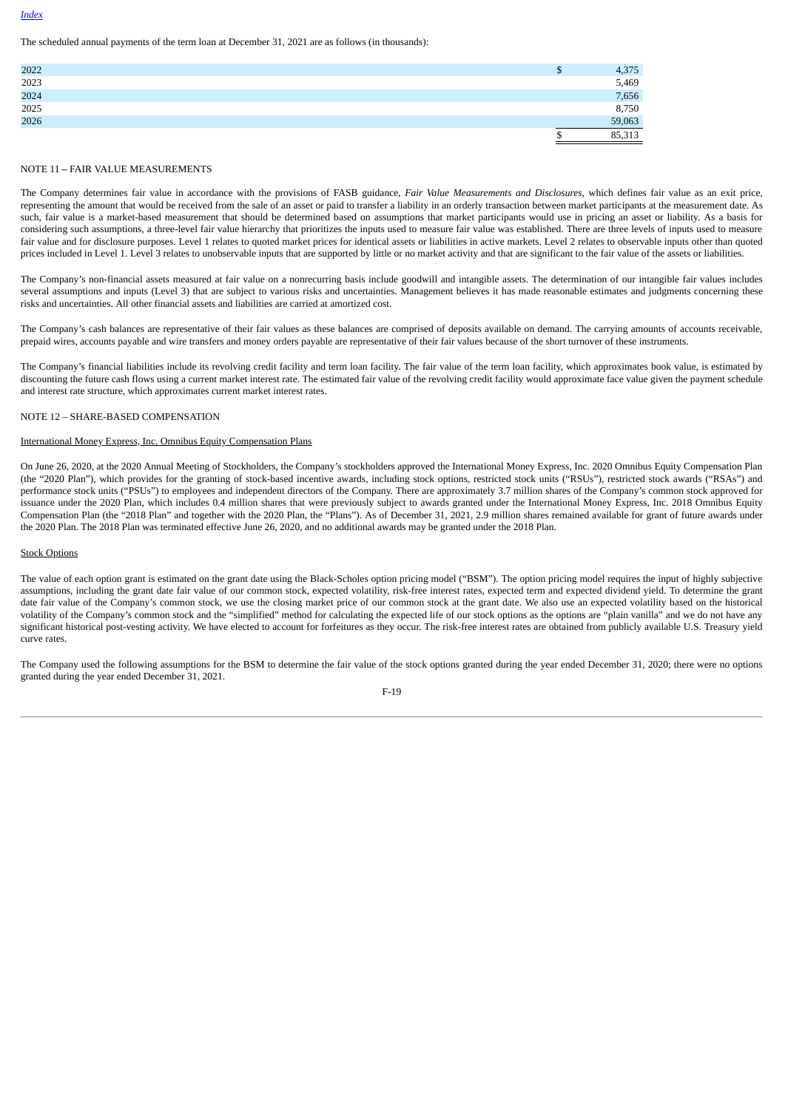The scheduled annual payments of the term loan at December 31, 2021 are as follows (in thousands):

| 2022 |  | D | 4,375  |
|------|--|---|--------|
| 2023 |  |   | 5,469  |
| 2024 |  |   | 7,656  |
| 2025 |  |   | 8,750  |
| 2026 |  |   | 59,063 |
|      |  |   | 85,313 |
|      |  |   |        |

## NOTE 11 *–* FAIR VALUE MEASUREMENTS

The Company determines fair value in accordance with the provisions of FASB guidance, *Fair Value Measurements and Disclosures*, which defines fair value as an exit price, representing the amount that would be received from the sale of an asset or paid to transfer a liability in an orderly transaction between market participants at the measurement date. As such, fair value is a market-based measurement that should be determined based on assumptions that market participants would use in pricing an asset or liability. As a basis for considering such assumptions, a three-level fair value hierarchy that prioritizes the inputs used to measure fair value was established. There are three levels of inputs used to measure fair value and for disclosure purposes. Level 1 relates to quoted market prices for identical assets or liabilities in active markets. Level 2 relates to observable inputs other than quoted prices included in Level 1. Level 3 relates to unobservable inputs that are supported by little or no market activity and that are significant to the fair value of the assets or liabilities.

The Company's non-financial assets measured at fair value on a nonrecurring basis include goodwill and intangible assets. The determination of our intangible fair values includes several assumptions and inputs (Level 3) that are subject to various risks and uncertainties. Management believes it has made reasonable estimates and judgments concerning these risks and uncertainties. All other financial assets and liabilities are carried at amortized cost.

The Company's cash balances are representative of their fair values as these balances are comprised of deposits available on demand. The carrying amounts of accounts receivable, prepaid wires, accounts payable and wire transfers and money orders payable are representative of their fair values because of the short turnover of these instruments.

The Company's financial liabilities include its revolving credit facility and term loan facility. The fair value of the term loan facility, which approximates book value, is estimated by discounting the future cash flows using a current market interest rate. The estimated fair value of the revolving credit facility would approximate face value given the payment schedule and interest rate structure, which approximates current market interest rates.

## NOTE 12 – SHARE-BASED COMPENSATION

# International Money Express, Inc. Omnibus Equity Compensation Plans

On June 26, 2020, at the 2020 Annual Meeting of Stockholders, the Company's stockholders approved the International Money Express, Inc. 2020 Omnibus Equity Compensation Plan (the "2020 Plan"), which provides for the granting of stock-based incentive awards, including stock options, restricted stock units ("RSUs"), restricted stock awards ("RSAs") and performance stock units ("PSUs") to employees and independent directors of the Company. There are approximately 3.7 million shares of the Company's common stock approved for issuance under the 2020 Plan, which includes 0.4 million shares that were previously subject to awards granted under the International Money Express, Inc. 2018 Omnibus Equity Compensation Plan (the "2018 Plan" and together with the 2020 Plan, the "Plans"). As of December 31, 2021, 2.9 million shares remained available for grant of future awards under the 2020 Plan. The 2018 Plan was terminated effective June 26, 2020, and no additional awards may be granted under the 2018 Plan.

#### Stock Options

The value of each option grant is estimated on the grant date using the Black-Scholes option pricing model ("BSM"). The option pricing model requires the input of highly subjective assumptions, including the grant date fair value of our common stock, expected volatility, risk-free interest rates, expected term and expected dividend yield. To determine the grant date fair value of the Company's common stock, we use the closing market price of our common stock at the grant date. We also use an expected volatility based on the historical volatility of the Company's common stock and the "simplified" method for calculating the expected life of our stock options as the options are "plain vanilla" and we do not have any significant historical post-vesting activity. We have elected to account for forfeitures as they occur. The risk-free interest rates are obtained from publicly available U.S. Treasury yield curve rates.

The Company used the following assumptions for the BSM to determine the fair value of the stock options granted during the year ended December 31, 2020; there were no options granted during the year ended December 31, 2021.

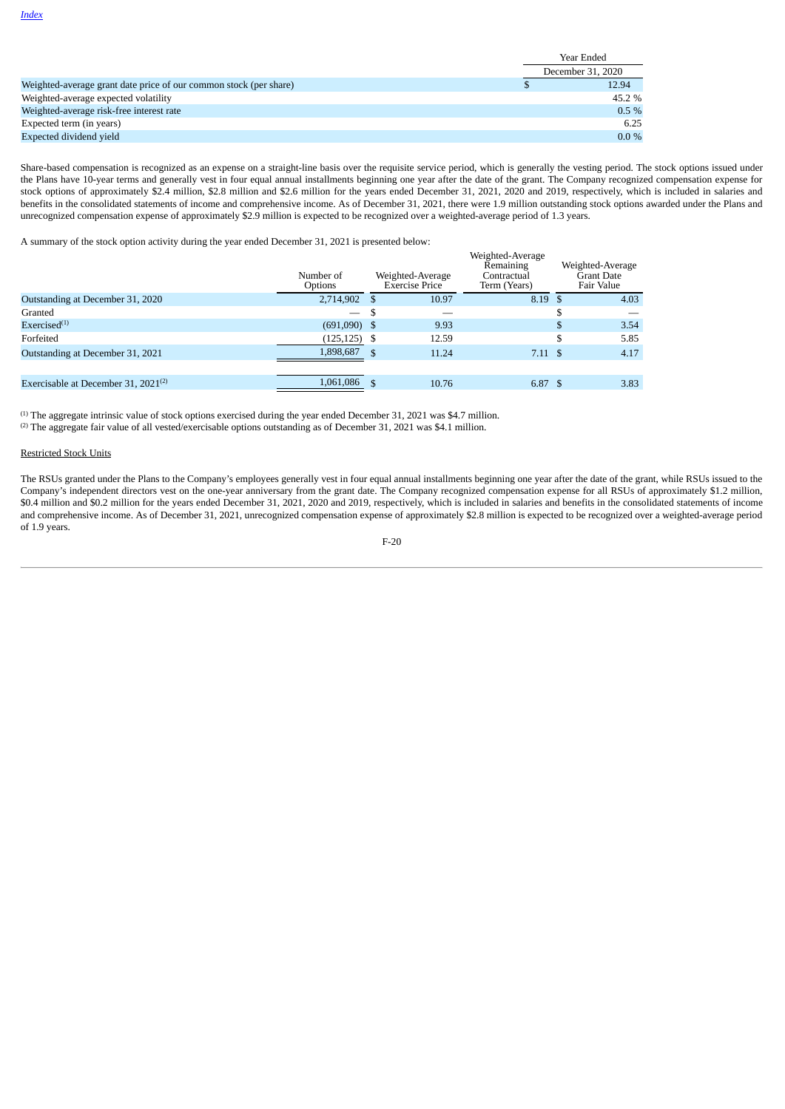|                                                                   | Year Ended        |  |  |
|-------------------------------------------------------------------|-------------------|--|--|
|                                                                   | December 31, 2020 |  |  |
| Weighted-average grant date price of our common stock (per share) | 12.94             |  |  |
| Weighted-average expected volatility                              | 45.2 %            |  |  |
| Weighted-average risk-free interest rate                          | $0.5\%$           |  |  |
| Expected term (in years)                                          | 6.25              |  |  |
| Expected dividend vield                                           | $0.0\%$           |  |  |

Share-based compensation is recognized as an expense on a straight-line basis over the requisite service period, which is generally the vesting period. The stock options issued under the Plans have 10-year terms and generally vest in four equal annual installments beginning one year after the date of the grant. The Company recognized compensation expense for stock options of approximately \$2.4 million, \$2.8 million and \$2.6 million for the years ended December 31, 2021, 2020 and 2019, respectively, which is included in salaries and benefits in the consolidated statements of income and comprehensive income. As of December 31, 2021, there were 1.9 million outstanding stock options awarded under the Plans and unrecognized compensation expense of approximately \$2.9 million is expected to be recognized over a weighted-average period of 1.3 years.

A summary of the stock option activity during the year ended December 31, 2021 is presented below:

|                                          | Number of<br>Options |               | Weighted-Average<br><b>Exercise Price</b> | Weighted-Average<br>Remaining<br>Contractual<br>Term (Years) |      | Weighted-Average<br>Grant Date<br>Fair Value |
|------------------------------------------|----------------------|---------------|-------------------------------------------|--------------------------------------------------------------|------|----------------------------------------------|
| Outstanding at December 31, 2020         | 2,714,902            | <sup>\$</sup> | 10.97                                     | 8.19                                                         | - \$ | 4.03                                         |
| Granted                                  |                      | \$            |                                           |                                                              | D    |                                              |
| Exercised <sup>(1)</sup>                 | $(691,090)$ \$       |               | 9.93                                      |                                                              |      | 3.54                                         |
| Forfeited                                | (125, 125)           | S             | 12.59                                     |                                                              | JЪ.  | 5.85                                         |
| Outstanding at December 31, 2021         | 1.898.687            |               | 11.24                                     | $7.11 \text{ }$ \$                                           |      | 4.17                                         |
|                                          |                      |               |                                           |                                                              |      |                                              |
| Exercisable at December 31, $2021^{(2)}$ | 1.061.086            |               | 10.76                                     | 6.87                                                         |      | 3.83                                         |

 $(1)$  The aggregate intrinsic value of stock options exercised during the year ended December 31, 2021 was \$4.7 million.

(2) The aggregate fair value of all vested/exercisable options outstanding as of December 31, 2021 was \$4.1 million.

### Restricted Stock Units

The RSUs granted under the Plans to the Company's employees generally vest in four equal annual installments beginning one year after the date of the grant, while RSUs issued to the Company's independent directors vest on the one-year anniversary from the grant date. The Company recognized compensation expense for all RSUs of approximately \$1.2 million, \$0.4 million and \$0.2 million for the years ended December 31, 2021, 2020 and 2019, respectively, which is included in salaries and benefits in the consolidated statements of income and comprehensive income. As of December 31, 2021, unrecognized compensation expense of approximately \$2.8 million is expected to be recognized over a weighted-average period of 1.9 years.

$$
F-20
$$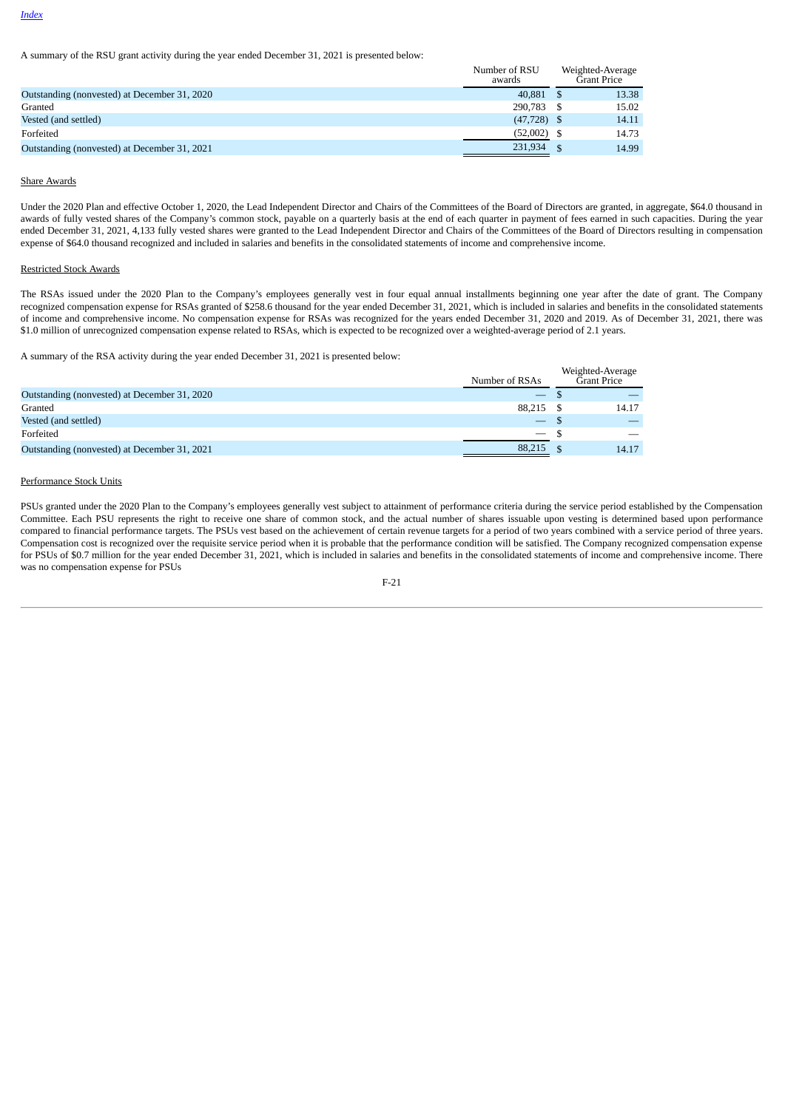A summary of the RSU grant activity during the year ended December 31, 2021 is presented below:

|                                              | Number of RSU<br>awards | Weighted-Average<br><b>Grant Price</b> |
|----------------------------------------------|-------------------------|----------------------------------------|
| Outstanding (nonvested) at December 31, 2020 | 40,881                  | 13.38                                  |
| Granted                                      | 290.783                 | 15.02                                  |
| Vested (and settled)                         | $(47,728)$ \$           | 14.11                                  |
| Forfeited                                    | $(52,002)$ \$           | 14.73                                  |
| Outstanding (nonvested) at December 31, 2021 | 231,934                 | 14.99                                  |

## Share Awards

Under the 2020 Plan and effective October 1, 2020, the Lead Independent Director and Chairs of the Committees of the Board of Directors are granted, in aggregate, \$64.0 thousand in awards of fully vested shares of the Company's common stock, payable on a quarterly basis at the end of each quarter in payment of fees earned in such capacities. During the year ended December 31, 2021, 4,133 fully vested shares were granted to the Lead Independent Director and Chairs of the Committees of the Board of Directors resulting in compensation expense of \$64.0 thousand recognized and included in salaries and benefits in the consolidated statements of income and comprehensive income.

### Restricted Stock Awards

The RSAs issued under the 2020 Plan to the Company's employees generally vest in four equal annual installments beginning one year after the date of grant. The Company recognized compensation expense for RSAs granted of \$258.6 thousand for the year ended December 31, 2021, which is included in salaries and benefits in the consolidated statements of income and comprehensive income. No compensation expense for RSAs was recognized for the years ended December 31, 2020 and 2019. As of December 31, 2021, there was \$1.0 million of unrecognized compensation expense related to RSAs, which is expected to be recognized over a weighted-average period of 2.1 years.

A summary of the RSA activity during the year ended December 31, 2021 is presented below:

|                                              | Number of RSAs    |      | Weighted-Average<br><b>Grant Price</b> |
|----------------------------------------------|-------------------|------|----------------------------------------|
| Outstanding (nonvested) at December 31, 2020 | $\hspace{0.05cm}$ |      |                                        |
| Granted                                      | 88.215            |      | 14.17                                  |
| Vested (and settled)                         |                   | - 70 |                                        |
| Forfeited                                    |                   |      |                                        |
| Outstanding (nonvested) at December 31, 2021 | 88,215            |      | 14.17                                  |

## Performance Stock Units

PSUs granted under the 2020 Plan to the Company's employees generally vest subject to attainment of performance criteria during the service period established by the Compensation Committee. Each PSU represents the right to receive one share of common stock, and the actual number of shares issuable upon vesting is determined based upon performance compared to financial performance targets. The PSUs vest based on the achievement of certain revenue targets for a period of two years combined with a service period of three years. Compensation cost is recognized over the requisite service period when it is probable that the performance condition will be satisfied. The Company recognized compensation expense for PSUs of \$0.7 million for the year ended December 31, 2021, which is included in salaries and benefits in the consolidated statements of income and comprehensive income. There was no compensation expense for PSUs

$$
F-21
$$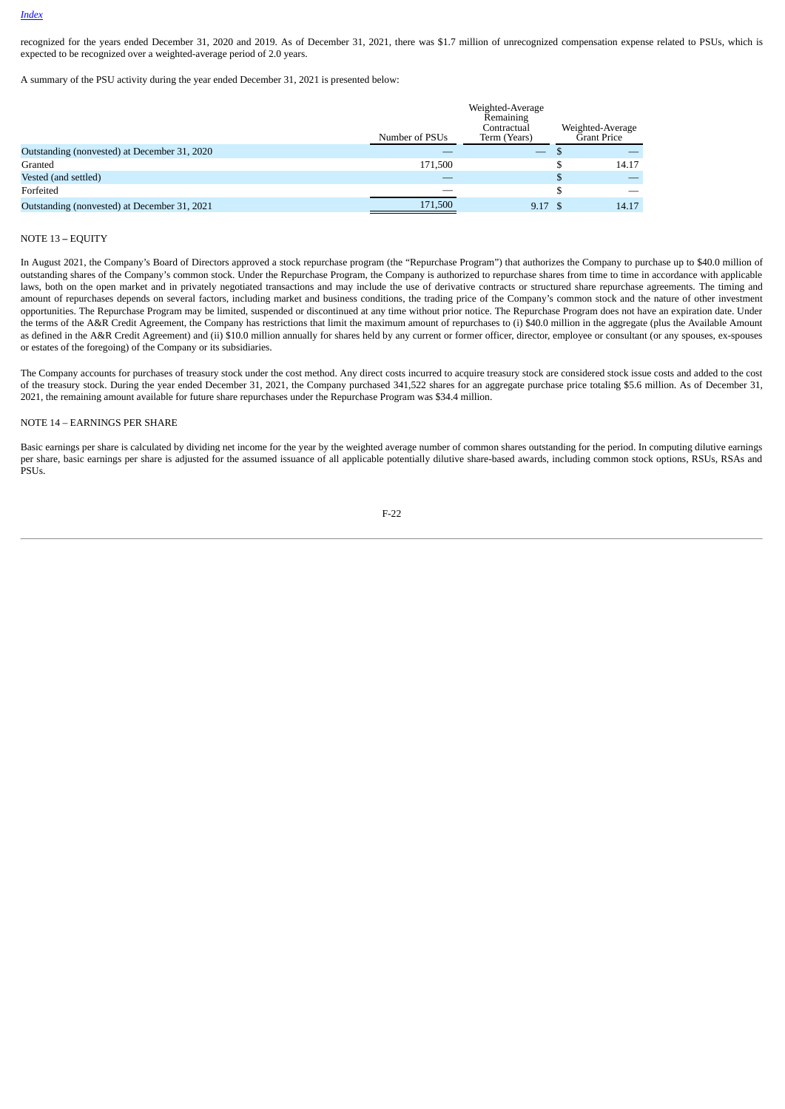recognized for the years ended December 31, 2020 and 2019. As of December 31, 2021, there was \$1.7 million of unrecognized compensation expense related to PSUs, which is expected to be recognized over a weighted-average period of 2.0 years.

A summary of the PSU activity during the year ended December 31, 2021 is presented below:

|                                              | Weighted-Average<br>Remaining |                             |  |                                        |
|----------------------------------------------|-------------------------------|-----------------------------|--|----------------------------------------|
|                                              | Number of PSUs                | Contractual<br>Term (Years) |  | Weighted-Average<br><b>Grant Price</b> |
| Outstanding (nonvested) at December 31, 2020 |                               |                             |  |                                        |
| Granted                                      | 171,500                       |                             |  | 14.17                                  |
| Vested (and settled)                         |                               |                             |  |                                        |
| Forfeited                                    |                               |                             |  |                                        |
| Outstanding (nonvested) at December 31, 2021 | 171,500                       | 9.17                        |  | 14.17                                  |

## NOTE 13 *–* EQUITY

In August 2021, the Company's Board of Directors approved a stock repurchase program (the "Repurchase Program") that authorizes the Company to purchase up to \$40.0 million of outstanding shares of the Company's common stock. Under the Repurchase Program, the Company is authorized to repurchase shares from time to time in accordance with applicable laws, both on the open market and in privately negotiated transactions and may include the use of derivative contracts or structured share repurchase agreements. The timing and amount of repurchases depends on several factors, including market and business conditions, the trading price of the Company's common stock and the nature of other investment opportunities. The Repurchase Program may be limited, suspended or discontinued at any time without prior notice. The Repurchase Program does not have an expiration date. Under the terms of the A&R Credit Agreement, the Company has restrictions that limit the maximum amount of repurchases to (i) \$40.0 million in the aggregate (plus the Available Amount as defined in the A&R Credit Agreement) and (ii) \$10.0 million annually for shares held by any current or former officer, director, employee or consultant (or any spouses, ex-spouses or estates of the foregoing) of the Company or its subsidiaries.

The Company accounts for purchases of treasury stock under the cost method. Any direct costs incurred to acquire treasury stock are considered stock issue costs and added to the cost of the treasury stock. During the year ended December 31, 2021, the Company purchased 341,522 shares for an aggregate purchase price totaling \$5.6 million. As of December 31, 2021, the remaining amount available for future share repurchases under the Repurchase Program was \$34.4 million.

### NOTE 14 – EARNINGS PER SHARE

Basic earnings per share is calculated by dividing net income for the year by the weighted average number of common shares outstanding for the period. In computing dilutive earnings per share, basic earnings per share is adjusted for the assumed issuance of all applicable potentially dilutive share-based awards, including common stock options, RSUs, RSAs and PSUs.

$$
F-22
$$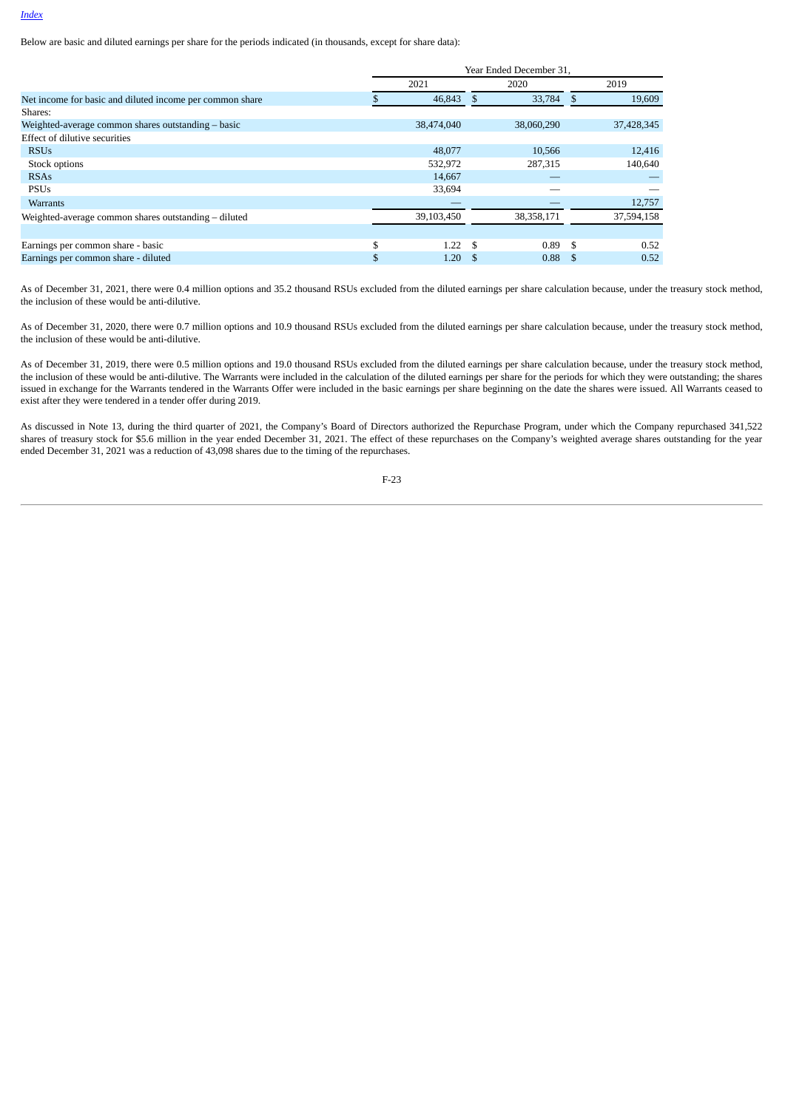Below are basic and diluted earnings per share for the periods indicated (in thousands, except for share data):

|                                                          | Year Ended December 31, |      |                   |      |            |
|----------------------------------------------------------|-------------------------|------|-------------------|------|------------|
|                                                          | 2021                    | 2020 |                   | 2019 |            |
| Net income for basic and diluted income per common share | 46,843                  |      | 33,784 \$         |      | 19,609     |
| Shares:                                                  |                         |      |                   |      |            |
| Weighted-average common shares outstanding – basic       | 38,474,040              |      | 38,060,290        |      | 37,428,345 |
| Effect of dilutive securities                            |                         |      |                   |      |            |
| <b>RSUs</b>                                              | 48,077                  |      | 10,566            |      | 12,416     |
| Stock options                                            | 532,972                 |      | 287,315           |      | 140,640    |
| <b>RSAs</b>                                              | 14,667                  |      |                   |      |            |
| <b>PSUs</b>                                              | 33,694                  |      |                   |      |            |
| <b>Warrants</b>                                          |                         |      |                   |      | 12,757     |
| Weighted-average common shares outstanding – diluted     | 39,103,450              |      | 38,358,171        |      | 37,594,158 |
|                                                          |                         |      |                   |      |            |
| Earnings per common share - basic                        | \$<br>1.22              | - \$ | 0.89 <sup>5</sup> |      | 0.52       |
| Earnings per common share - diluted                      | 1.20<br>æ               |      | 0.88              | -S   | 0.52       |

As of December 31, 2021, there were 0.4 million options and 35.2 thousand RSUs excluded from the diluted earnings per share calculation because, under the treasury stock method, the inclusion of these would be anti-dilutive.

As of December 31, 2020, there were 0.7 million options and 10.9 thousand RSUs excluded from the diluted earnings per share calculation because, under the treasury stock method, the inclusion of these would be anti-dilutive.

As of December 31, 2019, there were 0.5 million options and 19.0 thousand RSUs excluded from the diluted earnings per share calculation because, under the treasury stock method, the inclusion of these would be anti-dilutive. The Warrants were included in the calculation of the diluted earnings per share for the periods for which they were outstanding; the shares issued in exchange for the Warrants tendered in the Warrants Offer were included in the basic earnings per share beginning on the date the shares were issued. All Warrants ceased to exist after they were tendered in a tender offer during 2019.

As discussed in Note 13, during the third quarter of 2021, the Company's Board of Directors authorized the Repurchase Program, under which the Company repurchased 341,522 shares of treasury stock for \$5.6 million in the year ended December 31, 2021. The effect of these repurchases on the Company's weighted average shares outstanding for the year ended December 31, 2021 was a reduction of 43,098 shares due to the timing of the repurchases.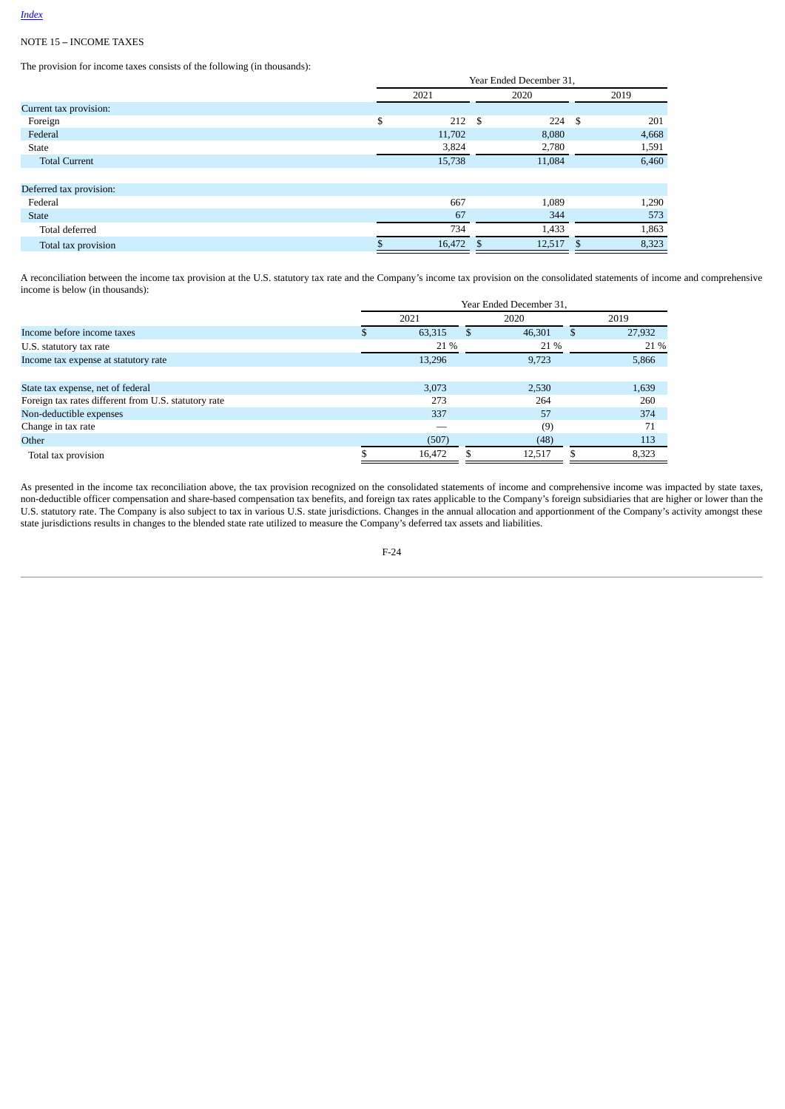## NOTE 15 *–* INCOME TAXES

The provision for income taxes consists of the following (in thousands):

| $\overline{a}$          | $\sim$<br>$\overline{\phantom{a}}$ |                         |        |     |        |     |       |
|-------------------------|------------------------------------|-------------------------|--------|-----|--------|-----|-------|
|                         |                                    | Year Ended December 31, |        |     |        |     |       |
|                         |                                    |                         | 2021   |     | 2020   |     | 2019  |
| Current tax provision:  |                                    |                         |        |     |        |     |       |
| Foreign                 |                                    | \$                      | 212    | -\$ | 224    | -S  | 201   |
| Federal                 |                                    |                         | 11,702 |     | 8,080  |     | 4,668 |
| State                   |                                    |                         | 3,824  |     | 2,780  |     | 1,591 |
| <b>Total Current</b>    |                                    |                         | 15,738 |     | 11,084 |     | 6,460 |
|                         |                                    |                         |        |     |        |     |       |
| Deferred tax provision: |                                    |                         |        |     |        |     |       |
| Federal                 |                                    |                         | 667    |     | 1,089  |     | 1,290 |
| <b>State</b>            |                                    |                         | 67     |     | 344    |     | 573   |
| Total deferred          |                                    |                         | 734    |     | 1,433  |     | 1,863 |
| Total tax provision     |                                    |                         | 16,472 |     | 12,517 | \$. | 8,323 |
|                         |                                    |                         |        |     |        |     |       |

A reconciliation between the income tax provision at the U.S. statutory tax rate and the Company's income tax provision on the consolidated statements of income and comprehensive income is below (in thousands):

|                                                      |  | Year Ended December 31, |  |        |    |        |  |
|------------------------------------------------------|--|-------------------------|--|--------|----|--------|--|
|                                                      |  | 2021                    |  | 2020   |    | 2019   |  |
| Income before income taxes                           |  | 63,315                  |  | 46,301 | S. | 27,932 |  |
| U.S. statutory tax rate                              |  | 21 %                    |  | 21 %   |    | 21 %   |  |
| Income tax expense at statutory rate                 |  | 13,296                  |  | 9,723  |    | 5,866  |  |
|                                                      |  |                         |  |        |    |        |  |
| State tax expense, net of federal                    |  | 3.073                   |  | 2,530  |    | 1,639  |  |
| Foreign tax rates different from U.S. statutory rate |  | 273                     |  | 264    |    | 260    |  |
| Non-deductible expenses                              |  | 337                     |  | 57     |    | 374    |  |
| Change in tax rate                                   |  |                         |  | (9)    |    | 71     |  |
| Other                                                |  | (507)                   |  | (48)   |    | 113    |  |
| Total tax provision                                  |  | 16,472                  |  | 12,517 |    | 8,323  |  |

As presented in the income tax reconciliation above, the tax provision recognized on the consolidated statements of income and comprehensive income was impacted by state taxes, non-deductible officer compensation and share-based compensation tax benefits, and foreign tax rates applicable to the Company's foreign subsidiaries that are higher or lower than the U.S. statutory rate. The Company is also subject to tax in various U.S. state jurisdictions. Changes in the annual allocation and apportionment of the Company's activity amongst these state jurisdictions results in changes to the blended state rate utilized to measure the Company's deferred tax assets and liabilities.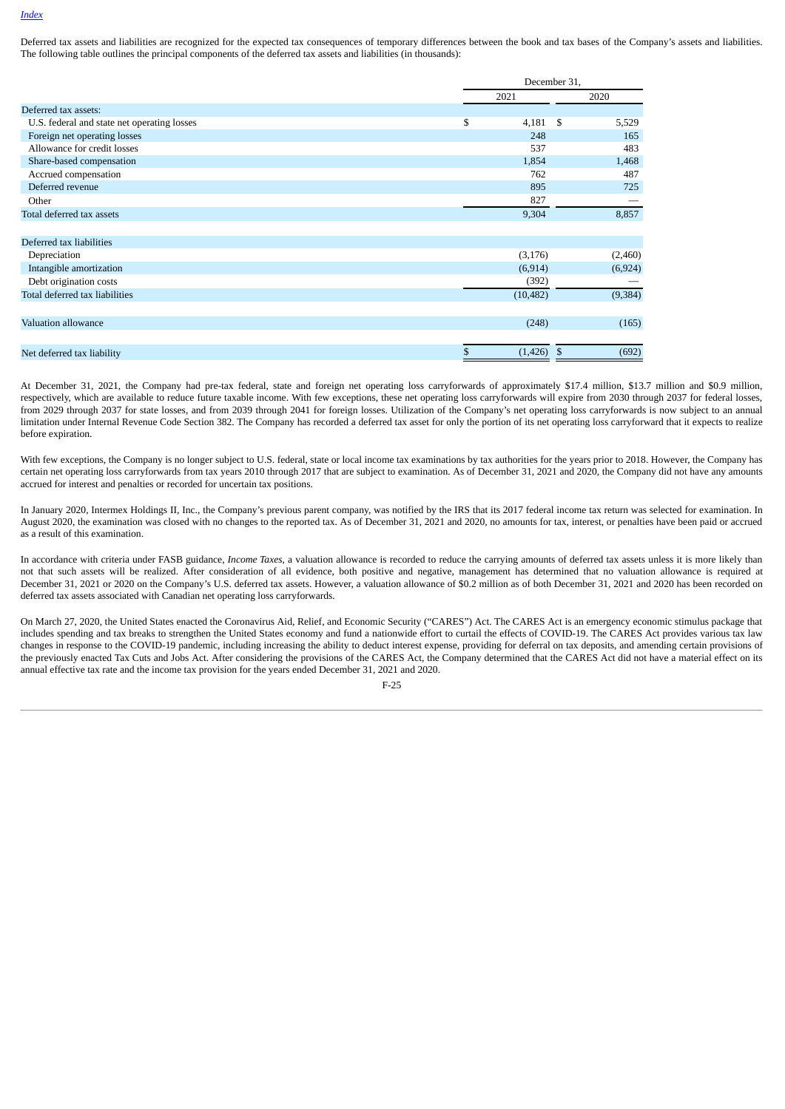Deferred tax assets and liabilities are recognized for the expected tax consequences of temporary differences between the book and tax bases of the Company's assets and liabilities. The following table outlines the principal components of the deferred tax assets and liabilities (in thousands):

|                                             |    | December 31, |    |          |
|---------------------------------------------|----|--------------|----|----------|
|                                             |    | 2021         |    | 2020     |
| Deferred tax assets:                        |    |              |    |          |
| U.S. federal and state net operating losses | \$ | 4,181        | -S | 5,529    |
| Foreign net operating losses                |    | 248          |    | 165      |
| Allowance for credit losses                 |    | 537          |    | 483      |
| Share-based compensation                    |    | 1,854        |    | 1,468    |
| Accrued compensation                        |    | 762          |    | 487      |
| Deferred revenue                            |    | 895          |    | 725      |
| Other                                       |    | 827          |    |          |
| Total deferred tax assets                   |    | 9,304        |    | 8,857    |
|                                             |    |              |    |          |
| Deferred tax liabilities                    |    |              |    |          |
| Depreciation                                |    | (3, 176)     |    | (2,460)  |
| Intangible amortization                     |    | (6, 914)     |    | (6, 924) |
| Debt origination costs                      |    | (392)        |    |          |
| Total deferred tax liabilities              |    | (10, 482)    |    | (9, 384) |
|                                             |    |              |    |          |
| Valuation allowance                         |    | (248)        |    | (165)    |
|                                             |    |              |    |          |
| Net deferred tax liability                  |    | (1, 426)     | \$ | (692)    |

At December 31, 2021, the Company had pre-tax federal, state and foreign net operating loss carryforwards of approximately \$17.4 million, \$13.7 million and \$0.9 million, respectively, which are available to reduce future taxable income. With few exceptions, these net operating loss carryforwards will expire from 2030 through 2037 for federal losses, from 2029 through 2037 for state losses, and from 2039 through 2041 for foreign losses. Utilization of the Company's net operating loss carryforwards is now subject to an annual limitation under Internal Revenue Code Section 382. The Company has recorded a deferred tax asset for only the portion of its net operating loss carryforward that it expects to realize before expiration.

With few exceptions, the Company is no longer subject to U.S. federal, state or local income tax examinations by tax authorities for the years prior to 2018. However, the Company has certain net operating loss carryforwards from tax years 2010 through 2017 that are subject to examination. As of December 31, 2021 and 2020, the Company did not have any amounts accrued for interest and penalties or recorded for uncertain tax positions.

In January 2020, Intermex Holdings II, Inc., the Company's previous parent company, was notified by the IRS that its 2017 federal income tax return was selected for examination. In August 2020, the examination was closed with no changes to the reported tax. As of December 31, 2021 and 2020, no amounts for tax, interest, or penalties have been paid or accrued as a result of this examination.

In accordance with criteria under FASB guidance, *Income Taxes*, a valuation allowance is recorded to reduce the carrying amounts of deferred tax assets unless it is more likely than not that such assets will be realized. After consideration of all evidence, both positive and negative, management has determined that no valuation allowance is required at December 31, 2021 or 2020 on the Company's U.S. deferred tax assets. However, a valuation allowance of \$0.2 million as of both December 31, 2021 and 2020 has been recorded on deferred tax assets associated with Canadian net operating loss carryforwards.

On March 27, 2020, the United States enacted the Coronavirus Aid, Relief, and Economic Security ("CARES") Act. The CARES Act is an emergency economic stimulus package that includes spending and tax breaks to strengthen the United States economy and fund a nationwide effort to curtail the effects of COVID-19. The CARES Act provides various tax law changes in response to the COVID-19 pandemic, including increasing the ability to deduct interest expense, providing for deferral on tax deposits, and amending certain provisions of the previously enacted Tax Cuts and Jobs Act. After considering the provisions of the CARES Act, the Company determined that the CARES Act did not have a material effect on its annual effective tax rate and the income tax provision for the years ended December 31, 2021 and 2020.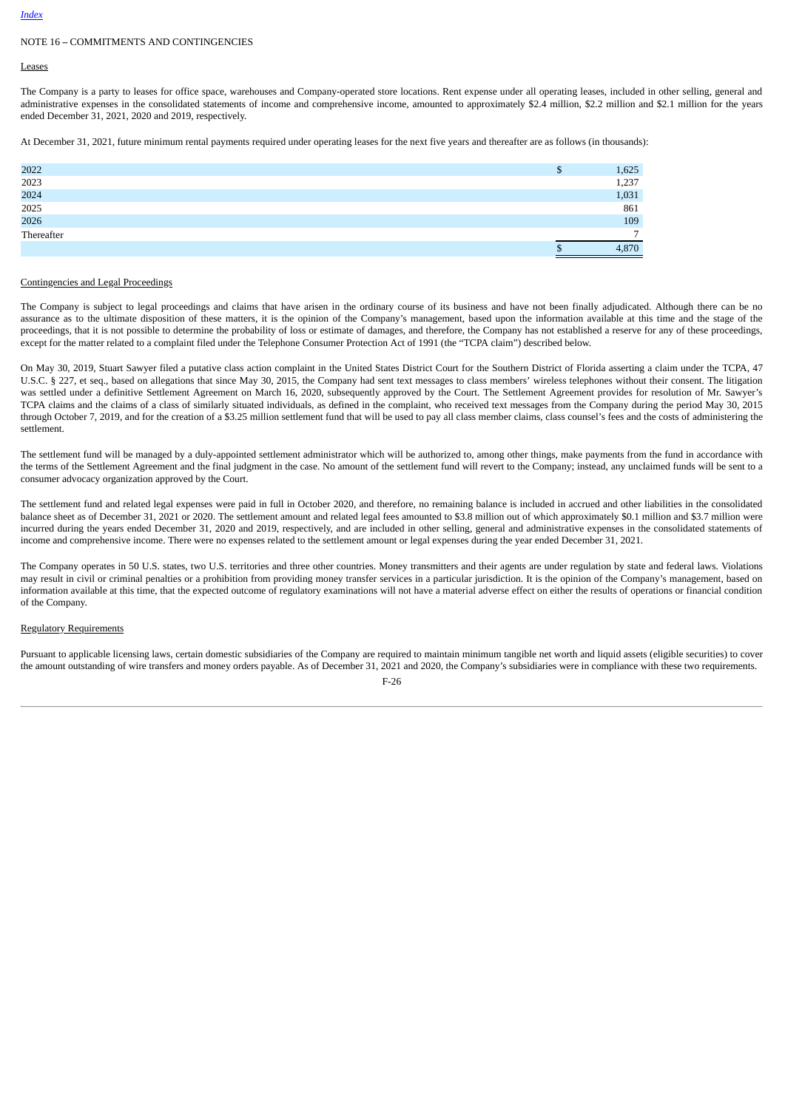### NOTE 16 *–* COMMITMENTS AND CONTINGENCIES

### Leases

The Company is a party to leases for office space, warehouses and Company-operated store locations. Rent expense under all operating leases, included in other selling, general and administrative expenses in the consolidated statements of income and comprehensive income, amounted to approximately \$2.4 million, \$2.2 million and \$2.1 million for the years ended December 31, 2021, 2020 and 2019, respectively.

At December 31, 2021, future minimum rental payments required under operating leases for the next five years and thereafter are as follows (in thousands):

| 2022         | ۰D | 1,625          |
|--------------|----|----------------|
| 2023         |    | 1,237          |
|              |    | 1,031          |
| 2024<br>2025 |    | 861            |
| 2026         |    | 109            |
| Thereafter   |    | $\overline{ }$ |
|              |    | 870            |

#### Contingencies and Legal Proceedings

The Company is subject to legal proceedings and claims that have arisen in the ordinary course of its business and have not been finally adjudicated. Although there can be no assurance as to the ultimate disposition of these matters, it is the opinion of the Company's management, based upon the information available at this time and the stage of the proceedings, that it is not possible to determine the probability of loss or estimate of damages, and therefore, the Company has not established a reserve for any of these proceedings, except for the matter related to a complaint filed under the Telephone Consumer Protection Act of 1991 (the "TCPA claim") described below.

On May 30, 2019, Stuart Sawyer filed a putative class action complaint in the United States District Court for the Southern District of Florida asserting a claim under the TCPA, 47 U.S.C. § 227, et seq., based on allegations that since May 30, 2015, the Company had sent text messages to class members' wireless telephones without their consent. The litigation was settled under a definitive Settlement Agreement on March 16, 2020, subsequently approved by the Court. The Settlement Agreement provides for resolution of Mr. Sawyer's TCPA claims and the claims of a class of similarly situated individuals, as defined in the complaint, who received text messages from the Company during the period May 30, 2015 through October 7, 2019, and for the creation of a \$3.25 million settlement fund that will be used to pay all class member claims, class counsel's fees and the costs of administering the settlement.

The settlement fund will be managed by a duly-appointed settlement administrator which will be authorized to, among other things, make payments from the fund in accordance with the terms of the Settlement Agreement and the final judgment in the case. No amount of the settlement fund will revert to the Company; instead, any unclaimed funds will be sent to a consumer advocacy organization approved by the Court.

The settlement fund and related legal expenses were paid in full in October 2020, and therefore, no remaining balance is included in accrued and other liabilities in the consolidated balance sheet as of December 31, 2021 or 2020. The settlement amount and related legal fees amounted to \$3.8 million out of which approximately \$0.1 million and \$3.7 million were incurred during the years ended December 31, 2020 and 2019, respectively, and are included in other selling, general and administrative expenses in the consolidated statements of income and comprehensive income. There were no expenses related to the settlement amount or legal expenses during the year ended December 31, 2021.

The Company operates in 50 U.S. states, two U.S. territories and three other countries. Money transmitters and their agents are under regulation by state and federal laws. Violations may result in civil or criminal penalties or a prohibition from providing money transfer services in a particular jurisdiction. It is the opinion of the Company's management, based on information available at this time, that the expected outcome of regulatory examinations will not have a material adverse effect on either the results of operations or financial condition of the Company.

### Regulatory Requirements

Pursuant to applicable licensing laws, certain domestic subsidiaries of the Company are required to maintain minimum tangible net worth and liquid assets (eligible securities) to cover the amount outstanding of wire transfers and money orders payable. As of December 31, 2021 and 2020, the Company's subsidiaries were in compliance with these two requirements.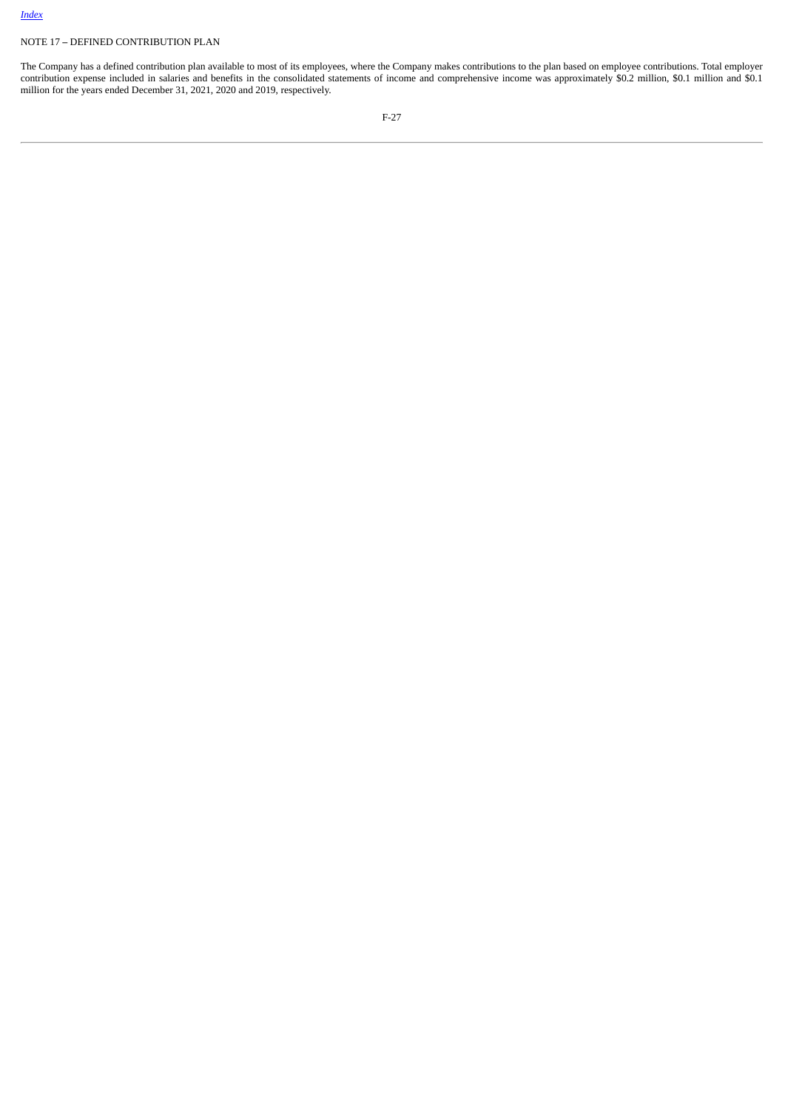## NOTE 17 *–* DEFINED CONTRIBUTION PLAN

The Company has a defined contribution plan available to most of its employees, where the Company makes contributions to the plan based on employee contributions. Total employer contribution expense included in salaries and benefits in the consolidated statements of income and comprehensive income was approximately \$0.2 million, \$0.1 million and \$0.1 million for the years ended December 31, 2021, 2020 and 2019, respectively.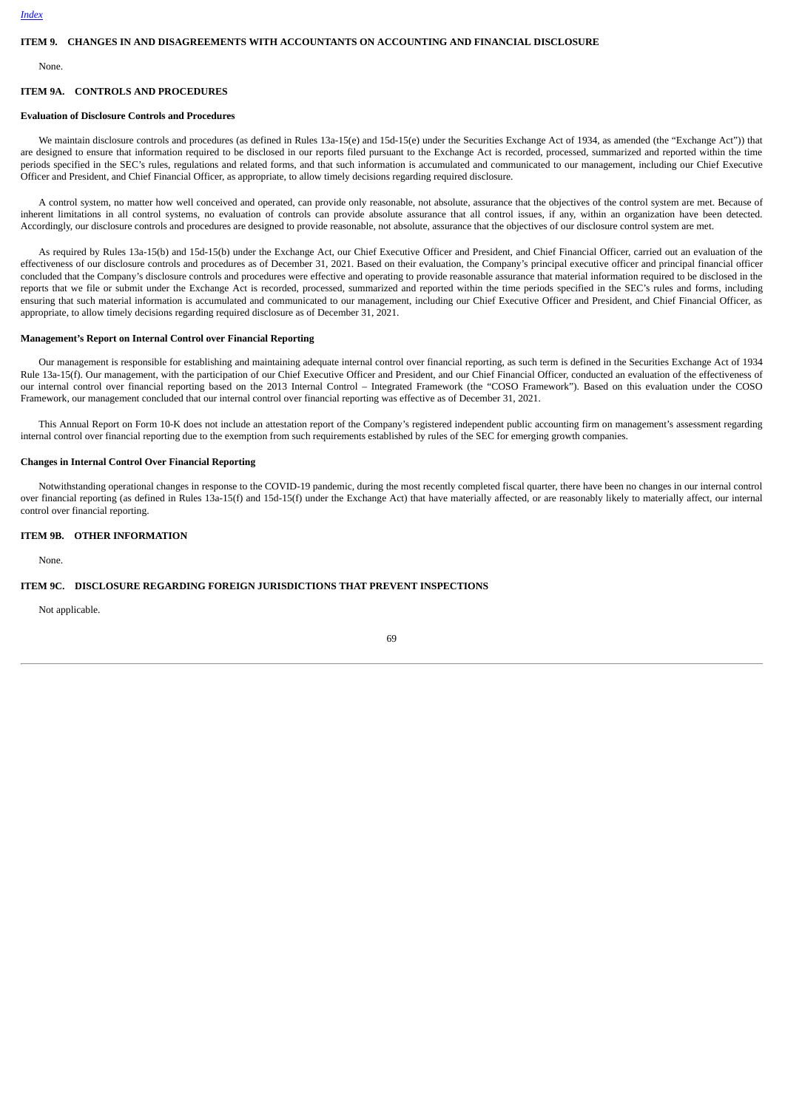#### **ITEM 9. CHANGES IN AND DISAGREEMENTS WITH ACCOUNTANTS ON ACCOUNTING AND FINANCIAL DISCLOSURE**

None.

## **ITEM 9A. CONTROLS AND PROCEDURES**

### **Evaluation of Disclosure Controls and Procedures**

We maintain disclosure controls and procedures (as defined in Rules 13a-15(e) and 15d-15(e) under the Securities Exchange Act of 1934, as amended (the "Exchange Act")) that are designed to ensure that information required to be disclosed in our reports filed pursuant to the Exchange Act is recorded, processed, summarized and reported within the time periods specified in the SEC's rules, regulations and related forms, and that such information is accumulated and communicated to our management, including our Chief Executive Officer and President, and Chief Financial Officer, as appropriate, to allow timely decisions regarding required disclosure.

A control system, no matter how well conceived and operated, can provide only reasonable, not absolute, assurance that the objectives of the control system are met. Because of inherent limitations in all control systems, no evaluation of controls can provide absolute assurance that all control issues, if any, within an organization have been detected. Accordingly, our disclosure controls and procedures are designed to provide reasonable, not absolute, assurance that the objectives of our disclosure control system are met.

As required by Rules 13a-15(b) and 15d-15(b) under the Exchange Act, our Chief Executive Officer and President, and Chief Financial Officer, carried out an evaluation of the effectiveness of our disclosure controls and procedures as of December 31, 2021. Based on their evaluation, the Company's principal executive officer and principal financial officer concluded that the Company's disclosure controls and procedures were effective and operating to provide reasonable assurance that material information required to be disclosed in the reports that we file or submit under the Exchange Act is recorded, processed, summarized and reported within the time periods specified in the SEC's rules and forms, including ensuring that such material information is accumulated and communicated to our management, including our Chief Executive Officer and President, and Chief Financial Officer, as appropriate, to allow timely decisions regarding required disclosure as of December 31, 2021.

### **Management's Report on Internal Control over Financial Reporting**

Our management is responsible for establishing and maintaining adequate internal control over financial reporting, as such term is defined in the Securities Exchange Act of 1934 Rule 13a-15(f). Our management, with the participation of our Chief Executive Officer and President, and our Chief Financial Officer, conducted an evaluation of the effectiveness of our internal control over financial reporting based on the 2013 Internal Control – Integrated Framework (the "COSO Framework"). Based on this evaluation under the COSO Framework, our management concluded that our internal control over financial reporting was effective as of December 31, 2021.

This Annual Report on Form 10-K does not include an attestation report of the Company's registered independent public accounting firm on management's assessment regarding internal control over financial reporting due to the exemption from such requirements established by rules of the SEC for emerging growth companies.

#### **Changes in Internal Control Over Financial Reporting**

Notwithstanding operational changes in response to the COVID-19 pandemic, during the most recently completed fiscal quarter, there have been no changes in our internal control over financial reporting (as defined in Rules 13a-15(f) and 15d-15(f) under the Exchange Act) that have materially affected, or are reasonably likely to materially affect, our internal control over financial reporting.

### **ITEM 9B. OTHER INFORMATION**

None.

## **ITEM 9C. DISCLOSURE REGARDING FOREIGN JURISDICTIONS THAT PREVENT INSPECTIONS**

Not applicable.

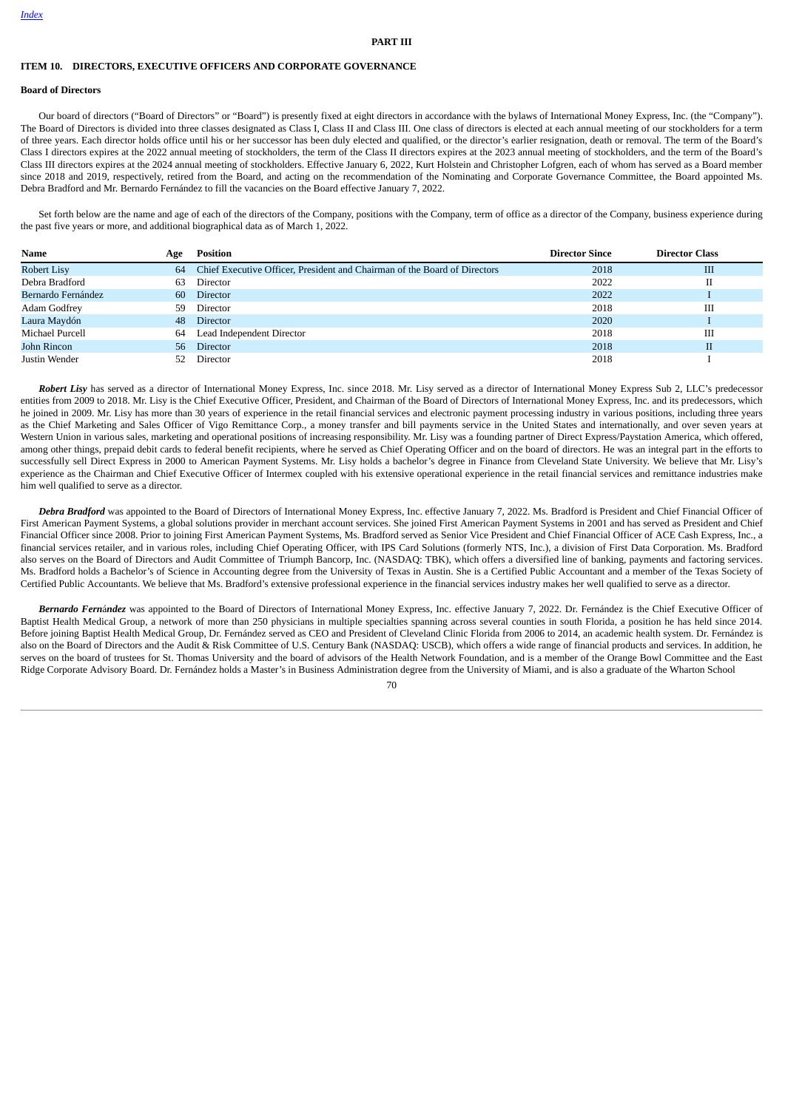### **PART III**

## **ITEM 10. DIRECTORS, EXECUTIVE OFFICERS AND CORPORATE GOVERNANCE**

### **Board of Directors**

Our board of directors ("Board of Directors" or "Board") is presently fixed at eight directors in accordance with the bylaws of International Money Express, Inc. (the "Company"). The Board of Directors is divided into three classes designated as Class I, Class II and Class III. One class of directors is elected at each annual meeting of our stockholders for a term of three years. Each director holds office until his or her successor has been duly elected and qualified, or the director's earlier resignation, death or removal. The term of the Board's Class I directors expires at the 2022 annual meeting of stockholders, the term of the Class II directors expires at the 2023 annual meeting of stockholders, and the term of the Board's Class III directors expires at the 2024 annual meeting of stockholders. Effective January 6, 2022, Kurt Holstein and Christopher Lofgren, each of whom has served as a Board member since 2018 and 2019, respectively, retired from the Board, and acting on the recommendation of the Nominating and Corporate Governance Committee, the Board appointed Ms. Debra Bradford and Mr. Bernardo Fernández to fill the vacancies on the Board effective January 7, 2022.

Set forth below are the name and age of each of the directors of the Company, positions with the Company, term of office as a director of the Company, business experience during the past five years or more, and additional biographical data as of March 1, 2022.

| Name               | Age | <b>Position</b>                                                           | <b>Director Since</b> | <b>Director Class</b> |
|--------------------|-----|---------------------------------------------------------------------------|-----------------------|-----------------------|
| <b>Robert Lisy</b> | 64  | Chief Executive Officer, President and Chairman of the Board of Directors | 2018                  | III                   |
| Debra Bradford     | 63  | Director                                                                  | 2022                  |                       |
| Bernardo Fernández | 60  | Director                                                                  | 2022                  |                       |
| Adam Godfrey       | 59  | Director                                                                  | 2018                  | III                   |
| Laura Maydón       | 48  | Director                                                                  | 2020                  |                       |
| Michael Purcell    | 64  | Lead Independent Director                                                 | 2018                  | III                   |
| John Rincon        | 56  | Director                                                                  | 2018                  | п                     |
| Justin Wender      | 52. | Director                                                                  | 2018                  |                       |

*Robert Lisy* has served as a director of International Money Express, Inc. since 2018. Mr. Lisy served as a director of International Money Express Sub 2, LLC's predecessor entities from 2009 to 2018. Mr. Lisy is the Chief Executive Officer, President, and Chairman of the Board of Directors of International Money Express, Inc. and its predecessors, which he joined in 2009. Mr. Lisy has more than 30 years of experience in the retail financial services and electronic payment processing industry in various positions, including three years as the Chief Marketing and Sales Officer of Vigo Remittance Corp., a money transfer and bill payments service in the United States and internationally, and over seven years at Western Union in various sales, marketing and operational positions of increasing responsibility. Mr. Lisy was a founding partner of Direct Express/Paystation America, which offered, among other things, prepaid debit cards to federal benefit recipients, where he served as Chief Operating Officer and on the board of directors. He was an integral part in the efforts to successfully sell Direct Express in 2000 to American Payment Systems. Mr. Lisy holds a bachelor's degree in Finance from Cleveland State University. We believe that Mr. Lisy's experience as the Chairman and Chief Executive Officer of Intermex coupled with his extensive operational experience in the retail financial services and remittance industries make him well qualified to serve as a director.

*Debra Bradford* was appointed to the Board of Directors of International Money Express, Inc. effective January 7, 2022. Ms. Bradford is President and Chief Financial Officer of First American Payment Systems, a global solutions provider in merchant account services. She joined First American Payment Systems in 2001 and has served as President and Chief Financial Officer since 2008. Prior to joining First American Payment Systems, Ms. Bradford served as Senior Vice President and Chief Financial Officer of ACE Cash Express, Inc., a financial services retailer, and in various roles, including Chief Operating Officer, with IPS Card Solutions (formerly NTS, Inc.), a division of First Data Corporation. Ms. Bradford also serves on the Board of Directors and Audit Committee of Triumph Bancorp, Inc. (NASDAQ: TBK), which offers a diversified line of banking, payments and factoring services. Ms. Bradford holds a Bachelor's of Science in Accounting degree from the University of Texas in Austin. She is a Certified Public Accountant and a member of the Texas Society of Certified Public Accountants. We believe that Ms. Bradford's extensive professional experience in the financial services industry makes her well qualified to serve as a director.

*Bernardo Fern*á*ndez* was appointed to the Board of Directors of International Money Express, Inc. effective January 7, 2022. Dr. Fernández is the Chief Executive Officer of Baptist Health Medical Group, a network of more than 250 physicians in multiple specialties spanning across several counties in south Florida, a position he has held since 2014. Before joining Baptist Health Medical Group, Dr. Fernández served as CEO and President of Cleveland Clinic Florida from 2006 to 2014, an academic health system. Dr. Fernández is also on the Board of Directors and the Audit & Risk Committee of U.S. Century Bank (NASDAQ: USCB), which offers a wide range of financial products and services. In addition, he serves on the board of trustees for St. Thomas University and the board of advisors of the Health Network Foundation, and is a member of the Orange Bowl Committee and the East Ridge Corporate Advisory Board. Dr. Fernández holds a Master's in Business Administration degree from the University of Miami, and is also a graduate of the Wharton School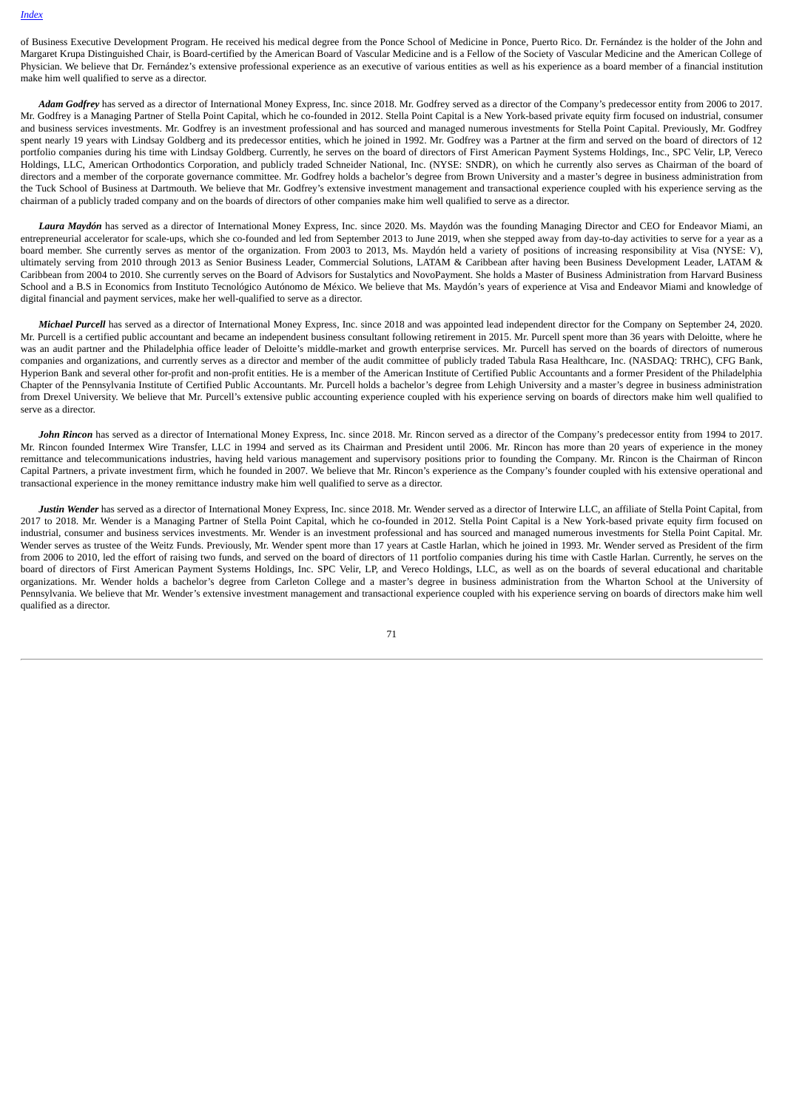of Business Executive Development Program. He received his medical degree from the Ponce School of Medicine in Ponce, Puerto Rico. Dr. Fernández is the holder of the John and Margaret Krupa Distinguished Chair, is Board-certified by the American Board of Vascular Medicine and is a Fellow of the Society of Vascular Medicine and the American College of Physician. We believe that Dr. Fernández's extensive professional experience as an executive of various entities as well as his experience as a board member of a financial institution make him well qualified to serve as a director.

*Adam Godfrey* has served as a director of International Money Express, Inc. since 2018. Mr. Godfrey served as a director of the Company's predecessor entity from 2006 to 2017. Mr. Godfrey is a Managing Partner of Stella Point Capital, which he co-founded in 2012. Stella Point Capital is a New York-based private equity firm focused on industrial, consumer and business services investments. Mr. Godfrey is an investment professional and has sourced and managed numerous investments for Stella Point Capital. Previously, Mr. Godfrey spent nearly 19 years with Lindsay Goldberg and its predecessor entities, which he joined in 1992. Mr. Godfrey was a Partner at the firm and served on the board of directors of 12 portfolio companies during his time with Lindsay Goldberg. Currently, he serves on the board of directors of First American Payment Systems Holdings, Inc., SPC Velir, LP, Vereco Holdings, LLC, American Orthodontics Corporation, and publicly traded Schneider National, Inc. (NYSE: SNDR), on which he currently also serves as Chairman of the board of directors and a member of the corporate governance committee. Mr. Godfrey holds a bachelor's degree from Brown University and a master's degree in business administration from the Tuck School of Business at Dartmouth. We believe that Mr. Godfrey's extensive investment management and transactional experience coupled with his experience serving as the chairman of a publicly traded company and on the boards of directors of other companies make him well qualified to serve as a director.

Laura Maydón has served as a director of International Money Express, Inc. since 2020. Ms. Maydón was the founding Managing Director and CEO for Endeavor Miami, an entrepreneurial accelerator for scale-ups, which she co-founded and led from September 2013 to June 2019, when she stepped away from day-to-day activities to serve for a year as a board member. She currently serves as mentor of the organization. From 2003 to 2013, Ms. Maydón held a variety of positions of increasing responsibility at Visa (NYSE: V), ultimately serving from 2010 through 2013 as Senior Business Leader, Commercial Solutions, LATAM & Caribbean after having been Business Development Leader, LATAM & Caribbean from 2004 to 2010. She currently serves on the Board of Advisors for Sustalytics and NovoPayment. She holds a Master of Business Administration from Harvard Business School and a B.S in Economics from Instituto Tecnológico Autónomo de México. We believe that Ms. Maydón's years of experience at Visa and Endeavor Miami and knowledge of digital financial and payment services, make her well-qualified to serve as a director.

*Michael Purcell* has served as a director of International Money Express, Inc. since 2018 and was appointed lead independent director for the Company on September 24, 2020. Mr. Purcell is a certified public accountant and became an independent business consultant following retirement in 2015. Mr. Purcell spent more than 36 years with Deloitte, where he was an audit partner and the Philadelphia office leader of Deloitte's middle-market and growth enterprise services. Mr. Purcell has served on the boards of directors of numerous companies and organizations, and currently serves as a director and member of the audit committee of publicly traded Tabula Rasa Healthcare, Inc. (NASDAQ: TRHC), CFG Bank, Hyperion Bank and several other for-profit and non-profit entities. He is a member of the American Institute of Certified Public Accountants and a former President of the Philadelphia Chapter of the Pennsylvania Institute of Certified Public Accountants. Mr. Purcell holds a bachelor's degree from Lehigh University and a master's degree in business administration from Drexel University. We believe that Mr. Purcell's extensive public accounting experience coupled with his experience serving on boards of directors make him well qualified to serve as a director.

John Rincon has served as a director of International Money Express, Inc. since 2018. Mr. Rincon served as a director of the Company's predecessor entity from 1994 to 2017. Mr. Rincon founded Intermex Wire Transfer, LLC in 1994 and served as its Chairman and President until 2006. Mr. Rincon has more than 20 years of experience in the money remittance and telecommunications industries, having held various management and supervisory positions prior to founding the Company. Mr. Rincon is the Chairman of Rincon Capital Partners, a private investment firm, which he founded in 2007. We believe that Mr. Rincon's experience as the Company's founder coupled with his extensive operational and transactional experience in the money remittance industry make him well qualified to serve as a director.

*Justin Wender* has served as a director of International Money Express, Inc. since 2018. Mr. Wender served as a director of Interwire LLC, an affiliate of Stella Point Capital, from 2017 to 2018. Mr. Wender is a Managing Partner of Stella Point Capital, which he co-founded in 2012. Stella Point Capital is a New York-based private equity firm focused on industrial, consumer and business services investments. Mr. Wender is an investment professional and has sourced and managed numerous investments for Stella Point Capital. Mr. Wender serves as trustee of the Weitz Funds. Previously, Mr. Wender spent more than 17 years at Castle Harlan, which he joined in 1993. Mr. Wender served as President of the firm from 2006 to 2010, led the effort of raising two funds, and served on the board of directors of 11 portfolio companies during his time with Castle Harlan. Currently, he serves on the board of directors of First American Payment Systems Holdings, Inc. SPC Velir, LP, and Vereco Holdings, LLC, as well as on the boards of several educational and charitable organizations. Mr. Wender holds a bachelor's degree from Carleton College and a master's degree in business administration from the Wharton School at the University of Pennsylvania. We believe that Mr. Wender's extensive investment management and transactional experience coupled with his experience serving on boards of directors make him well qualified as a director.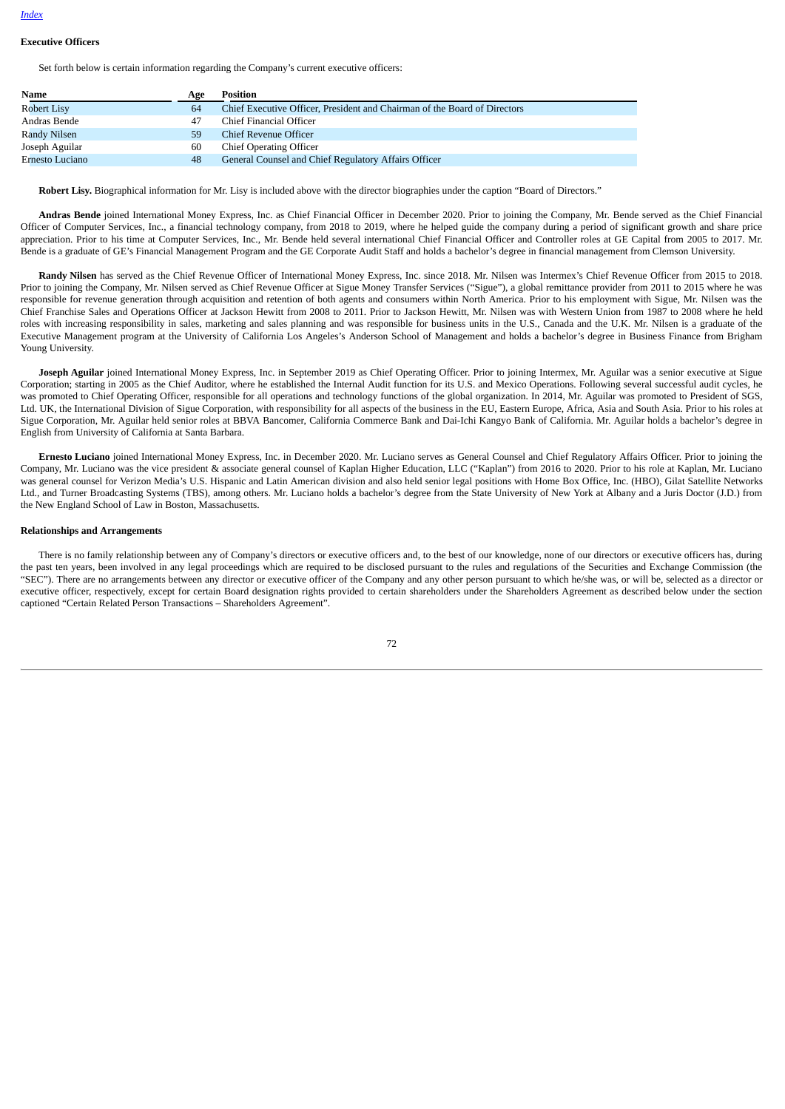### *[Index](#page-0-0)*

## **Executive Officers**

Set forth below is certain information regarding the Company's current executive officers:

| Name               | Age | <b>Position</b>                                                           |
|--------------------|-----|---------------------------------------------------------------------------|
| <b>Robert Lisy</b> | 64  | Chief Executive Officer, President and Chairman of the Board of Directors |
| Andras Bende       | 47  | Chief Financial Officer                                                   |
| Randy Nilsen       | 59  | Chief Revenue Officer                                                     |
| Joseph Aguilar     | 60  | <b>Chief Operating Officer</b>                                            |
| Ernesto Luciano    | 48  | General Counsel and Chief Regulatory Affairs Officer                      |

**Robert Lisy.** Biographical information for Mr. Lisy is included above with the director biographies under the caption "Board of Directors."

**Andras Bende** joined International Money Express, Inc. as Chief Financial Officer in December 2020. Prior to joining the Company, Mr. Bende served as the Chief Financial Officer of Computer Services, Inc., a financial technology company, from 2018 to 2019, where he helped guide the company during a period of significant growth and share price appreciation. Prior to his time at Computer Services, Inc., Mr. Bende held several international Chief Financial Officer and Controller roles at GE Capital from 2005 to 2017. Mr. Bende is a graduate of GE's Financial Management Program and the GE Corporate Audit Staff and holds a bachelor's degree in financial management from Clemson University.

**Randy Nilsen** has served as the Chief Revenue Officer of International Money Express, Inc. since 2018. Mr. Nilsen was Intermex's Chief Revenue Officer from 2015 to 2018. Prior to joining the Company, Mr. Nilsen served as Chief Revenue Officer at Sigue Money Transfer Services ("Sigue"), a global remittance provider from 2011 to 2015 where he was responsible for revenue generation through acquisition and retention of both agents and consumers within North America. Prior to his employment with Sigue, Mr. Nilsen was the Chief Franchise Sales and Operations Officer at Jackson Hewitt from 2008 to 2011. Prior to Jackson Hewitt, Mr. Nilsen was with Western Union from 1987 to 2008 where he held roles with increasing responsibility in sales, marketing and sales planning and was responsible for business units in the U.S., Canada and the U.K. Mr. Nilsen is a graduate of the Executive Management program at the University of California Los Angeles's Anderson School of Management and holds a bachelor's degree in Business Finance from Brigham Young University.

**Joseph Aguilar** joined International Money Express, Inc. in September 2019 as Chief Operating Officer. Prior to joining Intermex, Mr. Aguilar was a senior executive at Sigue Corporation; starting in 2005 as the Chief Auditor, where he established the Internal Audit function for its U.S. and Mexico Operations. Following several successful audit cycles, he was promoted to Chief Operating Officer, responsible for all operations and technology functions of the global organization. In 2014, Mr. Aguilar was promoted to President of SGS, Ltd. UK, the International Division of Sigue Corporation, with responsibility for all aspects of the business in the EU, Eastern Europe, Africa, Asia and South Asia. Prior to his roles at Sigue Corporation, Mr. Aguilar held senior roles at BBVA Bancomer, California Commerce Bank and Dai-Ichi Kangyo Bank of California. Mr. Aguilar holds a bachelor's degree in English from University of California at Santa Barbara.

**Ernesto Luciano** joined International Money Express, Inc. in December 2020. Mr. Luciano serves as General Counsel and Chief Regulatory Affairs Officer. Prior to joining the Company, Mr. Luciano was the vice president & associate general counsel of Kaplan Higher Education, LLC ("Kaplan") from 2016 to 2020. Prior to his role at Kaplan, Mr. Luciano was general counsel for Verizon Media's U.S. Hispanic and Latin American division and also held senior legal positions with Home Box Office, Inc. (HBO), Gilat Satellite Networks Ltd., and Turner Broadcasting Systems (TBS), among others. Mr. Luciano holds a bachelor's degree from the State University of New York at Albany and a Juris Doctor (J.D.) from the New England School of Law in Boston, Massachusetts.

#### **Relationships and Arrangements**

There is no family relationship between any of Company's directors or executive officers and, to the best of our knowledge, none of our directors or executive officers has, during the past ten years, been involved in any legal proceedings which are required to be disclosed pursuant to the rules and regulations of the Securities and Exchange Commission (the "SEC"). There are no arrangements between any director or executive officer of the Company and any other person pursuant to which he/she was, or will be, selected as a director or executive officer, respectively, except for certain Board designation rights provided to certain shareholders under the Shareholders Agreement as described below under the section captioned "Certain Related Person Transactions – Shareholders Agreement".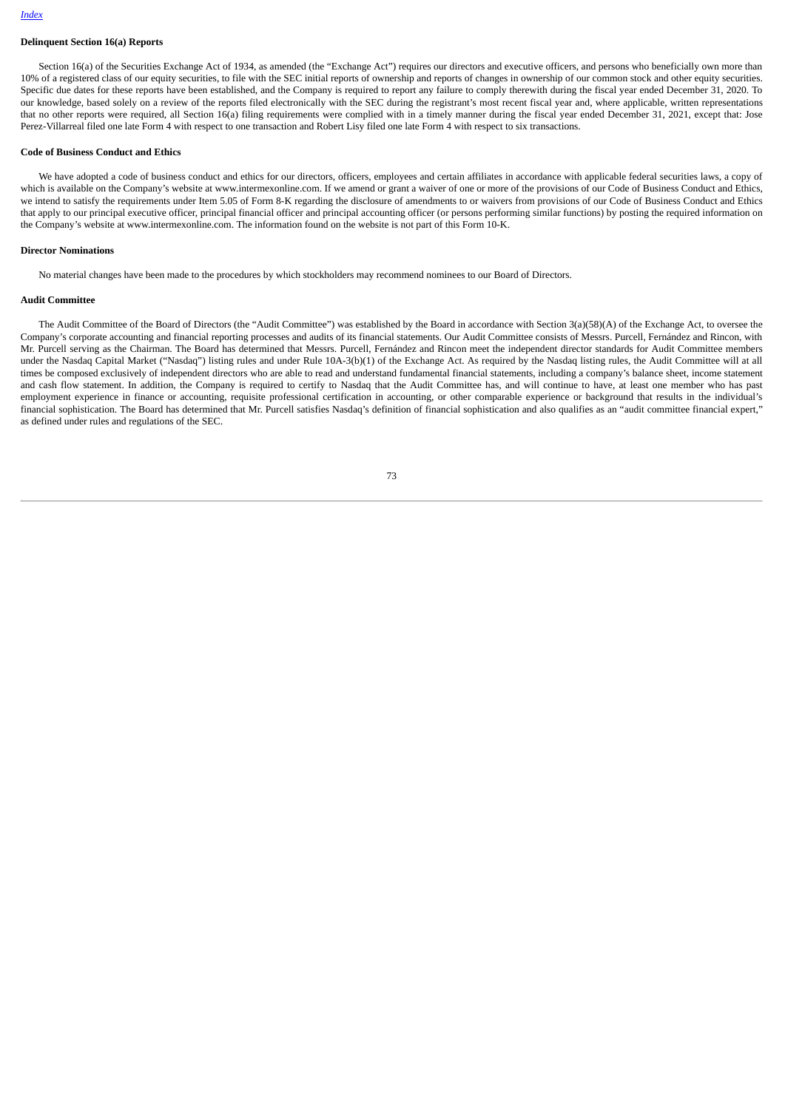### **Delinquent Section 16(a) Reports**

Section 16(a) of the Securities Exchange Act of 1934, as amended (the "Exchange Act") requires our directors and executive officers, and persons who beneficially own more than 10% of a registered class of our equity securities, to file with the SEC initial reports of ownership and reports of changes in ownership of our common stock and other equity securities. Specific due dates for these reports have been established, and the Company is required to report any failure to comply therewith during the fiscal year ended December 31, 2020. To our knowledge, based solely on a review of the reports filed electronically with the SEC during the registrant's most recent fiscal year and, where applicable, written representations that no other reports were required, all Section 16(a) filing requirements were complied with in a timely manner during the fiscal year ended December 31, 2021, except that: Jose Perez-Villarreal filed one late Form 4 with respect to one transaction and Robert Lisy filed one late Form 4 with respect to six transactions.

#### **Code of Business Conduct and Ethics**

We have adopted a code of business conduct and ethics for our directors, officers, employees and certain affiliates in accordance with applicable federal securities laws, a copy of which is available on the Company's website at www.intermexonline.com. If we amend or grant a waiver of one or more of the provisions of our Code of Business Conduct and Ethics, we intend to satisfy the requirements under Item 5.05 of Form 8-K regarding the disclosure of amendments to or waivers from provisions of our Code of Business Conduct and Ethics that apply to our principal executive officer, principal financial officer and principal accounting officer (or persons performing similar functions) by posting the required information on the Company's website at www.intermexonline.com. The information found on the website is not part of this Form 10-K.

### **Director Nominations**

No material changes have been made to the procedures by which stockholders may recommend nominees to our Board of Directors.

#### **Audit Committee**

The Audit Committee of the Board of Directors (the "Audit Committee") was established by the Board in accordance with Section 3(a)(58)(A) of the Exchange Act, to oversee the Company's corporate accounting and financial reporting processes and audits of its financial statements. Our Audit Committee consists of Messrs. Purcell, Fernández and Rincon, with Mr. Purcell serving as the Chairman. The Board has determined that Messrs. Purcell, Fernández and Rincon meet the independent director standards for Audit Committee members under the Nasdaq Capital Market ("Nasdaq") listing rules and under Rule 10A-3(b)(1) of the Exchange Act. As required by the Nasdaq listing rules, the Audit Committee will at all times be composed exclusively of independent directors who are able to read and understand fundamental financial statements, including a company's balance sheet, income statement and cash flow statement. In addition, the Company is required to certify to Nasdaq that the Audit Committee has, and will continue to have, at least one member who has past employment experience in finance or accounting, requisite professional certification in accounting, or other comparable experience or background that results in the individual's financial sophistication. The Board has determined that Mr. Purcell satisfies Nasdaq's definition of financial sophistication and also qualifies as an "audit committee financial expert," as defined under rules and regulations of the SEC.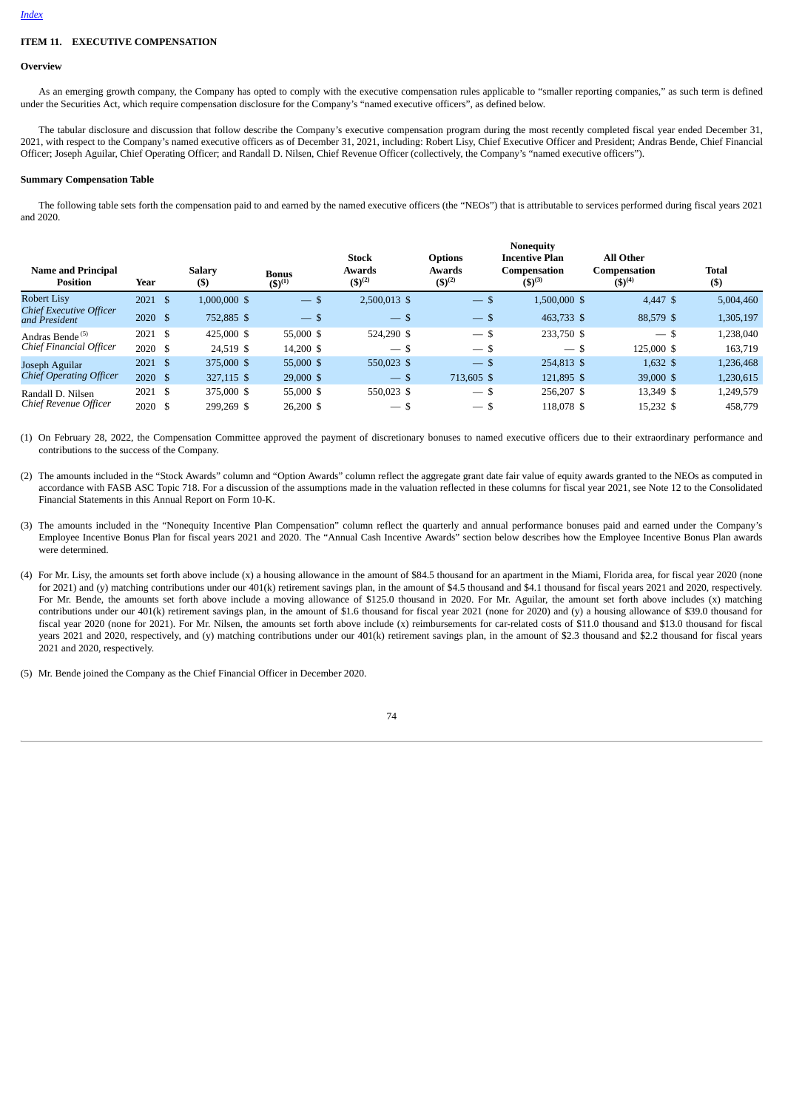## **ITEM 11. EXECUTIVE COMPENSATION**

### **Overview**

As an emerging growth company, the Company has opted to comply with the executive compensation rules applicable to "smaller reporting companies," as such term is defined under the Securities Act, which require compensation disclosure for the Company's "named executive officers", as defined below.

The tabular disclosure and discussion that follow describe the Company's executive compensation program during the most recently completed fiscal year ended December 31, 2021, with respect to the Company's named executive officers as of December 31, 2021, including: Robert Lisy, Chief Executive Officer and President; Andras Bende, Chief Financial Officer; Joseph Aguilar, Chief Operating Officer; and Randall D. Nilsen, Chief Revenue Officer (collectively, the Company's "named executive officers").

#### **Summary Compensation Table**

The following table sets forth the compensation paid to and earned by the named executive officers (the "NEOs") that is attributable to services performed during fiscal years 2021 and 2020.

| <b>Name and Principal</b><br><b>Position</b>  | Year               |      | <b>Salary</b><br>(\$) | <b>Bonus</b><br>$(5)^{(1)}$ | <b>Stock</b><br>Awards<br>$(5)^{(2)}$ | <b>Options</b><br>Awards<br>$(5)^{(2)}$ | <b>Nonequity</b><br><b>Incentive Plan</b><br>Compensation<br>$(5)^{(3)}$ | <b>All Other</b><br>Compensation<br>$(5)^{(4)}$ | <b>Total</b><br>$($ \$) |
|-----------------------------------------------|--------------------|------|-----------------------|-----------------------------|---------------------------------------|-----------------------------------------|--------------------------------------------------------------------------|-------------------------------------------------|-------------------------|
| <b>Robert Lisy</b><br>Chief Executive Officer | 2021               | - \$ | 1.000.000 \$          | $-$ \$                      | 2,500,013 \$                          | $-$ \$                                  | 1,500,000 \$                                                             | $4.447$ \$                                      | 5,004,460               |
| and President                                 | $2020 \text{ }$ \$ |      | 752,885 \$            | $-$ \$                      | $-$ \$                                | $-$ \$                                  | 463,733 \$                                                               | 88,579 \$                                       | 1,305,197               |
| Andras Bende <sup>(5)</sup>                   | 2021               | - \$ | 425,000 \$            | 55,000 \$                   | 524,290 \$                            | $-$ \$                                  | 233,750 \$                                                               | $-$ \$                                          | 1,238,040               |
| Chief Financial Officer                       | 2020 \$            |      | 24.519 \$             | 14.200 \$                   | $-$ \$                                | $-$ \$                                  | $-$ \$                                                                   | 125,000 \$                                      | 163,719                 |
| Joseph Aguilar                                | $2021 \text{ } $$  |      | 375,000 \$            | 55,000 \$                   | 550,023 \$                            | $-$ \$                                  | 254,813 \$                                                               | $1,632$ \$                                      | 1,236,468               |
| <b>Chief Operating Officer</b>                | 2020S              |      | 327,115 \$            | $29,000 \text{ }$ \$        | $-$ \$                                | 713,605 \$                              | 121.895 \$                                                               | 39,000 \$                                       | 1,230,615               |
| Randall D. Nilsen                             | 2021               | - \$ | 375,000 \$            | 55,000 \$                   | 550,023 \$                            | $-$ \$                                  | 256,207 \$                                                               | 13.349 \$                                       | 1,249,579               |
| Chief Revenue Officer                         | 2020S              |      | 299,269 \$            | 26,200 \$                   | $-$ \$                                | $-$ \$                                  | 118,078 \$                                                               | 15,232 \$                                       | 458,779                 |
|                                               |                    |      |                       |                             |                                       |                                         |                                                                          |                                                 |                         |

(1) On February 28, 2022, the Compensation Committee approved the payment of discretionary bonuses to named executive officers due to their extraordinary performance and contributions to the success of the Company.

- (2) The amounts included in the "Stock Awards" column and "Option Awards" column reflect the aggregate grant date fair value of equity awards granted to the NEOs as computed in accordance with FASB ASC Topic 718. For a discussion of the assumptions made in the valuation reflected in these columns for fiscal year 2021, see Note 12 to the Consolidated Financial Statements in this Annual Report on Form 10-K.
- (3) The amounts included in the "Nonequity Incentive Plan Compensation" column reflect the quarterly and annual performance bonuses paid and earned under the Company's Employee Incentive Bonus Plan for fiscal years 2021 and 2020. The "Annual Cash Incentive Awards" section below describes how the Employee Incentive Bonus Plan awards were determined.
- (4) For Mr. Lisy, the amounts set forth above include (x) a housing allowance in the amount of \$84.5 thousand for an apartment in the Miami, Florida area, for fiscal year 2020 (none for 2021) and (y) matching contributions under our 401(k) retirement savings plan, in the amount of \$4.5 thousand and \$4.1 thousand for fiscal years 2021 and 2020, respectively. For Mr. Bende, the amounts set forth above include a moving allowance of \$125.0 thousand in 2020. For Mr. Aguilar, the amount set forth above includes (x) matching contributions under our 401(k) retirement savings plan, in the amount of \$1.6 thousand for fiscal year 2021 (none for 2020) and (y) a housing allowance of \$39.0 thousand for fiscal year 2020 (none for 2021). For Mr. Nilsen, the amounts set forth above include (x) reimbursements for car-related costs of \$11.0 thousand and \$13.0 thousand for fiscal years 2021 and 2020, respectively, and (y) matching contributions under our 401(k) retirement savings plan, in the amount of \$2.3 thousand and \$2.2 thousand for fiscal years 2021 and 2020, respectively.
- (5) Mr. Bende joined the Company as the Chief Financial Officer in December 2020.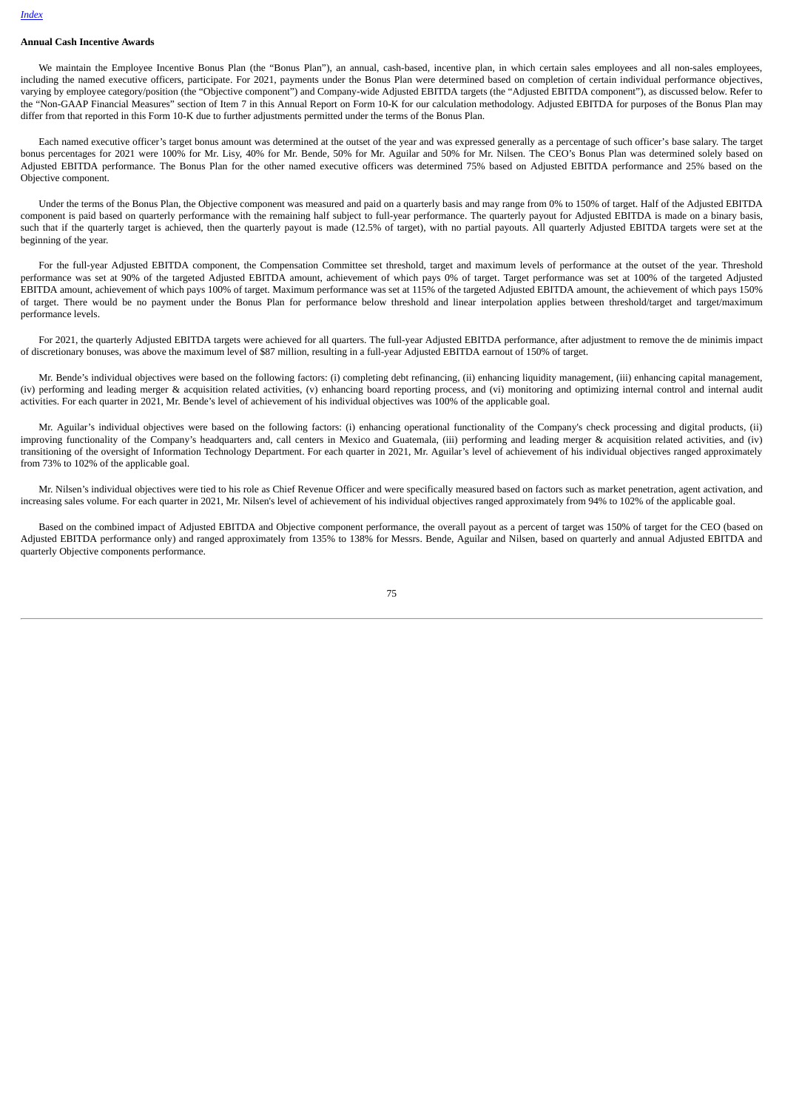## **Annual Cash Incentive Awards**

We maintain the Employee Incentive Bonus Plan (the "Bonus Plan"), an annual, cash-based, incentive plan, in which certain sales employees and all non-sales employees, including the named executive officers, participate. For 2021, payments under the Bonus Plan were determined based on completion of certain individual performance objectives, varying by employee category/position (the "Objective component") and Company-wide Adjusted EBITDA targets (the "Adjusted EBITDA component"), as discussed below. Refer to the "Non-GAAP Financial Measures" section of Item 7 in this Annual Report on Form 10-K for our calculation methodology. Adjusted EBITDA for purposes of the Bonus Plan may differ from that reported in this Form 10-K due to further adjustments permitted under the terms of the Bonus Plan.

Each named executive officer's target bonus amount was determined at the outset of the year and was expressed generally as a percentage of such officer's base salary. The target bonus percentages for 2021 were 100% for Mr. Lisy, 40% for Mr. Bende, 50% for Mr. Aguilar and 50% for Mr. Nilsen. The CEO's Bonus Plan was determined solely based on Adjusted EBITDA performance. The Bonus Plan for the other named executive officers was determined 75% based on Adjusted EBITDA performance and 25% based on the Objective component.

Under the terms of the Bonus Plan, the Objective component was measured and paid on a quarterly basis and may range from 0% to 150% of target. Half of the Adjusted EBITDA component is paid based on quarterly performance with the remaining half subject to full-year performance. The quarterly payout for Adjusted EBITDA is made on a binary basis, such that if the quarterly target is achieved, then the quarterly payout is made (12.5% of target), with no partial payouts. All quarterly Adjusted EBITDA targets were set at the beginning of the year.

For the full-year Adjusted EBITDA component, the Compensation Committee set threshold, target and maximum levels of performance at the outset of the year. Threshold performance was set at 90% of the targeted Adjusted EBITDA amount, achievement of which pays 0% of target. Target performance was set at 100% of the targeted Adjusted EBITDA amount, achievement of which pays 100% of target. Maximum performance was set at 115% of the targeted Adjusted EBITDA amount, the achievement of which pays 150% of target. There would be no payment under the Bonus Plan for performance below threshold and linear interpolation applies between threshold/target and target/maximum performance levels.

For 2021, the quarterly Adjusted EBITDA targets were achieved for all quarters. The full-year Adjusted EBITDA performance, after adjustment to remove the de minimis impact of discretionary bonuses, was above the maximum level of \$87 million, resulting in a full-year Adjusted EBITDA earnout of 150% of target.

Mr. Bende's individual objectives were based on the following factors: (i) completing debt refinancing, (ii) enhancing liquidity management, (iii) enhancing capital management, (iv) performing and leading merger & acquisition related activities, (v) enhancing board reporting process, and (vi) monitoring and optimizing internal control and internal audit activities. For each quarter in 2021, Mr. Bende's level of achievement of his individual objectives was 100% of the applicable goal.

Mr. Aguilar's individual objectives were based on the following factors: (i) enhancing operational functionality of the Company's check processing and digital products, (ii) improving functionality of the Company's headquarters and, call centers in Mexico and Guatemala, (iii) performing and leading merger & acquisition related activities, and (iv) transitioning of the oversight of Information Technology Department. For each quarter in 2021, Mr. Aguilar's level of achievement of his individual objectives ranged approximately from 73% to 102% of the applicable goal.

Mr. Nilsen's individual objectives were tied to his role as Chief Revenue Officer and were specifically measured based on factors such as market penetration, agent activation, and increasing sales volume. For each quarter in 2021, Mr. Nilsen's level of achievement of his individual objectives ranged approximately from 94% to 102% of the applicable goal.

Based on the combined impact of Adjusted EBITDA and Objective component performance, the overall payout as a percent of target was 150% of target for the CEO (based on Adjusted EBITDA performance only) and ranged approximately from 135% to 138% for Messrs. Bende, Aguilar and Nilsen, based on quarterly and annual Adjusted EBITDA and quarterly Objective components performance.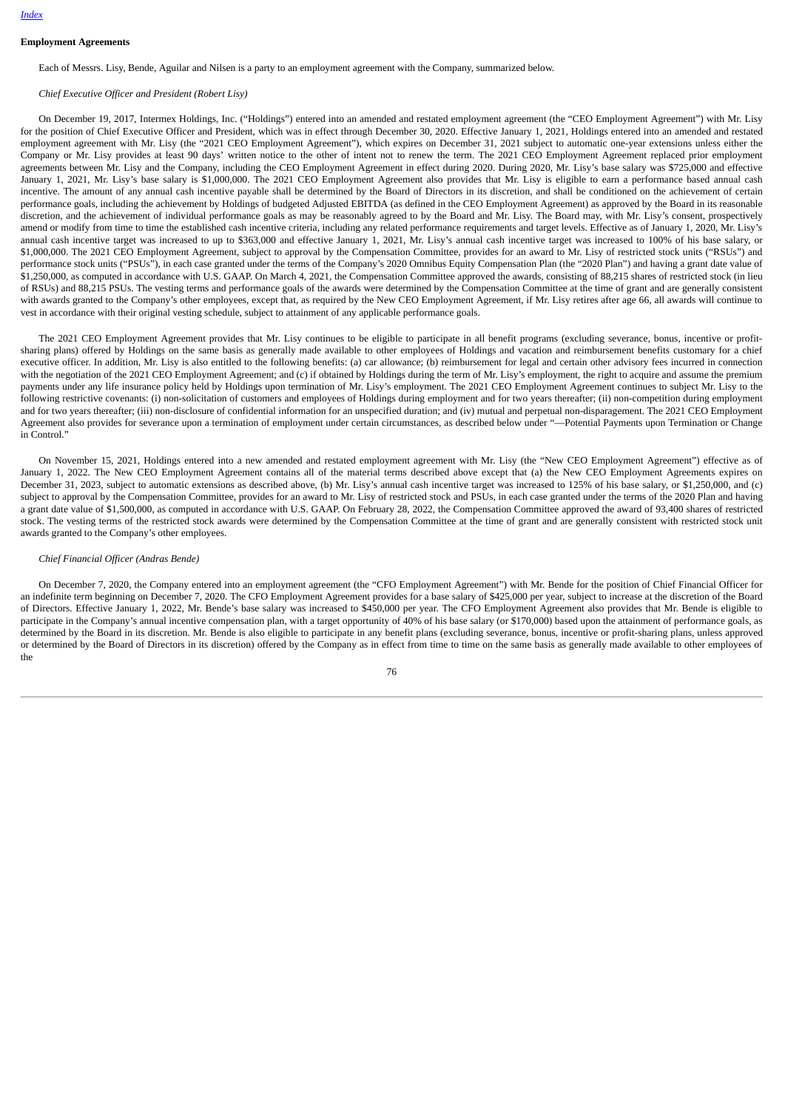## **Employment Agreements**

Each of Messrs. Lisy, Bende, Aguilar and Nilsen is a party to an employment agreement with the Company, summarized below.

### *Chief Executive Officer and President (Robert Lisy)*

On December 19, 2017, Intermex Holdings, Inc. ("Holdings") entered into an amended and restated employment agreement (the "CEO Employment Agreement") with Mr. Lisy for the position of Chief Executive Officer and President, which was in effect through December 30, 2020. Effective January 1, 2021, Holdings entered into an amended and restated employment agreement with Mr. Lisy (the "2021 CEO Employment Agreement"), which expires on December 31, 2021 subject to automatic one-year extensions unless either the Company or Mr. Lisy provides at least 90 days' written notice to the other of intent not to renew the term. The 2021 CEO Employment Agreement replaced prior employment agreements between Mr. Lisy and the Company, including the CEO Employment Agreement in effect during 2020. During 2020, Mr. Lisy's base salary was \$725,000 and effective January 1, 2021, Mr. Lisy's base salary is \$1,000,000. The 2021 CEO Employment Agreement also provides that Mr. Lisy is eligible to earn a performance based annual cash incentive. The amount of any annual cash incentive payable shall be determined by the Board of Directors in its discretion, and shall be conditioned on the achievement of certain performance goals, including the achievement by Holdings of budgeted Adjusted EBITDA (as defined in the CEO Employment Agreement) as approved by the Board in its reasonable discretion, and the achievement of individual performance goals as may be reasonably agreed to by the Board and Mr. Lisy. The Board may, with Mr. Lisy's consent, prospectively amend or modify from time to time the established cash incentive criteria, including any related performance requirements and target levels. Effective as of January 1, 2020, Mr. Lisy's annual cash incentive target was increased to up to \$363,000 and effective January 1, 2021, Mr. Lisy's annual cash incentive target was increased to 100% of his base salary, or \$1,000,000. The 2021 CEO Employment Agreement, subject to approval by the Compensation Committee, provides for an award to Mr. Lisy of restricted stock units ("RSUs") and performance stock units ("PSUs"), in each case granted under the terms of the Company's 2020 Omnibus Equity Compensation Plan (the "2020 Plan") and having a grant date value of \$1,250,000, as computed in accordance with U.S. GAAP. On March 4, 2021, the Compensation Committee approved the awards, consisting of 88,215 shares of restricted stock (in lieu of RSUs) and 88,215 PSUs. The vesting terms and performance goals of the awards were determined by the Compensation Committee at the time of grant and are generally consistent with awards granted to the Company's other employees, except that, as required by the New CEO Employment Agreement, if Mr. Lisy retires after age 66, all awards will continue to vest in accordance with their original vesting schedule, subject to attainment of any applicable performance goals.

The 2021 CEO Employment Agreement provides that Mr. Lisy continues to be eligible to participate in all benefit programs (excluding severance, bonus, incentive or profitsharing plans) offered by Holdings on the same basis as generally made available to other employees of Holdings and vacation and reimbursement benefits customary for a chief executive officer. In addition, Mr. Lisy is also entitled to the following benefits: (a) car allowance; (b) reimbursement for legal and certain other advisory fees incurred in connection with the negotiation of the 2021 CEO Employment Agreement; and (c) if obtained by Holdings during the term of Mr. Lisy's employment, the right to acquire and assume the premium payments under any life insurance policy held by Holdings upon termination of Mr. Lisy's employment. The 2021 CEO Employment Agreement continues to subject Mr. Lisy to the following restrictive covenants: (i) non-solicitation of customers and employees of Holdings during employment and for two years thereafter; (ii) non-competition during employment and for two years thereafter; (iii) non-disclosure of confidential information for an unspecified duration; and (iv) mutual and perpetual non-disparagement. The 2021 CEO Employment Agreement also provides for severance upon a termination of employment under certain circumstances, as described below under "—Potential Payments upon Termination or Change in Control.'

On November 15, 2021, Holdings entered into a new amended and restated employment agreement with Mr. Lisy (the "New CEO Employment Agreement") effective as of January 1, 2022. The New CEO Employment Agreement contains all of the material terms described above except that (a) the New CEO Employment Agreements expires on December 31, 2023, subject to automatic extensions as described above, (b) Mr. Lisy's annual cash incentive target was increased to 125% of his base salary, or \$1,250,000, and (c) subject to approval by the Compensation Committee, provides for an award to Mr. Lisy of restricted stock and PSUs, in each case granted under the terms of the 2020 Plan and having a grant date value of \$1,500,000, as computed in accordance with U.S. GAAP. On February 28, 2022, the Compensation Committee approved the award of 93,400 shares of restricted stock. The vesting terms of the restricted stock awards were determined by the Compensation Committee at the time of grant and are generally consistent with restricted stock unit awards granted to the Company's other employees.

#### *Chief Financial Officer (Andras Bende)*

On December 7, 2020, the Company entered into an employment agreement (the "CFO Employment Agreement") with Mr. Bende for the position of Chief Financial Officer for an indefinite term beginning on December 7, 2020. The CFO Employment Agreement provides for a base salary of \$425,000 per year, subject to increase at the discretion of the Board of Directors. Effective January 1, 2022, Mr. Bende's base salary was increased to \$450,000 per year. The CFO Employment Agreement also provides that Mr. Bende is eligible to participate in the Company's annual incentive compensation plan, with a target opportunity of 40% of his base salary (or \$170,000) based upon the attainment of performance goals, as determined by the Board in its discretion. Mr. Bende is also eligible to participate in any benefit plans (excluding severance, bonus, incentive or profit-sharing plans, unless approved or determined by the Board of Directors in its discretion) offered by the Company as in effect from time to time on the same basis as generally made available to other employees of the

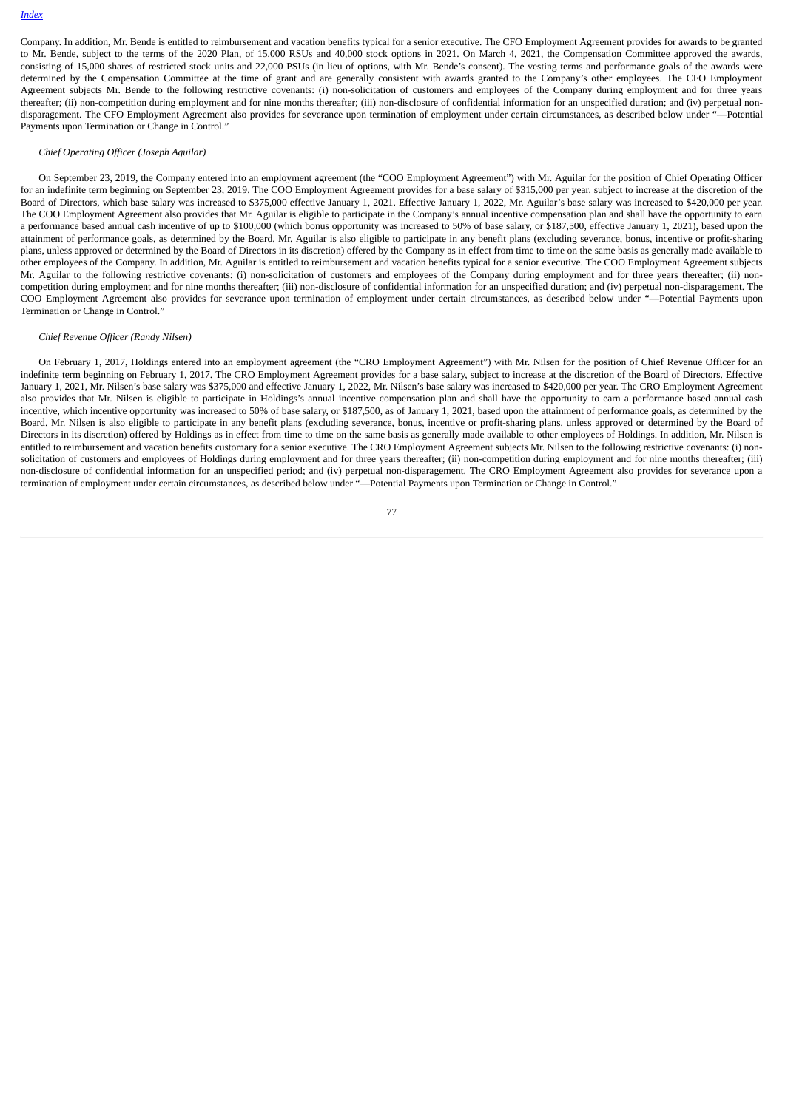Company. In addition, Mr. Bende is entitled to reimbursement and vacation benefits typical for a senior executive. The CFO Employment Agreement provides for awards to be granted to Mr. Bende, subject to the terms of the 2020 Plan, of 15,000 RSUs and 40,000 stock options in 2021. On March 4, 2021, the Compensation Committee approved the awards, consisting of 15,000 shares of restricted stock units and 22,000 PSUs (in lieu of options, with Mr. Bende's consent). The vesting terms and performance goals of the awards were determined by the Compensation Committee at the time of grant and are generally consistent with awards granted to the Company's other employees. The CFO Employment Agreement subjects Mr. Bende to the following restrictive covenants: (i) non-solicitation of customers and employees of the Company during employment and for three years thereafter; (ii) non-competition during employment and for nine months thereafter; (iii) non-disclosure of confidential information for an unspecified duration; and (iv) perpetual nondisparagement. The CFO Employment Agreement also provides for severance upon termination of employment under certain circumstances, as described below under "—Potential Payments upon Termination or Change in Control."

### *Chief Operating Officer (Joseph Aguilar)*

On September 23, 2019, the Company entered into an employment agreement (the "COO Employment Agreement") with Mr. Aguilar for the position of Chief Operating Officer for an indefinite term beginning on September 23, 2019. The COO Employment Agreement provides for a base salary of \$315,000 per year, subject to increase at the discretion of the Board of Directors, which base salary was increased to \$375,000 effective January 1, 2021. Effective January 1, 2022, Mr. Aguilar's base salary was increased to \$420,000 per year. The COO Employment Agreement also provides that Mr. Aguilar is eligible to participate in the Company's annual incentive compensation plan and shall have the opportunity to earn a performance based annual cash incentive of up to \$100,000 (which bonus opportunity was increased to 50% of base salary, or \$187,500, effective January 1, 2021), based upon the attainment of performance goals, as determined by the Board. Mr. Aguilar is also eligible to participate in any benefit plans (excluding severance, bonus, incentive or profit-sharing plans, unless approved or determined by the Board of Directors in its discretion) offered by the Company as in effect from time to time on the same basis as generally made available to other employees of the Company. In addition, Mr. Aguilar is entitled to reimbursement and vacation benefits typical for a senior executive. The COO Employment Agreement subjects Mr. Aguilar to the following restrictive covenants: (i) non-solicitation of customers and employees of the Company during employment and for three years thereafter; (ii) noncompetition during employment and for nine months thereafter; (iii) non-disclosure of confidential information for an unspecified duration; and (iv) perpetual non-disparagement. The COO Employment Agreement also provides for severance upon termination of employment under certain circumstances, as described below under "—Potential Payments upon Termination or Change in Control."

### *Chief Revenue Officer (Randy Nilsen)*

On February 1, 2017, Holdings entered into an employment agreement (the "CRO Employment Agreement") with Mr. Nilsen for the position of Chief Revenue Officer for an indefinite term beginning on February 1, 2017. The CRO Employment Agreement provides for a base salary, subject to increase at the discretion of the Board of Directors. Effective January 1, 2021, Mr. Nilsen's base salary was \$375,000 and effective January 1, 2022, Mr. Nilsen's base salary was increased to \$420,000 per year. The CRO Employment Agreement also provides that Mr. Nilsen is eligible to participate in Holdings's annual incentive compensation plan and shall have the opportunity to earn a performance based annual cash incentive, which incentive opportunity was increased to 50% of base salary, or \$187,500, as of January 1, 2021, based upon the attainment of performance goals, as determined by the Board. Mr. Nilsen is also eligible to participate in any benefit plans (excluding severance, bonus, incentive or profit-sharing plans, unless approved or determined by the Board of Directors in its discretion) offered by Holdings as in effect from time to time on the same basis as generally made available to other employees of Holdings. In addition, Mr. Nilsen is entitled to reimbursement and vacation benefits customary for a senior executive. The CRO Employment Agreement subjects Mr. Nilsen to the following restrictive covenants: (i) nonsolicitation of customers and employees of Holdings during employment and for three years thereafter; (ii) non-competition during employment and for nine months thereafter; (iii) non-disclosure of confidential information for an unspecified period; and (iv) perpetual non-disparagement. The CRO Employment Agreement also provides for severance upon a termination of employment under certain circumstances, as described below under "—Potential Payments upon Termination or Change in Control."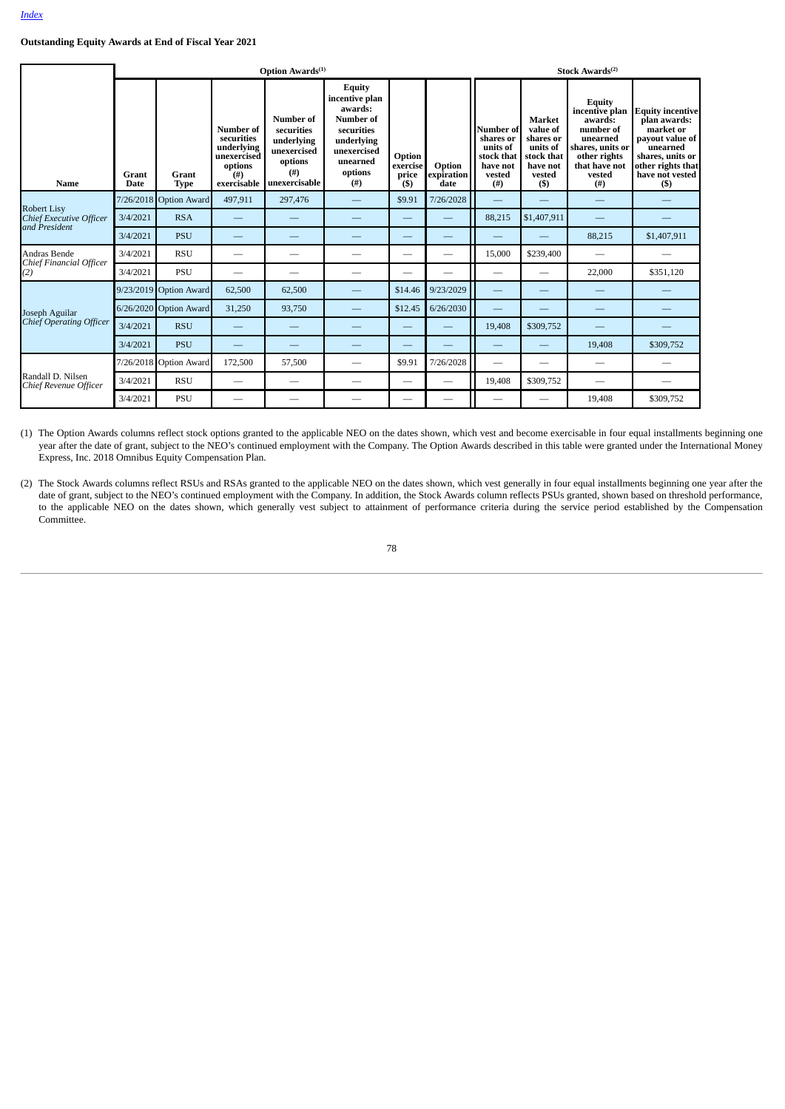# **Outstanding Equity Awards at End of Fiscal Year 2021**

|                                                |               |                        |                                                                                       | Option Awards <sup>(1)</sup>                                                               |                                                                                                                                        |                                    |                              |                                                                                     |                                                                                                 | Stock Awards <sup>(2)</sup>                                                                                                                    |                                                                                                                                                 |
|------------------------------------------------|---------------|------------------------|---------------------------------------------------------------------------------------|--------------------------------------------------------------------------------------------|----------------------------------------------------------------------------------------------------------------------------------------|------------------------------------|------------------------------|-------------------------------------------------------------------------------------|-------------------------------------------------------------------------------------------------|------------------------------------------------------------------------------------------------------------------------------------------------|-------------------------------------------------------------------------------------------------------------------------------------------------|
| Name                                           | Grant<br>Date | Grant<br><b>Type</b>   | Number of<br>securities<br>underlying<br>unexercised<br>options<br>(#)<br>exercisable | Number of<br>securities<br>underlying<br>unexercised<br>options<br>$($ #)<br>unexercisable | <b>Equity</b><br>incentive plan<br>awards:<br>Number of<br>securities<br>underlying<br>unexercised<br>unearned<br>options<br>$($ # $)$ | Option<br>exercise<br>price<br>(5) | Option<br>expiration<br>date | Number of<br>shares or<br>units of<br>stock that<br>have not<br>vested<br>$($ # $)$ | <b>Market</b><br>value of<br>shares or<br>units of<br>stock that<br>have not<br>vested<br>$($)$ | <b>Equity</b><br>incentive plan<br>awards:<br>number of<br>unearned<br>shares, units or<br>other rights<br>that have not<br>vested<br>$^{(#)}$ | Equity incentive<br>plan awards:<br>market or<br>payout value of<br>unearned<br>shares, units or<br>other rights that<br>have not vested<br>(5) |
| <b>Robert Lisy</b>                             |               | 7/26/2018 Option Award | 497,911                                                                               | 297,476                                                                                    | $\overline{\phantom{0}}$                                                                                                               | \$9.91                             | 7/26/2028                    |                                                                                     |                                                                                                 |                                                                                                                                                |                                                                                                                                                 |
| Chief Executive Officer<br>and President       | 3/4/2021      | <b>RSA</b>             |                                                                                       |                                                                                            |                                                                                                                                        |                                    |                              | 88,215                                                                              | \$1,407,911                                                                                     |                                                                                                                                                |                                                                                                                                                 |
|                                                | 3/4/2021      | <b>PSU</b>             |                                                                                       |                                                                                            |                                                                                                                                        |                                    |                              |                                                                                     |                                                                                                 | 88,215                                                                                                                                         | \$1,407,911                                                                                                                                     |
| Andras Bende<br><b>Chief Financial Officer</b> | 3/4/2021      | <b>RSU</b>             |                                                                                       |                                                                                            |                                                                                                                                        |                                    |                              | 15,000                                                                              | \$239,400                                                                                       |                                                                                                                                                |                                                                                                                                                 |
| (2)                                            | 3/4/2021      | PSU                    |                                                                                       |                                                                                            |                                                                                                                                        |                                    |                              | —                                                                                   |                                                                                                 | 22,000                                                                                                                                         | \$351,120                                                                                                                                       |
|                                                |               | 9/23/2019 Option Award | 62,500                                                                                | 62,500                                                                                     |                                                                                                                                        | \$14.46                            | 9/23/2029                    | $\qquad \qquad \overline{\qquad \qquad }$                                           | -                                                                                               |                                                                                                                                                |                                                                                                                                                 |
|                                                |               | 6/26/2020 Option Award | 31,250                                                                                | 93,750                                                                                     |                                                                                                                                        | \$12.45                            | 6/26/2030                    |                                                                                     |                                                                                                 |                                                                                                                                                |                                                                                                                                                 |
| Joseph Aguilar<br>Chief Operating Officer      | 3/4/2021      | <b>RSU</b>             |                                                                                       |                                                                                            |                                                                                                                                        |                                    |                              | 19,408                                                                              | \$309,752                                                                                       |                                                                                                                                                |                                                                                                                                                 |
|                                                | 3/4/2021      | <b>PSU</b>             |                                                                                       |                                                                                            |                                                                                                                                        | -                                  |                              |                                                                                     |                                                                                                 | 19,408                                                                                                                                         | \$309,752                                                                                                                                       |
|                                                |               | 7/26/2018 Option Award | 172,500                                                                               | 57,500                                                                                     |                                                                                                                                        | \$9.91                             | 7/26/2028                    |                                                                                     |                                                                                                 |                                                                                                                                                |                                                                                                                                                 |
| Randall D. Nilsen<br>Chief Revenue Officer     | 3/4/2021      | <b>RSU</b>             |                                                                                       |                                                                                            |                                                                                                                                        | $\sim$                             |                              | 19,408                                                                              | \$309,752                                                                                       |                                                                                                                                                |                                                                                                                                                 |
|                                                | 3/4/2021      | PSU                    |                                                                                       |                                                                                            |                                                                                                                                        |                                    |                              |                                                                                     |                                                                                                 | 19,408                                                                                                                                         | \$309,752                                                                                                                                       |

(1) The Option Awards columns reflect stock options granted to the applicable NEO on the dates shown, which vest and become exercisable in four equal installments beginning one year after the date of grant, subject to the NEO's continued employment with the Company. The Option Awards described in this table were granted under the International Money Express, Inc. 2018 Omnibus Equity Compensation Plan.

(2) The Stock Awards columns reflect RSUs and RSAs granted to the applicable NEO on the dates shown, which vest generally in four equal installments beginning one year after the date of grant, subject to the NEO's continued employment with the Company. In addition, the Stock Awards column reflects PSUs granted, shown based on threshold performance, to the applicable NEO on the dates shown, which generally vest subject to attainment of performance criteria during the service period established by the Compensation Committee.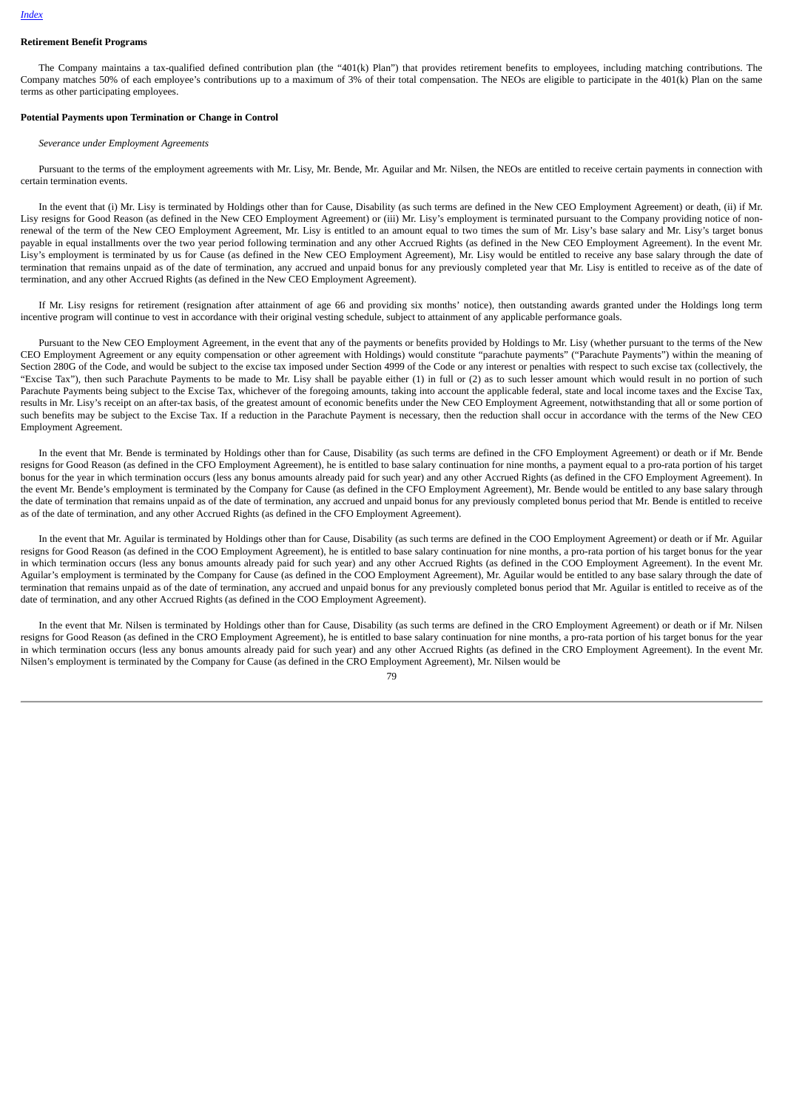### **Retirement Benefit Programs**

The Company maintains a tax-qualified defined contribution plan (the "401(k) Plan") that provides retirement benefits to employees, including matching contributions. The Company matches 50% of each employee's contributions up to a maximum of 3% of their total compensation. The NEOs are eligible to participate in the 401(k) Plan on the same terms as other participating employees.

#### **Potential Payments upon Termination or Change in Control**

#### *Severance under Employment Agreements*

Pursuant to the terms of the employment agreements with Mr. Lisy, Mr. Bende, Mr. Aguilar and Mr. Nilsen, the NEOs are entitled to receive certain payments in connection with certain termination events.

In the event that (i) Mr. Lisy is terminated by Holdings other than for Cause, Disability (as such terms are defined in the New CEO Employment Agreement) or death, (ii) if Mr. Lisy resigns for Good Reason (as defined in the New CEO Employment Agreement) or (iii) Mr. Lisy's employment is terminated pursuant to the Company providing notice of nonrenewal of the term of the New CEO Employment Agreement, Mr. Lisy is entitled to an amount equal to two times the sum of Mr. Lisy's base salary and Mr. Lisy's target bonus payable in equal installments over the two year period following termination and any other Accrued Rights (as defined in the New CEO Employment Agreement). In the event Mr. Lisy's employment is terminated by us for Cause (as defined in the New CEO Employment Agreement), Mr. Lisy would be entitled to receive any base salary through the date of termination that remains unpaid as of the date of termination, any accrued and unpaid bonus for any previously completed year that Mr. Lisy is entitled to receive as of the date of termination, and any other Accrued Rights (as defined in the New CEO Employment Agreement).

If Mr. Lisy resigns for retirement (resignation after attainment of age 66 and providing six months' notice), then outstanding awards granted under the Holdings long term incentive program will continue to vest in accordance with their original vesting schedule, subject to attainment of any applicable performance goals.

Pursuant to the New CEO Employment Agreement, in the event that any of the payments or benefits provided by Holdings to Mr. Lisy (whether pursuant to the terms of the New CEO Employment Agreement or any equity compensation or other agreement with Holdings) would constitute "parachute payments" ("Parachute Payments") within the meaning of Section 280G of the Code, and would be subject to the excise tax imposed under Section 4999 of the Code or any interest or penalties with respect to such excise tax (collectively, the "Excise Tax"), then such Parachute Payments to be made to Mr. Lisy shall be payable either (1) in full or (2) as to such lesser amount which would result in no portion of such Parachute Payments being subject to the Excise Tax, whichever of the foregoing amounts, taking into account the applicable federal, state and local income taxes and the Excise Tax, results in Mr. Lisy's receipt on an after-tax basis, of the greatest amount of economic benefits under the New CEO Employment Agreement, notwithstanding that all or some portion of such benefits may be subject to the Excise Tax. If a reduction in the Parachute Payment is necessary, then the reduction shall occur in accordance with the terms of the New CEO Employment Agreement.

In the event that Mr. Bende is terminated by Holdings other than for Cause, Disability (as such terms are defined in the CFO Employment Agreement) or death or if Mr. Bende resigns for Good Reason (as defined in the CFO Employment Agreement), he is entitled to base salary continuation for nine months, a payment equal to a pro-rata portion of his target bonus for the year in which termination occurs (less any bonus amounts already paid for such year) and any other Accrued Rights (as defined in the CFO Employment Agreement). In the event Mr. Bende's employment is terminated by the Company for Cause (as defined in the CFO Employment Agreement), Mr. Bende would be entitled to any base salary through the date of termination that remains unpaid as of the date of termination, any accrued and unpaid bonus for any previously completed bonus period that Mr. Bende is entitled to receive as of the date of termination, and any other Accrued Rights (as defined in the CFO Employment Agreement).

In the event that Mr. Aguilar is terminated by Holdings other than for Cause, Disability (as such terms are defined in the COO Employment Agreement) or death or if Mr. Aguilar resigns for Good Reason (as defined in the COO Employment Agreement), he is entitled to base salary continuation for nine months, a pro-rata portion of his target bonus for the year in which termination occurs (less any bonus amounts already paid for such year) and any other Accrued Rights (as defined in the COO Employment Agreement). In the event Mr. Aguilar's employment is terminated by the Company for Cause (as defined in the COO Employment Agreement), Mr. Aguilar would be entitled to any base salary through the date of termination that remains unpaid as of the date of termination, any accrued and unpaid bonus for any previously completed bonus period that Mr. Aguilar is entitled to receive as of the date of termination, and any other Accrued Rights (as defined in the COO Employment Agreement).

In the event that Mr. Nilsen is terminated by Holdings other than for Cause, Disability (as such terms are defined in the CRO Employment Agreement) or death or if Mr. Nilsen resigns for Good Reason (as defined in the CRO Employment Agreement), he is entitled to base salary continuation for nine months, a pro-rata portion of his target bonus for the year in which termination occurs (less any bonus amounts already paid for such year) and any other Accrued Rights (as defined in the CRO Employment Agreement). In the event Mr. Nilsen's employment is terminated by the Company for Cause (as defined in the CRO Employment Agreement), Mr. Nilsen would be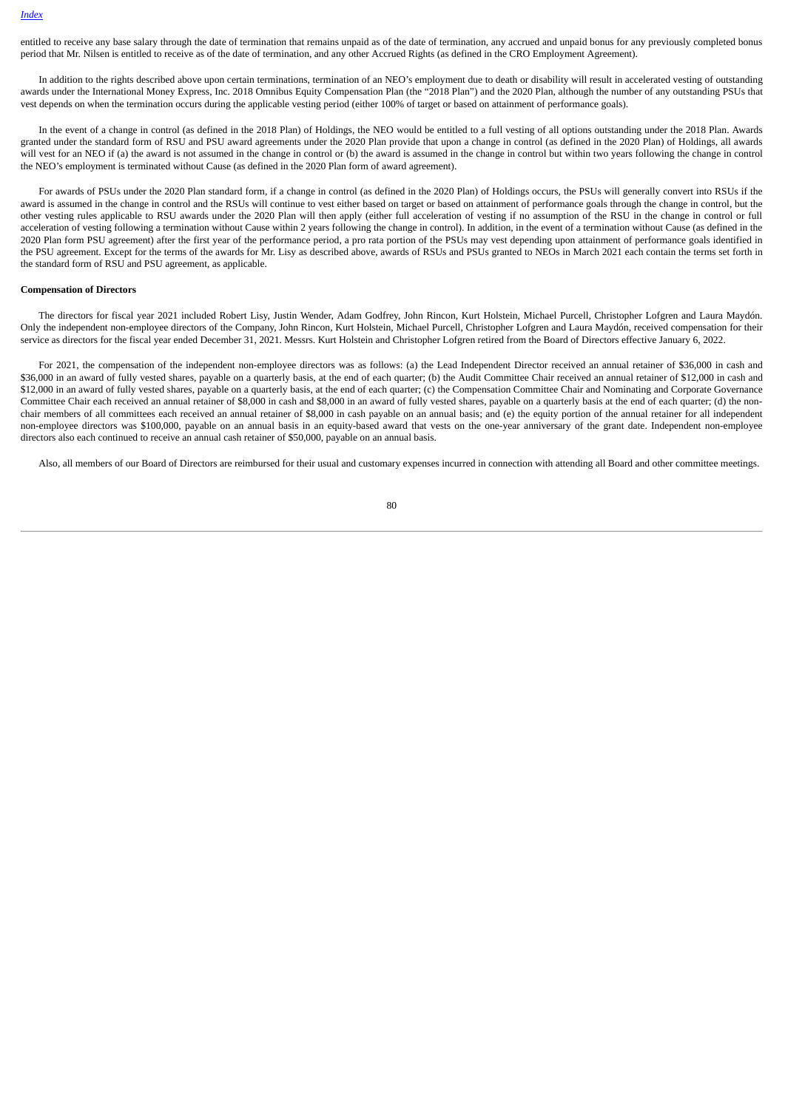entitled to receive any base salary through the date of termination that remains unpaid as of the date of termination, any accrued and unpaid bonus for any previously completed bonus period that Mr. Nilsen is entitled to receive as of the date of termination, and any other Accrued Rights (as defined in the CRO Employment Agreement).

In addition to the rights described above upon certain terminations, termination of an NEO's employment due to death or disability will result in accelerated vesting of outstanding awards under the International Money Express, Inc. 2018 Omnibus Equity Compensation Plan (the "2018 Plan") and the 2020 Plan, although the number of any outstanding PSUs that vest depends on when the termination occurs during the applicable vesting period (either 100% of target or based on attainment of performance goals).

In the event of a change in control (as defined in the 2018 Plan) of Holdings, the NEO would be entitled to a full vesting of all options outstanding under the 2018 Plan. Awards granted under the standard form of RSU and PSU award agreements under the 2020 Plan provide that upon a change in control (as defined in the 2020 Plan) of Holdings, all awards will vest for an NEO if (a) the award is not assumed in the change in control or (b) the award is assumed in the change in control but within two years following the change in control the NEO's employment is terminated without Cause (as defined in the 2020 Plan form of award agreement).

For awards of PSUs under the 2020 Plan standard form, if a change in control (as defined in the 2020 Plan) of Holdings occurs, the PSUs will generally convert into RSUs if the award is assumed in the change in control and the RSUs will continue to vest either based on target or based on attainment of performance goals through the change in control, but the other vesting rules applicable to RSU awards under the 2020 Plan will then apply (either full acceleration of vesting if no assumption of the RSU in the change in control or full acceleration of vesting following a termination without Cause within 2 years following the change in control). In addition, in the event of a termination without Cause (as defined in the 2020 Plan form PSU agreement) after the first year of the performance period, a pro rata portion of the PSUs may vest depending upon attainment of performance goals identified in the PSU agreement. Except for the terms of the awards for Mr. Lisy as described above, awards of RSUs and PSUs granted to NEOs in March 2021 each contain the terms set forth in the standard form of RSU and PSU agreement, as applicable.

#### **Compensation of Directors**

The directors for fiscal year 2021 included Robert Lisy, Justin Wender, Adam Godfrey, John Rincon, Kurt Holstein, Michael Purcell, Christopher Lofgren and Laura Maydón. Only the independent non-employee directors of the Company, John Rincon, Kurt Holstein, Michael Purcell, Christopher Lofgren and Laura Maydón, received compensation for their service as directors for the fiscal year ended December 31, 2021. Messrs. Kurt Holstein and Christopher Lofgren retired from the Board of Directors effective January 6, 2022.

For 2021, the compensation of the independent non-employee directors was as follows: (a) the Lead Independent Director received an annual retainer of \$36,000 in cash and \$36,000 in an award of fully vested shares, payable on a quarterly basis, at the end of each quarter; (b) the Audit Committee Chair received an annual retainer of \$12,000 in cash and \$12,000 in an award of fully vested shares, payable on a quarterly basis, at the end of each quarter; (c) the Compensation Committee Chair and Nominating and Corporate Governance Committee Chair each received an annual retainer of \$8,000 in cash and \$8,000 in an award of fully vested shares, payable on a quarterly basis at the end of each quarter; (d) the nonchair members of all committees each received an annual retainer of \$8,000 in cash payable on an annual basis; and (e) the equity portion of the annual retainer for all independent non-employee directors was \$100,000, payable on an annual basis in an equity-based award that vests on the one-year anniversary of the grant date. Independent non-employee directors also each continued to receive an annual cash retainer of \$50,000, payable on an annual basis.

Also, all members of our Board of Directors are reimbursed for their usual and customary expenses incurred in connection with attending all Board and other committee meetings.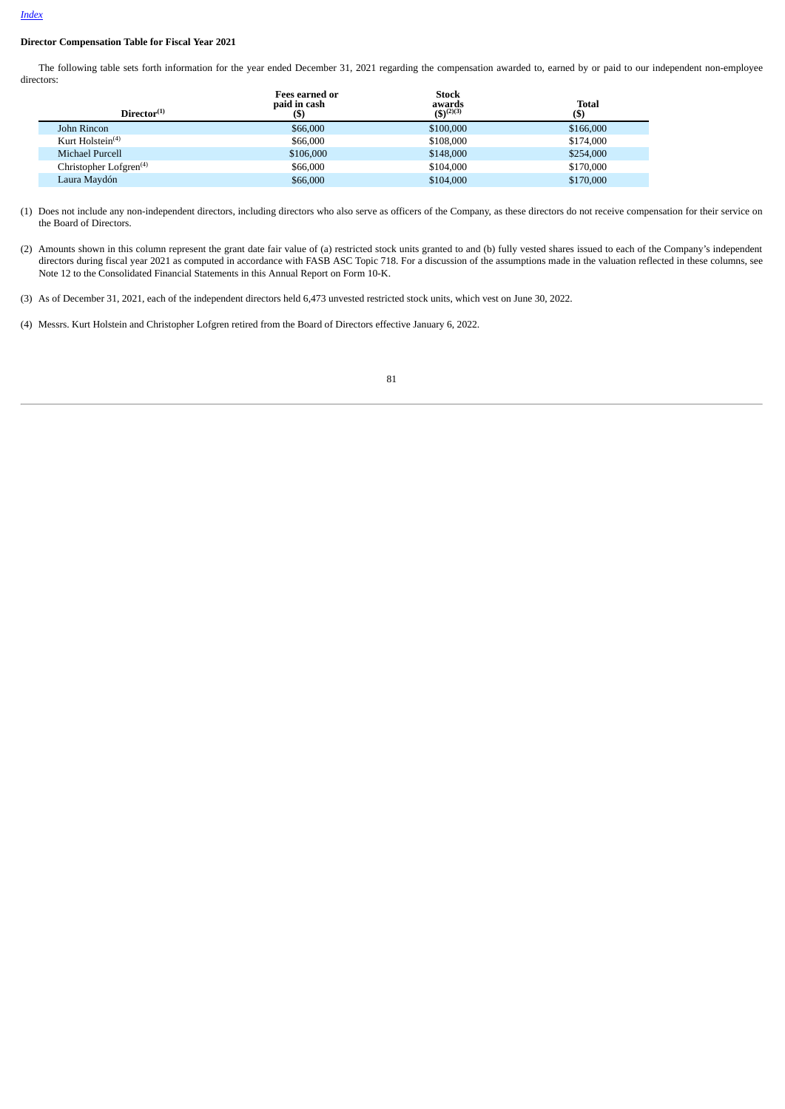## **Director Compensation Table for Fiscal Year 2021**

The following table sets forth information for the year ended December 31, 2021 regarding the compensation awarded to, earned by or paid to our independent non-employee directors:

| Total     |
|-----------|
| \$166,000 |
| \$174,000 |
| \$254,000 |
| \$170,000 |
| \$170,000 |
|           |

(1) Does not include any non-independent directors, including directors who also serve as officers of the Company, as these directors do not receive compensation for their service on the Board of Directors.

- (2) Amounts shown in this column represent the grant date fair value of (a) restricted stock units granted to and (b) fully vested shares issued to each of the Company's independent directors during fiscal year 2021 as computed in accordance with FASB ASC Topic 718. For a discussion of the assumptions made in the valuation reflected in these columns, see Note 12 to the Consolidated Financial Statements in this Annual Report on Form 10-K.
- (3) As of December 31, 2021, each of the independent directors held 6,473 unvested restricted stock units, which vest on June 30, 2022.
- (4) Messrs. Kurt Holstein and Christopher Lofgren retired from the Board of Directors effective January 6, 2022.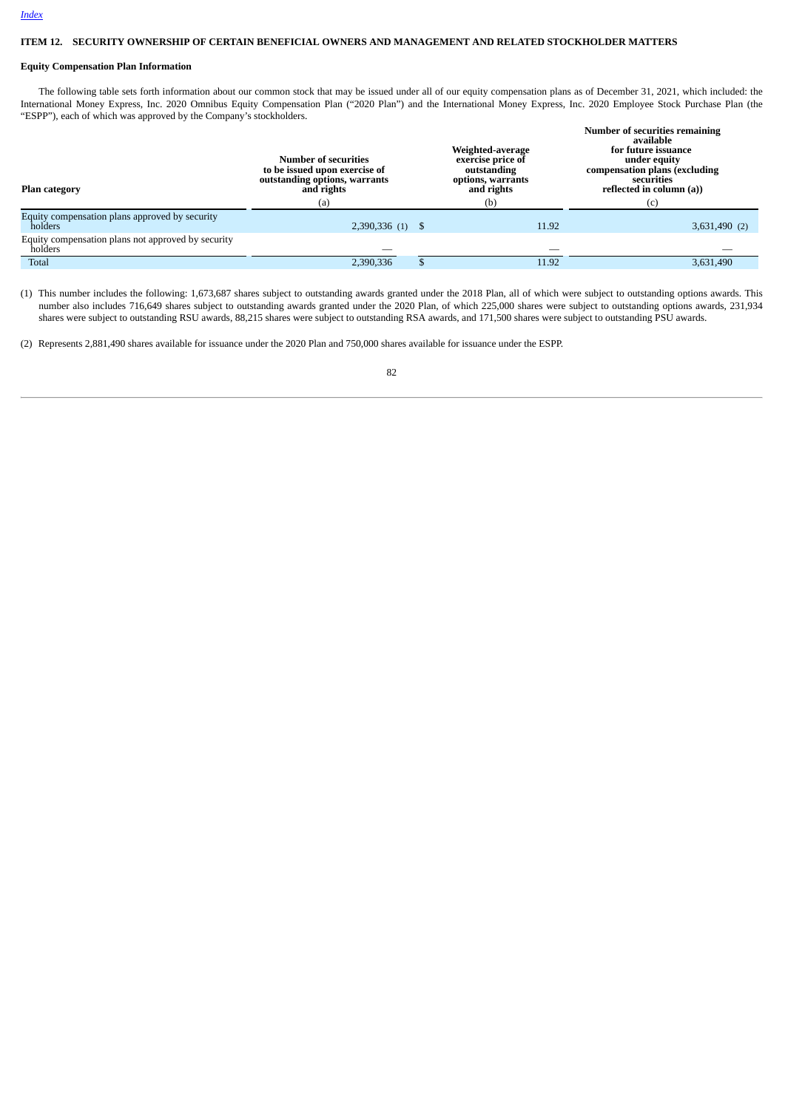# *[Index](#page-0-0)*

## **ITEM 12. SECURITY OWNERSHIP OF CERTAIN BENEFICIAL OWNERS AND MANAGEMENT AND RELATED STOCKHOLDER MATTERS**

## **Equity Compensation Plan Information**

The following table sets forth information about our common stock that may be issued under all of our equity compensation plans as of December 31, 2021, which included: the International Money Express, Inc. 2020 Omnibus Equity Compensation Plan ("2020 Plan") and the International Money Express, Inc. 2020 Employee Stock Purchase Plan (the "ESPP"), each of which was approved by the Company's stockholders. **Number of securities remaining**

| <b>Plan category</b>                                          | <b>Number of securities</b><br>to be issued upon exercise of<br>outstanding options, warrants<br>and rights<br>(a) |  | Weighted-average<br>exercise price of<br>outstanding<br>options, warrants<br>and rights<br>(b) |       | Number of securities remaining<br>available<br>for future issuance<br>under equity<br>compensation plans (excluding<br>securities<br>reflected in column (a))<br>(C) |  |
|---------------------------------------------------------------|--------------------------------------------------------------------------------------------------------------------|--|------------------------------------------------------------------------------------------------|-------|----------------------------------------------------------------------------------------------------------------------------------------------------------------------|--|
| Equity compensation plans approved by security<br>holders     | $2,390,336(1)$ \$                                                                                                  |  |                                                                                                | 11.92 | 3,631,490(2)                                                                                                                                                         |  |
| Equity compensation plans not approved by security<br>holders |                                                                                                                    |  |                                                                                                |       |                                                                                                                                                                      |  |
| Total                                                         | 2,390,336                                                                                                          |  |                                                                                                | 11.92 | 3,631,490                                                                                                                                                            |  |

(1) This number includes the following: 1,673,687 shares subject to outstanding awards granted under the 2018 Plan, all of which were subject to outstanding options awards. This number also includes 716,649 shares subject to outstanding awards granted under the 2020 Plan, of which 225,000 shares were subject to outstanding options awards, 231,934 shares were subject to outstanding RSU awards, 88,215 shares were subject to outstanding RSA awards, and 171,500 shares were subject to outstanding PSU awards.

(2) Represents 2,881,490 shares available for issuance under the 2020 Plan and 750,000 shares available for issuance under the ESPP.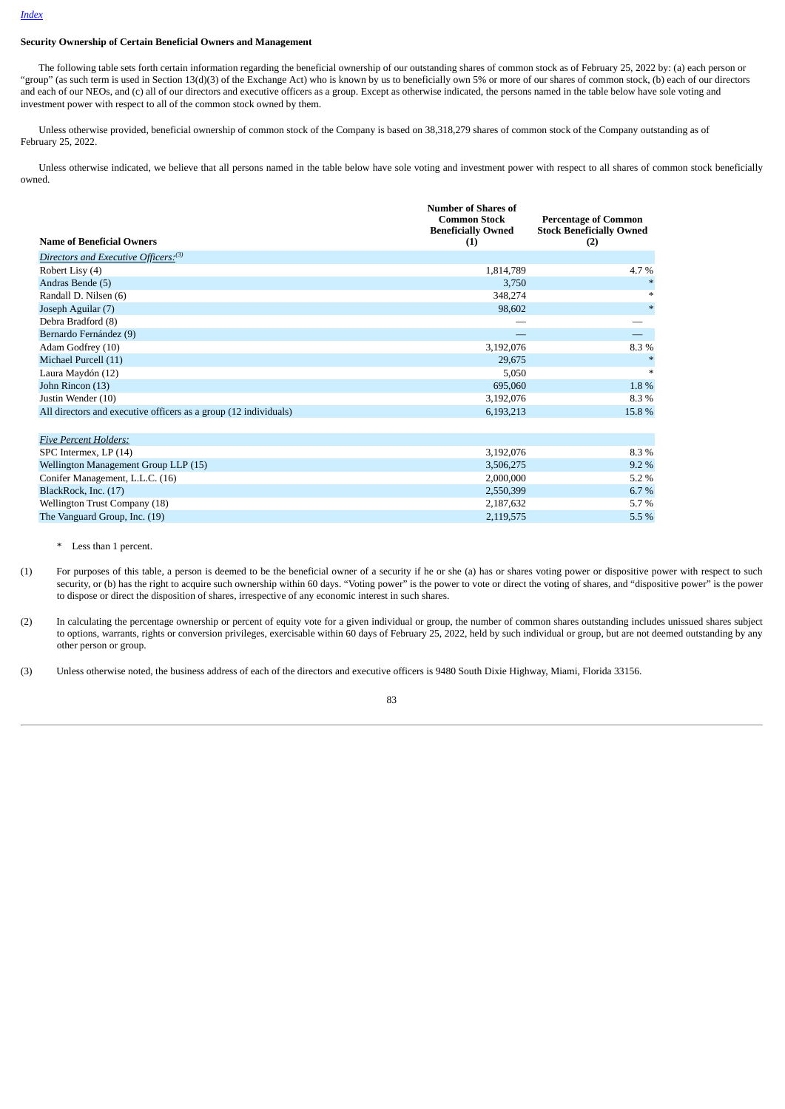## **Security Ownership of Certain Beneficial Owners and Management**

The following table sets forth certain information regarding the beneficial ownership of our outstanding shares of common stock as of February 25, 2022 by: (a) each person or "group" (as such term is used in Section 13(d)(3) of the Exchange Act) who is known by us to beneficially own 5% or more of our shares of common stock, (b) each of our directors and each of our NEOs, and (c) all of our directors and executive officers as a group. Except as otherwise indicated, the persons named in the table below have sole voting and investment power with respect to all of the common stock owned by them.

Unless otherwise provided, beneficial ownership of common stock of the Company is based on 38,318,279 shares of common stock of the Company outstanding as of February 25, 2022.

Unless otherwise indicated, we believe that all persons named in the table below have sole voting and investment power with respect to all shares of common stock beneficially owned.

| Name of Beneficial Owners                                        | Number of Shares of<br><b>Common Stock</b><br><b>Beneficially Owned</b><br>(1) | <b>Percentage of Common</b><br><b>Stock Beneficially Owned</b><br>(2) |
|------------------------------------------------------------------|--------------------------------------------------------------------------------|-----------------------------------------------------------------------|
| Directors and Executive Officers: <sup>(3)</sup>                 |                                                                                |                                                                       |
| Robert Lisy (4)                                                  | 1,814,789                                                                      | 4.7%                                                                  |
| Andras Bende (5)                                                 | 3,750                                                                          |                                                                       |
| Randall D. Nilsen (6)                                            | 348,274                                                                        |                                                                       |
| Joseph Aguilar (7)                                               | 98,602                                                                         | $*$                                                                   |
| Debra Bradford (8)                                               |                                                                                |                                                                       |
| Bernardo Fernández (9)                                           |                                                                                |                                                                       |
| Adam Godfrey (10)                                                | 3,192,076                                                                      | 8.3 %                                                                 |
| Michael Purcell (11)                                             | 29,675                                                                         | ∗                                                                     |
| Laura Maydón (12)                                                | 5,050                                                                          |                                                                       |
| John Rincon (13)                                                 | 695,060                                                                        | 1.8%                                                                  |
| Justin Wender (10)                                               | 3,192,076                                                                      | 8.3%                                                                  |
| All directors and executive officers as a group (12 individuals) | 6,193,213                                                                      | 15.8%                                                                 |
|                                                                  |                                                                                |                                                                       |
| Five Percent Holders:                                            |                                                                                |                                                                       |
| SPC Intermex, LP (14)                                            | 3,192,076                                                                      | 8.3%                                                                  |
| Wellington Management Group LLP (15)                             | 3,506,275                                                                      | 9.2%                                                                  |
| Conifer Management, L.L.C. (16)                                  | 2,000,000                                                                      | 5.2%                                                                  |
| BlackRock, Inc. (17)                                             | 2,550,399                                                                      | 6.7%                                                                  |
| Wellington Trust Company (18)                                    | 2,187,632                                                                      | 5.7%                                                                  |
| The Vanguard Group, Inc. (19)                                    | 2,119,575                                                                      | 5.5 %                                                                 |

\* Less than 1 percent.

- (1) For purposes of this table, a person is deemed to be the beneficial owner of a security if he or she (a) has or shares voting power or dispositive power with respect to such security, or (b) has the right to acquire such ownership within 60 days. "Voting power" is the power to vote or direct the voting of shares, and "dispositive power" is the power to dispose or direct the disposition of shares, irrespective of any economic interest in such shares.
- (2) In calculating the percentage ownership or percent of equity vote for a given individual or group, the number of common shares outstanding includes unissued shares subject to options, warrants, rights or conversion privileges, exercisable within 60 days of February 25, 2022, held by such individual or group, but are not deemed outstanding by any other person or group.
- (3) Unless otherwise noted, the business address of each of the directors and executive officers is 9480 South Dixie Highway, Miami, Florida 33156.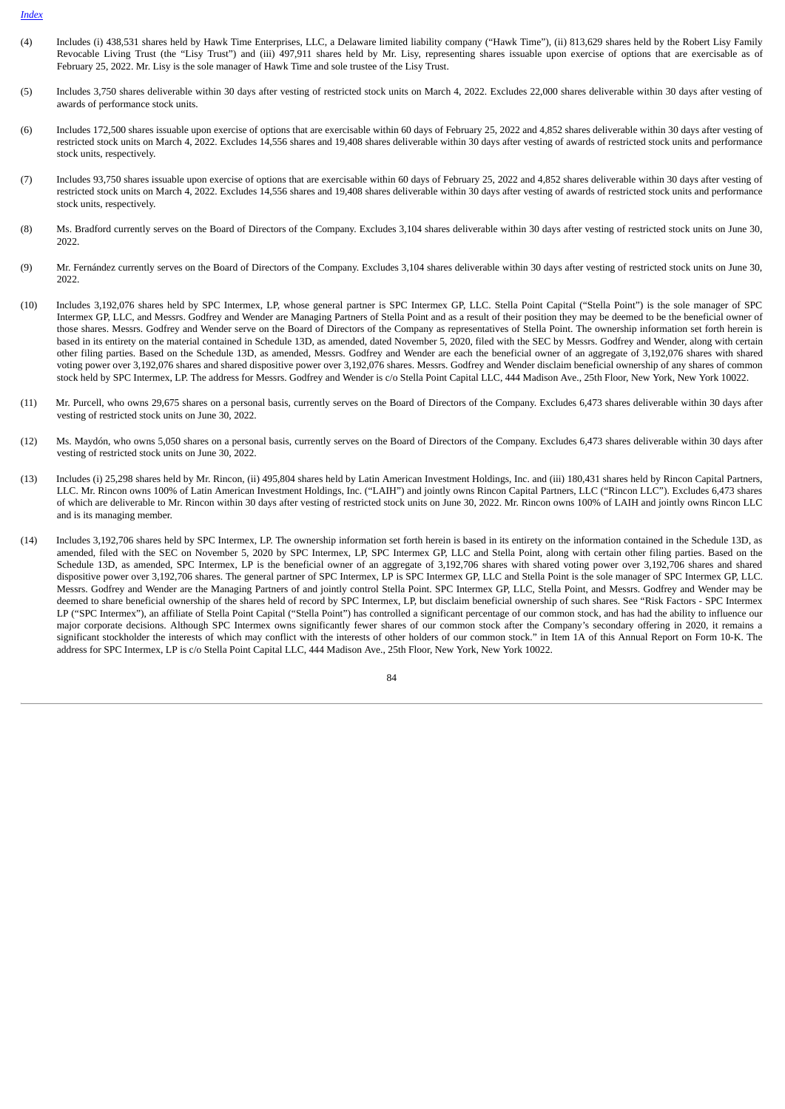*[Index](#page-0-0)*

- (4) Includes (i) 438,531 shares held by Hawk Time Enterprises, LLC, a Delaware limited liability company ("Hawk Time"), (ii) 813,629 shares held by the Robert Lisy Family Revocable Living Trust (the "Lisy Trust") and (iii) 497,911 shares held by Mr. Lisy, representing shares issuable upon exercise of options that are exercisable as of February 25, 2022. Mr. Lisy is the sole manager of Hawk Time and sole trustee of the Lisy Trust.
- (5) Includes 3,750 shares deliverable within 30 days after vesting of restricted stock units on March 4, 2022. Excludes 22,000 shares deliverable within 30 days after vesting of awards of performance stock units.
- (6) Includes 172,500 shares issuable upon exercise of options that are exercisable within 60 days of February 25, 2022 and 4,852 shares deliverable within 30 days after vesting of restricted stock units on March 4, 2022. Excludes 14,556 shares and 19,408 shares deliverable within 30 days after vesting of awards of restricted stock units and performance stock units, respectively.
- (7) Includes 93,750 shares issuable upon exercise of options that are exercisable within 60 days of February 25, 2022 and 4,852 shares deliverable within 30 days after vesting of restricted stock units on March 4, 2022. Excludes 14,556 shares and 19,408 shares deliverable within 30 days after vesting of awards of restricted stock units and performance stock units, respectively.
- (8) Ms. Bradford currently serves on the Board of Directors of the Company. Excludes 3,104 shares deliverable within 30 days after vesting of restricted stock units on June 30, 2022.
- (9) Mr. Fernández currently serves on the Board of Directors of the Company. Excludes 3,104 shares deliverable within 30 days after vesting of restricted stock units on June 30, 2022.
- (10) Includes 3,192,076 shares held by SPC Intermex, LP, whose general partner is SPC Intermex GP, LLC. Stella Point Capital ("Stella Point") is the sole manager of SPC Intermex GP, LLC, and Messrs. Godfrey and Wender are Managing Partners of Stella Point and as a result of their position they may be deemed to be the beneficial owner of those shares. Messrs. Godfrey and Wender serve on the Board of Directors of the Company as representatives of Stella Point. The ownership information set forth herein is based in its entirety on the material contained in Schedule 13D, as amended, dated November 5, 2020, filed with the SEC by Messrs. Godfrey and Wender, along with certain other filing parties. Based on the Schedule 13D, as amended, Messrs. Godfrey and Wender are each the beneficial owner of an aggregate of 3,192,076 shares with shared voting power over 3,192,076 shares and shared dispositive power over 3,192,076 shares. Messrs. Godfrey and Wender disclaim beneficial ownership of any shares of common stock held by SPC Intermex, LP. The address for Messrs. Godfrey and Wender is c/o Stella Point Capital LLC, 444 Madison Ave., 25th Floor, New York, New York 10022.
- (11) Mr. Purcell, who owns 29,675 shares on a personal basis, currently serves on the Board of Directors of the Company. Excludes 6,473 shares deliverable within 30 days after vesting of restricted stock units on June 30, 2022.
- (12) Ms. Maydón, who owns 5,050 shares on a personal basis, currently serves on the Board of Directors of the Company. Excludes 6,473 shares deliverable within 30 days after vesting of restricted stock units on June 30, 2022.
- (13) Includes (i) 25,298 shares held by Mr. Rincon, (ii) 495,804 shares held by Latin American Investment Holdings, Inc. and (iii) 180,431 shares held by Rincon Capital Partners, LLC. Mr. Rincon owns 100% of Latin American Investment Holdings, Inc. ("LAIH") and jointly owns Rincon Capital Partners, LLC ("Rincon LLC"). Excludes 6,473 shares of which are deliverable to Mr. Rincon within 30 days after vesting of restricted stock units on June 30, 2022. Mr. Rincon owns 100% of LAIH and jointly owns Rincon LLC and is its managing member.
- (14) Includes 3,192,706 shares held by SPC Intermex, LP. The ownership information set forth herein is based in its entirety on the information contained in the Schedule 13D, as amended, filed with the SEC on November 5, 2020 by SPC Intermex, LP, SPC Intermex GP, LLC and Stella Point, along with certain other filing parties. Based on the Schedule 13D, as amended, SPC Intermex, LP is the beneficial owner of an aggregate of 3,192,706 shares with shared voting power over 3,192,706 shares and shared dispositive power over 3,192,706 shares. The general partner of SPC Intermex, LP is SPC Intermex GP, LLC and Stella Point is the sole manager of SPC Intermex GP, LLC. Messrs. Godfrey and Wender are the Managing Partners of and jointly control Stella Point. SPC Intermex GP, LLC, Stella Point, and Messrs. Godfrey and Wender may be deemed to share beneficial ownership of the shares held of record by SPC Intermex, LP, but disclaim beneficial ownership of such shares. See "Risk Factors - SPC Intermex LP ("SPC Intermex"), an affiliate of Stella Point Capital ("Stella Point") has controlled a significant percentage of our common stock, and has had the ability to influence our major corporate decisions. Although SPC Intermex owns significantly fewer shares of our common stock after the Company's secondary offering in 2020, it remains a significant stockholder the interests of which may conflict with the interests of other holders of our common stock." in Item 1A of this Annual Report on Form 10-K. The address for SPC Intermex, LP is c/o Stella Point Capital LLC, 444 Madison Ave., 25th Floor, New York, New York 10022.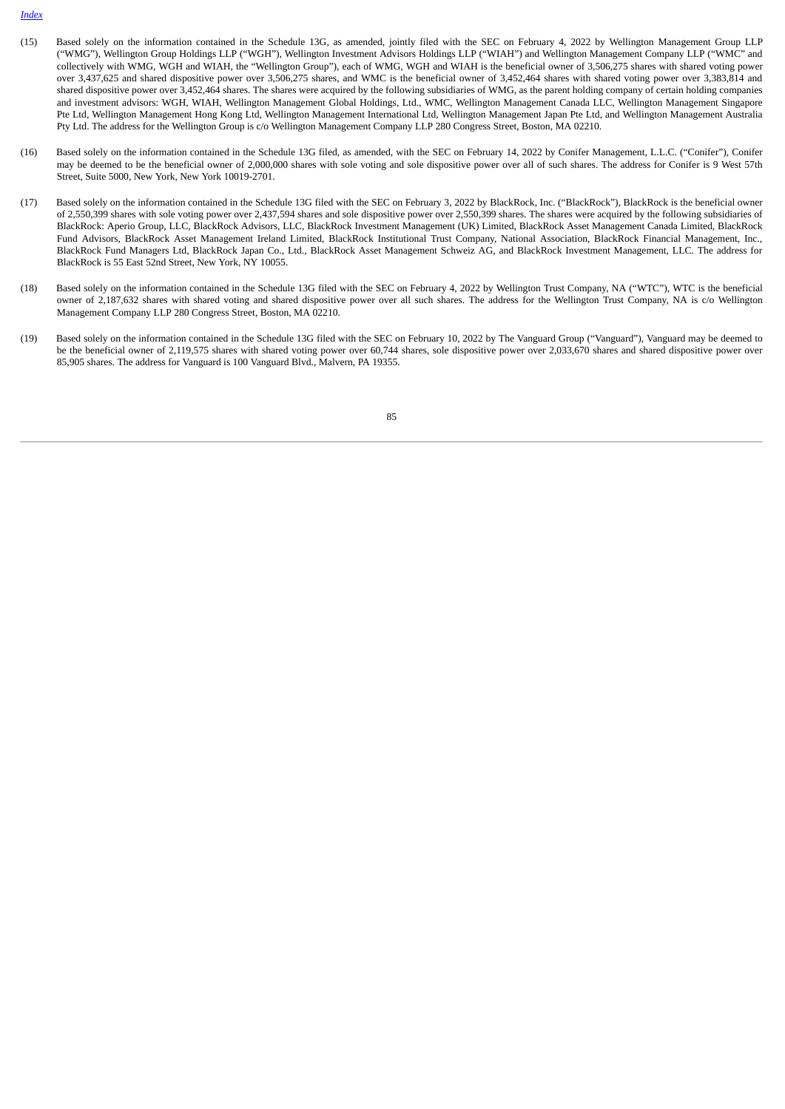*[Index](#page-0-0)*

- (15) Based solely on the information contained in the Schedule 13G, as amended, jointly filed with the SEC on February 4, 2022 by Wellington Management Group LLP ("WMG"), Wellington Group Holdings LLP ("WGH"), Wellington Investment Advisors Holdings LLP ("WIAH") and Wellington Management Company LLP ("WMC" and collectively with WMG, WGH and WIAH, the "Wellington Group"), each of WMG, WGH and WIAH is the beneficial owner of 3,506,275 shares with shared voting power over 3,437,625 and shared dispositive power over 3,506,275 shares, and WMC is the beneficial owner of 3,452,464 shares with shared voting power over 3,383,814 and shared dispositive power over 3,452,464 shares. The shares were acquired by the following subsidiaries of WMG, as the parent holding company of certain holding companies and investment advisors: WGH, WIAH, Wellington Management Global Holdings, Ltd., WMC, Wellington Management Canada LLC, Wellington Management Singapore Pte Ltd, Wellington Management Hong Kong Ltd, Wellington Management International Ltd, Wellington Management Japan Pte Ltd, and Wellington Management Australia Pty Ltd. The address for the Wellington Group is c/o Wellington Management Company LLP 280 Congress Street, Boston, MA 02210.
- (16) Based solely on the information contained in the Schedule 13G filed, as amended, with the SEC on February 14, 2022 by Conifer Management, L.L.C. ("Conifer"), Conifer may be deemed to be the beneficial owner of 2,000,000 shares with sole voting and sole dispositive power over all of such shares. The address for Conifer is 9 West 57th Street, Suite 5000, New York, New York 10019-2701.
- (17) Based solely on the information contained in the Schedule 13G filed with the SEC on February 3, 2022 by BlackRock, Inc. ("BlackRock"), BlackRock is the beneficial owner of 2,550,399 shares with sole voting power over 2,437,594 shares and sole dispositive power over 2,550,399 shares. The shares were acquired by the following subsidiaries of BlackRock: Aperio Group, LLC, BlackRock Advisors, LLC, BlackRock Investment Management (UK) Limited, BlackRock Asset Management Canada Limited, BlackRock Fund Advisors, BlackRock Asset Management Ireland Limited, BlackRock Institutional Trust Company, National Association, BlackRock Financial Management, Inc., BlackRock Fund Managers Ltd, BlackRock Japan Co., Ltd., BlackRock Asset Management Schweiz AG, and BlackRock Investment Management, LLC. The address for BlackRock is 55 East 52nd Street, New York, NY 10055.
- (18) Based solely on the information contained in the Schedule 13G filed with the SEC on February 4, 2022 by Wellington Trust Company, NA ("WTC"), WTC is the beneficial owner of 2,187,632 shares with shared voting and shared dispositive power over all such shares. The address for the Wellington Trust Company, NA is c/o Wellington Management Company LLP 280 Congress Street, Boston, MA 02210.
- (19) Based solely on the information contained in the Schedule 13G filed with the SEC on February 10, 2022 by The Vanguard Group ("Vanguard"), Vanguard may be deemed to be the beneficial owner of 2,119,575 shares with shared voting power over 60,744 shares, sole dispositive power over 2,033,670 shares and shared dispositive power over 85,905 shares. The address for Vanguard is 100 Vanguard Blvd., Malvern, PA 19355.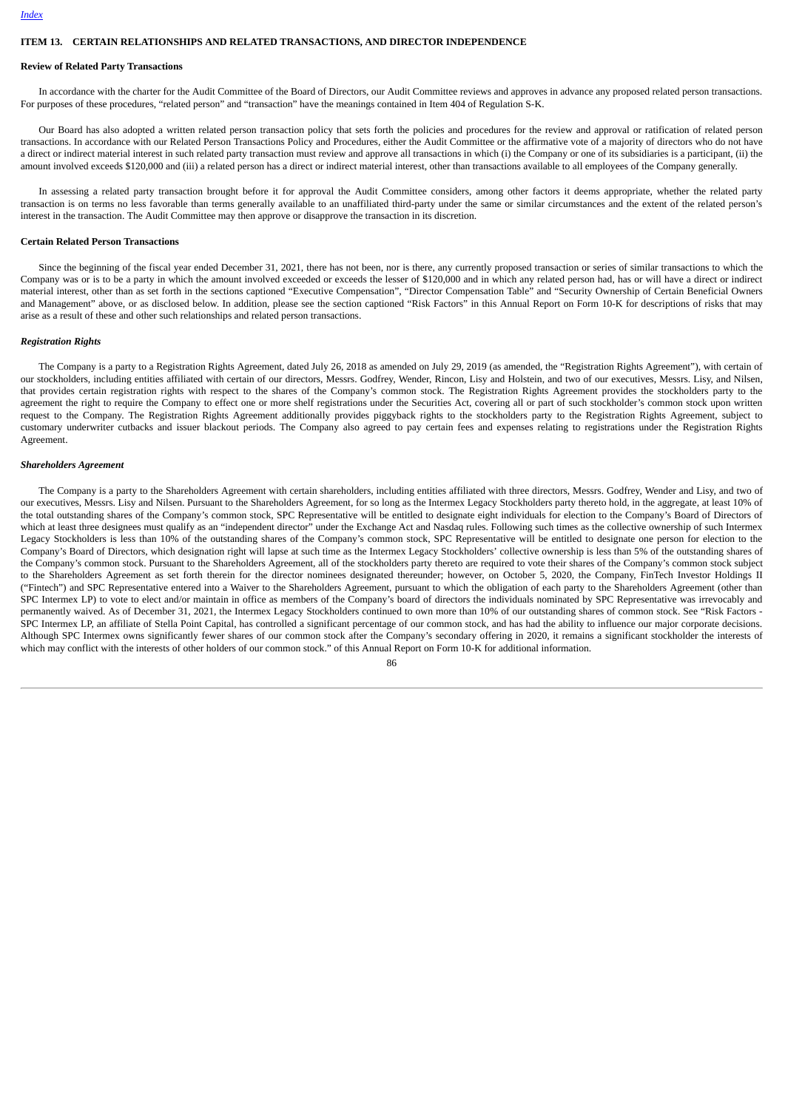#### **ITEM 13. CERTAIN RELATIONSHIPS AND RELATED TRANSACTIONS, AND DIRECTOR INDEPENDENCE**

### **Review of Related Party Transactions**

In accordance with the charter for the Audit Committee of the Board of Directors, our Audit Committee reviews and approves in advance any proposed related person transactions. For purposes of these procedures, "related person" and "transaction" have the meanings contained in Item 404 of Regulation S-K.

Our Board has also adopted a written related person transaction policy that sets forth the policies and procedures for the review and approval or ratification of related person transactions. In accordance with our Related Person Transactions Policy and Procedures, either the Audit Committee or the affirmative vote of a majority of directors who do not have a direct or indirect material interest in such related party transaction must review and approve all transactions in which (i) the Company or one of its subsidiaries is a participant, (ii) the amount involved exceeds \$120,000 and (iii) a related person has a direct or indirect material interest, other than transactions available to all employees of the Company generally.

In assessing a related party transaction brought before it for approval the Audit Committee considers, among other factors it deems appropriate, whether the related party transaction is on terms no less favorable than terms generally available to an unaffiliated third-party under the same or similar circumstances and the extent of the related person's interest in the transaction. The Audit Committee may then approve or disapprove the transaction in its discretion.

### **Certain Related Person Transactions**

Since the beginning of the fiscal year ended December 31, 2021, there has not been, nor is there, any currently proposed transaction or series of similar transactions to which the Company was or is to be a party in which the amount involved exceeded or exceeds the lesser of \$120,000 and in which any related person had, has or will have a direct or indirect material interest, other than as set forth in the sections captioned "Executive Compensation", "Director Compensation Table" and "Security Ownership of Certain Beneficial Owners and Management" above, or as disclosed below. In addition, please see the section captioned "Risk Factors" in this Annual Report on Form 10-K for descriptions of risks that may arise as a result of these and other such relationships and related person transactions.

#### *Registration Rights*

The Company is a party to a Registration Rights Agreement, dated July 26, 2018 as amended on July 29, 2019 (as amended, the "Registration Rights Agreement"), with certain of our stockholders, including entities affiliated with certain of our directors, Messrs. Godfrey, Wender, Rincon, Lisy and Holstein, and two of our executives, Messrs. Lisy, and Nilsen, that provides certain registration rights with respect to the shares of the Company's common stock. The Registration Rights Agreement provides the stockholders party to the agreement the right to require the Company to effect one or more shelf registrations under the Securities Act, covering all or part of such stockholder's common stock upon written request to the Company. The Registration Rights Agreement additionally provides piggyback rights to the stockholders party to the Registration Rights Agreement, subject to customary underwriter cutbacks and issuer blackout periods. The Company also agreed to pay certain fees and expenses relating to registrations under the Registration Rights Agreement.

#### *Shareholders Agreement*

The Company is a party to the Shareholders Agreement with certain shareholders, including entities affiliated with three directors, Messrs. Godfrey, Wender and Lisy, and two of our executives, Messrs. Lisy and Nilsen. Pursuant to the Shareholders Agreement, for so long as the Intermex Legacy Stockholders party thereto hold, in the aggregate, at least 10% of the total outstanding shares of the Company's common stock, SPC Representative will be entitled to designate eight individuals for election to the Company's Board of Directors of which at least three designees must qualify as an "independent director" under the Exchange Act and Nasdaq rules. Following such times as the collective ownership of such Intermex Legacy Stockholders is less than 10% of the outstanding shares of the Company's common stock, SPC Representative will be entitled to designate one person for election to the Company's Board of Directors, which designation right will lapse at such time as the Intermex Legacy Stockholders' collective ownership is less than 5% of the outstanding shares of the Company's common stock. Pursuant to the Shareholders Agreement, all of the stockholders party thereto are required to vote their shares of the Company's common stock subject to the Shareholders Agreement as set forth therein for the director nominees designated thereunder; however, on October 5, 2020, the Company, FinTech Investor Holdings II ("Fintech") and SPC Representative entered into a Waiver to the Shareholders Agreement, pursuant to which the obligation of each party to the Shareholders Agreement (other than SPC Intermex LP) to vote to elect and/or maintain in office as members of the Company's board of directors the individuals nominated by SPC Representative was irrevocably and permanently waived. As of December 31, 2021, the Intermex Legacy Stockholders continued to own more than 10% of our outstanding shares of common stock. See "Risk Factors - SPC Intermex LP, an affiliate of Stella Point Capital, has controlled a significant percentage of our common stock, and has had the ability to influence our major corporate decisions. Although SPC Intermex owns significantly fewer shares of our common stock after the Company's secondary offering in 2020, it remains a significant stockholder the interests of which may conflict with the interests of other holders of our common stock." of this Annual Report on Form 10-K for additional information.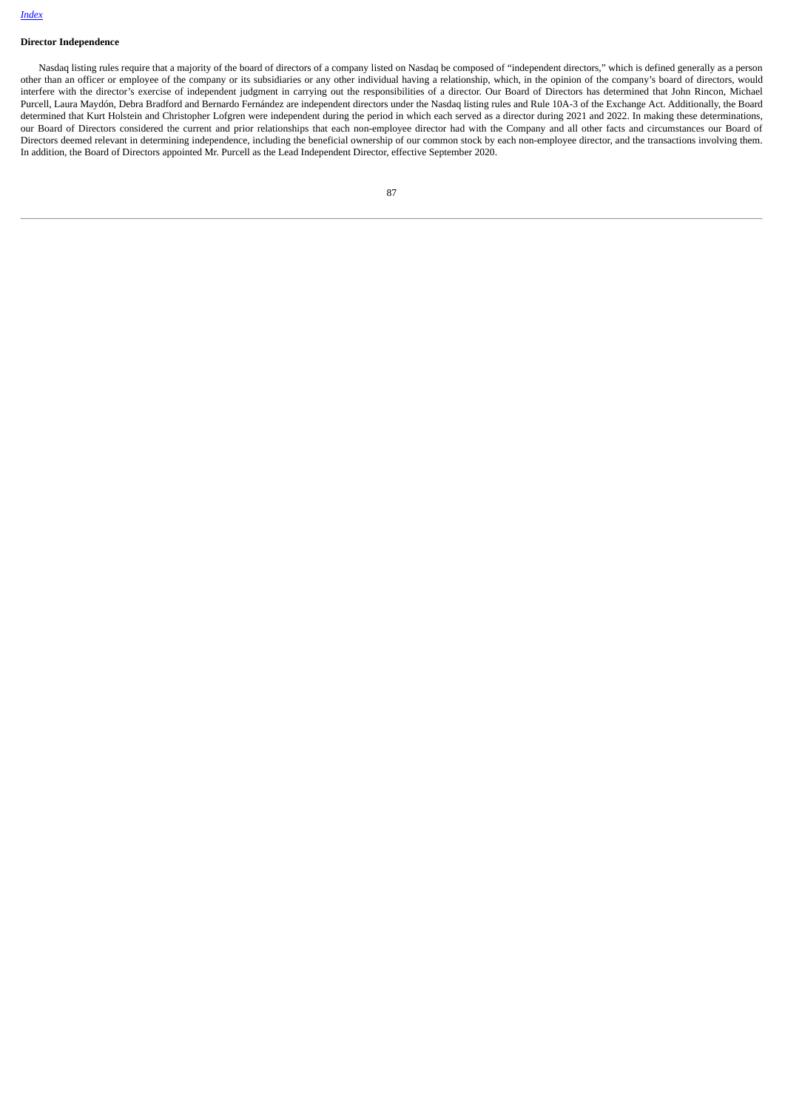## **Director Independence**

Nasdaq listing rules require that a majority of the board of directors of a company listed on Nasdaq be composed of "independent directors," which is defined generally as a person other than an officer or employee of the company or its subsidiaries or any other individual having a relationship, which, in the opinion of the company's board of directors, would interfere with the director's exercise of independent judgment in carrying out the responsibilities of a director. Our Board of Directors has determined that John Rincon, Michael Purcell, Laura Maydón, Debra Bradford and Bernardo Fernández are independent directors under the Nasdaq listing rules and Rule 10A-3 of the Exchange Act. Additionally, the Board determined that Kurt Holstein and Christopher Lofgren were independent during the period in which each served as a director during 2021 and 2022. In making these determinations, our Board of Directors considered the current and prior relationships that each non-employee director had with the Company and all other facts and circumstances our Board of Directors deemed relevant in determining independence, including the beneficial ownership of our common stock by each non-employee director, and the transactions involving them. In addition, the Board of Directors appointed Mr. Purcell as the Lead Independent Director, effective September 2020.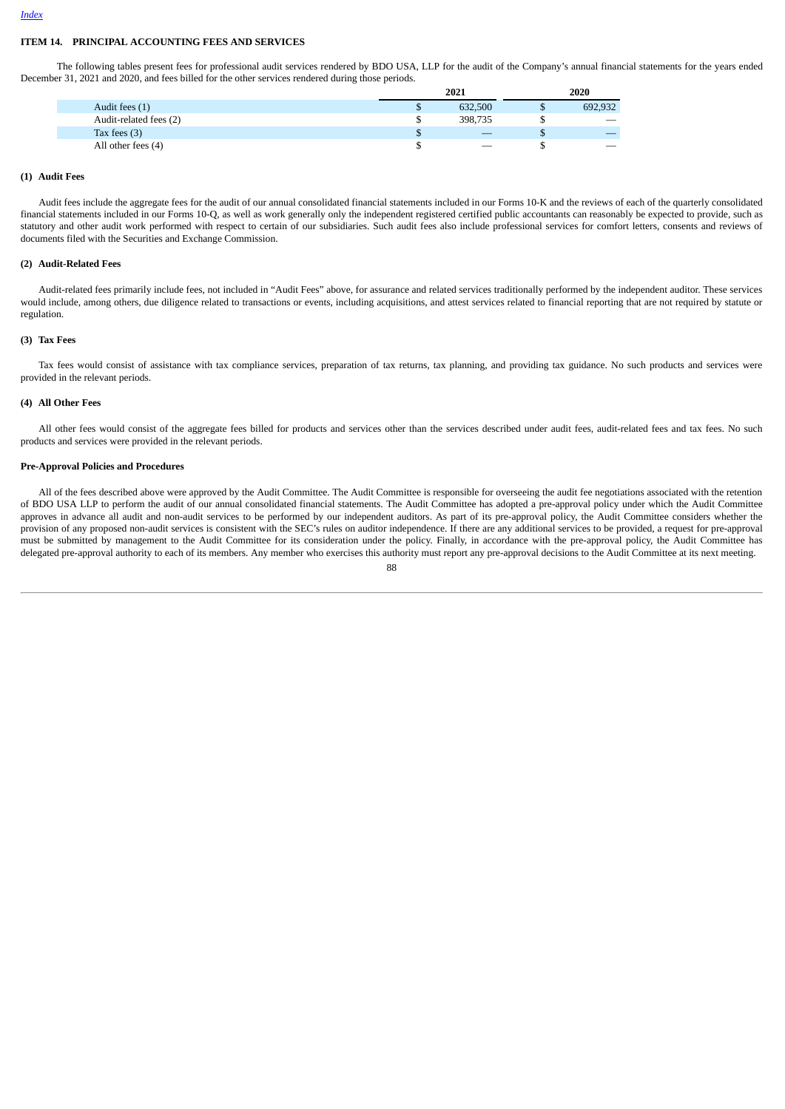## **ITEM 14. PRINCIPAL ACCOUNTING FEES AND SERVICES**

The following tables present fees for professional audit services rendered by BDO USA, LLP for the audit of the Company's annual financial statements for the years ended December 31, 2021 and 2020, and fees billed for the other services rendered during those periods.

|                        | 2021                     |   | 2020                     |
|------------------------|--------------------------|---|--------------------------|
| Audit fees (1)         | 632,500                  |   | 692,932                  |
| Audit-related fees (2) | 398,735                  | S | $\overline{\phantom{a}}$ |
| Tax fees $(3)$         | _                        | D |                          |
| All other fees (4)     | $\overline{\phantom{a}}$ |   |                          |

#### **(1) Audit Fees**

Audit fees include the aggregate fees for the audit of our annual consolidated financial statements included in our Forms 10-K and the reviews of each of the quarterly consolidated financial statements included in our Forms 10-Q, as well as work generally only the independent registered certified public accountants can reasonably be expected to provide, such as statutory and other audit work performed with respect to certain of our subsidiaries. Such audit fees also include professional services for comfort letters, consents and reviews of documents filed with the Securities and Exchange Commission.

#### **(2) Audit-Related Fees**

Audit-related fees primarily include fees, not included in "Audit Fees" above, for assurance and related services traditionally performed by the independent auditor. These services would include, among others, due diligence related to transactions or events, including acquisitions, and attest services related to financial reporting that are not required by statute or regulation.

### **(3) Tax Fees**

Tax fees would consist of assistance with tax compliance services, preparation of tax returns, tax planning, and providing tax guidance. No such products and services were provided in the relevant periods.

### **(4) All Other Fees**

All other fees would consist of the aggregate fees billed for products and services other than the services described under audit fees, audit-related fees and tax fees. No such products and services were provided in the relevant periods.

## **Pre-Approval Policies and Procedures**

All of the fees described above were approved by the Audit Committee. The Audit Committee is responsible for overseeing the audit fee negotiations associated with the retention of BDO USA LLP to perform the audit of our annual consolidated financial statements. The Audit Committee has adopted a pre-approval policy under which the Audit Committee approves in advance all audit and non-audit services to be performed by our independent auditors. As part of its pre-approval policy, the Audit Committee considers whether the provision of any proposed non-audit services is consistent with the SEC's rules on auditor independence. If there are any additional services to be provided, a request for pre-approval must be submitted by management to the Audit Committee for its consideration under the policy. Finally, in accordance with the pre-approval policy, the Audit Committee has delegated pre-approval authority to each of its members. Any member who exercises this authority must report any pre-approval decisions to the Audit Committee at its next meeting.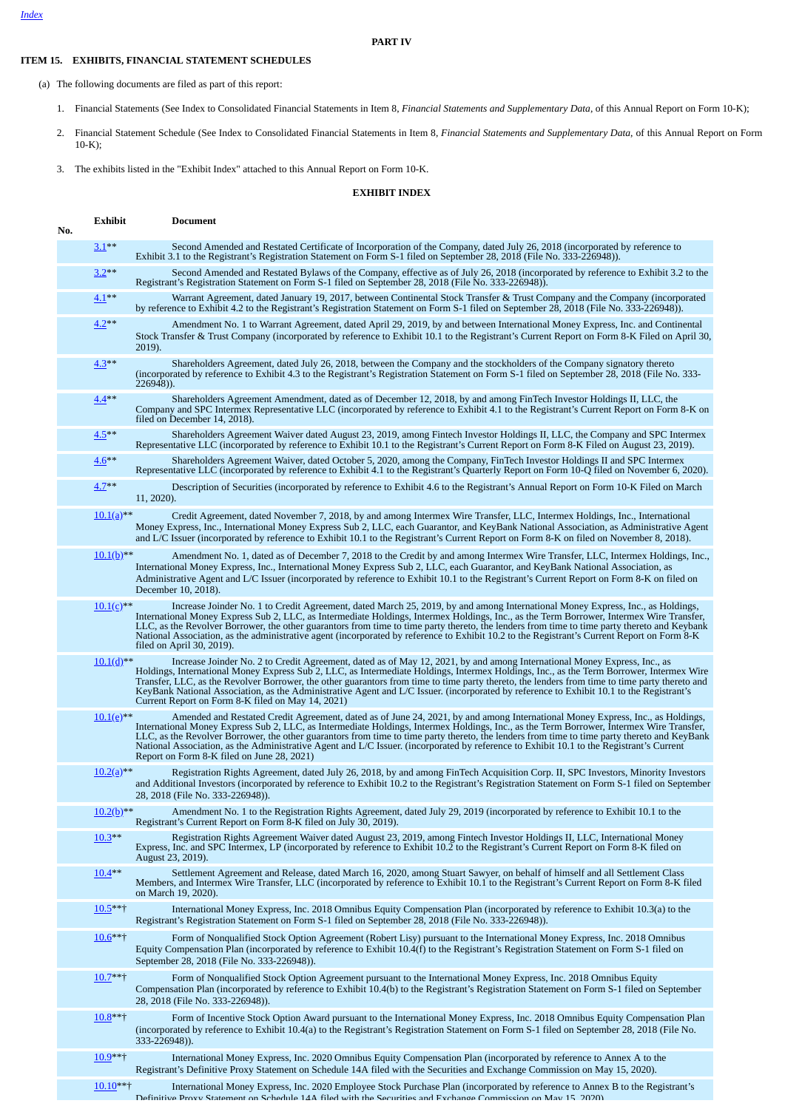## **PART IV**

## **ITEM 15. EXHIBITS, FINANCIAL STATEMENT SCHEDULES**

(a) The following documents are filed as part of this report:

- 1. Financial Statements (See Index to Consolidated Financial Statements in Item 8, *Financial Statements and Supplementary Data*, of this Annual Report on Form 10-K);
- 2. Financial Statement Schedule (See Index to Consolidated Financial Statements in Item 8, *Financial Statements and Supplementary Data*, of this Annual Report on Form 10-K);
- 3. The exhibits listed in the "Exhibit Index" attached to this Annual Report on Form 10-K.

## **EXHIBIT INDEX**

| No. | <b>Exhibit</b> | <b>Document</b>                                                                                                                                                                                                                                                                                                                                                                                                                                                                                                                                                                                                         |
|-----|----------------|-------------------------------------------------------------------------------------------------------------------------------------------------------------------------------------------------------------------------------------------------------------------------------------------------------------------------------------------------------------------------------------------------------------------------------------------------------------------------------------------------------------------------------------------------------------------------------------------------------------------------|
|     | $3.1***$       | Second Amended and Restated Certificate of Incorporation of the Company, dated July 26, 2018 (incorporated by reference to<br>Exhibit 3.1 to the Registrant's Registration Statement on Form S-1 filed on September 28, 2018 (File No. 333-226948)).                                                                                                                                                                                                                                                                                                                                                                    |
|     | $3.2**$        | Second Amended and Restated Bylaws of the Company, effective as of July 26, 2018 (incorporated by reference to Exhibit 3.2 to the<br>Registrant's Registration Statement on Form S-1 filed on September 28, 2018 (File No. 333-226948)).                                                                                                                                                                                                                                                                                                                                                                                |
|     | $4.1***$       | Warrant Agreement, dated January 19, 2017, between Continental Stock Transfer & Trust Company and the Company (incorporated<br>by reference to Exhibit 4.2 to the Registrant's Registration Statement on Form S-1 filed on September 28, 2018 (File No. 333-226948)).                                                                                                                                                                                                                                                                                                                                                   |
|     | $4.2***$       | Amendment No. 1 to Warrant Agreement, dated April 29, 2019, by and between International Money Express, Inc. and Continental<br>Stock Transfer & Trust Company (incorporated by reference to Exhibit 10.1 to the Registrant's Current Report on Form 8-K Filed on April 30,<br>2019).                                                                                                                                                                                                                                                                                                                                   |
|     | $4.3***$       | Shareholders Agreement, dated July 26, 2018, between the Company and the stockholders of the Company signatory thereto<br>(incorporated by reference to Exhibit 4.3 to the Registrant's Registration Statement on Form S-1 filed on September 28, 2018 (File No. 333-<br>$226948$ ).                                                                                                                                                                                                                                                                                                                                    |
|     | $4.4***$       | Shareholders Agreement Amendment, dated as of December 12, 2018, by and among FinTech Investor Holdings II, LLC, the<br>Company and SPC Intermex Representative LLC (incorporated by reference to Exhibit 4.1 to the Registrant's Current Report on Form 8-K on<br>filed on December 14, 2018).                                                                                                                                                                                                                                                                                                                         |
|     | $4.5***$       | Shareholders Agreement Waiver dated August 23, 2019, among Fintech Investor Holdings II, LLC, the Company and SPC Intermex<br>Representative LLC (incorporated by reference to Exhibit 10.1 to the Registrant's Current Report on Form 8-K Filed on August 23, 2019).                                                                                                                                                                                                                                                                                                                                                   |
|     | $4.6***$       | Shareholders Agreement Waiver, dated October 5, 2020, among the Company, FinTech Investor Holdings II and SPC Intermex<br>Representative LLC (incorporated by reference to Exhibit 4.1 to the Registrant's Quarterly Report on Form 10-Q filed on November 6, 2020).                                                                                                                                                                                                                                                                                                                                                    |
|     | $4.7**$        | Description of Securities (incorporated by reference to Exhibit 4.6 to the Registrant's Annual Report on Form 10-K Filed on March<br>11, 2020).                                                                                                                                                                                                                                                                                                                                                                                                                                                                         |
|     | $10.1(a)$ **   | Credit Agreement, dated November 7, 2018, by and among Intermex Wire Transfer, LLC, Intermex Holdings, Inc., International<br>Money Express, Inc., International Money Express Sub 2, LLC, each Guarantor, and KeyBank National Association, as Administrative Agent<br>and L/C Issuer (incorporated by reference to Exhibit 10.1 to the Registrant's Current Report on Form 8-K on filed on November 8, 2018).                                                                                                                                                                                                         |
|     | $10.1(b)$ **   | Amendment No. 1, dated as of December 7, 2018 to the Credit by and among Intermex Wire Transfer, LLC, Intermex Holdings, Inc.,<br>International Money Express, Inc., International Money Express Sub 2, LLC, each Guarantor, and KeyBank National Association, as<br>Administrative Agent and L/C Issuer (incorporated by reference to Exhibit 10.1 to the Registrant's Current Report on Form 8-K on filed on<br>December 10, 2018).                                                                                                                                                                                   |
|     | $10.1(c)$ **   | Increase Joinder No. 1 to Credit Agreement, dated March 25, 2019, by and among International Money Express, Inc., as Holdings,<br>International Money Express Sub 2, LLC, as Intermediate Holdings, Intermex Holdings, Inc., as the Term Borrower, Intermex Wire Transfer,<br>LLC, as the Revolver Borrower, the other guarantors from time to time party thereto, the lenders from time to time party thereto and Keybank<br>National Association, as the administrative agent (incorporated by reference to Exhibit 10.2 to the Registrant's Current Report on Form 8-K<br>filed on April 30, 2019).                  |
|     | $10.1(d)$ **   | Increase Joinder No. 2 to Credit Agreement, dated as of May 12, 2021, by and among International Money Express, Inc., as<br>Holdings, International Money Express Sub 2, LLC, as Intermediate Holdings, Intermex Holdings, Inc., as the Term Borrower, Intermex Wire<br>Transfer, LLC, as the Revolver Borrower, the other guarantors from time to time party thereto, the lenders from time to time party thereto and<br>KeyBank National Association, as the Administrative Agent and L/C Issuer. (incorporated by reference to Exhibit 10.1 to the Registrant's<br>Current Report on Form 8-K filed on May 14, 2021) |
|     | $10.1(e)$ **   | Amended and Restated Credit Agreement, dated as of June 24, 2021, by and among International Money Express, Inc., as Holdings,<br>International Money Express Sub 2, LLC, as Intermediate Holdings, Intermex Holdings, Inc., as the Term Borrower, Intermex Wire Transfer,<br>LLC, as the Revolver Borrower, the other guarantors from time to time party thereto, the lenders from time to time party thereto and KeyBank<br>National Association, as the Administrative Agent and L/C Issuer. (incorporated by reference to Exhibit 10.1 to the Registrant's Current<br>Report on Form 8-K filed on June 28, 2021)    |
|     | $10.2(a)$ **   | Registration Rights Agreement, dated July 26, 2018, by and among FinTech Acquisition Corp. II, SPC Investors, Minority Investors<br>and Additional Investors (incorporated by reference to Exhibit 10.2 to the Registrant's Registration Statement on Form S-1 filed on September<br>28, 2018 (File No. 333-226948)).                                                                                                                                                                                                                                                                                                   |
|     | $10.2(b)$ **   | Amendment No. 1 to the Registration Rights Agreement, dated July 29, 2019 (incorporated by reference to Exhibit 10.1 to the<br>Registrant's Current Report on Form 8-K filed on July 30, 2019).                                                                                                                                                                                                                                                                                                                                                                                                                         |
|     | $10.3**$       | Registration Rights Agreement Waiver dated August 23, 2019, among Fintech Investor Holdings II, LLC, International Money<br>Express, Inc. and SPC Intermex, LP (incorporated by reference to Exhibit 10.2 to the Registrant's Current Report on Form 8-K filed on<br>August 23, 2019).                                                                                                                                                                                                                                                                                                                                  |
|     | $10.4***$      | Settlement Agreement and Release, dated March 16, 2020, among Stuart Sawyer, on behalf of himself and all Settlement Class<br>Members, and Intermex Wire Transfer, LLC (incorporated by reference to Exhibit 10.1 to the Registrant's Current Report on Form 8-K filed<br>on March 19, 2020).                                                                                                                                                                                                                                                                                                                           |
|     | $10.5***$      | International Money Express, Inc. 2018 Omnibus Equity Compensation Plan (incorporated by reference to Exhibit 10.3(a) to the<br>Registrant's Registration Statement on Form S-1 filed on September 28, 2018 (File No. 333-226948)).                                                                                                                                                                                                                                                                                                                                                                                     |
|     | $10.6***$      | Form of Nonqualified Stock Option Agreement (Robert Lisy) pursuant to the International Money Express, Inc. 2018 Omnibus<br>Equity Compensation Plan (incorporated by reference to Exhibit 10.4(f) to the Registrant's Registration Statement on Form S-1 filed on<br>September 28, 2018 (File No. 333-226948)).                                                                                                                                                                                                                                                                                                        |
|     | $10.7***$      | Form of Nonqualified Stock Option Agreement pursuant to the International Money Express, Inc. 2018 Omnibus Equity<br>Compensation Plan (incorporated by reference to Exhibit 10.4(b) to the Registrant's Registration Statement on Form S-1 filed on September<br>28, 2018 (File No. 333-226948)).                                                                                                                                                                                                                                                                                                                      |
|     | $10.8***$      | Form of Incentive Stock Option Award pursuant to the International Money Express, Inc. 2018 Omnibus Equity Compensation Plan<br>(incorporated by reference to Exhibit 10.4(a) to the Registrant's Registration Statement on Form S-1 filed on September 28, 2018 (File No.<br>333-226948)).                                                                                                                                                                                                                                                                                                                             |
|     | $10.9***$      | International Money Express, Inc. 2020 Omnibus Equity Compensation Plan (incorporated by reference to Annex A to the<br>Registrant's Definitive Proxy Statement on Schedule 14A filed with the Securities and Exchange Commission on May 15, 2020).                                                                                                                                                                                                                                                                                                                                                                     |
|     | $10.10***$     | International Money Express, Inc. 2020 Employee Stock Purchase Plan (incorporated by reference to Annex B to the Registrant's<br>Definitive Proxy Statement on Schedule 14A filed with the Securities and Exchange Commission on May 15 2020).                                                                                                                                                                                                                                                                                                                                                                          |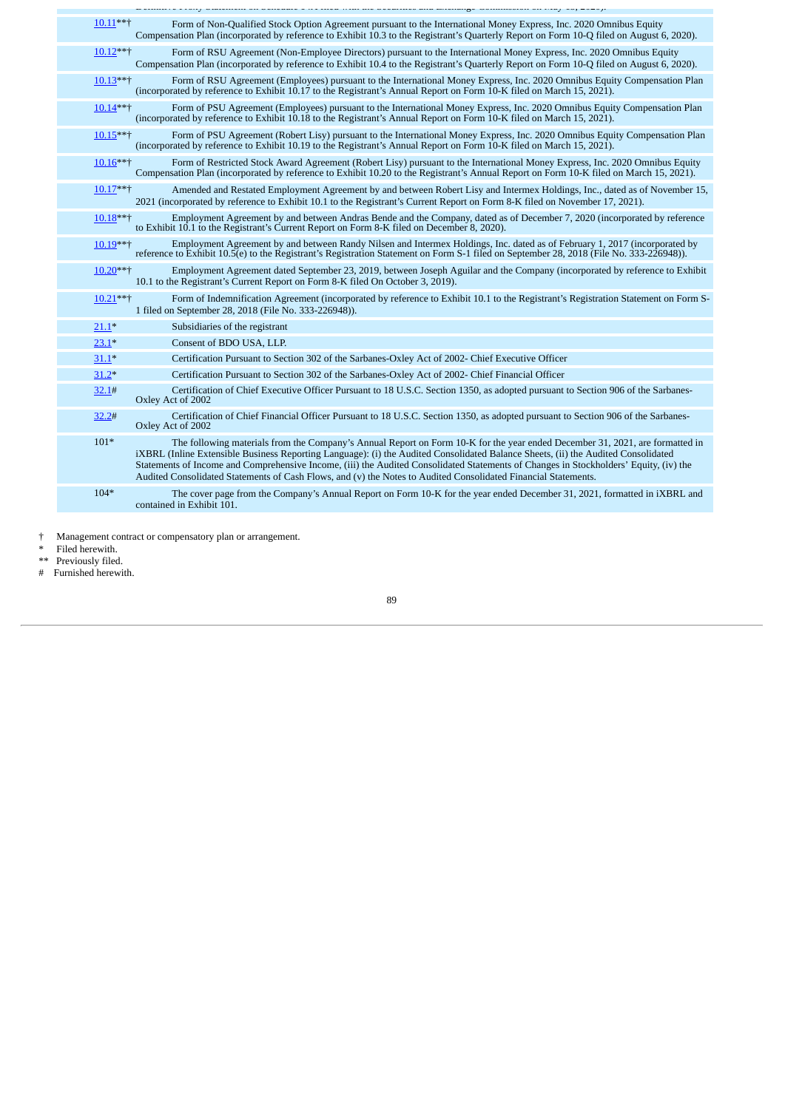|            | Dimitimant din Denetimite a fra ancul francine decentries una antenninge sonningovon on mai, auj auau ji                                                                                                                                                                                                                                                                                                                                                                                                                     |
|------------|------------------------------------------------------------------------------------------------------------------------------------------------------------------------------------------------------------------------------------------------------------------------------------------------------------------------------------------------------------------------------------------------------------------------------------------------------------------------------------------------------------------------------|
| $10.11***$ | Form of Non-Qualified Stock Option Agreement pursuant to the International Money Express, Inc. 2020 Omnibus Equity<br>Compensation Plan (incorporated by reference to Exhibit 10.3 to the Registrant's Quarterly Report on Form 10-Q filed on August 6, 2020).                                                                                                                                                                                                                                                               |
| $10.12***$ | Form of RSU Agreement (Non-Employee Directors) pursuant to the International Money Express, Inc. 2020 Omnibus Equity<br>Compensation Plan (incorporated by reference to Exhibit 10.4 to the Registrant's Quarterly Report on Form 10-Q filed on August 6, 2020).                                                                                                                                                                                                                                                             |
| $10.13***$ | Form of RSU Agreement (Employees) pursuant to the International Money Express, Inc. 2020 Omnibus Equity Compensation Plan<br>(incorporated by reference to Exhibit 10.17 to the Registrant's Annual Report on Form 10-K filed on March 15, 2021).                                                                                                                                                                                                                                                                            |
| $10.14***$ | Form of PSU Agreement (Employees) pursuant to the International Money Express, Inc. 2020 Omnibus Equity Compensation Plan<br>(incorporated by reference to Exhibit 10.18 to the Registrant's Annual Report on Form 10-K filed on March 15, 2021).                                                                                                                                                                                                                                                                            |
| $10.15***$ | Form of PSU Agreement (Robert Lisy) pursuant to the International Money Express, Inc. 2020 Omnibus Equity Compensation Plan<br>(incorporated by reference to Exhibit 10.19 to the Registrant's Annual Report on Form 10-K filed on March 15, 2021).                                                                                                                                                                                                                                                                          |
| $10.16***$ | Form of Restricted Stock Award Agreement (Robert Lisy) pursuant to the International Money Express, Inc. 2020 Omnibus Equity<br>Compensation Plan (incorporated by reference to Exhibit 10.20 to the Registrant's Annual Report on Form 10-K filed on March 15, 2021).                                                                                                                                                                                                                                                       |
| $10.17***$ | Amended and Restated Employment Agreement by and between Robert Lisy and Intermex Holdings, Inc., dated as of November 15,<br>2021 (incorporated by reference to Exhibit 10.1 to the Registrant's Current Report on Form 8-K filed on November 17, 2021).                                                                                                                                                                                                                                                                    |
| $10.18***$ | Employment Agreement by and between Andras Bende and the Company, dated as of December 7, 2020 (incorporated by reference<br>to Exhibit 10.1 to the Registrant's Current Report on Form 8-K filed on December 8, 2020).                                                                                                                                                                                                                                                                                                      |
| $10.19***$ | Employment Agreement by and between Randy Nilsen and Intermex Holdings, Inc. dated as of February 1, 2017 (incorporated by<br>reference to Exhibit 10.5(e) to the Registrant's Registration Statement on Form S-1 filed on September 28, 2018 (File No. 333-226948)).                                                                                                                                                                                                                                                        |
| $10.20***$ | Employment Agreement dated September 23, 2019, between Joseph Aguilar and the Company (incorporated by reference to Exhibit<br>10.1 to the Registrant's Current Report on Form 8-K filed On October 3, 2019).                                                                                                                                                                                                                                                                                                                |
| $10.21***$ | Form of Indemnification Agreement (incorporated by reference to Exhibit 10.1 to the Registrant's Registration Statement on Form S-<br>1 filed on September 28, 2018 (File No. 333-226948)).                                                                                                                                                                                                                                                                                                                                  |
| $21.1*$    | Subsidiaries of the registrant                                                                                                                                                                                                                                                                                                                                                                                                                                                                                               |
| $23.1*$    | Consent of BDO USA, LLP.                                                                                                                                                                                                                                                                                                                                                                                                                                                                                                     |
| $31.1*$    | Certification Pursuant to Section 302 of the Sarbanes-Oxley Act of 2002- Chief Executive Officer                                                                                                                                                                                                                                                                                                                                                                                                                             |
| $31.2*$    | Certification Pursuant to Section 302 of the Sarbanes-Oxley Act of 2002- Chief Financial Officer                                                                                                                                                                                                                                                                                                                                                                                                                             |
| 32.1#      | Certification of Chief Executive Officer Pursuant to 18 U.S.C. Section 1350, as adopted pursuant to Section 906 of the Sarbanes-<br>Oxley Act of 2002                                                                                                                                                                                                                                                                                                                                                                        |
| 32.2#      | Certification of Chief Financial Officer Pursuant to 18 U.S.C. Section 1350, as adopted pursuant to Section 906 of the Sarbanes-<br>Oxley Act of 2002                                                                                                                                                                                                                                                                                                                                                                        |
| $101*$     | The following materials from the Company's Annual Report on Form 10-K for the year ended December 31, 2021, are formatted in<br>iXBRL (Inline Extensible Business Reporting Language): (i) the Audited Consolidated Balance Sheets, (ii) the Audited Consolidated<br>Statements of Income and Comprehensive Income, (iii) the Audited Consolidated Statements of Changes in Stockholders' Equity, (iv) the<br>Audited Consolidated Statements of Cash Flows, and (v) the Notes to Audited Consolidated Financial Statements. |
| $104*$     | The cover page from the Company's Annual Report on Form 10-K for the year ended December 31, 2021, formatted in iXBRL and<br>contained in Exhibit 101.                                                                                                                                                                                                                                                                                                                                                                       |

† Management contract or compensatory plan or arrangement.

\* Filed herewith.

\*\* Previously filed.

# Furnished herewith.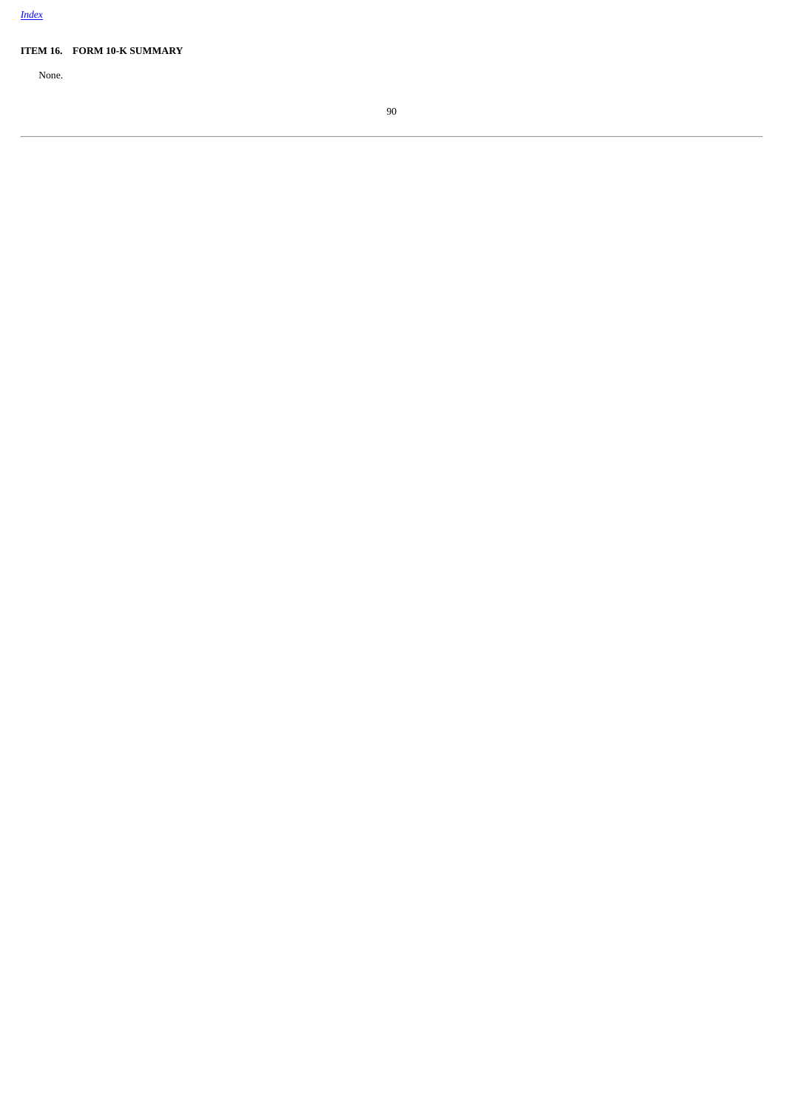# **ITEM 16. FORM 10-K SUMMARY**

None.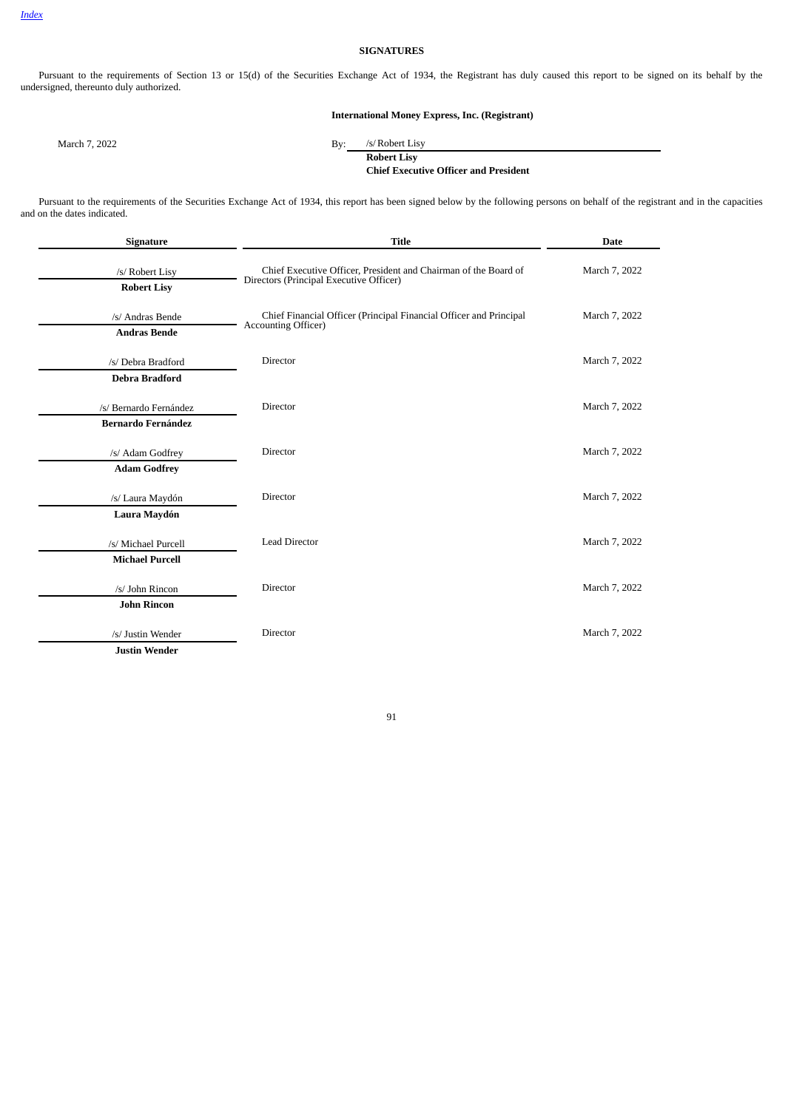## **SIGNATURES**

Pursuant to the requirements of Section 13 or 15(d) of the Securities Exchange Act of 1934, the Registrant has duly caused this report to be signed on its behalf by the undersigned, thereunto duly authorized.

## **International Money Express, Inc. (Registrant)**

March 7, 2022 By: /s/Robert Lisy **Robert Lisy Chief Executive Officer and President**

Pursuant to the requirements of the Securities Exchange Act of 1934, this report has been signed below by the following persons on behalf of the registrant and in the capacities and on the dates indicated.

| Signature                 | <b>Title</b>                                                                                               | <b>Date</b>   |  |
|---------------------------|------------------------------------------------------------------------------------------------------------|---------------|--|
| /s/ Robert Lisy           | Chief Executive Officer, President and Chairman of the Board of<br>Directors (Principal Executive Officer) | March 7, 2022 |  |
| <b>Robert Lisy</b>        |                                                                                                            |               |  |
| /s/ Andras Bende          | Chief Financial Officer (Principal Financial Officer and Principal<br><b>Accounting Officer)</b>           | March 7, 2022 |  |
| <b>Andras Bende</b>       |                                                                                                            |               |  |
| /s/ Debra Bradford        | Director                                                                                                   | March 7, 2022 |  |
| Debra Bradford            |                                                                                                            |               |  |
| /s/ Bernardo Fernández    | Director                                                                                                   | March 7, 2022 |  |
| <b>Bernardo Fernández</b> |                                                                                                            |               |  |
|                           |                                                                                                            |               |  |
| /s/ Adam Godfrey          | Director                                                                                                   | March 7, 2022 |  |
| <b>Adam Godfrey</b>       |                                                                                                            |               |  |
| /s/ Laura Maydón          | Director                                                                                                   | March 7, 2022 |  |
| Laura Maydón              |                                                                                                            |               |  |
| /s/ Michael Purcell       | <b>Lead Director</b>                                                                                       | March 7, 2022 |  |
| <b>Michael Purcell</b>    |                                                                                                            |               |  |
| /s/ John Rincon           | Director                                                                                                   | March 7, 2022 |  |
| <b>John Rincon</b>        |                                                                                                            |               |  |
| /s/ Justin Wender         | Director                                                                                                   | March 7, 2022 |  |
| <b>Justin Wender</b>      |                                                                                                            |               |  |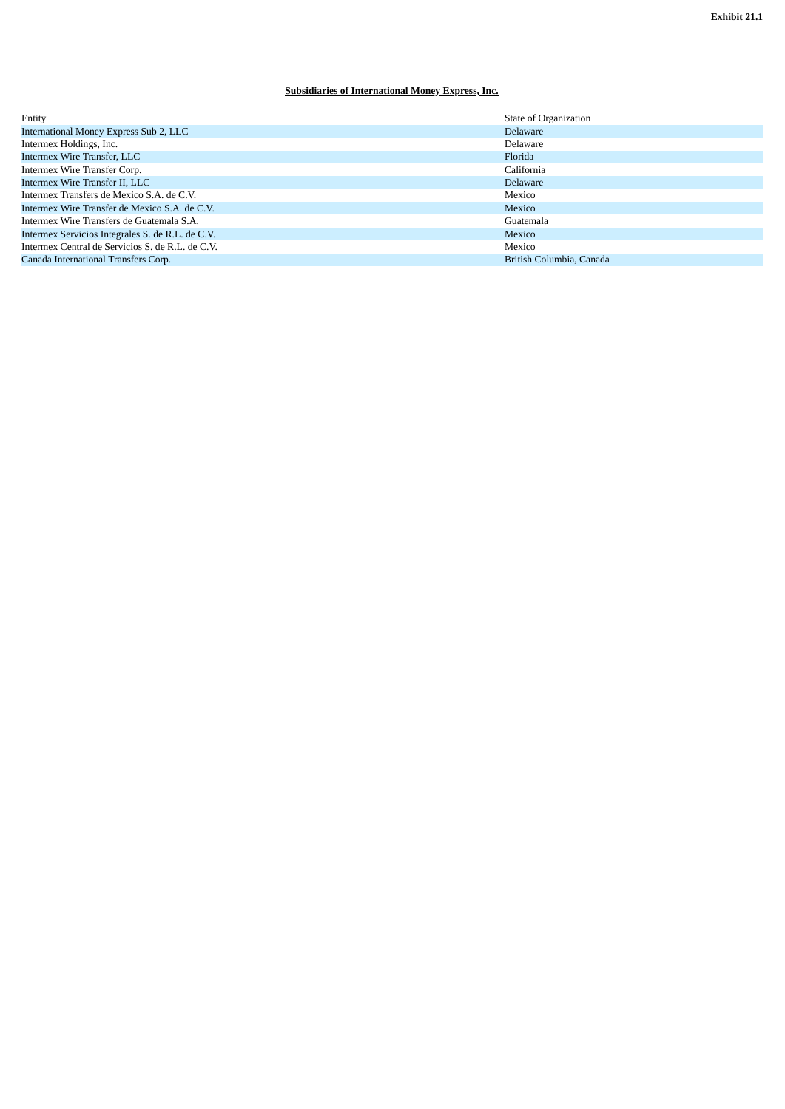# **Subsidiaries of International Money Express, Inc.**

<span id="page-96-0"></span>

| Entity                                           | <b>State of Organization</b> |
|--------------------------------------------------|------------------------------|
| International Money Express Sub 2, LLC           | <b>Delaware</b>              |
| Intermex Holdings, Inc.                          | Delaware                     |
| Intermex Wire Transfer, LLC                      | Florida                      |
| Intermex Wire Transfer Corp.                     | California                   |
| Intermex Wire Transfer II, LLC                   | Delaware                     |
| Intermex Transfers de Mexico S.A. de C.V.        | Mexico                       |
| Intermex Wire Transfer de Mexico S.A. de C.V.    | Mexico                       |
| Intermex Wire Transfers de Guatemala S.A.        | Guatemala                    |
| Intermex Servicios Integrales S. de R.L. de C.V. | Mexico                       |
| Intermex Central de Servicios S. de R.L. de C.V. | Mexico                       |
| Canada International Transfers Corp.             | British Columbia, Canada     |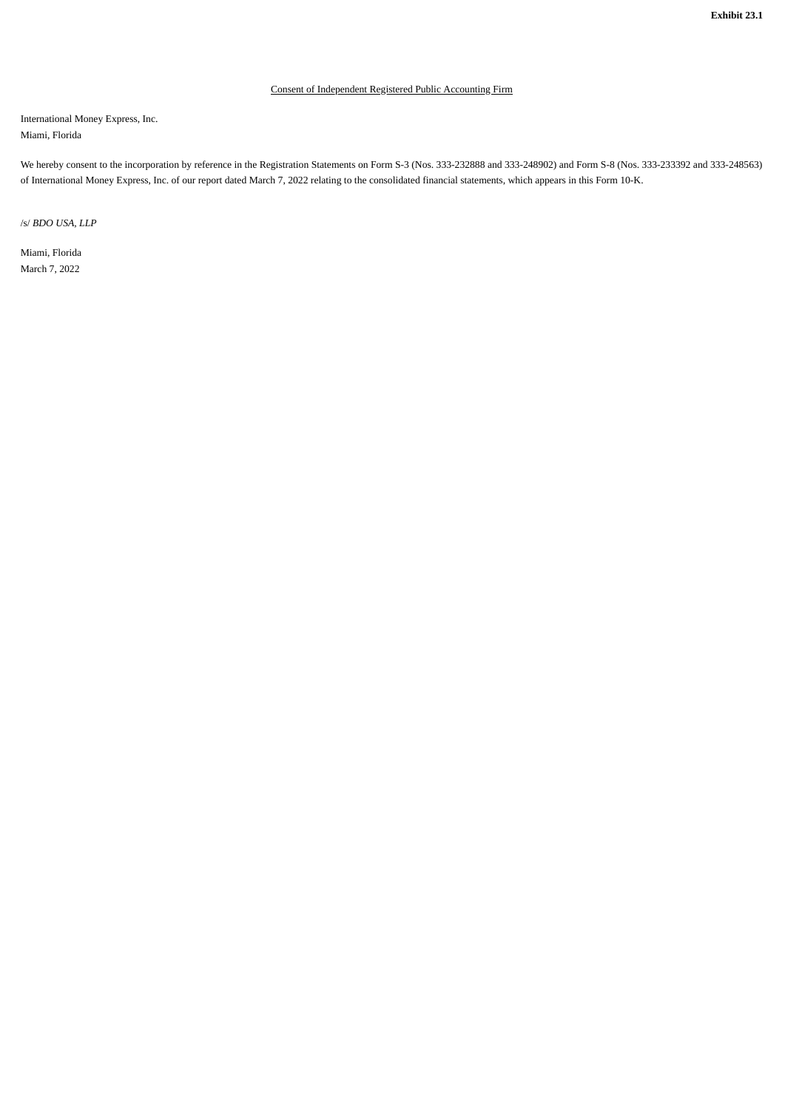## Consent of Independent Registered Public Accounting Firm

<span id="page-97-0"></span>International Money Express, Inc. Miami, Florida

We hereby consent to the incorporation by reference in the Registration Statements on Form S-3 (Nos. 333-232888 and 333-248902) and Form S-8 (Nos. 333-233392 and 333-248563) of International Money Express, Inc. of our report dated March 7, 2022 relating to the consolidated financial statements, which appears in this Form 10-K.

/s/ *BDO USA, LLP*

Miami, Florida March 7, 2022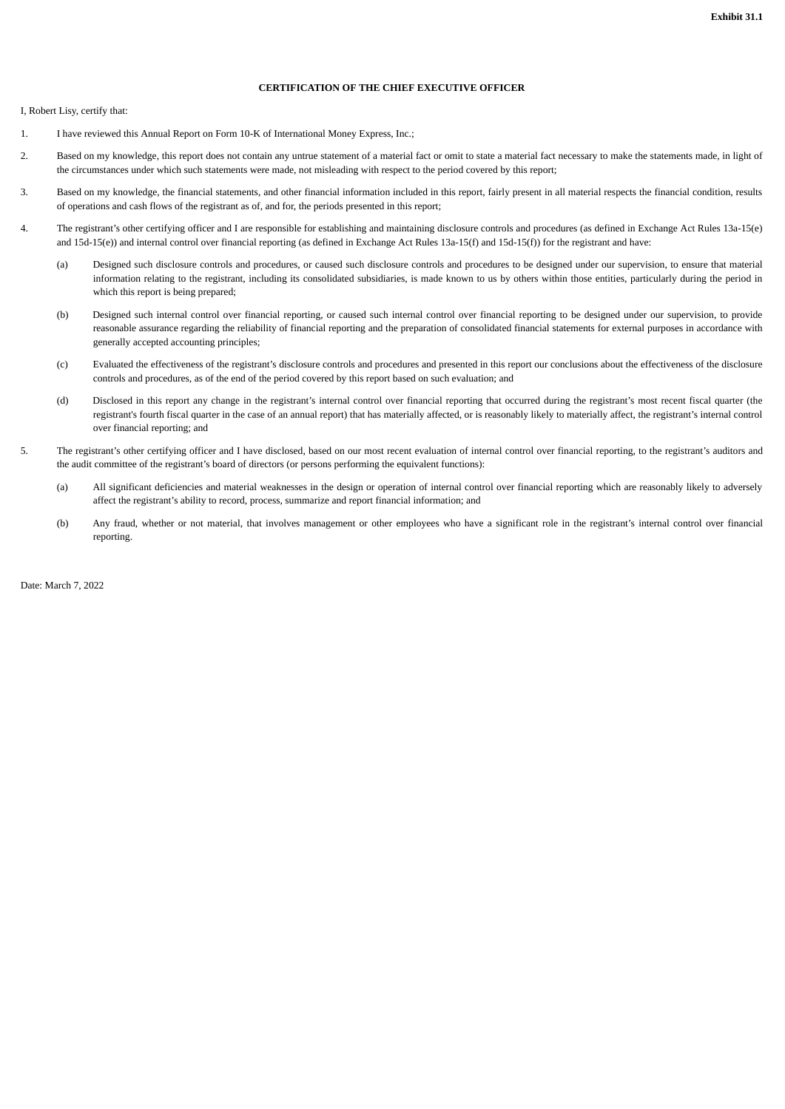## **CERTIFICATION OF THE CHIEF EXECUTIVE OFFICER**

<span id="page-98-0"></span>I, Robert Lisy, certify that:

- 1. I have reviewed this Annual Report on Form 10-K of International Money Express, Inc.;
- 2. Based on my knowledge, this report does not contain any untrue statement of a material fact or omit to state a material fact necessary to make the statements made, in light of the circumstances under which such statements were made, not misleading with respect to the period covered by this report;
- 3. Based on my knowledge, the financial statements, and other financial information included in this report, fairly present in all material respects the financial condition, results of operations and cash flows of the registrant as of, and for, the periods presented in this report;
- 4. The registrant's other certifying officer and I are responsible for establishing and maintaining disclosure controls and procedures (as defined in Exchange Act Rules 13a-15(e) and 15d-15(e)) and internal control over financial reporting (as defined in Exchange Act Rules 13a-15(f) and 15d-15(f)) for the registrant and have:
	- (a) Designed such disclosure controls and procedures, or caused such disclosure controls and procedures to be designed under our supervision, to ensure that material information relating to the registrant, including its consolidated subsidiaries, is made known to us by others within those entities, particularly during the period in which this report is being prepared;
	- (b) Designed such internal control over financial reporting, or caused such internal control over financial reporting to be designed under our supervision, to provide reasonable assurance regarding the reliability of financial reporting and the preparation of consolidated financial statements for external purposes in accordance with generally accepted accounting principles;
	- (c) Evaluated the effectiveness of the registrant's disclosure controls and procedures and presented in this report our conclusions about the effectiveness of the disclosure controls and procedures, as of the end of the period covered by this report based on such evaluation; and
	- (d) Disclosed in this report any change in the registrant's internal control over financial reporting that occurred during the registrant's most recent fiscal quarter (the registrant's fourth fiscal quarter in the case of an annual report) that has materially affected, or is reasonably likely to materially affect, the registrant's internal control over financial reporting; and
- 5. The registrant's other certifying officer and I have disclosed, based on our most recent evaluation of internal control over financial reporting, to the registrant's auditors and the audit committee of the registrant's board of directors (or persons performing the equivalent functions):
	- (a) All significant deficiencies and material weaknesses in the design or operation of internal control over financial reporting which are reasonably likely to adversely affect the registrant's ability to record, process, summarize and report financial information; and
	- (b) Any fraud, whether or not material, that involves management or other employees who have a significant role in the registrant's internal control over financial reporting.

Date: March 7, 2022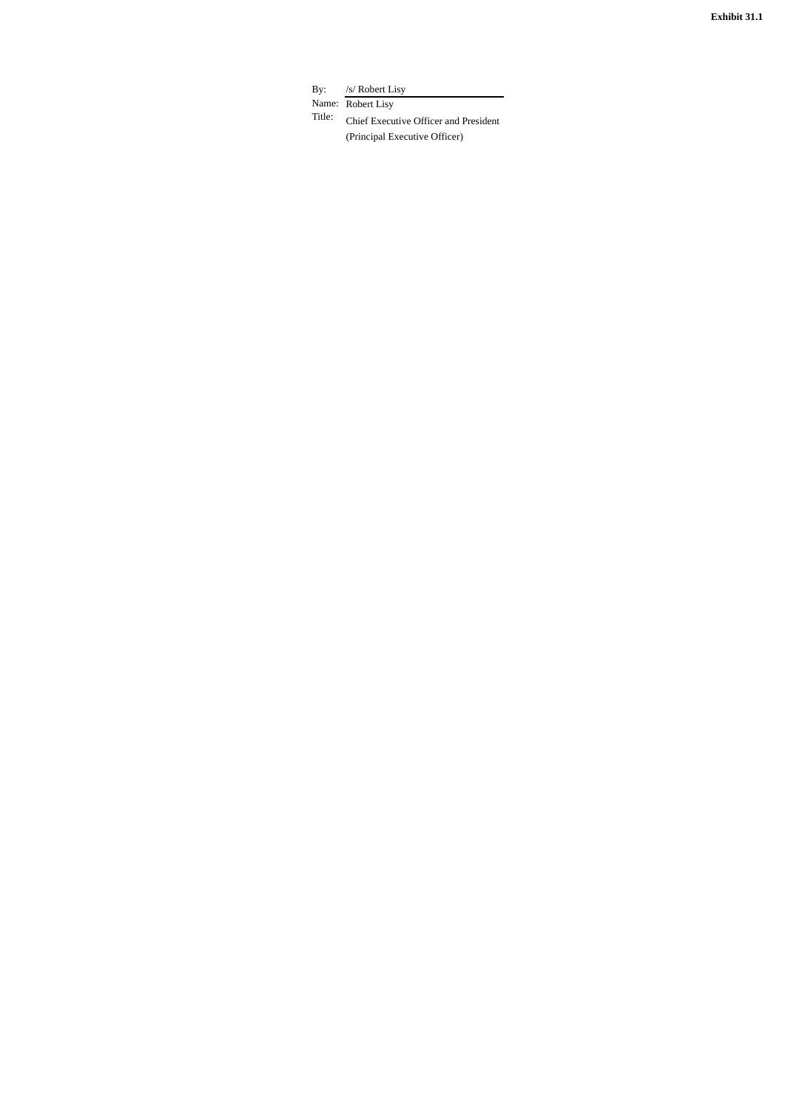By: /s/ Robert Lisy

Name: Robert Lisy

Title: Chief Executive Officer and President (Principal Executive Officer)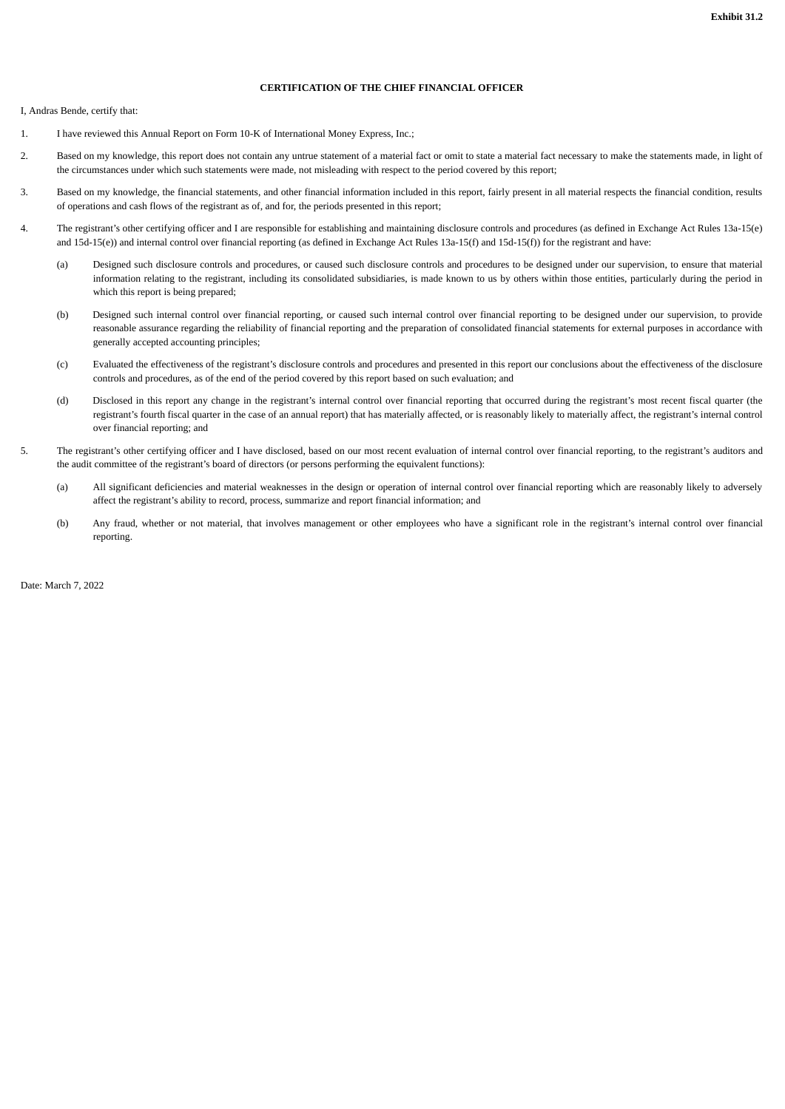## **CERTIFICATION OF THE CHIEF FINANCIAL OFFICER**

<span id="page-100-0"></span>I, Andras Bende, certify that:

- 1. I have reviewed this Annual Report on Form 10-K of International Money Express, Inc.;
- 2. Based on my knowledge, this report does not contain any untrue statement of a material fact or omit to state a material fact necessary to make the statements made, in light of the circumstances under which such statements were made, not misleading with respect to the period covered by this report;
- 3. Based on my knowledge, the financial statements, and other financial information included in this report, fairly present in all material respects the financial condition, results of operations and cash flows of the registrant as of, and for, the periods presented in this report;
- 4. The registrant's other certifying officer and I are responsible for establishing and maintaining disclosure controls and procedures (as defined in Exchange Act Rules 13a-15(e) and 15d-15(e)) and internal control over financial reporting (as defined in Exchange Act Rules 13a-15(f) and 15d-15(f)) for the registrant and have:
	- (a) Designed such disclosure controls and procedures, or caused such disclosure controls and procedures to be designed under our supervision, to ensure that material information relating to the registrant, including its consolidated subsidiaries, is made known to us by others within those entities, particularly during the period in which this report is being prepared;
	- (b) Designed such internal control over financial reporting, or caused such internal control over financial reporting to be designed under our supervision, to provide reasonable assurance regarding the reliability of financial reporting and the preparation of consolidated financial statements for external purposes in accordance with generally accepted accounting principles;
	- (c) Evaluated the effectiveness of the registrant's disclosure controls and procedures and presented in this report our conclusions about the effectiveness of the disclosure controls and procedures, as of the end of the period covered by this report based on such evaluation; and
	- (d) Disclosed in this report any change in the registrant's internal control over financial reporting that occurred during the registrant's most recent fiscal quarter (the registrant's fourth fiscal quarter in the case of an annual report) that has materially affected, or is reasonably likely to materially affect, the registrant's internal control over financial reporting; and
- 5. The registrant's other certifying officer and I have disclosed, based on our most recent evaluation of internal control over financial reporting, to the registrant's auditors and the audit committee of the registrant's board of directors (or persons performing the equivalent functions):
	- (a) All significant deficiencies and material weaknesses in the design or operation of internal control over financial reporting which are reasonably likely to adversely affect the registrant's ability to record, process, summarize and report financial information; and
	- (b) Any fraud, whether or not material, that involves management or other employees who have a significant role in the registrant's internal control over financial reporting.

Date: March 7, 2022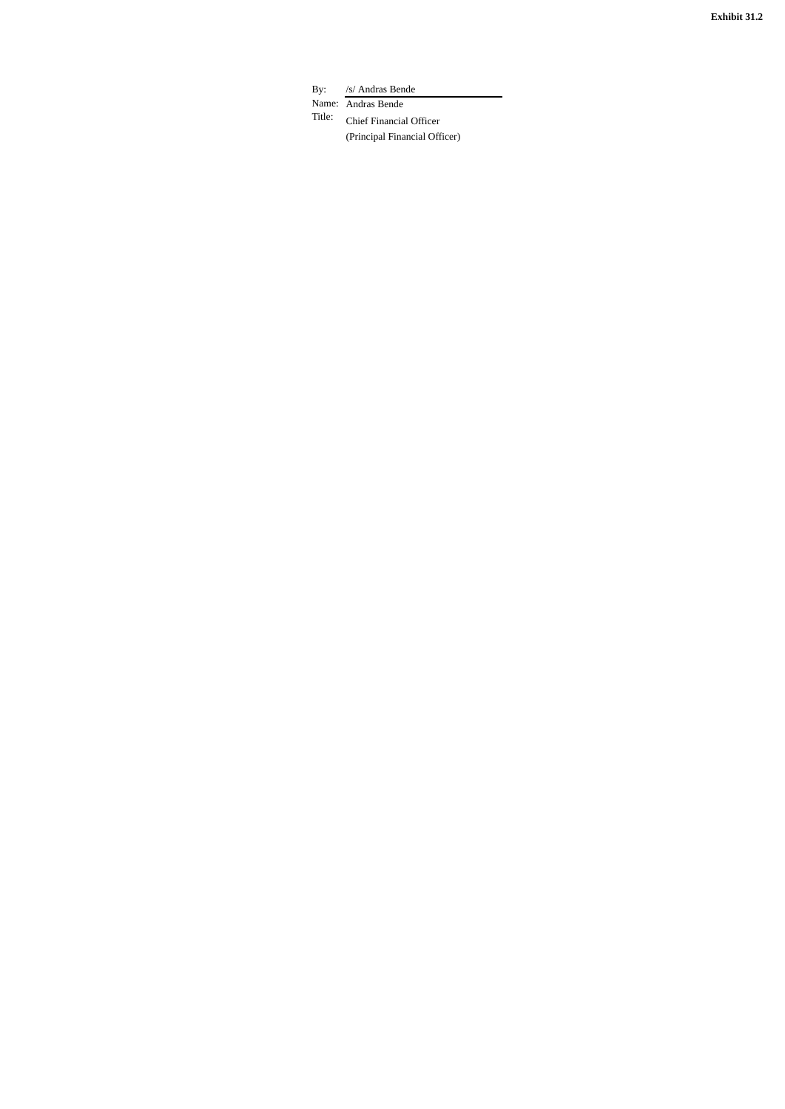By: /s/ Andras Bende

Name: Andras Bende

Title: Chief Financial Officer (Principal Financial Officer)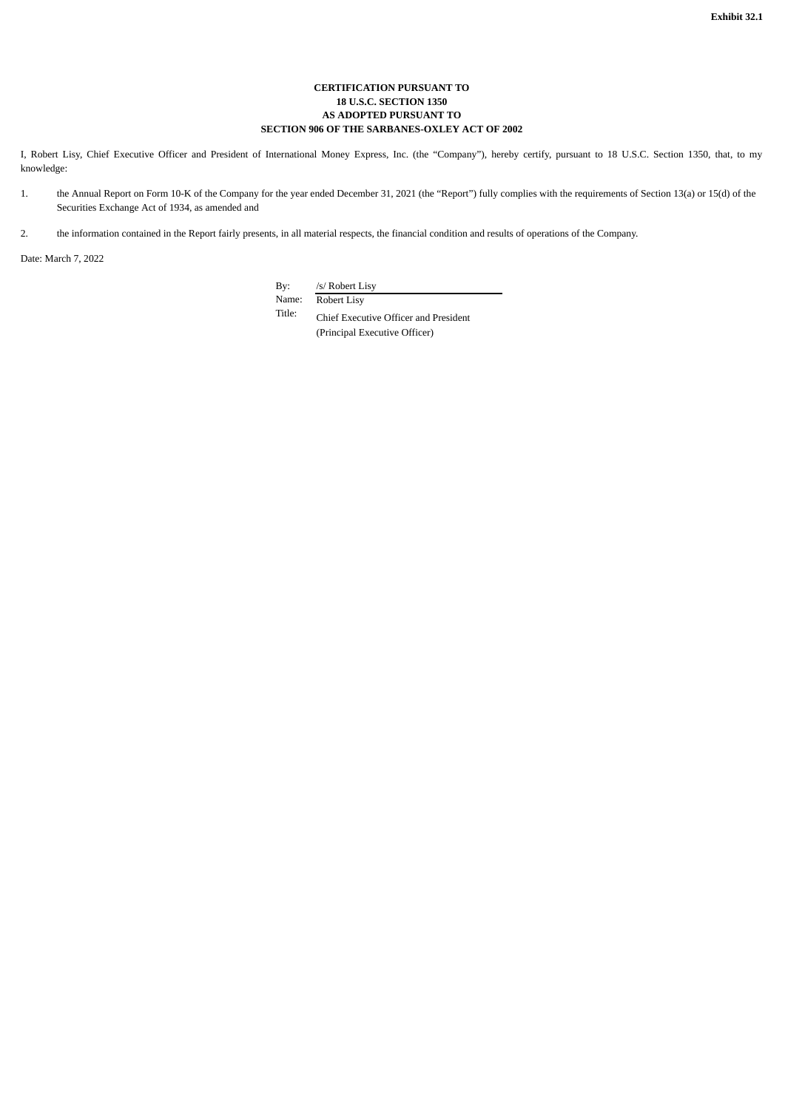## **CERTIFICATION PURSUANT TO 18 U.S.C. SECTION 1350 AS ADOPTED PURSUANT TO SECTION 906 OF THE SARBANES-OXLEY ACT OF 2002**

<span id="page-102-0"></span>I, Robert Lisy, Chief Executive Officer and President of International Money Express, Inc. (the "Company"), hereby certify, pursuant to 18 U.S.C. Section 1350, that, to my knowledge:

- 1. the Annual Report on Form 10-K of the Company for the year ended December 31, 2021 (the "Report") fully complies with the requirements of Section 13(a) or 15(d) of the Securities Exchange Act of 1934, as amended and
- 2. the information contained in the Report fairly presents, in all material respects, the financial condition and results of operations of the Company.

Date: March 7, 2022

By: /s/ Robert Lisy

Name: Robert Lisy

Title: Chief Executive Officer and President (Principal Executive Officer)